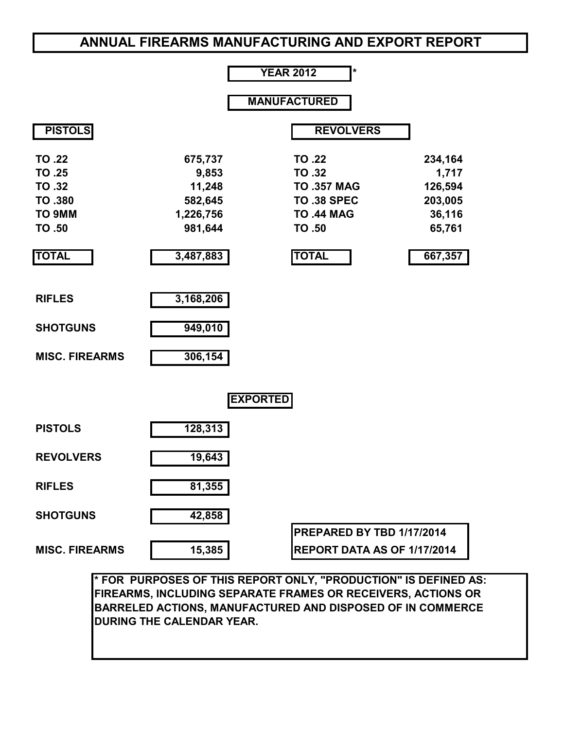# **ANNUAL FIREARMS MANUFACTURING AND EXPORT REPORT**

#### **YEAR 2012 \* MANUFACTURED PISTOLS** REVOLVERS **TO .22 TO .25 TO .32 TO .380 TO 9MM TO .50 675,737 9,853 11,248 582,645 1,226,756 981,644 TO .22 TO .32 TO .357 MAG TO .38 SPEC TO .44 MAG TO .50 234,164 1,717 126,594 203,005 36,116 65,761 TOTAL 3,487,883 TOTAL 667,357 RIFLES 3,168,206 SHOTGUNS 949,010 MISC. FIREARMS 306,154 EXPORTED PISTOLS 128,313 REVOLVERS 19,643 RIFLES 81,355 SHOTGUNS 42,858 PREPARED BY TBD 1/17/2014 MISC. FIREARMS 15,385 REPORT DATA AS OF 1/17/2014**

**\* FOR PURPOSES OF THIS REPORT ONLY, "PRODUCTION" IS DEFINED AS: FIREARMS, INCLUDING SEPARATE FRAMES OR RECEIVERS, ACTIONS OR BARRELED ACTIONS, MANUFACTURED AND DISPOSED OF IN COMMERCE DURING THE CALENDAR YEAR.**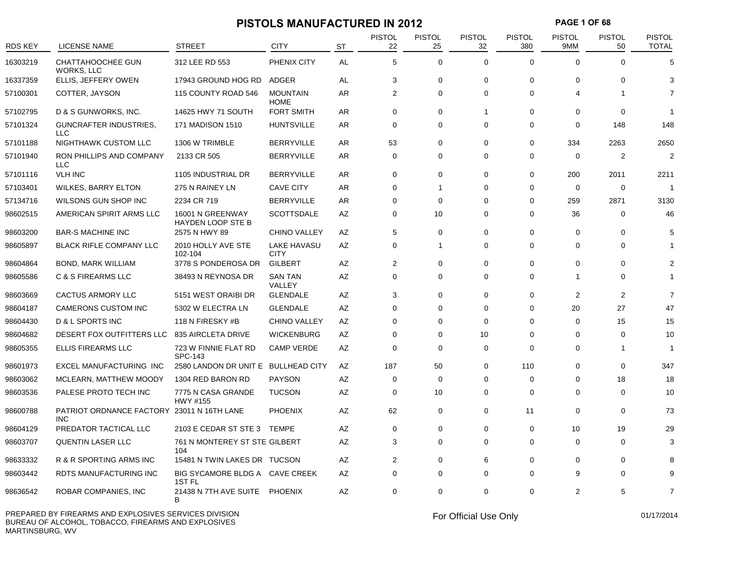## **PISTOLS MANUFACTURED IN 2012 PAGE 1 OF 68**

| <b>RDS KEY</b> | <b>LICENSE NAME</b>                                      | <b>STREET</b>                                       | <b>CITY</b>                       | <b>ST</b> | <b>PISTOL</b><br>22 | <b>PISTOL</b><br>25 | <b>PISTOL</b><br>32 | <b>PISTOL</b><br>380 | <b>PISTOL</b><br>9MM | <b>PISTOL</b><br>50 | <b>PISTOL</b><br><b>TOTAL</b> |
|----------------|----------------------------------------------------------|-----------------------------------------------------|-----------------------------------|-----------|---------------------|---------------------|---------------------|----------------------|----------------------|---------------------|-------------------------------|
| 16303219       | CHATTAHOOCHEE GUN<br>WORKS, LLC                          | 312 LEE RD 553                                      | PHENIX CITY                       | <b>AL</b> | 5                   | $\mathbf 0$         | $\Omega$            | $\Omega$             | $\Omega$             | $\Omega$            | 5                             |
| 16337359       | ELLIS, JEFFERY OWEN                                      | 17943 GROUND HOG RD                                 | ADGER                             | AL        | 3                   | $\mathbf 0$         | $\mathbf 0$         | $\mathbf 0$          | $\Omega$             | $\Omega$            | 3                             |
| 57100301       | COTTER, JAYSON                                           | 115 COUNTY ROAD 546                                 | <b>MOUNTAIN</b><br><b>HOME</b>    | AR        | $\overline{2}$      | $\Omega$            | $\Omega$            | $\Omega$             | Δ                    |                     | 7                             |
| 57102795       | D & S GUNWORKS, INC.                                     | 14625 HWY 71 SOUTH                                  | <b>FORT SMITH</b>                 | AR        | 0                   | 0                   | $\mathbf{1}$        | 0                    | $\Omega$             | 0                   |                               |
| 57101324       | <b>GUNCRAFTER INDUSTRIES,</b><br>LLC                     | 171 MADISON 1510                                    | <b>HUNTSVILLE</b>                 | AR        | $\mathbf 0$         | 0                   | $\mathbf 0$         | 0                    | 0                    | 148                 | 148                           |
| 57101188       | NIGHTHAWK CUSTOM LLC                                     | 1306 W TRIMBLE                                      | <b>BERRYVILLE</b>                 | AR        | 53                  | $\Omega$            | 0                   | 0                    | 334                  | 2263                | 2650                          |
| 57101940       | RON PHILLIPS AND COMPANY<br><b>LLC</b>                   | 2133 CR 505                                         | <b>BERRYVILLE</b>                 | AR.       | $\Omega$            | $\Omega$            | $\Omega$            | $\Omega$             | $\Omega$             | $\overline{2}$      | $\overline{2}$                |
| 57101116       | <b>VLH INC</b>                                           | 1105 INDUSTRIAL DR                                  | <b>BERRYVILLE</b>                 | AR        | $\Omega$            | 0                   | $\Omega$            | $\Omega$             | 200                  | 2011                | 2211                          |
| 57103401       | WILKES, BARRY ELTON                                      | 275 N RAINEY LN                                     | <b>CAVE CITY</b>                  | AR        | $\Omega$            | 1                   | $\Omega$            | $\Omega$             | $\mathbf 0$          | $\mathbf 0$         | 1                             |
| 57134716       | WILSONS GUN SHOP INC                                     | 2234 CR 719                                         | <b>BERRYVILLE</b>                 | AR        | 0                   | 0                   | 0                   | 0                    | 259                  | 2871                | 3130                          |
| 98602515       | AMERICAN SPIRIT ARMS LLC                                 | 16001 N GREENWAY<br><b>HAYDEN LOOP STE B</b>        | <b>SCOTTSDALE</b>                 | AZ        | $\Omega$            | 10                  | $\Omega$            | $\Omega$             | 36                   | $\mathbf 0$         | 46                            |
| 98603200       | <b>BAR-S MACHINE INC</b>                                 | 2575 N HWY 89                                       | <b>CHINO VALLEY</b>               | AZ        | 5                   | $\mathbf 0$         | $\mathbf 0$         | $\Omega$             | $\Omega$             | $\Omega$            | 5                             |
| 98605897       | <b>BLACK RIFLE COMPANY LLC</b>                           | 2010 HOLLY AVE STE<br>102-104                       | <b>LAKE HAVASU</b><br><b>CITY</b> | AZ        | $\mathbf 0$         | $\mathbf{1}$        | $\mathbf 0$         | $\mathbf 0$          | $\Omega$             | $\Omega$            |                               |
| 98604864       | <b>BOND, MARK WILLIAM</b>                                | 3778 S PONDEROSA DR                                 | <b>GILBERT</b>                    | AZ        | $\overline{2}$      | $\mathbf 0$         | $\mathbf 0$         | 0                    | $\Omega$             | $\Omega$            | 2                             |
| 98605586       | C & S FIREARMS LLC                                       | 38493 N REYNOSA DR                                  | <b>SAN TAN</b><br>VALLEY          | AZ        | $\Omega$            | $\Omega$            | $\Omega$            | $\Omega$             | 1                    | $\Omega$            | 1                             |
| 98603669       | <b>CACTUS ARMORY LLC</b>                                 | 5151 WEST ORAIBI DR                                 | <b>GLENDALE</b>                   | AZ        | 3                   | 0                   | 0                   | 0                    | 2                    | $\overline{2}$      | $\overline{7}$                |
| 98604187       | <b>CAMERONS CUSTOM INC</b>                               | 5302 W ELECTRA LN                                   | <b>GLENDALE</b>                   | AZ        | $\Omega$            | $\Omega$            | $\Omega$            | $\Omega$             | 20                   | 27                  | 47                            |
| 98604430       | D & L SPORTS INC                                         | 118 N FIRESKY #B                                    | <b>CHINO VALLEY</b>               | AZ        | 0                   | $\Omega$            | $\Omega$            | 0                    | $\Omega$             | 15                  | 15                            |
| 98604682       | DESERT FOX OUTFITTERS LLC                                | 835 AIRCLETA DRIVE                                  | <b>WICKENBURG</b>                 | AZ        | $\Omega$            | $\Omega$            | 10                  | $\Omega$             | $\Omega$             | $\Omega$            | 10                            |
| 98605355       | <b>ELLIS FIREARMS LLC</b>                                | 723 W FINNIE FLAT RD<br><b>SPC-143</b>              | <b>CAMP VERDE</b>                 | AZ        | 0                   | $\mathbf 0$         | 0                   | 0                    | $\Omega$             | -1                  | -1                            |
| 98601973       | <b>EXCEL MANUFACTURING INC</b>                           | 2580 LANDON DR UNIT E BULLHEAD CITY                 |                                   | AZ        | 187                 | 50                  | $\Omega$            | 110                  | $\Omega$             | $\Omega$            | 347                           |
| 98603062       | MCLEARN, MATTHEW MOODY                                   | 1304 RED BARON RD                                   | <b>PAYSON</b>                     | AZ        | 0                   | 0                   | 0                   | 0                    | $\Omega$             | 18                  | 18                            |
| 98603536       | PALESE PROTO TECH INC                                    | 7775 N CASA GRANDE<br>HWY #155                      | <b>TUCSON</b>                     | AZ        | $\Omega$            | 10                  | $\Omega$            | $\Omega$             | $\Omega$             | $\Omega$            | 10                            |
| 98600788       | PATRIOT ORDNANCE FACTORY 23011 N 16TH LANE<br><b>INC</b> |                                                     | <b>PHOENIX</b>                    | AZ        | 62                  | 0                   | $\Omega$            | 11                   | $\Omega$             | $\Omega$            | 73                            |
| 98604129       | PREDATOR TACTICAL LLC                                    | 2103 E CEDAR ST STE 3                               | <b>TEMPE</b>                      | AZ        | $\mathbf 0$         | $\mathbf 0$         | $\mathbf 0$         | $\mathbf 0$          | 10                   | 19                  | 29                            |
| 98603707       | <b>QUENTIN LASER LLC</b>                                 | 761 N MONTEREY ST STE GILBERT<br>104                |                                   | AZ        | 3                   | $\mathbf 0$         | $\mathbf 0$         | $\mathbf 0$          | $\Omega$             | $\Omega$            | 3                             |
| 98633332       | R & R SPORTING ARMS INC                                  | 15481 N TWIN LAKES DR TUCSON                        |                                   | AZ        | 2                   | $\Omega$            | 6                   | $\mathbf 0$          | $\Omega$             | $\Omega$            |                               |
| 98603442       | RDTS MANUFACTURING INC                                   | BIG SYCAMORE BLDG A CAVE CREEK<br>1ST <sub>FL</sub> |                                   | AZ        | 0                   | 0                   | 0                   | 0                    | 9                    | $\Omega$            |                               |
| 98636542       | <b>ROBAR COMPANIES, INC</b>                              | 21438 N 7TH AVE SUITE PHOENIX<br>B                  |                                   | AZ        | $\mathbf 0$         | $\Omega$            | $\Omega$            | $\mathbf 0$          | $\overline{2}$       | 5                   | $\overline{7}$                |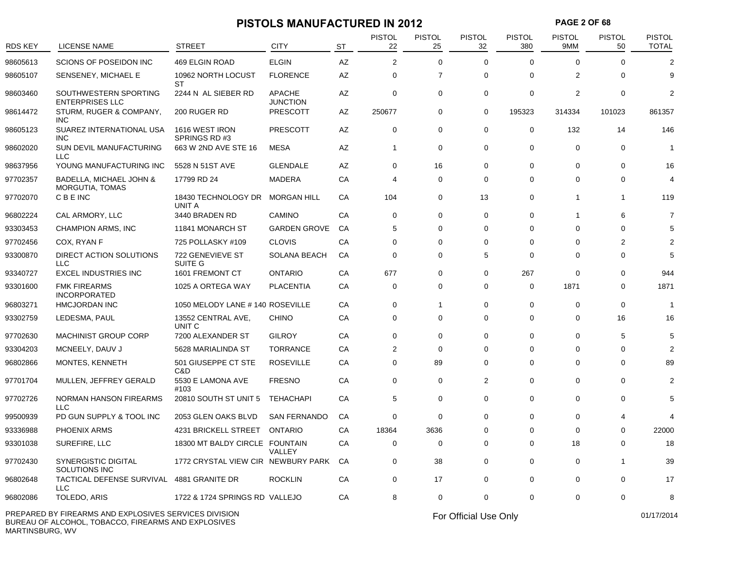# **PISTOLS MANUFACTURED IN 2012 PAGE 2 OF 68**<br>PISTOL PISTOL PISTOL PISTOL PISTOL PISTOL PISTOL PISTOL PISTOL PISTOL PISTOL PISTOL PISTOL PISTOL PISTOL PISTOL PISTOL PISTOL PISTOL PISTOL PISTOL PISTOL PISTOL PISTOL PISTOL P

| <b>RDS KEY</b>  | <b>LICENSE NAME</b>                                                                                          | STREET                                    | CITY                             | <b>ST</b> | <b>PISTOL</b><br>22 | <b>PISTOL</b><br>25 | <b>PISTOL</b><br>32   | <b>PISTOL</b><br>380 | <b>PISTOL</b><br>9MM | <b>PISTOL</b><br>50 | <b>PISTOL</b><br><b>TOTAL</b> |
|-----------------|--------------------------------------------------------------------------------------------------------------|-------------------------------------------|----------------------------------|-----------|---------------------|---------------------|-----------------------|----------------------|----------------------|---------------------|-------------------------------|
| 98605613        | SCIONS OF POSEIDON INC                                                                                       | 469 ELGIN ROAD                            | <b>ELGIN</b>                     | AZ        | 2                   | 0                   | $\mathbf 0$           | 0                    | $\Omega$             | 0                   | $\overline{2}$                |
| 98605107        | SENSENEY, MICHAEL E                                                                                          | 10962 NORTH LOCUST<br><b>ST</b>           | <b>FLORENCE</b>                  | AZ        | 0                   | $\overline{7}$      | $\Omega$              | 0                    | 2                    | $\Omega$            | 9                             |
| 98603460        | SOUTHWESTERN SPORTING<br><b>ENTERPRISES LLC</b>                                                              | 2244 N AL SIEBER RD                       | <b>APACHE</b><br><b>JUNCTION</b> | AZ        | $\mathbf 0$         | 0                   | 0                     | 0                    | $\overline{2}$       | 0                   | $\overline{2}$                |
| 98614472        | STURM, RUGER & COMPANY,<br><b>INC</b>                                                                        | 200 RUGER RD                              | PRESCOTT                         | AZ        | 250677              | 0                   | 0                     | 195323               | 314334               | 101023              | 861357                        |
| 98605123        | SUAREZ INTERNATIONAL USA<br><b>INC</b>                                                                       | 1616 WEST IRON<br>SPRINGS RD#3            | <b>PRESCOTT</b>                  | AZ        | 0                   | 0                   | 0                     | 0                    | 132                  | 14                  | 146                           |
| 98602020        | SUN DEVIL MANUFACTURING<br>LLC                                                                               | 663 W 2ND AVE STE 16                      | <b>MESA</b>                      | AZ        | $\mathbf{1}$        | 0                   | 0                     | 0                    | 0                    | 0                   | -1                            |
| 98637956        | YOUNG MANUFACTURING INC                                                                                      | 5528 N 51ST AVE                           | <b>GLENDALE</b>                  | AZ        | 0                   | 16                  | 0                     | 0                    | 0                    | 0                   | 16                            |
| 97702357        | BADELLA, MICHAEL JOHN &<br>MORGUTIA, TOMAS                                                                   | 17799 RD 24                               | MADERA                           | CA        | 4                   | 0                   | 0                     | 0                    | 0                    | 0                   | 4                             |
| 97702070        | C B E INC                                                                                                    | 18430 TECHNOLOGY DR MORGAN HILL<br>UNIT A |                                  | CA        | 104                 | 0                   | 13                    | 0                    | -1                   | -1                  | 119                           |
| 96802224        | CAL ARMORY, LLC                                                                                              | 3440 BRADEN RD                            | CAMINO                           | CA        | 0                   | 0                   | 0                     | $\Omega$             |                      | 6                   | $\overline{7}$                |
| 93303453        | <b>CHAMPION ARMS, INC</b>                                                                                    | 11841 MONARCH ST                          | <b>GARDEN GROVE</b>              | CA        | 5                   | 0                   | 0                     | $\Omega$             | $\Omega$             | 0                   | 5                             |
| 97702456        | COX, RYAN F                                                                                                  | 725 POLLASKY #109                         | <b>CLOVIS</b>                    | CA        | $\mathbf 0$         | 0                   | 0                     | $\Omega$             | 0                    | 2                   | 2                             |
| 93300870        | DIRECT ACTION SOLUTIONS<br>LLC                                                                               | 722 GENEVIEVE ST<br>SUITE G               | <b>SOLANA BEACH</b>              | CA        | 0                   | 0                   | 5                     | 0                    | 0                    | 0                   | 5                             |
| 93340727        | <b>EXCEL INDUSTRIES INC</b>                                                                                  | 1601 FREMONT CT                           | <b>ONTARIO</b>                   | CA        | 677                 | 0                   | 0                     | 267                  | $\Omega$             | 0                   | 944                           |
| 93301600        | <b>FMK FIREARMS</b><br><b>INCORPORATED</b>                                                                   | 1025 A ORTEGA WAY                         | <b>PLACENTIA</b>                 | CA        | $\mathbf 0$         | 0                   | 0                     | 0                    | 1871                 | 0                   | 1871                          |
| 96803271        | <b>HMCJORDAN INC</b>                                                                                         | 1050 MELODY LANE # 140 ROSEVILLE          |                                  | CA        | 0                   | 1                   | 0                     | 0                    | 0                    | 0                   | -1                            |
| 93302759        | LEDESMA, PAUL                                                                                                | 13552 CENTRAL AVE,<br>UNIT C              | <b>CHINO</b>                     | CA        | $\mathbf 0$         | 0                   | 0                     | 0                    | 0                    | 16                  | 16                            |
| 97702630        | <b>MACHINIST GROUP CORP</b>                                                                                  | 7200 ALEXANDER ST                         | <b>GILROY</b>                    | CA        | $\mathbf 0$         | 0                   | 0                     | 0                    | $\Omega$             | 5                   | 5                             |
| 93304203        | MCNEELY, DAUV J                                                                                              | 5628 MARIALINDA ST                        | <b>TORRANCE</b>                  | CA        | 2                   | 0                   | 0                     | 0                    | $\Omega$             | 0                   | $\overline{2}$                |
| 96802866        | MONTES, KENNETH                                                                                              | 501 GIUSEPPE CT STE<br>C&D                | <b>ROSEVILLE</b>                 | CA        | $\Omega$            | 89                  | $\Omega$              | $\Omega$             | $\Omega$             | $\Omega$            | 89                            |
| 97701704        | MULLEN, JEFFREY GERALD                                                                                       | 5530 E LAMONA AVE<br>#103                 | <b>FRESNO</b>                    | CA        | 0                   | 0                   | 2                     | 0                    | 0                    | 0                   | $\overline{2}$                |
| 97702726        | NORMAN HANSON FIREARMS<br>LLC                                                                                | 20810 SOUTH ST UNIT 5                     | <b>TEHACHAPI</b>                 | CA        | 5                   | 0                   | 0                     | 0                    | 0                    | 0                   | 5                             |
| 99500939        | PD GUN SUPPLY & TOOL INC                                                                                     | 2053 GLEN OAKS BLVD                       | <b>SAN FERNANDO</b>              | CA        | 0                   | 0                   | 0                     | 0                    | 0                    | 4                   |                               |
| 93336988        | <b>PHOENIX ARMS</b>                                                                                          | 4231 BRICKELL STREET                      | <b>ONTARIO</b>                   | СA        | 18364               | 3636                | $\Omega$              | ∩                    | $\Omega$             | 0                   | 22000                         |
| 93301038        | SUREFIRE, LLC                                                                                                | 18300 MT BALDY CIRCLE FOUNTAIN            | VALLEY                           | CA        | 0                   | 0                   | $\Omega$              | 0                    | 18                   | 0                   | 18                            |
| 97702430        | SYNERGISTIC DIGITAL<br>SOLUTIONS INC                                                                         | 1772 CRYSTAL VIEW CIR NEWBURY PARK CA     |                                  |           | 0                   | 38                  | 0                     | 0                    | $\Omega$             | $\mathbf{1}$        | 39                            |
| 96802648        | TACTICAL DEFENSE SURVIVAL 4881 GRANITE DR<br>LLC                                                             |                                           | <b>ROCKLIN</b>                   | CA        | 0                   | 17                  | 0                     | 0                    | 0                    | $\mathbf 0$         | 17                            |
| 96802086        | TOLEDO, ARIS                                                                                                 | 1722 & 1724 SPRINGS RD VALLEJO            |                                  | CA        | 8                   | 0                   | 0                     | 0                    | 0                    | 0                   | 8                             |
| MARTINSBURG, WV | PREPARED BY FIREARMS AND EXPLOSIVES SERVICES DIVISION<br>BUREAU OF ALCOHOL, TOBACCO, FIREARMS AND EXPLOSIVES |                                           |                                  |           |                     |                     | For Official Use Only |                      |                      |                     | 01/17/2014                    |

MARTINSBURG, WV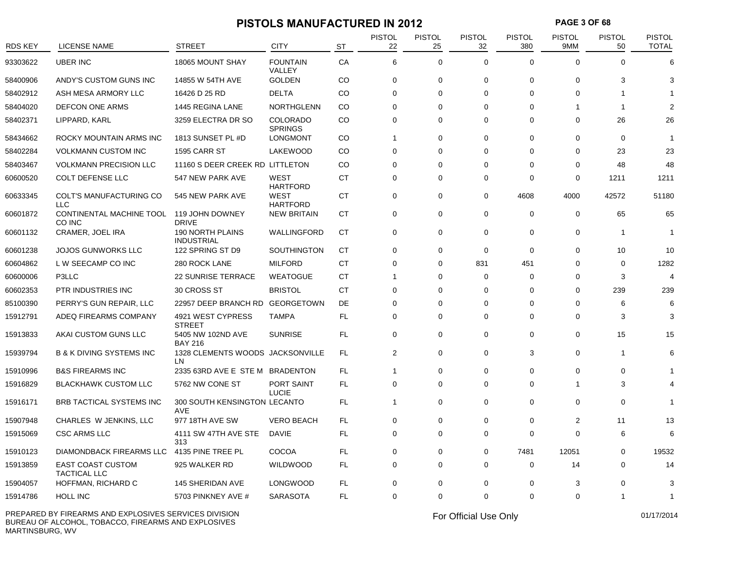## **PISTOLS MANUFACTURED IN 2012 PAGE 3 OF 68**

| <b>RDS KEY</b> | <b>LICENSE NAME</b>                             | <b>STREET</b>                                | <b>CITY</b>                       | <b>ST</b> | <b>PISTOL</b><br>22 | <b>PISTOL</b><br>25 | <b>PISTOL</b><br>32 | <b>PISTOL</b><br>380 | <b>PISTOL</b><br>9MM | <b>PISTOL</b><br>50 | <b>PISTOL</b><br><b>TOTAL</b> |
|----------------|-------------------------------------------------|----------------------------------------------|-----------------------------------|-----------|---------------------|---------------------|---------------------|----------------------|----------------------|---------------------|-------------------------------|
| 93303622       | <b>UBER INC</b>                                 | 18065 MOUNT SHAY                             | <b>FOUNTAIN</b><br>VALLEY         | CA        | 6                   | $\Omega$            | $\Omega$            | $\Omega$             | $\Omega$             | $\Omega$            | 6                             |
| 58400906       | ANDY'S CUSTOM GUNS INC                          | 14855 W 54TH AVE                             | <b>GOLDEN</b>                     | CO        | 0                   | 0                   | $\mathbf 0$         | 0                    | $\mathbf 0$          | 3                   | З                             |
| 58402912       | ASH MESA ARMORY LLC                             | 16426 D 25 RD                                | <b>DELTA</b>                      | CO        | $\Omega$            | $\Omega$            | $\Omega$            | $\Omega$             | $\Omega$             |                     |                               |
| 58404020       | <b>DEFCON ONE ARMS</b>                          | 1445 REGINA LANE                             | <b>NORTHGLENN</b>                 | CO        | $\Omega$            | $\Omega$            | $\Omega$            | $\Omega$             | 1                    | -1                  | $\mathcal{P}$                 |
| 58402371       | LIPPARD, KARL                                   | 3259 ELECTRA DR SO                           | <b>COLORADO</b><br><b>SPRINGS</b> | CO        | $\mathbf 0$         | $\mathbf 0$         | $\Omega$            | $\Omega$             | $\mathbf 0$          | 26                  | 26                            |
| 58434662       | ROCKY MOUNTAIN ARMS INC                         | 1813 SUNSET PL #D                            | <b>LONGMONT</b>                   | CO.       | 1                   | $\mathbf 0$         | $\Omega$            | $\Omega$             | $\Omega$             | $\Omega$            | $\overline{1}$                |
| 58402284       | <b>VOLKMANN CUSTOM INC</b>                      | 1595 CARR ST                                 | LAKEWOOD                          | CO        | 0                   | 0                   | $\Omega$            | $\Omega$             | $\Omega$             | 23                  | 23                            |
| 58403467       | <b>VOLKMANN PRECISION LLC</b>                   | 11160 S DEER CREEK RD LITTLETON              |                                   | CO        | 0                   | $\mathbf 0$         | $\Omega$            | 0                    | 0                    | 48                  | 48                            |
| 60600520       | COLT DEFENSE LLC                                | 547 NEW PARK AVE                             | <b>WEST</b><br><b>HARTFORD</b>    | <b>CT</b> | $\Omega$            | $\mathbf 0$         | $\Omega$            | $\Omega$             | $\Omega$             | 1211                | 1211                          |
| 60633345       | COLT'S MANUFACTURING CO<br><b>LLC</b>           | 545 NEW PARK AVE                             | <b>WEST</b><br><b>HARTFORD</b>    | CT        | $\mathbf 0$         | $\mathbf 0$         | $\mathbf 0$         | 4608                 | 4000                 | 42572               | 51180                         |
| 60601872       | CONTINENTAL MACHINE TOOL<br>CO INC              | 119 JOHN DOWNEY<br><b>DRIVE</b>              | <b>NEW BRITAIN</b>                | CT        | $\mathbf 0$         | $\mathbf 0$         | $\Omega$            | $\mathbf 0$          | $\mathbf 0$          | 65                  | 65                            |
| 60601132       | CRAMER, JOEL IRA                                | <b>190 NORTH PLAINS</b><br><b>INDUSTRIAL</b> | WALLINGFORD                       | <b>CT</b> | $\Omega$            | $\Omega$            | $\Omega$            | $\Omega$             | $\Omega$             | $\mathbf 1$         | -1                            |
| 60601238       | <b>JOJOS GUNWORKS LLC</b>                       | 122 SPRING ST D9                             | <b>SOUTHINGTON</b>                | CT        | 0                   | 0                   | $\mathbf 0$         | $\mathbf 0$          | 0                    | 10                  | 10                            |
| 60604862       | L W SEECAMP CO INC                              | 280 ROCK LANE                                | <b>MILFORD</b>                    | CT        | 0                   | 0                   | 831                 | 451                  | $\Omega$             | $\mathbf 0$         | 1282                          |
| 60600006       | P3LLC                                           | <b>22 SUNRISE TERRACE</b>                    | <b>WEATOGUE</b>                   | <b>CT</b> | 1                   | $\Omega$            | $\Omega$            | $\mathbf 0$          | $\Omega$             | 3                   | $\overline{4}$                |
| 60602353       | PTR INDUSTRIES INC                              | 30 CROSS ST                                  | <b>BRISTOL</b>                    | <b>CT</b> | $\Omega$            | $\mathbf 0$         | $\Omega$            | $\Omega$             | $\Omega$             | 239                 | 239                           |
| 85100390       | PERRY'S GUN REPAIR, LLC                         | 22957 DEEP BRANCH RD                         | <b>GEORGETOWN</b>                 | DE        | 0                   | $\mathbf 0$         | $\Omega$            | 0                    | 0                    | 6                   | 6                             |
| 15912791       | ADEQ FIREARMS COMPANY                           | 4921 WEST CYPRESS<br><b>STREET</b>           | <b>TAMPA</b>                      | FL        | $\Omega$            | $\Omega$            | $\Omega$            | $\Omega$             | $\Omega$             | 3                   | 3                             |
| 15913833       | AKAI CUSTOM GUNS LLC                            | 5405 NW 102ND AVE<br><b>BAY 216</b>          | <b>SUNRISE</b>                    | FL        | $\mathbf 0$         | 0                   | $\Omega$            | $\mathbf 0$          | $\mathbf 0$          | 15                  | 15                            |
| 15939794       | <b>B &amp; K DIVING SYSTEMS INC</b>             | 1328 CLEMENTS WOODS JACKSONVILLE<br>LN       |                                   | <b>FL</b> | 2                   | $\mathbf 0$         | $\Omega$            | 3                    | $\Omega$             | $\mathbf{1}$        | 6                             |
| 15910996       | <b>B&amp;S FIREARMS INC</b>                     | 2335 63RD AVE E STE M                        | <b>BRADENTON</b>                  | FL        | 1                   | 0                   | 0                   | 0                    | $\Omega$             | $\Omega$            |                               |
| 15916829       | <b>BLACKHAWK CUSTOM LLC</b>                     | 5762 NW CONE ST                              | PORT SAINT<br><b>LUCIE</b>        | FL        | $\mathbf 0$         | $\Omega$            | $\Omega$            | $\Omega$             | 1                    | 3                   |                               |
| 15916171       | BRB TACTICAL SYSTEMS INC                        | 300 SOUTH KENSINGTON LECANTO<br>AVE          |                                   | FL        | 1                   | $\mathbf 0$         | $\Omega$            | $\mathbf 0$          | 0                    | 0                   | 1                             |
| 15907948       | CHARLES W JENKINS, LLC                          | 977 18TH AVE SW                              | <b>VERO BEACH</b>                 | FL        | 0                   | $\mathbf 0$         | $\mathbf 0$         | 0                    | $\overline{2}$       | 11                  | 13                            |
| 15915069       | <b>CSC ARMS LLC</b>                             | 4111 SW 47TH AVE STE<br>313                  | DAVIE                             | FL        | $\mathbf 0$         | $\mathbf 0$         | $\Omega$            | $\mathbf 0$          | $\Omega$             | 6                   | 6                             |
| 15910123       | DIAMONDBACK FIREARMS LLC                        | 4135 PINE TREE PL                            | COCOA                             | FL.       | 0                   | $\mathbf 0$         | $\mathbf 0$         | 7481                 | 12051                | $\Omega$            | 19532                         |
| 15913859       | <b>EAST COAST CUSTOM</b><br><b>TACTICAL LLC</b> | 925 WALKER RD                                | <b>WILDWOOD</b>                   | FL        | $\mathbf 0$         | $\mathbf 0$         | $\mathbf 0$         | $\mathbf 0$          | 14                   | 0                   | 14                            |
| 15904057       | HOFFMAN, RICHARD C                              | 145 SHERIDAN AVE                             | <b>LONGWOOD</b>                   | FL        | 0                   | $\mathbf 0$         | $\mathbf 0$         | 0                    | 3                    | $\Omega$            | 3                             |
| 15914786       | HOLL INC                                        | 5703 PINKNEY AVE #                           | <b>SARASOTA</b>                   | FL        | 0                   | $\mathbf 0$         | $\Omega$            | 0                    | $\Omega$             | $\mathbf 1$         | 1                             |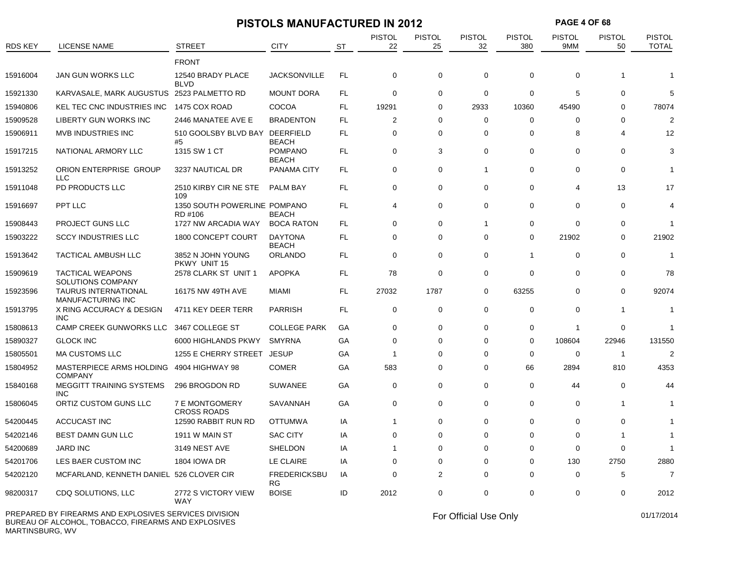|                |                                                     |                                         | <b>PISTOLS MANUFACTURED IN 2012</b> |           |                     |                     |                     |                      | <b>PAGE 4 OF 68</b>  |                     |                               |
|----------------|-----------------------------------------------------|-----------------------------------------|-------------------------------------|-----------|---------------------|---------------------|---------------------|----------------------|----------------------|---------------------|-------------------------------|
| <b>RDS KEY</b> | <b>LICENSE NAME</b>                                 | <b>STREET</b>                           | <b>CITY</b>                         | <b>ST</b> | <b>PISTOL</b><br>22 | <b>PISTOL</b><br>25 | <b>PISTOL</b><br>32 | <b>PISTOL</b><br>380 | <b>PISTOL</b><br>9MM | <b>PISTOL</b><br>50 | <b>PISTOL</b><br><b>TOTAL</b> |
|                |                                                     | <b>FRONT</b>                            |                                     |           |                     |                     |                     |                      |                      |                     |                               |
| 15916004       | JAN GUN WORKS LLC                                   | 12540 BRADY PLACE<br><b>BLVD</b>        | <b>JACKSONVILLE</b>                 | FL.       | 0                   | 0                   | $\mathbf 0$         | 0                    | 0                    |                     |                               |
| 15921330       | KARVASALE, MARK AUGUSTUS 2523 PALMETTO RD           |                                         | <b>MOUNT DORA</b>                   | FL        | 0                   | 0                   | 0                   | 0                    | 5                    | $\Omega$            | 5                             |
| 15940806       | KEL TEC CNC INDUSTRIES INC                          | 1475 COX ROAD                           | COCOA                               | FL.       | 19291               | 0                   | 2933                | 10360                | 45490                | $\Omega$            | 78074                         |
| 15909528       | <b>LIBERTY GUN WORKS INC</b>                        | 2446 MANATEE AVE E                      | <b>BRADENTON</b>                    | FL.       | 2                   | 0                   | 0                   | 0                    | $\Omega$             | 0                   | $\overline{2}$                |
| 15906911       | <b>MVB INDUSTRIES INC</b>                           | 510 GOOLSBY BLVD BAY<br>#5              | <b>DEERFIELD</b><br><b>BEACH</b>    | FL        | 0                   | 0                   | 0                   | 0                    | 8                    | 4                   | 12                            |
| 15917215       | NATIONAL ARMORY LLC                                 | 1315 SW 1 CT                            | <b>POMPANO</b><br><b>BEACH</b>      | FL.       | $\mathbf 0$         | 3                   | $\mathbf 0$         | 0                    | $\Omega$             | 0                   | 3                             |
| 15913252       | ORION ENTERPRISE GROUP<br><b>LLC</b>                | 3237 NAUTICAL DR                        | <b>PANAMA CITY</b>                  | FL        | 0                   | 0                   | 1                   | 0                    | 0                    | 0                   |                               |
| 15911048       | PD PRODUCTS LLC                                     | 2510 KIRBY CIR NE STE<br>109            | <b>PALM BAY</b>                     | FL        | 0                   | $\mathbf 0$         | 0                   | 0                    | 4                    | 13                  | 17                            |
| 15916697       | PPT LLC                                             | 1350 SOUTH POWERLINE POMPANO<br>RD #106 | <b>BEACH</b>                        | FL        | 4                   | 0                   | $\mathbf 0$         | 0                    | 0                    | $\Omega$            | 4                             |
| 15908443       | PROJECT GUNS LLC                                    | 1727 NW ARCADIA WAY                     | <b>BOCA RATON</b>                   | FL.       | 0                   | 0                   | 1                   | 0                    | 0                    | 0                   | -1                            |
| 15903222       | <b>SCCY INDUSTRIES LLC</b>                          | 1800 CONCEPT COURT                      | <b>DAYTONA</b><br><b>BEACH</b>      | FL.       | 0                   | 0                   | 0                   | 0                    | 21902                | 0                   | 21902                         |
| 15913642       | TACTICAL AMBUSH LLC                                 | 3852 N JOHN YOUNG<br>PKWY UNIT 15       | <b>ORLANDO</b>                      | FL.       | 0                   | $\mathbf 0$         | 0                   | $\mathbf{1}$         | 0                    | 0                   |                               |
| 15909619       | <b>TACTICAL WEAPONS</b><br><b>SOLUTIONS COMPANY</b> | 2578 CLARK ST UNIT 1                    | <b>APOPKA</b>                       | FL        | 78                  | 0                   | 0                   | 0                    | 0                    | 0                   | 78                            |
| 15923596       | <b>TAURUS INTERNATIONAL</b><br>MANUFACTURING INC    | 16175 NW 49TH AVE                       | MIAMI                               | FL.       | 27032               | 1787                | 0                   | 63255                | $\Omega$             | $\Omega$            | 92074                         |
| 15913795       | X RING ACCURACY & DESIGN<br><b>INC</b>              | 4711 KEY DEER TERR                      | <b>PARRISH</b>                      | FL.       | 0                   | $\mathbf 0$         | $\Omega$            | 0                    | $\Omega$             |                     | -1                            |
| 15808613       | CAMP CREEK GUNWORKS LLC                             | 3467 COLLEGE ST                         | <b>COLLEGE PARK</b>                 | GA        | 0                   | 0                   | 0                   | 0                    | -1                   | 0                   |                               |
| 15890327       | <b>GLOCK INC</b>                                    | 6000 HIGHLANDS PKWY                     | <b>SMYRNA</b>                       | GA        | 0                   | 0                   | $\Omega$            | 0                    | 108604               | 22946               | 131550                        |
| 15805501       | <b>MA CUSTOMS LLC</b>                               | 1255 E CHERRY STREET                    | <b>JESUP</b>                        | GA        | -1                  | $\Omega$            | $\Omega$            | 0                    | $\mathbf 0$          | -1                  | $\overline{2}$                |
| 15804952       | MASTERPIECE ARMS HOLDING<br><b>COMPANY</b>          | 4904 HIGHWAY 98                         | <b>COMER</b>                        | GA        | 583                 | 0                   | $\Omega$            | 66                   | 2894                 | 810                 | 4353                          |
| 15840168       | MEGGITT TRAINING SYSTEMS<br><b>INC</b>              | 296 BROGDON RD                          | <b>SUWANEE</b>                      | GA        | 0                   | 0                   | 0                   | 0                    | 44                   | 0                   | 44                            |
| 15806045       | ORTIZ CUSTOM GUNS LLC                               | 7 E MONTGOMERY<br><b>CROSS ROADS</b>    | SAVANNAH                            | GA        | 0                   | $\mathbf 0$         | 0                   | 0                    | $\Omega$             | 1                   |                               |
| 54200445       | ACCUCAST INC                                        | 12590 RABBIT RUN RD                     | <b>OTTUMWA</b>                      | IA        |                     | $\mathbf 0$         | $\mathbf 0$         | 0                    | 0                    | 0                   | -1                            |
| 54202146       | BEST DAMN GUN LLC                                   | 1911 W MAIN ST                          | SAC CITY                            | IA        |                     | 0                   | 0                   | 0                    |                      |                     |                               |
| 54200689       | JARD INC                                            | 3149 NEST AVE                           | SHELDON                             | ΙA        |                     | 0                   | 0                   | 0                    | 0                    | 0                   | $\overline{1}$                |
| 54201706       | LES BAER CUSTOM INC                                 | 1804 IOWA DR                            | LE CLAIRE                           | ΙA        | 0                   | 0                   | 0                   | 0                    | 130                  | 2750                | 2880                          |
| 54202120       | MCFARLAND, KENNETH DANIEL 526 CLOVER CIR            |                                         | <b>FREDERICKSBU</b><br>RG           | IA        | 0                   | 2                   | 0                   | 0                    | 0                    | 5                   | $\overline{7}$                |
| 98200317       | CDQ SOLUTIONS, LLC                                  | 2772 S VICTORY VIEW<br>WAY              | <b>BOISE</b>                        | ID        | 2012                | 0                   | 0                   | 0                    | 0                    | 0                   | 2012                          |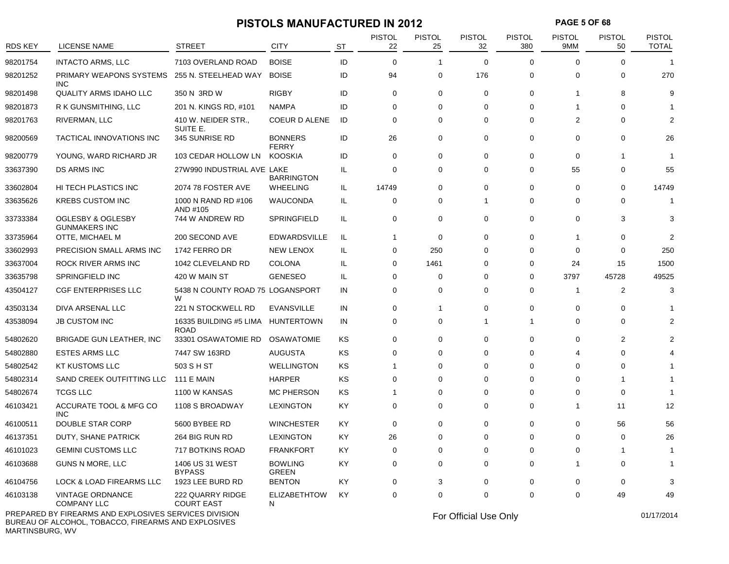### **PISTOLS MANUFACTURED IN 2012 PAGE 5 OF 68**

| $\Omega$<br>176<br>0<br>0<br>$\Omega$<br>0 | $\Omega$<br>$\Omega$<br>$\mathbf 0$<br>$\Omega$<br>0<br>1<br>$\Omega$<br>$\Omega$<br>$\overline{2}$ | $\Omega$<br>$\mathbf 0$<br>8<br>$\Omega$<br>$\Omega$ | 1<br>270<br>g |
|--------------------------------------------|-----------------------------------------------------------------------------------------------------|------------------------------------------------------|---------------|
|                                            |                                                                                                     |                                                      |               |
|                                            |                                                                                                     |                                                      |               |
|                                            |                                                                                                     |                                                      |               |
|                                            |                                                                                                     |                                                      |               |
|                                            |                                                                                                     |                                                      | $\mathcal{P}$ |
|                                            |                                                                                                     | $\Omega$                                             | 26            |
| $\mathbf 0$                                | 0<br>0                                                                                              | -1                                                   | 1             |
| $\Omega$                                   | $\mathbf 0$<br>55                                                                                   | $\Omega$                                             | 55            |
| $\Omega$                                   | 0<br>$\Omega$                                                                                       | $\Omega$                                             | 14749         |
| $\mathbf{1}$                               | 0<br>$\Omega$                                                                                       | $\Omega$                                             | -1            |
| $\Omega$                                   | $\Omega$                                                                                            | 3                                                    | 3             |
| $\Omega$                                   | $\Omega$<br>1                                                                                       | $\Omega$                                             | 2             |
| $\mathbf 0$                                | 0<br>$\Omega$                                                                                       | $\mathbf 0$                                          | 250           |
| $\Omega$                                   | 0<br>24                                                                                             | 15                                                   | 1500          |
| $\Omega$                                   | 3797<br>0                                                                                           | 45728                                                | 49525         |
| 0                                          | 0<br>-1                                                                                             | $\overline{2}$                                       | 3             |
| $\mathbf 0$                                | $\mathbf 0$<br>$\mathbf 0$                                                                          | $\Omega$                                             |               |
| $\mathbf{1}$                               | $\overline{1}$<br>$\Omega$                                                                          | $\Omega$                                             |               |
| $\Omega$                                   | $\Omega$<br>$\Omega$                                                                                | 2                                                    |               |
| $\Omega$                                   | $\Omega$<br>4                                                                                       | $\Omega$                                             |               |
| $\mathbf 0$                                | $\mathbf 0$<br>$\Omega$                                                                             | $\Omega$                                             |               |
| $\Omega$                                   | $\mathbf 0$<br>$\Omega$                                                                             |                                                      |               |
| $\Omega$                                   | 0<br>$\Omega$                                                                                       | $\mathbf 0$                                          |               |
| $\Omega$                                   | 0<br>1                                                                                              | 11                                                   | 12            |
| $\mathbf 0$                                | 0<br>$\Omega$                                                                                       | 56                                                   | 56            |
| $\Omega$                                   | $\Omega$<br>$\Omega$                                                                                | $\Omega$                                             | 26            |
| $\Omega$                                   | $\Omega$<br>$\Omega$                                                                                | -1                                                   |               |
| $\mathbf 0$                                | 0<br>1                                                                                              | $\Omega$                                             |               |
| $\Omega$                                   | 0<br>$\Omega$                                                                                       | $\Omega$                                             |               |
| $\mathbf 0$                                | $\mathbf 0$<br>$\Omega$                                                                             | 49                                                   | 49            |
|                                            |                                                                                                     | 0<br>$\Omega$<br>$\Omega$                            |               |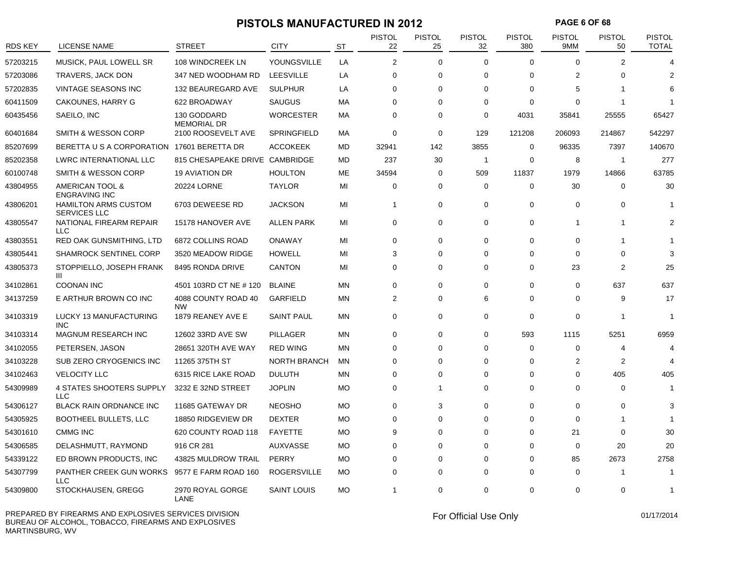## **PISTOLS MANUFACTURED IN 2012 PAGE 6 OF 68**

| <b>RDS KEY</b> | LICENSE NAME                                       | <b>STREET</b>                     | <b>CITY</b>         | <b>ST</b> | <b>PISTOL</b><br>22 | <b>PISTOL</b><br>25 | <b>PISTOL</b><br>32 | <b>PISTOL</b><br>380 | <b>PISTOL</b><br>9MM | <b>PISTOL</b><br>50 | <b>PISTOL</b><br><b>TOTAL</b> |
|----------------|----------------------------------------------------|-----------------------------------|---------------------|-----------|---------------------|---------------------|---------------------|----------------------|----------------------|---------------------|-------------------------------|
| 57203215       | MUSICK, PAUL LOWELL SR                             | 108 WINDCREEK LN                  | YOUNGSVILLE         | LA        | 2                   | $\Omega$            | $\Omega$            | $\Omega$             | $\Omega$             | $\overline{2}$      | 4                             |
| 57203086       | <b>TRAVERS, JACK DON</b>                           | 347 NED WOODHAM RD                | <b>LEESVILLE</b>    | LA        | $\mathbf 0$         | 0                   | $\Omega$            | $\mathbf 0$          | $\overline{2}$       | $\Omega$            | 2                             |
| 57202835       | VINTAGE SEASONS INC                                | 132 BEAUREGARD AVE                | <b>SULPHUR</b>      | LA        | $\Omega$            | $\mathbf 0$         | $\Omega$            | $\Omega$             | 5                    |                     | 6                             |
| 60411509       | <b>CAKOUNES, HARRY G</b>                           | 622 BROADWAY                      | SAUGUS              | МA        | 0                   | 0                   | $\Omega$            | $\mathbf 0$          | 0                    |                     | $\overline{1}$                |
| 60435456       | SAEILO, INC                                        | 130 GODDARD<br><b>MEMORIAL DR</b> | WORCESTER           | МA        | $\mathbf 0$         | 0                   | $\Omega$            | 4031                 | 35841                | 25555               | 65427                         |
| 60401684       | <b>SMITH &amp; WESSON CORP</b>                     | 2100 ROOSEVELT AVE                | <b>SPRINGFIELD</b>  | МA        | $\mathbf 0$         | 0                   | 129                 | 121208               | 206093               | 214867              | 542297                        |
| 85207699       | BERETTA U S A CORPORATION 17601 BERETTA DR         |                                   | <b>ACCOKEEK</b>     | MD        | 32941               | 142                 | 3855                | $\mathbf 0$          | 96335                | 7397                | 140670                        |
| 85202358       | <b>LWRC INTERNATIONAL LLC</b>                      | 815 CHESAPEAKE DRIVE CAMBRIDGE    |                     | MD        | 237                 | 30                  | $\overline{1}$      | $\mathbf 0$          | 8                    | $\overline{1}$      | 277                           |
| 60100748       | SMITH & WESSON CORP                                | <b>19 AVIATION DR</b>             | <b>HOULTON</b>      | ME        | 34594               | $\mathbf 0$         | 509                 | 11837                | 1979                 | 14866               | 63785                         |
| 43804955       | AMERICAN TOOL &<br><b>ENGRAVING INC</b>            | 20224 LORNE                       | <b>TAYLOR</b>       | MI        | 0                   | 0                   | $\mathbf 0$         | $\mathbf 0$          | 30                   | 0                   | 30                            |
| 43806201       | <b>HAMILTON ARMS CUSTOM</b><br><b>SERVICES LLC</b> | 6703 DEWEESE RD                   | <b>JACKSON</b>      | MI        | $\mathbf{1}$        | $\mathbf 0$         | $\Omega$            | $\mathbf 0$          | $\Omega$             | 0                   |                               |
| 43805547       | NATIONAL FIREARM REPAIR<br><b>LLC</b>              | 15178 HANOVER AVE                 | <b>ALLEN PARK</b>   | MI        | $\mathbf 0$         | $\mathbf 0$         | $\Omega$            | $\mathbf 0$          | 1                    | 1                   | 2                             |
| 43803551       | RED OAK GUNSMITHING, LTD                           | 6872 COLLINS ROAD                 | <b>ONAWAY</b>       | MI        | $\mathbf 0$         | $\mathbf 0$         | $\Omega$            | $\mathbf 0$          | 0                    |                     |                               |
| 43805441       | <b>SHAMROCK SENTINEL CORP</b>                      | 3520 MEADOW RIDGE                 | <b>HOWELL</b>       | MI        | 3                   | $\mathbf 0$         | $\Omega$            | $\Omega$             | $\Omega$             | $\Omega$            | 3                             |
| 43805373       | STOPPIELLO, JOSEPH FRANK<br>Ш                      | 8495 RONDA DRIVE                  | <b>CANTON</b>       | MI        | $\mathbf 0$         | 0                   | $\Omega$            | $\mathbf 0$          | 23                   | $\overline{2}$      | 25                            |
| 34102861       | <b>COONAN INC</b>                                  | 4501 103RD CT NE # 120            | <b>BLAINE</b>       | <b>MN</b> | $\mathbf 0$         | $\mathbf 0$         | $\Omega$            | $\mathbf 0$          | 0                    | 637                 | 637                           |
| 34137259       | E ARTHUR BROWN CO INC                              | 4088 COUNTY ROAD 40<br><b>NW</b>  | <b>GARFIELD</b>     | MN        | 2                   | $\mathbf 0$         | 6                   | $\mathbf 0$          | 0                    | 9                   | 17                            |
| 34103319       | LUCKY 13 MANUFACTURING<br><b>INC</b>               | 1879 REANEY AVE E                 | <b>SAINT PAUL</b>   | ΜN        | $\mathbf 0$         | $\mathbf 0$         | 0                   | $\mathbf 0$          | 0                    | -1                  | $\overline{1}$                |
| 34103314       | <b>MAGNUM RESEARCH INC</b>                         | 12602 33RD AVE SW                 | <b>PILLAGER</b>     | MN        | $\Omega$            | $\mathbf 0$         | $\Omega$            | 593                  | 1115                 | 5251                | 6959                          |
| 34102055       | PETERSEN, JASON                                    | 28651 320TH AVE WAY               | <b>RED WING</b>     | ΜN        | 0                   | 0                   | 0                   | 0                    | 0                    | 4                   | $\Delta$                      |
| 34103228       | SUB ZERO CRYOGENICS INC                            | 11265 375TH ST                    | <b>NORTH BRANCH</b> | MN        | $\mathbf 0$         | $\mathbf 0$         | $\Omega$            | $\mathbf 0$          | $\overline{2}$       | 2                   | 4                             |
| 34102463       | <b>VELOCITY LLC</b>                                | 6315 RICE LAKE ROAD               | <b>DULUTH</b>       | ΜN        | 0                   | 0                   | $\Omega$            | $\mathbf 0$          | 0                    | 405                 | 405                           |
| 54309989       | <b>4 STATES SHOOTERS SUPPLY</b><br><b>LLC</b>      | 3232 E 32ND STREET                | <b>JOPLIN</b>       | <b>MO</b> | $\Omega$            | 1                   | $\Omega$            | $\Omega$             | $\Omega$             | $\Omega$            | -1                            |
| 54306127       | <b>BLACK RAIN ORDNANCE INC</b>                     | 11685 GATEWAY DR                  | <b>NEOSHO</b>       | MO.       | 0                   | 3                   | 0                   | $\mathbf 0$          | 0                    | 0                   | 3                             |
| 54305925       | <b>BOOTHEEL BULLETS, LLC</b>                       | 18850 RIDGEVIEW DR                | <b>DEXTER</b>       | <b>MO</b> | $\mathbf 0$         | $\Omega$            | $\Omega$            | $\Omega$             | $\Omega$             |                     |                               |
| 54301610       | <b>CMMG INC</b>                                    | 620 COUNTY ROAD 118               | <b>FAYETTE</b>      | MO.       | 9                   | 0                   | $\Omega$            | $\Omega$             | 21                   | 0                   | 30                            |
| 54306585       | DELASHMUTT, RAYMOND                                | 916 CR 281                        | <b>AUXVASSE</b>     | <b>MO</b> | $\Omega$            | $\Omega$            | $\Omega$            | $\Omega$             | $\Omega$             | 20                  | 20                            |
| 54339122       | ED BROWN PRODUCTS, INC.                            | 43825 MULDROW TRAIL               | PERRY               | <b>MO</b> | $\mathbf 0$         | 0                   | $\Omega$            | $\mathbf 0$          | 85                   | 2673                | 2758                          |
| 54307799       | PANTHER CREEK GUN WORKS<br><b>LLC</b>              | 9577 E FARM ROAD 160              | <b>ROGERSVILLE</b>  | <b>MO</b> | 0                   | $\mathbf 0$         | $\Omega$            | $\mathbf 0$          | $\Omega$             | 1                   | $\overline{1}$                |
| 54309800       | STOCKHAUSEN, GREGG                                 | 2970 ROYAL GORGE<br>LANE          | SAINT LOUIS         | MO.       | $\mathbf 1$         | $\mathbf 0$         | 0                   | $\mathbf 0$          | 0                    | 0                   | -1                            |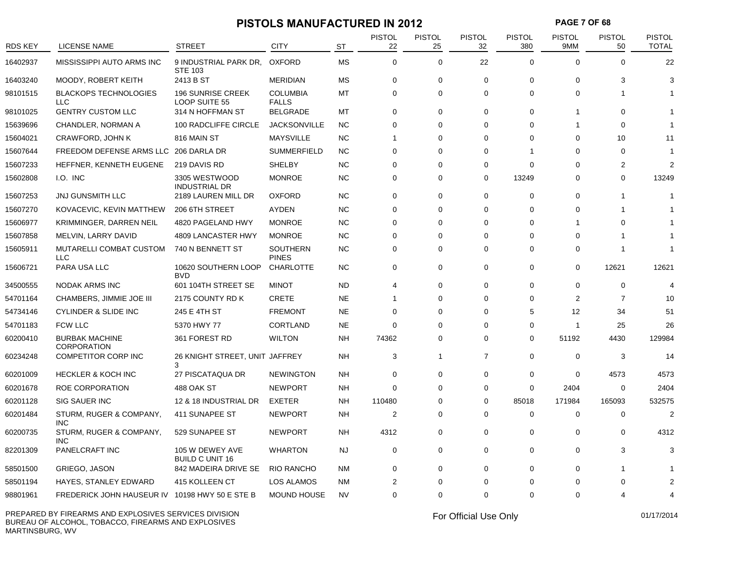### **PISTOLS MANUFACTURED IN 2012 PAGE 7 OF 68**

| <b>RDS KEY</b> | LICENSE NAME                                   | <b>STREET</b>                             | <b>CITY</b>                     | <b>ST</b> | <b>PISTOL</b><br>22 | <b>PISTOL</b><br>25 | <b>PISTOL</b><br>32 | <b>PISTOL</b><br>380 | PISTOL<br>9MM           | <b>PISTOL</b><br>50 | <b>PISTOL</b><br><b>TOTAL</b> |
|----------------|------------------------------------------------|-------------------------------------------|---------------------------------|-----------|---------------------|---------------------|---------------------|----------------------|-------------------------|---------------------|-------------------------------|
| 16402937       | MISSISSIPPI AUTO ARMS INC                      | 9 INDUSTRIAL PARK DR.<br><b>STE 103</b>   | <b>OXFORD</b>                   | <b>MS</b> | $\Omega$            | 0                   | 22                  | $\Omega$             | $\Omega$                | $\Omega$            | 22                            |
| 16403240       | MOODY, ROBERT KEITH                            | 2413 B ST                                 | <b>MERIDIAN</b>                 | <b>MS</b> | $\mathbf 0$         | 0                   | $\Omega$            | $\Omega$             | $\Omega$                | 3                   | 3                             |
| 98101515       | <b>BLACKOPS TECHNOLOGIES</b><br><b>LLC</b>     | <b>196 SUNRISE CREEK</b><br>LOOP SUITE 55 | <b>COLUMBIA</b><br><b>FALLS</b> | MT        | $\Omega$            | $\Omega$            | $\Omega$            | $\Omega$             | $\Omega$                | -1                  |                               |
| 98101025       | <b>GENTRY CUSTOM LLC</b>                       | 314 N HOFFMAN ST                          | <b>BELGRADE</b>                 | MT        | $\mathbf 0$         | 0                   | $\Omega$            | $\mathbf 0$          | 1                       | $\Omega$            |                               |
| 15639696       | CHANDLER, NORMAN A                             | 100 RADCLIFFE CIRCLE                      | <b>JACKSONVILLE</b>             | <b>NC</b> | $\Omega$            | 0                   | $\Omega$            | $\Omega$             | 1                       | $\Omega$            | 1                             |
| 15604021       | CRAWFORD, JOHN K                               | 816 MAIN ST                               | <b>MAYSVILLE</b>                | <b>NC</b> | $\mathbf{1}$        | 0                   | $\Omega$            | $\Omega$             | $\Omega$                | 10                  | 11                            |
| 15607644       | FREEDOM DEFENSE ARMS LLC                       | 206 DARLA DR                              | <b>SUMMERFIELD</b>              | <b>NC</b> | $\Omega$            | 0                   | $\Omega$            | 1                    | $\Omega$                | $\mathbf 0$         | 1                             |
| 15607233       | HEFFNER, KENNETH EUGENE                        | 219 DAVIS RD                              | <b>SHELBY</b>                   | <b>NC</b> | 0                   | 0                   | 0                   | $\mathbf 0$          | $\Omega$                | 2                   | $\overline{2}$                |
| 15602808       | I.O. INC                                       | 3305 WESTWOOD<br><b>INDUSTRIAL DR</b>     | <b>MONROE</b>                   | <b>NC</b> | $\Omega$            | 0                   | $\Omega$            | 13249                | $\Omega$                | $\Omega$            | 13249                         |
| 15607253       | JNJ GUNSMITH LLC                               | 2189 LAUREN MILL DR                       | <b>OXFORD</b>                   | <b>NC</b> | $\Omega$            | 0                   | $\Omega$            | $\mathbf 0$          | $\Omega$                |                     |                               |
| 15607270       | KOVACEVIC, KEVIN MATTHEW                       | 206 6TH STREET                            | <b>AYDEN</b>                    | <b>NC</b> | $\Omega$            | 0                   | $\Omega$            | $\mathbf 0$          | $\Omega$                |                     |                               |
| 15606977       | KRIMMINGER, DARREN NEIL                        | 4820 PAGELAND HWY                         | <b>MONROE</b>                   | <b>NC</b> | $\Omega$            | 0                   | $\Omega$            | $\Omega$             | -1                      | $\Omega$            |                               |
| 15607858       | MELVIN, LARRY DAVID                            | 4809 LANCASTER HWY                        | <b>MONROE</b>                   | <b>NC</b> | $\mathbf 0$         | 0                   | $\Omega$            | $\mathbf 0$          | $\Omega$                | -1                  |                               |
| 15605911       | MUTARELLI COMBAT CUSTOM<br><b>LLC</b>          | 740 N BENNETT ST                          | <b>SOUTHERN</b><br><b>PINES</b> | <b>NC</b> | 0                   | 0                   | 0                   | 0                    | $\Omega$                | -1                  |                               |
| 15606721       | PARA USA LLC                                   | 10620 SOUTHERN LOOP<br><b>BVD</b>         | <b>CHARLOTTE</b>                | <b>NC</b> | $\mathbf 0$         | 0                   | $\mathbf 0$         | $\mathbf 0$          | $\mathbf 0$             | 12621               | 12621                         |
| 34500555       | <b>NODAK ARMS INC</b>                          | 601 104TH STREET SE                       | <b>MINOT</b>                    | <b>ND</b> | $\overline{4}$      | 0                   | $\Omega$            | $\mathbf 0$          | $\Omega$                | $\mathbf 0$         |                               |
| 54701164       | CHAMBERS, JIMMIE JOE III                       | 2175 COUNTY RD K                          | <b>CRETE</b>                    | <b>NE</b> | $\mathbf{1}$        | 0                   | 0                   | $\mathbf 0$          | $\overline{2}$          | $\overline{7}$      | 10                            |
| 54734146       | <b>CYLINDER &amp; SLIDE INC</b>                | 245 E 4TH ST                              | <b>FREMONT</b>                  | <b>NE</b> | 0                   | 0                   | $\Omega$            | 5                    | 12                      | 34                  | 51                            |
| 54701183       | <b>FCW LLC</b>                                 | 5370 HWY 77                               | <b>CORTLAND</b>                 | <b>NE</b> | $\mathbf 0$         | 0                   | $\Omega$            | $\mathbf 0$          | $\overline{\mathbf{1}}$ | 25                  | 26                            |
| 60200410       | <b>BURBAK MACHINE</b><br><b>CORPORATION</b>    | 361 FOREST RD                             | <b>WILTON</b>                   | <b>NH</b> | 74362               | 0                   | $\Omega$            | $\Omega$             | 51192                   | 4430                | 129984                        |
| 60234248       | <b>COMPETITOR CORP INC</b>                     | 26 KNIGHT STREET, UNIT JAFFREY<br>3       |                                 | <b>NH</b> | 3                   | $\mathbf{1}$        | $\overline{7}$      | $\mathbf 0$          | $\mathbf 0$             | 3                   | 14                            |
| 60201009       | <b>HECKLER &amp; KOCH INC</b>                  | 27 PISCATAQUA DR                          | <b>NEWINGTON</b>                | <b>NH</b> | 0                   | 0                   | 0                   | 0                    | 0                       | 4573                | 4573                          |
| 60201678       | <b>ROE CORPORATION</b>                         | 488 OAK ST                                | <b>NEWPORT</b>                  | <b>NH</b> | $\Omega$            | $\Omega$            | $\Omega$            | $\Omega$             | 2404                    | $\mathbf 0$         | 2404                          |
| 60201128       | <b>SIG SAUER INC</b>                           | 12 & 18 INDUSTRIAL DR                     | <b>EXETER</b>                   | <b>NH</b> | 110480              | 0                   | $\Omega$            | 85018                | 171984                  | 165093              | 532575                        |
| 60201484       | STURM, RUGER & COMPANY,<br>INC.                | 411 SUNAPEE ST                            | <b>NEWPORT</b>                  | <b>NH</b> | 2                   | $\Omega$            | $\Omega$            | $\Omega$             | $\Omega$                | $\Omega$            | 2                             |
| 60200735       | STURM, RUGER & COMPANY,<br><b>INC</b>          | 529 SUNAPEE ST                            | <b>NEWPORT</b>                  | <b>NH</b> | 4312                | 0                   | $\mathbf 0$         | $\mathbf 0$          | 0                       | 0                   | 4312                          |
| 82201309       | PANELCRAFT INC                                 | 105 W DEWEY AVE<br><b>BUILD C UNIT 16</b> | <b>WHARTON</b>                  | <b>NJ</b> | $\mathbf 0$         | 0                   | $\mathbf 0$         | $\mathbf 0$          | $\mathbf 0$             | 3                   | 3                             |
| 58501500       | <b>GRIEGO, JASON</b>                           | 842 MADEIRA DRIVE SE                      | RIO RANCHO                      | <b>NM</b> | $\mathbf 0$         | 0                   | $\Omega$            | $\mathbf 0$          | $\mathbf 0$             | -1                  |                               |
| 58501194       | HAYES, STANLEY EDWARD                          | 415 KOLLEEN CT                            | LOS ALAMOS                      | <b>NM</b> | 2                   | 0                   | $\Omega$            | $\mathbf 0$          | $\Omega$                | $\Omega$            |                               |
| 98801961       | FREDERICK JOHN HAUSEUR IV 10198 HWY 50 E STE B |                                           | <b>MOUND HOUSE</b>              | <b>NV</b> | $\Omega$            | $\Omega$            | $\Omega$            | $\Omega$             | $\Omega$                |                     | 4                             |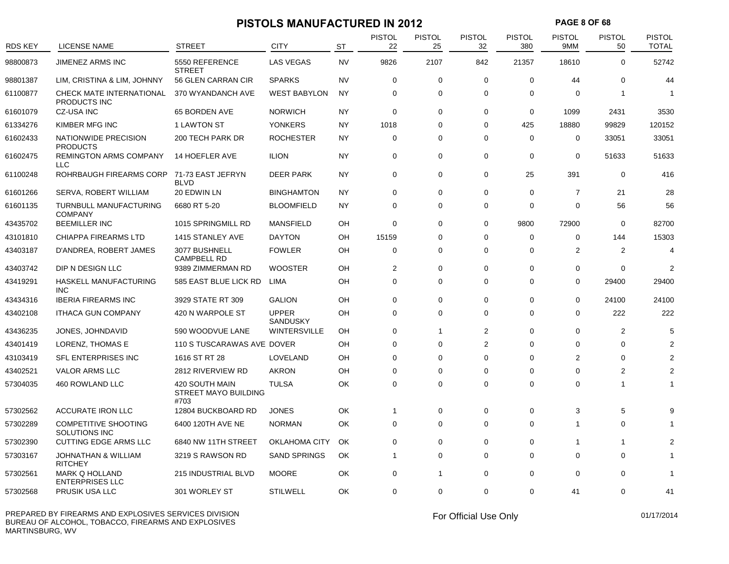## **PISTOLS MANUFACTURED IN 2012 PAGE 8 OF 68**

| <b>RDS KEY</b> | <b>LICENSE NAME</b>                              | STREET                                         | <b>CITY</b>                     | <b>ST</b> | <b>PISTOL</b><br>22 | <b>PISTOL</b><br>25 | <b>PISTOL</b><br>32 | <b>PISTOL</b><br>380 | <b>PISTOL</b><br>9MM | <b>PISTOL</b><br>50 | <b>PISTOL</b><br><b>TOTAL</b> |
|----------------|--------------------------------------------------|------------------------------------------------|---------------------------------|-----------|---------------------|---------------------|---------------------|----------------------|----------------------|---------------------|-------------------------------|
| 98800873       | <b>JIMENEZ ARMS INC</b>                          | 5550 REFERENCE                                 | <b>LAS VEGAS</b>                | <b>NV</b> | 9826                | 2107                | 842                 | 21357                | 18610                | $\mathbf 0$         | 52742                         |
| 98801387       | LIM, CRISTINA & LIM, JOHNNY                      | <b>STREET</b><br>56 GLEN CARRAN CIR            | <b>SPARKS</b>                   | <b>NV</b> | 0                   | 0                   | $\mathbf 0$         | 0                    | 44                   | 0                   | 44                            |
| 61100877       | CHECK MATE INTERNATIONAL                         | 370 WYANDANCH AVE                              | <b>WEST BABYLON</b>             | <b>NY</b> | 0                   | $\mathbf 0$         | $\mathbf 0$         | $\mathbf 0$          | $\Omega$             | $\mathbf{1}$        | -1                            |
| 61601079       | PRODUCTS INC<br><b>CZ-USA INC</b>                | 65 BORDEN AVE                                  | <b>NORWICH</b>                  | NY        | 0                   | 0                   | $\mathbf 0$         | 0                    | 1099                 | 2431                | 3530                          |
| 61334276       | KIMBER MFG INC                                   | 1 LAWTON ST                                    | <b>YONKERS</b>                  | <b>NY</b> | 1018                | $\Omega$            | $\Omega$            | 425                  | 18880                | 99829               | 120152                        |
| 61602433       | NATIONWIDE PRECISION<br><b>PRODUCTS</b>          | 200 TECH PARK DR                               | <b>ROCHESTER</b>                | NY        | 0                   | 0                   | $\Omega$            | 0                    | 0                    | 33051               | 33051                         |
| 61602475       | <b>REMINGTON ARMS COMPANY</b><br><b>LLC</b>      | 14 HOEFLER AVE                                 | <b>ILION</b>                    | <b>NY</b> | 0                   | $\Omega$            | $\mathbf 0$         | $\mathbf 0$          | 0                    | 51633               | 51633                         |
| 61100248       | ROHRBAUGH FIREARMS CORP                          | 71-73 EAST JEFRYN<br><b>BLVD</b>               | <b>DEER PARK</b>                | <b>NY</b> | 0                   | $\mathbf 0$         | $\mathbf 0$         | 25                   | 391                  | $\mathbf 0$         | 416                           |
| 61601266       | SERVA, ROBERT WILLIAM                            | 20 EDWIN LN                                    | <b>BINGHAMTON</b>               | NY        | 0                   | 0                   | $\mathbf 0$         | 0                    | 7                    | 21                  | 28                            |
| 61601135       | TURNBULL MANUFACTURING<br><b>COMPANY</b>         | 6680 RT 5-20                                   | <b>BLOOMFIELD</b>               | NY        | 0                   | $\Omega$            | $\mathbf 0$         | $\mathbf 0$          | $\Omega$             | 56                  | 56                            |
| 43435702       | <b>BEEMILLER INC</b>                             | 1015 SPRINGMILL RD                             | MANSFIELD                       | OH        | 0                   | $\Omega$            | $\mathbf 0$         | 9800                 | 72900                | $\mathbf 0$         | 82700                         |
| 43101810       | CHIAPPA FIREARMS LTD                             | 1415 STANLEY AVE                               | <b>DAYTON</b>                   | OH        | 15159               | $\Omega$            | $\mathbf 0$         | $\mathbf 0$          | 0                    | 144                 | 15303                         |
| 43403187       | D'ANDREA, ROBERT JAMES                           | 3077 BUSHNELL<br><b>CAMPBELL RD</b>            | <b>FOWLER</b>                   | OH        | 0                   | 0                   | $\Omega$            | $\mathbf 0$          | $\overline{2}$       | 2                   | $\boldsymbol{\Delta}$         |
| 43403742       | DIP N DESIGN LLC                                 | 9389 ZIMMERMAN RD                              | <b>WOOSTER</b>                  | OH        | 2                   | $\Omega$            | $\mathbf 0$         | 0                    | $\Omega$             | $\mathbf 0$         | 2                             |
| 43419291       | HASKELL MANUFACTURING<br><b>INC</b>              | 585 EAST BLUE LICK RD                          | <b>LIMA</b>                     | OH        | 0                   | $\mathbf 0$         | $\mathbf 0$         | $\mathbf 0$          | 0                    | 29400               | 29400                         |
| 43434316       | <b>IBERIA FIREARMS INC</b>                       | 3929 STATE RT 309                              | <b>GALION</b>                   | OH        | 0                   | 0                   | $\mathbf 0$         | $\mathbf 0$          | 0                    | 24100               | 24100                         |
| 43402108       | <b>ITHACA GUN COMPANY</b>                        | 420 N WARPOLE ST                               | <b>UPPER</b><br><b>SANDUSKY</b> | OH        | 0                   | 0                   | $\Omega$            | $\Omega$             | 0                    | 222                 | 222                           |
| 43436235       | JONES, JOHNDAVID                                 | 590 WOODVUE LANE                               | WINTERSVILLE                    | OH        | 0                   | $\mathbf{1}$        | $\overline{2}$      | $\mathbf 0$          | $\Omega$             | 2                   | 5                             |
| 43401419       | LORENZ, THOMAS E                                 | 110 S TUSCARAWAS AVE DOVER                     |                                 | OH        | 0                   | 0                   | 2                   | $\mathbf 0$          | 0                    | $\Omega$            |                               |
| 43103419       | SFL ENTERPRISES INC                              | 1616 ST RT 28                                  | LOVELAND                        | OH        | 0                   | $\Omega$            | $\mathbf 0$         | $\mathbf 0$          | 2                    | 0                   |                               |
| 43402521       | <b>VALOR ARMS LLC</b>                            | 2812 RIVERVIEW RD                              | <b>AKRON</b>                    | OH        | 0                   | 0                   | $\mathbf 0$         | 0                    | 0                    | 2                   |                               |
| 57304035       | 460 ROWLAND LLC                                  | 420 SOUTH MAIN<br>STREET MAYO BUILDING<br>#703 | <b>TULSA</b>                    | OK        | 0                   | 0                   | $\Omega$            | $\Omega$             | 0                    | 1                   | 1                             |
| 57302562       | <b>ACCURATE IRON LLC</b>                         | 12804 BUCKBOARD RD                             | <b>JONES</b>                    | OK        | 1                   | $\Omega$            | 0                   | 0                    | 3                    | 5                   | g                             |
| 57302289       | <b>COMPETITIVE SHOOTING</b><br>SOLUTIONS INC     | 6400 120TH AVE NE                              | <b>NORMAN</b>                   | OK        | 0                   | 0                   | $\mathbf 0$         | 0                    | 1                    | $\mathbf 0$         |                               |
| 57302390       | <b>CUTTING EDGE ARMS LLC</b>                     | 6840 NW 11TH STREET                            | OKLAHOMA CITY                   | OK        | $\Omega$            | $\Omega$            | $\Omega$            | 0                    | -1                   | 1                   |                               |
| 57303167       | <b>JOHNATHAN &amp; WILLIAM</b><br><b>RITCHEY</b> | 3219 S RAWSON RD                               | <b>SAND SPRINGS</b>             | OK        | $\mathbf{1}$        | 0                   | $\mathbf 0$         | $\mathbf 0$          | 0                    | $\mathbf 0$         |                               |
| 57302561       | <b>MARK Q HOLLAND</b><br><b>ENTERPRISES LLC</b>  | 215 INDUSTRIAL BLVD                            | <b>MOORE</b>                    | OK        | 0                   | 1                   | 0                   | 0                    | 0                    | 0                   |                               |
| 57302568       | PRUSIK USA LLC                                   | 301 WORLEY ST                                  | <b>STILWELL</b>                 | OK        | $\Omega$            | $\Omega$            | $\Omega$            | $\Omega$             | 41                   | 0                   | 41                            |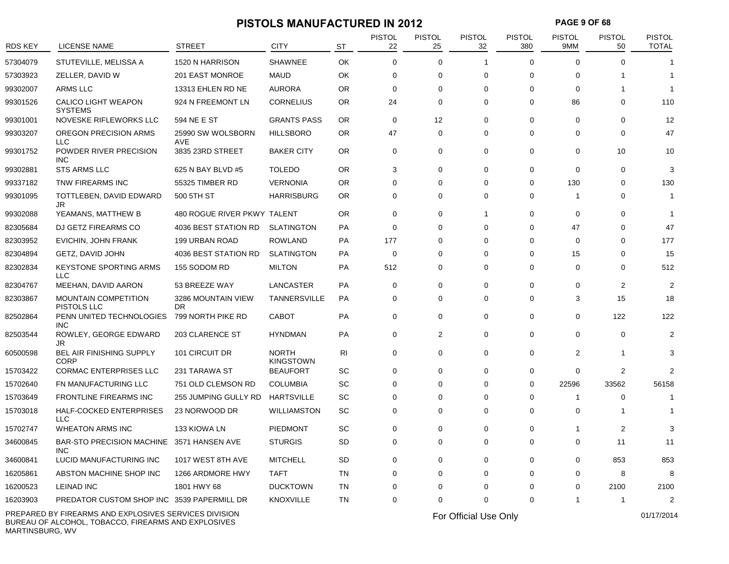# **PISTOLS MANUFACTURED IN 2012 PAGE 9 OF 68**<br>PISTOL PISTOL PISTOL PISTOL PISTOL PISTOL PISTOL PISTOL PISTOL PISTOL PISTOL PISTOL PISTOL PISTOL PISTOL PISTOL PISTOL PISTOL PISTOL PISTOL PISTOL PISTOL PISTOL PISTOL PISTOL P

| RDS KEY  | <b>LICENSE NAME</b>                                   | STREET                          | <b>CITY</b>                      | <b>ST</b> | <b>PISTOL</b><br>22 | <b>PISTOL</b><br>25 | <b>PISTOL</b><br>32   | <b>PISTOL</b><br>380 | <b>PISTOL</b><br>9MM | <b>PISTOL</b><br>50 | <b>PISTOL</b><br><b>TOTAL</b> |
|----------|-------------------------------------------------------|---------------------------------|----------------------------------|-----------|---------------------|---------------------|-----------------------|----------------------|----------------------|---------------------|-------------------------------|
| 57304079 | STUTEVILLE, MELISSA A                                 | 1520 N HARRISON                 | <b>SHAWNEE</b>                   | OK        | 0                   | 0                   | -1                    | 0                    | $\Omega$             | 0                   |                               |
| 57303923 | ZELLER, DAVID W                                       | 201 EAST MONROE                 | <b>MAUD</b>                      | OK        | 0                   | 0                   | 0                     | $\Omega$             | $\Omega$             |                     |                               |
| 99302007 | ARMS LLC                                              | 13313 EHLEN RD NE               | <b>AURORA</b>                    | <b>OR</b> | 0                   | 0                   | 0                     | $\Omega$             | $\Omega$             |                     | -1                            |
| 99301526 | <b>CALICO LIGHT WEAPON</b><br><b>SYSTEMS</b>          | 924 N FREEMONT LN               | <b>CORNELIUS</b>                 | OR        | 24                  | 0                   | 0                     | 0                    | 86                   | 0                   | 110                           |
| 99301001 | NOVESKE RIFLEWORKS LLC                                | 594 NE E ST                     | <b>GRANTS PASS</b>               | <b>OR</b> | 0                   | 12                  | $\mathbf 0$           | 0                    | 0                    | 0                   | 12                            |
| 99303207 | OREGON PRECISION ARMS<br><b>LLC</b>                   | 25990 SW WOLSBORN<br><b>AVE</b> | <b>HILLSBORO</b>                 | OR        | 47                  | 0                   | 0                     | 0                    | 0                    | 0                   | 47                            |
| 99301752 | POWDER RIVER PRECISION<br><b>INC</b>                  | 3835 23RD STREET                | <b>BAKER CITY</b>                | <b>OR</b> | 0                   | 0                   | 0                     | 0                    | 0                    | 10                  | 10                            |
| 99302881 | <b>STS ARMS LLC</b>                                   | 625 N BAY BLVD #5               | <b>TOLEDO</b>                    | <b>OR</b> | 3                   | 0                   | 0                     | 0                    | $\Omega$             | $\Omega$            | 3                             |
| 99337182 | TNW FIREARMS INC                                      | 55325 TIMBER RD                 | <b>VERNONIA</b>                  | 0R        | 0                   | 0                   | 0                     | 0                    | 130                  | 0                   | 130                           |
| 99301095 | TOTTLEBEN, DAVID EDWARD<br>JR                         | 500 5TH ST                      | <b>HARRISBURG</b>                | OR        | 0                   | 0                   | 0                     | 0                    | -1                   | 0                   | -1                            |
| 99302088 | YEAMANS, MATTHEW B                                    | 480 ROGUE RIVER PKWY TALENT     |                                  | <b>OR</b> | 0                   | 0                   | 1                     | 0                    | $\Omega$             | 0                   |                               |
| 82305684 | DJ GETZ FIREARMS CO                                   | 4036 BEST STATION RD            | <b>SLATINGTON</b>                | PA        | 0                   | $\Omega$            | $\Omega$              | $\Omega$             | 47                   | $\Omega$            | 47                            |
| 82303952 | <b>EVICHIN, JOHN FRANK</b>                            | 199 URBAN ROAD                  | <b>ROWLAND</b>                   | PA        | 177                 | 0                   | $\Omega$              | $\Omega$             | $\Omega$             | 0                   | 177                           |
| 82304894 | GETZ, DAVID JOHN                                      | 4036 BEST STATION RD            | <b>SLATINGTON</b>                | PA        | 0                   | 0                   | 0                     | 0                    | 15                   | 0                   | 15                            |
| 82302834 | <b>KEYSTONE SPORTING ARMS</b><br><b>LLC</b>           | 155 SODOM RD                    | <b>MILTON</b>                    | PA        | 512                 | 0                   | 0                     | 0                    | 0                    | 0                   | 512                           |
| 82304767 | MEEHAN, DAVID AARON                                   | 53 BREEZE WAY                   | LANCASTER                        | PA        | 0                   | 0                   | 0                     | 0                    | 0                    | 2                   | $\overline{2}$                |
| 82303867 | <b>MOUNTAIN COMPETITION</b><br>PISTOLS LLC            | 3286 MOUNTAIN VIEW<br><b>DR</b> | <b>TANNERSVILLE</b>              | PA        | 0                   | 0                   | 0                     | 0                    | 3                    | 15                  | 18                            |
| 82502864 | PENN UNITED TECHNOLOGIES<br><b>INC</b>                | 799 NORTH PIKE RD               | <b>CABOT</b>                     | PA        | 0                   | 0                   | 0                     | 0                    | 0                    | 122                 | 122                           |
| 82503544 | ROWLEY, GEORGE EDWARD<br>JR                           | 203 CLARENCE ST                 | <b>HYNDMAN</b>                   | PA        | 0                   | $\overline{c}$      | 0                     | 0                    | $\Omega$             | $\mathbf 0$         | $\overline{2}$                |
| 60500598 | <b>BEL AIR FINISHING SUPPLY</b><br><b>CORP</b>        | 101 CIRCUIT DR                  | <b>NORTH</b><br><b>KINGSTOWN</b> | RI        | 0                   | 0                   | 0                     | 0                    | 2                    | -1                  | 3                             |
| 15703422 | <b>CORMAC ENTERPRISES LLC</b>                         | 231 TARAWA ST                   | <b>BEAUFORT</b>                  | SC        | 0                   | 0                   | 0                     | 0                    | 0                    | 2                   | $\overline{2}$                |
| 15702640 | FN MANUFACTURING LLC                                  | 751 OLD CLEMSON RD              | <b>COLUMBIA</b>                  | SC        | 0                   | 0                   | 0                     | 0                    | 22596                | 33562               | 56158                         |
| 15703649 | <b>FRONTLINE FIREARMS INC</b>                         | 255 JUMPING GULLY RD            | <b>HARTSVILLE</b>                | SC        | $\Omega$            | 0                   | $\Omega$              | $\Omega$             |                      | 0                   |                               |
| 15703018 | HALF-COCKED ENTERPRISES<br><b>LLC</b>                 | 23 NORWOOD DR                   | WILLIAMSTON                      | SC        | 0                   | 0                   | 0                     | 0                    | 0                    |                     |                               |
| 15702747 | <b>WHEATON ARMS INC</b>                               | 133 KIOWA LN                    | <b>PIEDMONT</b>                  | SC        | 0                   | 0                   | 0                     | $\Omega$             | -1                   | 2                   | 3                             |
| 34600845 | BAR-STO PRECISION MACHINE 3571 HANSEN AVE<br>INC      |                                 | <b>STURGIS</b>                   | <b>SD</b> | 0                   | 0                   | 0                     | 0                    | 0                    | 11                  | 11                            |
| 34600841 | LUCID MANUFACTURING INC                               | 1017 WEST 8TH AVE               | <b>MITCHELL</b>                  | SD        | 0                   | 0                   | 0                     | 0                    | 0                    | 853                 | 853                           |
| 16205861 | ABSTON MACHINE SHOP INC                               | 1266 ARDMORE HWY                | <b>TAFT</b>                      | TN        | 0                   | 0                   | 0                     | 0                    | 0                    | 8                   | 8                             |
| 16200523 | <b>LEINAD INC</b>                                     | 1801 HWY 68                     | <b>DUCKTOWN</b>                  | TN        | 0                   | 0                   | 0                     | $\Omega$             | 0                    | 2100                | 2100                          |
| 16203903 | PREDATOR CUSTOM SHOP INC 3539 PAPERMILL DR            |                                 | <b>KNOXVILLE</b>                 | TN        | $\mathbf 0$         | 0                   | 0                     | $\Omega$             | -1                   | -1                  | $\overline{2}$                |
|          | PREPARED BY FIREARMS AND EXPLOSIVES SERVICES DIVISION |                                 |                                  |           |                     |                     | For Official Use Only |                      |                      |                     | 01/17/2014                    |

BUREAU OF ALCOHOL, TOBACCO, FIREARMS AND EXPLOSIVES MARTINSBURG, WV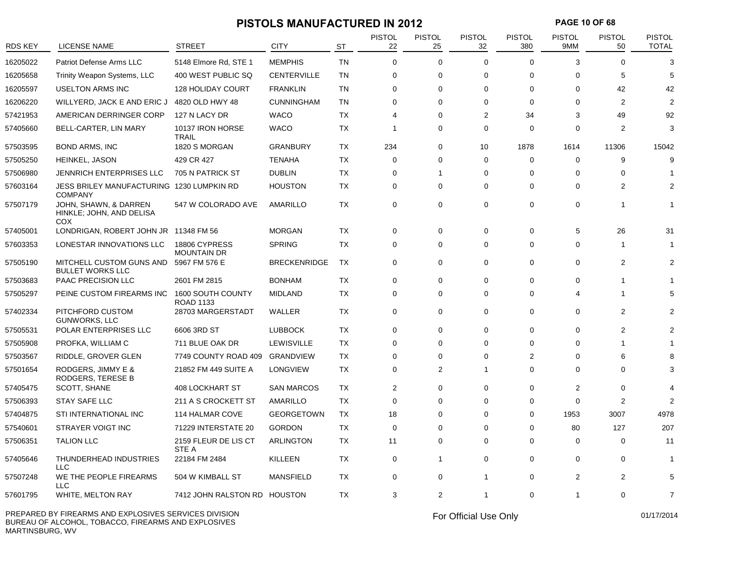## **PISTOLS MANUFACTURED IN 2012 PAGE 10 OF 68**

| <b>RDS KEY</b> | LICENSE NAME                                                | <b>STREET</b>                         | <b>CITY</b>         | <b>ST</b> | <b>PISTOL</b><br>22 | <b>PISTOL</b><br>25 | <b>PISTOL</b><br>32 | <b>PISTOL</b><br>380 | <b>PISTOL</b><br>9MM    | <b>PISTOL</b><br>50 | <b>PISTOL</b><br><b>TOTAL</b> |
|----------------|-------------------------------------------------------------|---------------------------------------|---------------------|-----------|---------------------|---------------------|---------------------|----------------------|-------------------------|---------------------|-------------------------------|
| 16205022       | Patriot Defense Arms LLC                                    | 5148 Elmore Rd, STE 1                 | <b>MEMPHIS</b>      | <b>TN</b> | 0                   | $\mathbf 0$         | $\Omega$            | $\Omega$             | 3                       | $\Omega$            | 3                             |
| 16205658       | Trinity Weapon Systems, LLC                                 | 400 WEST PUBLIC SQ                    | <b>CENTERVILLE</b>  | <b>TN</b> | 0                   | 0                   | 0                   | 0                    | $\Omega$                | 5                   | 5                             |
| 16205597       | <b>USELTON ARMS INC</b>                                     | <b>128 HOLIDAY COURT</b>              | <b>FRANKLIN</b>     | <b>TN</b> | $\Omega$            | $\mathbf 0$         | $\Omega$            | 0                    | $\Omega$                | 42                  | 42                            |
| 16206220       | WILLYERD, JACK E AND ERIC J                                 | 4820 OLD HWY 48                       | <b>CUNNINGHAM</b>   | <b>TN</b> | 0                   | $\mathbf 0$         | $\Omega$            | $\mathbf 0$          | $\Omega$                | 2                   | 2                             |
| 57421953       | AMERICAN DERRINGER CORP                                     | 127 N LACY DR                         | <b>WACO</b>         | <b>TX</b> | 4                   | $\mathbf 0$         | $\overline{2}$      | 34                   | 3                       | 49                  | 92                            |
| 57405660       | BELL-CARTER, LIN MARY                                       | 10137 IRON HORSE<br><b>TRAIL</b>      | <b>WACO</b>         | <b>TX</b> | 1                   | $\Omega$            | $\Omega$            | $\Omega$             | $\Omega$                | $\overline{2}$      | 3                             |
| 57503595       | <b>BOND ARMS, INC</b>                                       | 1820 S MORGAN                         | <b>GRANBURY</b>     | <b>TX</b> | 234                 | 0                   | 10                  | 1878                 | 1614                    | 11306               | 15042                         |
| 57505250       | HEINKEL, JASON                                              | 429 CR 427                            | <b>TENAHA</b>       | <b>TX</b> | 0                   | $\mathbf 0$         | $\mathbf 0$         | 0                    | $\mathbf 0$             | 9                   | 9                             |
| 57506980       | <b>JENNRICH ENTERPRISES LLC</b>                             | 705 N PATRICK ST                      | <b>DUBLIN</b>       | <b>TX</b> | 0                   | $\mathbf{1}$        | 0                   | $\Omega$             | $\mathbf 0$             | $\mathbf 0$         |                               |
| 57603164       | JESS BRILEY MANUFACTURING 1230 LUMPKIN RD<br><b>COMPANY</b> |                                       | <b>HOUSTON</b>      | TX        | 0                   | $\mathbf 0$         | 0                   | 0                    | $\Omega$                | $\overline{2}$      | $\overline{2}$                |
| 57507179       | JOHN, SHAWN, & DARREN<br>HINKLE; JOHN, AND DELISA<br>COX    | 547 W COLORADO AVE                    | AMARILLO            | <b>TX</b> | 0                   | $\mathbf 0$         | 0                   | 0                    | $\mathbf 0$             | $\mathbf 1$         | -1                            |
| 57405001       | LONDRIGAN, ROBERT JOHN JR 11348 FM 56                       |                                       | <b>MORGAN</b>       | <b>TX</b> | 0                   | $\mathbf 0$         | 0                   | 0                    | 5                       | 26                  | 31                            |
| 57603353       | LONESTAR INNOVATIONS LLC                                    | 18806 CYPRESS<br><b>MOUNTAIN DR</b>   | <b>SPRING</b>       | <b>TX</b> | 0                   | 0                   | 0                   | 0                    | $\Omega$                | $\overline{1}$      |                               |
| 57505190       | MITCHELL CUSTOM GUNS AND<br><b>BULLET WORKS LLC</b>         | 5967 FM 576 E                         | <b>BRECKENRIDGE</b> | <b>TX</b> | 0                   | $\mathbf 0$         | $\Omega$            | $\Omega$             | $\Omega$                | $\overline{2}$      | $\overline{2}$                |
| 57503683       | PAAC PRECISION LLC                                          | 2601 FM 2815                          | <b>BONHAM</b>       | <b>TX</b> | 0                   | $\mathbf 0$         | 0                   | 0                    | $\Omega$                | $\mathbf 1$         |                               |
| 57505297       | PEINE CUSTOM FIREARMS INC                                   | 1600 SOUTH COUNTY<br><b>ROAD 1133</b> | <b>MIDLAND</b>      | <b>TX</b> | 0                   | 0                   | $\Omega$            | $\Omega$             | $\boldsymbol{\Delta}$   | $\mathbf 1$         | 5                             |
| 57402334       | PITCHFORD CUSTOM<br><b>GUNWORKS, LLC</b>                    | 28703 MARGERSTADT                     | WALLER              | <b>TX</b> | $\Omega$            | $\mathbf 0$         | $\Omega$            | $\Omega$             | $\Omega$                | 2                   | $\overline{2}$                |
| 57505531       | POLAR ENTERPRISES LLC                                       | 6606 3RD ST                           | <b>LUBBOCK</b>      | TX        | $\Omega$            | $\mathbf 0$         | $\Omega$            | $\Omega$             | $\Omega$                | $\overline{2}$      | $\overline{2}$                |
| 57505908       | PROFKA, WILLIAM C                                           | 711 BLUE OAK DR                       | LEWISVILLE          | <b>TX</b> | 0                   | $\mathbf 0$         | 0                   | 0                    | $\Omega$                | -1                  |                               |
| 57503567       | RIDDLE, GROVER GLEN                                         | 7749 COUNTY ROAD 409                  | <b>GRANDVIEW</b>    | <b>TX</b> | 0                   | $\mathbf 0$         | 0                   | 2                    | $\mathbf 0$             | 6                   | 8                             |
| 57501654       | RODGERS, JIMMY E &<br>RODGERS, TERESE B                     | 21852 FM 449 SUITE A                  | <b>LONGVIEW</b>     | TX        | 0                   | $\overline{2}$      | $\mathbf{1}$        | 0                    | $\Omega$                | $\Omega$            | 3                             |
| 57405475       | SCOTT, SHANE                                                | <b>408 LOCKHART ST</b>                | <b>SAN MARCOS</b>   | <b>TX</b> | $\overline{2}$      | 0                   | 0                   | 0                    | $\overline{2}$          | $\Omega$            | $\Delta$                      |
| 57506393       | STAY SAFE LLC                                               | 211 A S CROCKETT ST                   | <b>AMARILLO</b>     | <b>TX</b> | $\mathbf 0$         | $\mathbf 0$         | $\Omega$            | 0                    | $\mathbf 0$             | 2                   | $\overline{2}$                |
| 57404875       | STI INTERNATIONAL INC                                       | 114 HALMAR COVE                       | <b>GEORGETOWN</b>   | <b>TX</b> | 18                  | 0                   | $\Omega$            | 0                    | 1953                    | 3007                | 4978                          |
| 57540601       | STRAYER VOIGT INC                                           | 71229 INTERSTATE 20                   | <b>GORDON</b>       | <b>TX</b> | 0                   | 0                   | $\Omega$            | 0                    | 80                      | 127                 | 207                           |
| 57506351       | <b>TALION LLC</b>                                           | 2159 FLEUR DE LIS CT<br>STE A         | <b>ARLINGTON</b>    | <b>TX</b> | 11                  | $\mathbf 0$         | $\Omega$            | 0                    | $\Omega$                | $\mathbf 0$         | 11                            |
| 57405646       | THUNDERHEAD INDUSTRIES<br><b>LLC</b>                        | 22184 FM 2484                         | <b>KILLEEN</b>      | TX        | $\mathbf 0$         | $\mathbf{1}$        | 0                   | 0                    | $\Omega$                | $\Omega$            | $\overline{1}$                |
| 57507248       | WE THE PEOPLE FIREARMS<br><b>LLC</b>                        | 504 W KIMBALL ST                      | <b>MANSFIELD</b>    | <b>TX</b> | 0                   | $\mathbf 0$         | $\overline{1}$      | 0                    | $\overline{2}$          | $\overline{2}$      | 5                             |
| 57601795       | <b>WHITE, MELTON RAY</b>                                    | 7412 JOHN RALSTON RD HOUSTON          |                     | <b>TX</b> | 3                   | 2                   | $\overline{1}$      | $\Omega$             | $\overline{\mathbf{1}}$ | $\Omega$            | $\overline{7}$                |
|                |                                                             |                                       |                     |           |                     |                     |                     |                      |                         |                     |                               |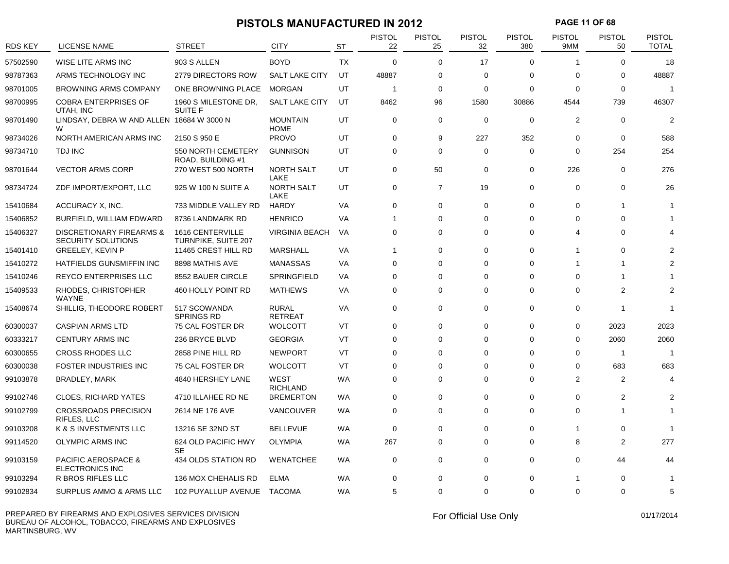## **PISTOLS MANUFACTURED IN 2012 PAGE 11 OF 68**

| <b>RDS KEY</b> | <b>LICENSE NAME</b>                                      | <b>STREET</b>                           | <b>CITY</b>                    | <b>ST</b> | <b>PISTOL</b><br>22 | <b>PISTOL</b><br>25 | <b>PISTOL</b><br>32 | <b>PISTOL</b><br>380 | <b>PISTOL</b><br>9MM | <b>PISTOL</b><br>50 | <b>PISTOL</b><br><b>TOTAL</b> |
|----------------|----------------------------------------------------------|-----------------------------------------|--------------------------------|-----------|---------------------|---------------------|---------------------|----------------------|----------------------|---------------------|-------------------------------|
| 57502590       | WISE LITE ARMS INC                                       | 903 S ALLEN                             | <b>BOYD</b>                    | <b>TX</b> | $\Omega$            | $\mathbf 0$         | 17                  | $\Omega$             | -1                   | $\Omega$            | 18                            |
| 98787363       | ARMS TECHNOLOGY INC                                      | 2779 DIRECTORS ROW                      | <b>SALT LAKE CITY</b>          | UT        | 48887               | 0                   | $\Omega$            | $\mathbf 0$          | 0                    | 0                   | 48887                         |
| 98701005       | <b>BROWNING ARMS COMPANY</b>                             | ONE BROWNING PLACE                      | <b>MORGAN</b>                  | UT        | $\mathbf{1}$        | 0                   | $\Omega$            | $\mathbf 0$          | $\Omega$             | $\mathbf 0$         | $\overline{1}$                |
| 98700995       | <b>COBRA ENTERPRISES OF</b><br>UTAH, INC                 | 1960 S MILESTONE DR,<br><b>SUITE F</b>  | <b>SALT LAKE CITY</b>          | UT        | 8462                | 96                  | 1580                | 30886                | 4544                 | 739                 | 46307                         |
| 98701490       | LINDSAY, DEBRA W AND ALLEN 18684 W 3000 N<br>W           |                                         | <b>MOUNTAIN</b><br><b>HOME</b> | UT        | $\mathbf 0$         | 0                   | $\mathbf 0$         | $\mathbf 0$          | 2                    | $\mathbf 0$         | $\overline{2}$                |
| 98734026       | NORTH AMERICAN ARMS INC                                  | 2150 S 950 E                            | <b>PROVO</b>                   | UT        | $\mathbf 0$         | 9                   | 227                 | 352                  | $\mathbf 0$          | $\mathbf 0$         | 588                           |
| 98734710       | <b>TDJ INC</b>                                           | 550 NORTH CEMETERY<br>ROAD, BUILDING #1 | <b>GUNNISON</b>                | UT        | $\mathbf 0$         | $\mathbf 0$         | $\mathbf 0$         | $\mathbf 0$          | $\Omega$             | 254                 | 254                           |
| 98701644       | <b>VECTOR ARMS CORP</b>                                  | 270 WEST 500 NORTH                      | <b>NORTH SALT</b><br>LAKE      | UT        | $\mathbf 0$         | 50                  | $\mathbf 0$         | $\mathbf 0$          | 226                  | $\mathbf 0$         | 276                           |
| 98734724       | ZDF IMPORT/EXPORT, LLC                                   | 925 W 100 N SUITE A                     | <b>NORTH SALT</b><br>LAKE      | UT        | $\mathbf 0$         | $\overline{7}$      | 19                  | $\mathbf 0$          | $\mathbf 0$          | $\mathbf 0$         | 26                            |
| 15410684       | ACCURACY X, INC.                                         | 733 MIDDLE VALLEY RD                    | HARDY                          | VA        | $\mathbf 0$         | 0                   | $\Omega$            | $\mathbf 0$          | $\mathbf 0$          | $\mathbf 1$         |                               |
| 15406852       | BURFIELD, WILLIAM EDWARD                                 | 8736 LANDMARK RD                        | <b>HENRICO</b>                 | VA        | $\mathbf{1}$        | 0                   | $\Omega$            | $\mathbf 0$          | $\Omega$             | $\mathbf 0$         |                               |
| 15406327       | DISCRETIONARY FIREARMS &<br>SECURITY SOLUTIONS           | 1616 CENTERVILLE<br>TURNPIKE, SUITE 207 | <b>VIRGINIA BEACH</b>          | VA        | $\mathbf 0$         | 0                   | $\Omega$            | $\mathbf 0$          | 4                    | $\Omega$            |                               |
| 15401410       | <b>GREELEY, KEVIN P</b>                                  | 11465 CREST HILL RD                     | <b>MARSHALL</b>                | VA        | $\mathbf{1}$        | 0                   | $\Omega$            | $\mathbf 0$          | -1                   | $\Omega$            |                               |
| 15410272       | HATFIELDS GUNSMIFFIN INC                                 | 8898 MATHIS AVE                         | <b>MANASSAS</b>                | VA        | 0                   | 0                   | $\Omega$            | $\mathbf 0$          | 1                    | $\mathbf 1$         |                               |
| 15410246       | REYCO ENTERPRISES LLC                                    | 8552 BAUER CIRCLE                       | SPRINGFIELD                    | VA        | $\mathbf 0$         | 0                   | $\Omega$            | $\mathbf 0$          | $\Omega$             |                     |                               |
| 15409533       | RHODES, CHRISTOPHER<br><b>WAYNE</b>                      | 460 HOLLY POINT RD                      | <b>MATHEWS</b>                 | VA        | $\mathbf 0$         | 0                   | $\Omega$            | $\Omega$             | $\Omega$             | $\overline{2}$      | $\overline{2}$                |
| 15408674       | SHILLIG, THEODORE ROBERT                                 | 517 SCOWANDA<br><b>SPRINGS RD</b>       | <b>RURAL</b><br><b>RETREAT</b> | VA        | $\mathbf 0$         | $\mathbf 0$         | $\Omega$            | $\mathbf 0$          | $\mathbf 0$          | $\mathbf 1$         | 1                             |
| 60300037       | <b>CASPIAN ARMS LTD</b>                                  | 75 CAL FOSTER DR                        | <b>WOLCOTT</b>                 | VT        | $\mathbf 0$         | 0                   | $\mathbf 0$         | $\mathbf 0$          | $\mathbf 0$          | 2023                | 2023                          |
| 60333217       | <b>CENTURY ARMS INC</b>                                  | 236 BRYCE BLVD                          | <b>GEORGIA</b>                 | VT        | $\Omega$            | 0                   | $\Omega$            | $\Omega$             | $\Omega$             | 2060                | 2060                          |
| 60300655       | <b>CROSS RHODES LLC</b>                                  | 2858 PINE HILL RD                       | <b>NEWPORT</b>                 | VT        | $\Omega$            | $\Omega$            | $\Omega$            | $\Omega$             | $\Omega$             | $\mathbf 1$         | $\overline{1}$                |
| 60300038       | <b>FOSTER INDUSTRIES INC</b>                             | 75 CAL FOSTER DR                        | <b>WOLCOTT</b>                 | VT        | $\mathbf 0$         | 0                   | $\Omega$            | $\mathbf 0$          | 0                    | 683                 | 683                           |
| 99103878       | <b>BRADLEY, MARK</b>                                     | 4840 HERSHEY LANE                       | <b>WEST</b><br><b>RICHLAND</b> | <b>WA</b> | $\mathbf 0$         | 0                   | $\Omega$            | $\mathbf 0$          | $\overline{2}$       | 2                   | 4                             |
| 99102746       | <b>CLOES, RICHARD YATES</b>                              | 4710 ILLAHEE RD NE                      | <b>BREMERTON</b>               | <b>WA</b> | $\mathbf 0$         | 0                   | $\Omega$            | $\mathbf 0$          | $\mathbf 0$          | 2                   | 2                             |
| 99102799       | <b>CROSSROADS PRECISION</b><br>RIFLES, LLC               | 2614 NE 176 AVE                         | VANCOUVER                      | WA        | $\Omega$            | 0                   | $\Omega$            | $\mathbf 0$          | $\Omega$             | -1                  |                               |
| 99103208       | K & S INVESTMENTS LLC                                    | 13216 SE 32ND ST                        | <b>BELLEVUE</b>                | WA        | $\mathbf 0$         | 0                   | $\Omega$            | $\mathbf 0$          | 1                    | 0                   |                               |
| 99114520       | OLYMPIC ARMS INC                                         | 624 OLD PACIFIC HWY<br><b>SE</b>        | <b>OLYMPIA</b>                 | <b>WA</b> | 267                 | $\mathbf 0$         | $\Omega$            | $\mathbf 0$          | 8                    | $\boldsymbol{2}$    | 277                           |
| 99103159       | <b>PACIFIC AEROSPACE &amp;</b><br><b>ELECTRONICS INC</b> | 434 OLDS STATION RD                     | <b>WENATCHEE</b>               | <b>WA</b> | $\mathbf 0$         | $\mathbf 0$         | $\Omega$            | $\mathbf 0$          | $\mathbf 0$          | 44                  | 44                            |
| 99103294       | R BROS RIFLES LLC                                        | 136 MOX CHEHALIS RD                     | <b>ELMA</b>                    | <b>WA</b> | 0                   | 0                   | $\Omega$            | $\mathbf 0$          |                      | $\Omega$            | 1                             |
| 99102834       | <b>SURPLUS AMMO &amp; ARMS LLC</b>                       | 102 PUYALLUP AVENUE                     | <b>TACOMA</b>                  | <b>WA</b> | 5                   | 0                   | $\Omega$            | $\Omega$             | $\Omega$             | $\Omega$            | 5                             |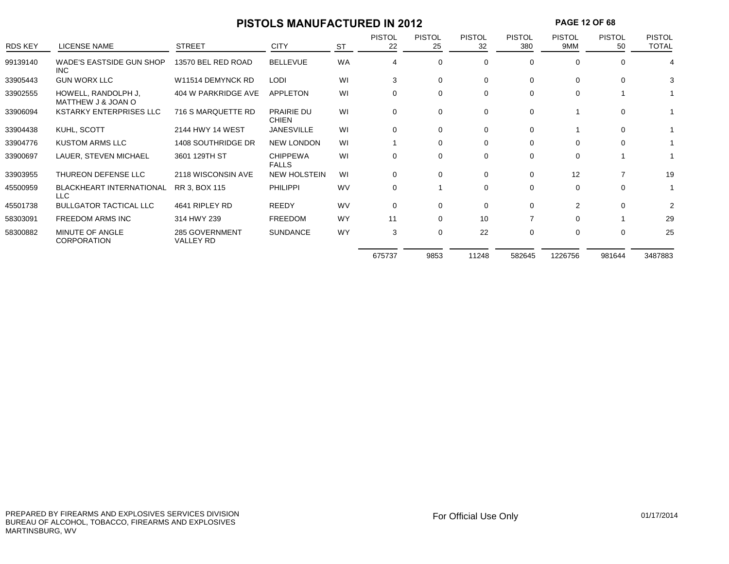## **PISTOLS MANUFACTURED IN 2012 PAGE 12 OF 68**

| <b>RDS KEY</b> | LICENSE NAME                              | <b>STREET</b>               | <b>CITY</b>                       | <b>ST</b> | <b>PISTOL</b><br>22 | <b>PISTOL</b><br>25 | <b>PISTOL</b><br>32 | <b>PISTOL</b><br>380 | <b>PISTOL</b><br>9MM | <b>PISTOL</b><br>50 | <b>PISTOL</b><br><b>TOTAL</b> |
|----------------|-------------------------------------------|-----------------------------|-----------------------------------|-----------|---------------------|---------------------|---------------------|----------------------|----------------------|---------------------|-------------------------------|
| 99139140       | <b>WADE'S EASTSIDE GUN SHOP</b><br>INC.   | 13570 BEL RED ROAD          | <b>BELLEVUE</b>                   | <b>WA</b> | 4                   | 0                   | 0                   | 0                    | 0                    | 0                   | 4                             |
| 33905443       | <b>GUN WORX LLC</b>                       | W11514 DEMYNCK RD           | <b>LODI</b>                       | WI        | 3                   | 0                   | $\mathbf 0$         | 0                    | $\Omega$             | $\mathbf 0$         | 3                             |
| 33902555       | HOWELL, RANDOLPH J.<br>MATTHEW J & JOAN O | 404 W PARKRIDGE AVE         | <b>APPLETON</b>                   | WI        | $\Omega$            | 0                   | $\Omega$            | 0                    | $\Omega$             |                     |                               |
| 33906094       | <b>KSTARKY ENTERPRISES LLC</b>            | 716 S MARQUETTE RD          | <b>PRAIRIE DU</b><br><b>CHIEN</b> | WI        | $\mathbf 0$         | 0                   | $\mathbf 0$         | 0                    |                      | $\mathbf 0$         |                               |
| 33904438       | KUHL, SCOTT                               | 2144 HWY 14 WEST            | <b>JANESVILLE</b>                 | WI        | $\Omega$            | 0                   | $\Omega$            | 0                    |                      | $\Omega$            |                               |
| 33904776       | <b>KUSTOM ARMS LLC</b>                    | 1408 SOUTHRIDGE DR          | <b>NEW LONDON</b>                 | WI        |                     | $\Omega$            | $\Omega$            | $\Omega$             | $\Omega$             | $\Omega$            |                               |
| 33900697       | LAUER, STEVEN MICHAEL                     | 3601 129TH ST               | <b>CHIPPEWA</b><br><b>FALLS</b>   | WI        | 0                   | 0                   | $\Omega$            | 0                    | $\Omega$             |                     |                               |
| 33903955       | THUREON DEFENSE LLC                       | 2118 WISCONSIN AVE          | <b>NEW HOLSTEIN</b>               | WI        | 0                   | 0                   | $\Omega$            | 0                    | 12                   | 7                   | 19                            |
| 45500959       | <b>BLACKHEART INTERNATIONAL</b><br>LLC    | RR 3, BOX 115               | <b>PHILIPPI</b>                   | WV        | 0                   |                     | 0                   | 0                    | $\Omega$             | $\Omega$            |                               |
| 45501738       | <b>BULLGATOR TACTICAL LLC</b>             | 4641 RIPLEY RD              | <b>REEDY</b>                      | <b>WV</b> | $\Omega$            | 0                   | $\Omega$            | $\Omega$             | $\mathcal{P}$        | $\Omega$            | 2                             |
| 58303091       | FREEDOM ARMS INC                          | 314 HWY 239                 | <b>FREEDOM</b>                    | <b>WY</b> | 11                  | 0                   | 10                  |                      | $\Omega$             |                     | 29                            |
| 58300882       | MINUTE OF ANGLE<br><b>CORPORATION</b>     | 285 GOVERNMENT<br>VALLEY RD | <b>SUNDANCE</b>                   | <b>WY</b> | 3                   | 0                   | 22                  | 0                    | $\Omega$             | $\Omega$            | 25                            |
|                |                                           |                             |                                   |           | 675737              | 9853                | 11248               | 582645               | 1226756              | 981644              | 3487883                       |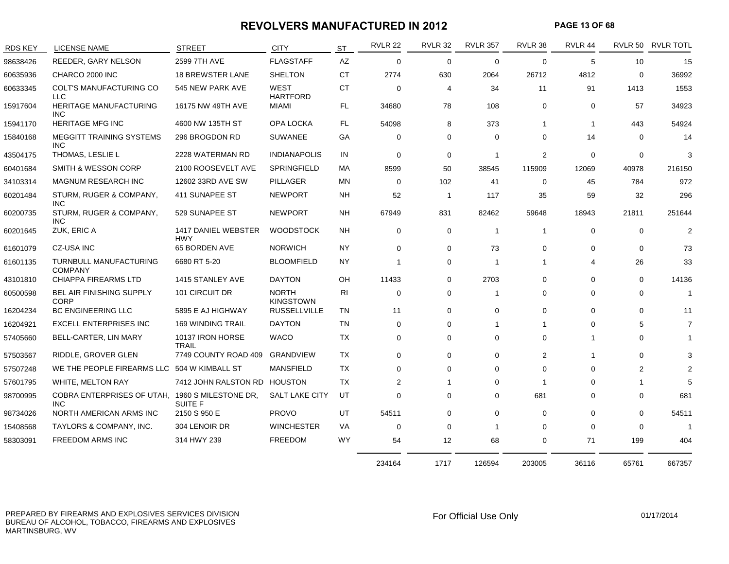#### **REVOLVERS MANUFACTURED IN 2012 PAGE 13 OF 68**

| <b>RDS KEY</b> | <b>LICENSE NAME</b>                             | <b>STREET</b>                     | <b>CITY</b>                      | ST        | <b>RVLR 22</b> | <b>RVLR 32</b> | <b>RVLR 357</b> | RVLR 38        | RVLR 44               |              | RVLR 50 RVLR TOTL |
|----------------|-------------------------------------------------|-----------------------------------|----------------------------------|-----------|----------------|----------------|-----------------|----------------|-----------------------|--------------|-------------------|
| 98638426       | REEDER, GARY NELSON                             | 2599 7TH AVE                      | <b>FLAGSTAFF</b>                 | AZ        | $\mathbf 0$    | $\mathbf 0$    | $\mathbf 0$     | $\mathbf 0$    | 5                     | 10           | 15                |
| 60635936       | CHARCO 2000 INC                                 | <b>18 BREWSTER LANE</b>           | <b>SHELTON</b>                   | <b>CT</b> | 2774           | 630            | 2064            | 26712          | 4812                  | $\mathbf 0$  | 36992             |
| 60633345       | COLT'S MANUFACTURING CO<br><b>LLC</b>           | 545 NEW PARK AVE                  | WEST<br><b>HARTFORD</b>          | <b>CT</b> | 0              | 4              | 34              | 11             | 91                    | 1413         | 1553              |
| 15917604       | HERITAGE MANUFACTURING<br><b>INC</b>            | 16175 NW 49TH AVE                 | MIAMI                            | FL.       | 34680          | 78             | 108             | 0              | 0                     | 57           | 34923             |
| 15941170       | <b>HERITAGE MFG INC</b>                         | 4600 NW 135TH ST                  | OPA LOCKA                        | FL.       | 54098          | 8              | 373             | -1             | -1                    | 443          | 54924             |
| 15840168       | MEGGITT TRAINING SYSTEMS<br><b>INC</b>          | 296 BROGDON RD                    | <b>SUWANEE</b>                   | GА        | 0              | 0              | $\Omega$        | 0              | 14                    | $\Omega$     | 14                |
| 43504175       | THOMAS, LESLIE L                                | 2228 WATERMAN RD                  | <b>INDIANAPOLIS</b>              | IN        | $\mathbf 0$    | $\mathbf 0$    | $\mathbf 1$     | 2              | $\mathbf 0$           | 0            | 3                 |
| 60401684       | <b>SMITH &amp; WESSON CORP</b>                  | 2100 ROOSEVELT AVE                | SPRINGFIELD                      | МA        | 8599           | 50             | 38545           | 115909         | 12069                 | 40978        | 216150            |
| 34103314       | <b>MAGNUM RESEARCH INC</b>                      | 12602 33RD AVE SW                 | <b>PILLAGER</b>                  | ΜN        | 0              | 102            | 41              | 0              | 45                    | 784          | 972               |
| 60201484       | STURM, RUGER & COMPANY,<br><b>INC</b>           | 411 SUNAPEE ST                    | <b>NEWPORT</b>                   | NΗ        | 52             | -1             | 117             | 35             | 59                    | 32           | 296               |
| 60200735       | STURM, RUGER & COMPANY,<br><b>INC</b>           | 529 SUNAPEE ST                    | <b>NEWPORT</b>                   | NH.       | 67949          | 831            | 82462           | 59648          | 18943                 | 21811        | 251644            |
| 60201645       | ZUK, ERIC A                                     | 1417 DANIEL WEBSTER<br><b>HWY</b> | <b>WOODSTOCK</b>                 | NH        | $\mathbf 0$    | $\mathbf 0$    | $\mathbf{1}$    | $\overline{1}$ | $\Omega$              | $\mathbf{0}$ | $\overline{2}$    |
| 61601079       | CZ-USA INC                                      | 65 BORDEN AVE                     | <b>NORWICH</b>                   | NY.       | 0              | $\mathbf 0$    | 73              | 0              | $\Omega$              | $\Omega$     | 73                |
| 61601135       | <b>TURNBULL MANUFACTURING</b><br><b>COMPANY</b> | 6680 RT 5-20                      | <b>BLOOMFIELD</b>                | NY.       | -1             | $\mathbf 0$    | $\mathbf 1$     | $\overline{1}$ | $\boldsymbol{\Delta}$ | 26           | 33                |
| 43101810       | CHIAPPA FIREARMS LTD                            | 1415 STANLEY AVE                  | <b>DAYTON</b>                    | OH        | 11433          | $\mathbf 0$    | 2703            | 0              | $\Omega$              | $\mathbf 0$  | 14136             |
| 60500598       | <b>BEL AIR FINISHING SUPPLY</b><br><b>CORP</b>  | 101 CIRCUIT DR                    | <b>NORTH</b><br><b>KINGSTOWN</b> | <b>RI</b> | 0              | 0              | -1              | 0              | $\Omega$              | $\Omega$     | $\mathbf{1}$      |
| 16204234       | <b>BC ENGINEERING LLC</b>                       | 5895 E AJ HIGHWAY                 | <b>RUSSELLVILLE</b>              | TN        | 11             | $\mathbf 0$    | $\mathbf 0$     | 0              | $\Omega$              | $\Omega$     | 11                |
| 16204921       | <b>EXCELL ENTERPRISES INC</b>                   | <b>169 WINDING TRAIL</b>          | <b>DAYTON</b>                    | <b>TN</b> | $\Omega$       | 0              | $\mathbf 1$     |                | $\Omega$              | 5            | 7                 |
| 57405660       | BELL-CARTER, LIN MARY                           | 10137 IRON HORSE<br><b>TRAIL</b>  | <b>WACO</b>                      | TX        | 0              | 0              | 0               | 0              |                       | 0            |                   |
| 57503567       | RIDDLE, GROVER GLEN                             | 7749 COUNTY ROAD 409              | GRANDVIEW                        | <b>TX</b> | 0              | $\mathbf 0$    | 0               | 2              |                       | 0            | 3                 |
| 57507248       | WE THE PEOPLE FIREARMS LLC                      | 504 W KIMBALL ST                  | <b>MANSFIELD</b>                 | <b>TX</b> | 0              | $\mathbf 0$    | $\Omega$        | $\Omega$       | $\Omega$              | 2            | $\mathfrak{p}$    |
| 57601795       | WHITE, MELTON RAY                               | 7412 JOHN RALSTON RD              | HOUSTON                          | TX        | 2              |                | $\Omega$        | -1             | ∩                     |              | 5                 |
| 98700995       | <b>COBRA ENTERPRISES OF UTAH.</b><br><b>INC</b> | 1960 S MILESTONE DR.<br>SUITE F   | <b>SALT LAKE CITY</b>            | UT        | $\Omega$       | 0              | $\Omega$        | 681            | $\Omega$              | $\Omega$     | 681               |
| 98734026       | NORTH AMERICAN ARMS INC                         | 2150 S 950 E                      | <b>PROVO</b>                     | UT        | 54511          | $\mathbf 0$    | $\mathbf 0$     | $\mathbf 0$    | $\Omega$              | $\Omega$     | 54511             |
| 15408568       | TAYLORS & COMPANY, INC.                         | 304 LENOIR DR                     | <b>WINCHESTER</b>                | VA        | 0              | 0              | $\mathbf 1$     | 0              | $\Omega$              | $\Omega$     | $\overline{1}$    |
| 58303091       | <b>FREEDOM ARMS INC</b>                         | 314 HWY 239                       | <b>FREEDOM</b>                   | <b>WY</b> | 54             | 12             | 68              | 0              | 71                    | 199          | 404               |
|                |                                                 |                                   |                                  |           | 234164         | 1717           | 126594          | 203005         | 36116                 | 65761        | 667357            |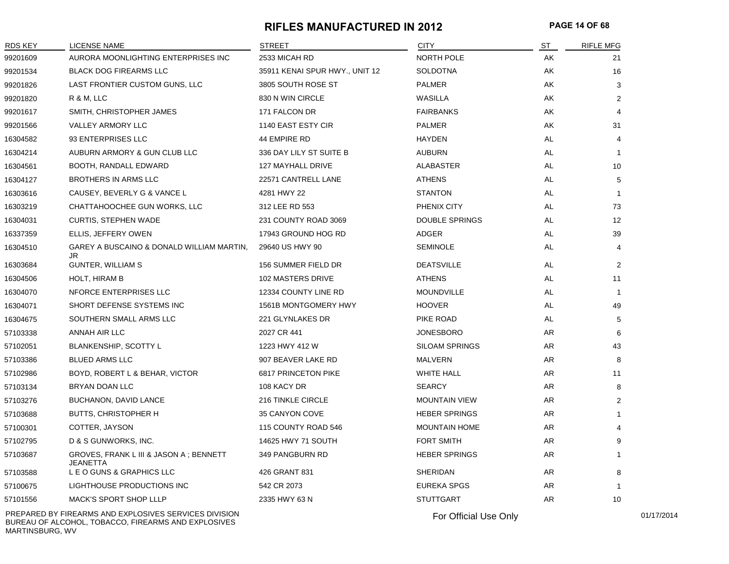#### **RIFLES MANUFACTURED IN 2012 PAGE 14 OF 68**

| 99201609<br>99201534<br>99201826<br>99201820<br>99201617 | AURORA MOONLIGHTING ENTERPRISES INC<br><b>BLACK DOG FIREARMS LLC</b><br>LAST FRONTIER CUSTOM GUNS, LLC<br>R & M, LLC<br>SMITH, CHRISTOPHER JAMES | 2533 MICAH RD<br>35911 KENAI SPUR HWY., UNIT 12<br>3805 SOUTH ROSE ST<br>830 N WIN CIRCLE | <b>NORTH POLE</b><br><b>SOLDOTNA</b><br><b>PALMER</b> | AK<br>AK<br>AK | 21<br>16       |
|----------------------------------------------------------|--------------------------------------------------------------------------------------------------------------------------------------------------|-------------------------------------------------------------------------------------------|-------------------------------------------------------|----------------|----------------|
|                                                          |                                                                                                                                                  |                                                                                           |                                                       |                |                |
|                                                          |                                                                                                                                                  |                                                                                           |                                                       |                |                |
|                                                          |                                                                                                                                                  |                                                                                           |                                                       |                | 3              |
|                                                          |                                                                                                                                                  |                                                                                           | WASILLA                                               | AK             | 2              |
|                                                          |                                                                                                                                                  | 171 FALCON DR                                                                             | <b>FAIRBANKS</b>                                      | AK             | 4              |
| 99201566                                                 | VALLEY ARMORY LLC                                                                                                                                | 1140 EAST ESTY CIR                                                                        | <b>PALMER</b>                                         | AK             | 31             |
| 16304582                                                 | 93 ENTERPRISES LLC                                                                                                                               | <b>44 EMPIRE RD</b>                                                                       | <b>HAYDEN</b>                                         | AL.            | 4              |
| 16304214                                                 | AUBURN ARMORY & GUN CLUB LLC                                                                                                                     | 336 DAY LILY ST SUITE B                                                                   | <b>AUBURN</b>                                         | AL             | $\mathbf{1}$   |
| 16304561                                                 | BOOTH, RANDALL EDWARD                                                                                                                            | 127 MAYHALL DRIVE                                                                         | <b>ALABASTER</b>                                      | AL             | 10             |
| 16304127                                                 | <b>BROTHERS IN ARMS LLC</b>                                                                                                                      | 22571 CANTRELL LANE                                                                       | <b>ATHENS</b>                                         | AL             | 5              |
| 16303616                                                 | CAUSEY, BEVERLY G & VANCE L                                                                                                                      | 4281 HWY 22                                                                               | <b>STANTON</b>                                        | AL             | -1             |
| 16303219                                                 | CHATTAHOOCHEE GUN WORKS, LLC                                                                                                                     | 312 LEE RD 553                                                                            | PHENIX CITY                                           | AL             | 73             |
| 16304031                                                 | <b>CURTIS, STEPHEN WADE</b>                                                                                                                      | 231 COUNTY ROAD 3069                                                                      | <b>DOUBLE SPRINGS</b>                                 | AL             | 12             |
| 16337359                                                 | ELLIS, JEFFERY OWEN                                                                                                                              | 17943 GROUND HOG RD                                                                       | ADGER                                                 | AL             | 39             |
| 16304510                                                 | GAREY A BUSCAINO & DONALD WILLIAM MARTIN,<br>JR                                                                                                  | 29640 US HWY 90                                                                           | <b>SEMINOLE</b>                                       | AL             | 4              |
| 16303684                                                 | <b>GUNTER, WILLIAM S</b>                                                                                                                         | 156 SUMMER FIELD DR                                                                       | <b>DEATSVILLE</b>                                     | AL             | 2              |
| 16304506                                                 | <b>HOLT, HIRAM B</b>                                                                                                                             | 102 MASTERS DRIVE                                                                         | <b>ATHENS</b>                                         | AL             | 11             |
| 16304070                                                 | NFORCE ENTERPRISES LLC                                                                                                                           | 12334 COUNTY LINE RD                                                                      | <b>MOUNDVILLE</b>                                     | AL             | $\overline{1}$ |
| 16304071                                                 | SHORT DEFENSE SYSTEMS INC                                                                                                                        | 1561B MONTGOMERY HWY                                                                      | <b>HOOVER</b>                                         | AL             | 49             |
| 16304675                                                 | SOUTHERN SMALL ARMS LLC                                                                                                                          | 221 GLYNLAKES DR                                                                          | PIKE ROAD                                             | AL             | 5              |
| 57103338                                                 | ANNAH AIR LLC                                                                                                                                    | 2027 CR 441                                                                               | <b>JONESBORO</b>                                      | <b>AR</b>      | 6              |
| 57102051                                                 | BLANKENSHIP, SCOTTY L                                                                                                                            | 1223 HWY 412 W                                                                            | <b>SILOAM SPRINGS</b>                                 | AR             | 43             |
| 57103386                                                 | <b>BLUED ARMS LLC</b>                                                                                                                            | 907 BEAVER LAKE RD                                                                        | <b>MALVERN</b>                                        | AR             | 8              |
| 57102986                                                 | BOYD, ROBERT L & BEHAR, VICTOR                                                                                                                   | 6817 PRINCETON PIKE                                                                       | <b>WHITE HALL</b>                                     | AR             | 11             |
| 57103134                                                 | BRYAN DOAN LLC                                                                                                                                   | 108 KACY DR                                                                               | <b>SEARCY</b>                                         | AR             | 8              |
| 57103276                                                 | <b>BUCHANON, DAVID LANCE</b>                                                                                                                     | 216 TINKLE CIRCLE                                                                         | <b>MOUNTAIN VIEW</b>                                  | AR             | 2              |
| 57103688                                                 | <b>BUTTS, CHRISTOPHER H</b>                                                                                                                      | 35 CANYON COVE                                                                            | <b>HEBER SPRINGS</b>                                  | <b>AR</b>      | 1              |
| 57100301                                                 | COTTER, JAYSON                                                                                                                                   | 115 COUNTY ROAD 546                                                                       | <b>MOUNTAIN HOME</b>                                  | <b>AR</b>      | 4              |
| 57102795                                                 | D & S GUNWORKS, INC.                                                                                                                             | 14625 HWY 71 SOUTH                                                                        | <b>FORT SMITH</b>                                     | <b>AR</b>      | 9              |
| 57103687                                                 | GROVES, FRANK L III & JASON A; BENNETT<br><b>JEANETTA</b>                                                                                        | 349 PANGBURN RD                                                                           | <b>HEBER SPRINGS</b>                                  | AR             | $\mathbf{1}$   |
| 57103588                                                 | L E O GUNS & GRAPHICS LLC                                                                                                                        | 426 GRANT 831                                                                             | <b>SHERIDAN</b>                                       | AR             | 8              |
| 57100675                                                 | LIGHTHOUSE PRODUCTIONS INC                                                                                                                       | 542 CR 2073                                                                               | <b>EUREKA SPGS</b>                                    | AR             |                |
| 57101556                                                 | MACK'S SPORT SHOP LLLP                                                                                                                           | 2335 HWY 63 N                                                                             | <b>STUTTGART</b>                                      | AR             | 10             |

PREPARED BY FIREARMS AND EXPLOSIVES SERVICES DIVISION BUREAU OF ALCOHOL, TOBACCO, FIREARMS AND EXPLOSIVES MARTINSBURG, WV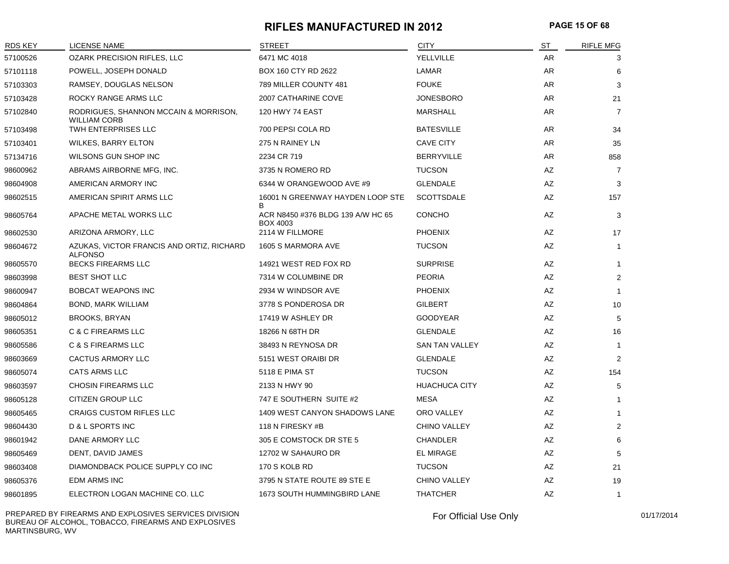#### **RIFLES MANUFACTURED IN 2012 PAGE 15 OF 68**

| RDS KEY  | LICENSE NAME                                                 | <b>STREET</b>                                        | <b>CITY</b>           | ST  | <b>RIFLE MFG</b> |
|----------|--------------------------------------------------------------|------------------------------------------------------|-----------------------|-----|------------------|
| 57100526 | <b>OZARK PRECISION RIFLES, LLC</b>                           | 6471 MC 4018                                         | YELLVILLE             | AR  | 3                |
| 57101118 | POWELL, JOSEPH DONALD                                        | BOX 160 CTY RD 2622                                  | LAMAR                 | AR  | 6                |
| 57103303 | RAMSEY, DOUGLAS NELSON                                       | 789 MILLER COUNTY 481                                | <b>FOUKE</b>          | AR  | 3                |
| 57103428 | ROCKY RANGE ARMS LLC                                         | 2007 CATHARINE COVE                                  | <b>JONESBORO</b>      | AR  | 21               |
| 57102840 | RODRIGUES, SHANNON MCCAIN & MORRISON,<br><b>WILLIAM CORB</b> | <b>120 HWY 74 EAST</b>                               | <b>MARSHALL</b>       | AR. | $\overline{7}$   |
| 57103498 | TWH ENTERPRISES LLC                                          | 700 PEPSI COLA RD                                    | <b>BATESVILLE</b>     | AR  | 34               |
| 57103401 | WILKES, BARRY ELTON                                          | 275 N RAINEY LN                                      | <b>CAVE CITY</b>      | AR  | 35               |
| 57134716 | WILSONS GUN SHOP INC                                         | 2234 CR 719                                          | <b>BERRYVILLE</b>     | AR  | 858              |
| 98600962 | ABRAMS AIRBORNE MFG, INC.                                    | 3735 N ROMERO RD                                     | <b>TUCSON</b>         | AZ  | $\overline{7}$   |
| 98604908 | AMERICAN ARMORY INC                                          | 6344 W ORANGEWOOD AVE #9                             | <b>GLENDALE</b>       | AZ  | 3                |
| 98602515 | AMERICAN SPIRIT ARMS LLC                                     | 16001 N GREENWAY HAYDEN LOOP STE<br>B                | <b>SCOTTSDALE</b>     | AZ  | 157              |
| 98605764 | APACHE METAL WORKS LLC                                       | ACR N8450 #376 BLDG 139 A/W HC 65<br><b>BOX 4003</b> | <b>CONCHO</b>         | AZ  | 3                |
| 98602530 | ARIZONA ARMORY, LLC                                          | 2114 W FILLMORE                                      | <b>PHOENIX</b>        | AZ  | 17               |
| 98604672 | AZUKAS, VICTOR FRANCIS AND ORTIZ, RICHARD<br><b>ALFONSO</b>  | 1605 S MARMORA AVE                                   | <b>TUCSON</b>         | AZ  | $\mathbf{1}$     |
| 98605570 | <b>BECKS FIREARMS LLC</b>                                    | 14921 WEST RED FOX RD                                | <b>SURPRISE</b>       | AZ  | $\mathbf{1}$     |
| 98603998 | <b>BEST SHOT LLC</b>                                         | 7314 W COLUMBINE DR                                  | <b>PEORIA</b>         | AZ  | 2                |
| 98600947 | <b>BOBCAT WEAPONS INC</b>                                    | 2934 W WINDSOR AVE                                   | <b>PHOENIX</b>        | AZ  | $\overline{1}$   |
| 98604864 | <b>BOND, MARK WILLIAM</b>                                    | 3778 S PONDEROSA DR                                  | <b>GILBERT</b>        | AZ  | 10               |
| 98605012 | <b>BROOKS, BRYAN</b>                                         | 17419 W ASHLEY DR                                    | <b>GOODYEAR</b>       | AZ  | 5                |
| 98605351 | C & C FIREARMS LLC                                           | 18266 N 68TH DR                                      | <b>GLENDALE</b>       | AZ  | 16               |
| 98605586 | C & S FIREARMS LLC                                           | 38493 N REYNOSA DR                                   | <b>SAN TAN VALLEY</b> | AZ  | $\overline{1}$   |
| 98603669 | <b>CACTUS ARMORY LLC</b>                                     | 5151 WEST ORAIBI DR                                  | <b>GLENDALE</b>       | AZ  | 2                |
| 98605074 | <b>CATS ARMS LLC</b>                                         | 5118 E PIMA ST                                       | <b>TUCSON</b>         | AZ  | 154              |
| 98603597 | <b>CHOSIN FIREARMS LLC</b>                                   | 2133 N HWY 90                                        | <b>HUACHUCA CITY</b>  | AZ  | 5                |
| 98605128 | CITIZEN GROUP LLC                                            | 747 E SOUTHERN SUITE #2                              | <b>MESA</b>           | AZ  | $\mathbf 1$      |
| 98605465 | <b>CRAIGS CUSTOM RIFLES LLC</b>                              | 1409 WEST CANYON SHADOWS LANE                        | ORO VALLEY            | AZ  | -1               |
| 98604430 | D & L SPORTS INC                                             | 118 N FIRESKY #B                                     | <b>CHINO VALLEY</b>   | AZ  | $\overline{2}$   |
| 98601942 | DANE ARMORY LLC                                              | 305 E COMSTOCK DR STE 5                              | <b>CHANDLER</b>       | AZ  | 6                |
| 98605469 | DENT, DAVID JAMES                                            | 12702 W SAHAURO DR                                   | <b>EL MIRAGE</b>      | AZ  | 5                |
| 98603408 | DIAMONDBACK POLICE SUPPLY CO INC                             | 170 S KOLB RD                                        | <b>TUCSON</b>         | AZ  | 21               |
| 98605376 | <b>EDM ARMS INC</b>                                          | 3795 N STATE ROUTE 89 STE E                          | <b>CHINO VALLEY</b>   | AZ  | 19               |
| 98601895 | ELECTRON LOGAN MACHINE CO. LLC                               | 1673 SOUTH HUMMINGBIRD LANE                          | <b>THATCHER</b>       | AZ  | $\mathbf{1}$     |

PREPARED BY FIREARMS AND EXPLOSIVES SERVICES DIVISION BUREAU OF ALCOHOL, TOBACCO, FIREARMS AND EXPLOSIVES MARTINSBURG, WV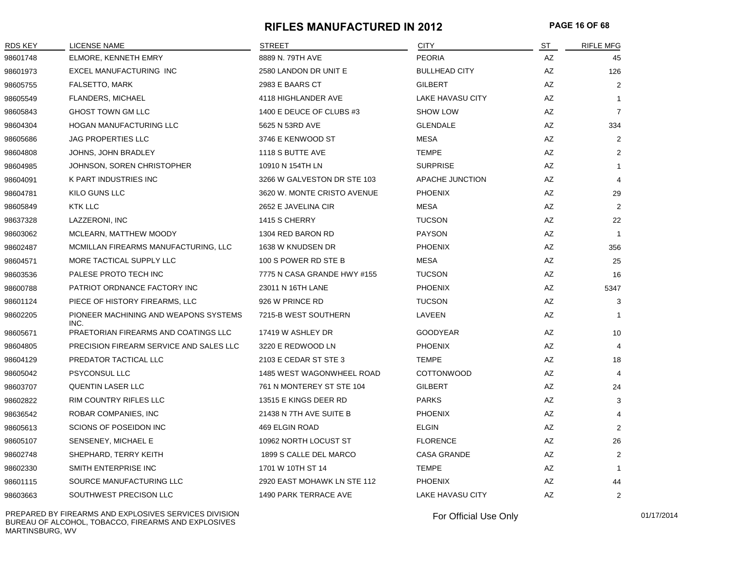#### **RIFLES MANUFACTURED IN 2012 PAGE 16 OF 68**

| <b>RDS KEY</b> | LICENSE NAME                                  | <b>STREET</b>               | <b>CITY</b>             | ST | <b>RIFLE MFG</b> |
|----------------|-----------------------------------------------|-----------------------------|-------------------------|----|------------------|
| 98601748       | <b>ELMORE, KENNETH EMRY</b>                   | 8889 N. 79TH AVE            | <b>PEORIA</b>           | AZ | 45               |
| 98601973       | EXCEL MANUFACTURING INC                       | 2580 LANDON DR UNIT E       | <b>BULLHEAD CITY</b>    | AZ | 126              |
| 98605755       | FALSETTO, MARK                                | 2983 E BAARS CT             | <b>GILBERT</b>          | AZ | $\overline{2}$   |
| 98605549       | <b>FLANDERS, MICHAEL</b>                      | 4118 HIGHLANDER AVE         | <b>LAKE HAVASU CITY</b> | AZ | $\mathbf{1}$     |
| 98605843       | <b>GHOST TOWN GM LLC</b>                      | 1400 E DEUCE OF CLUBS #3    | <b>SHOW LOW</b>         | AZ | $\overline{7}$   |
| 98604304       | <b>HOGAN MANUFACTURING LLC</b>                | 5625 N 53RD AVE             | <b>GLENDALE</b>         | AZ | 334              |
| 98605686       | <b>JAG PROPERTIES LLC</b>                     | 3746 E KENWOOD ST           | <b>MESA</b>             | AZ | 2                |
| 98604808       | JOHNS, JOHN BRADLEY                           | 1118 S BUTTE AVE            | <b>TEMPE</b>            | AZ | $\overline{2}$   |
| 98604985       | JOHNSON, SOREN CHRISTOPHER                    | 10910 N 154TH LN            | <b>SURPRISE</b>         | AZ | $\mathbf{1}$     |
| 98604091       | K PART INDUSTRIES INC                         | 3266 W GALVESTON DR STE 103 | APACHE JUNCTION         | AZ | 4                |
| 98604781       | KILO GUNS LLC                                 | 3620 W. MONTE CRISTO AVENUE | <b>PHOENIX</b>          | AZ | 29               |
| 98605849       | <b>KTK LLC</b>                                | 2652 E JAVELINA CIR         | <b>MESA</b>             | AZ | $\overline{2}$   |
| 98637328       | LAZZERONI, INC                                | 1415 S CHERRY               | <b>TUCSON</b>           | AZ | 22               |
| 98603062       | MCLEARN, MATTHEW MOODY                        | 1304 RED BARON RD           | <b>PAYSON</b>           | AZ | -1               |
| 98602487       | MCMILLAN FIREARMS MANUFACTURING, LLC          | 1638 W KNUDSEN DR           | <b>PHOENIX</b>          | AZ | 356              |
| 98604571       | MORE TACTICAL SUPPLY LLC                      | 100 S POWER RD STE B        | <b>MESA</b>             | AZ | 25               |
| 98603536       | PALESE PROTO TECH INC                         | 7775 N CASA GRANDE HWY #155 | <b>TUCSON</b>           | AZ | 16               |
| 98600788       | PATRIOT ORDNANCE FACTORY INC                  | 23011 N 16TH LANE           | <b>PHOENIX</b>          | AZ | 5347             |
| 98601124       | PIECE OF HISTORY FIREARMS, LLC                | 926 W PRINCE RD             | <b>TUCSON</b>           | AZ | 3                |
| 98602205       | PIONEER MACHINING AND WEAPONS SYSTEMS<br>INC. | 7215-B WEST SOUTHERN        | LAVEEN                  | AZ | -1               |
| 98605671       | PRAETORIAN FIREARMS AND COATINGS LLC          | 17419 W ASHLEY DR           | <b>GOODYEAR</b>         | AZ | 10               |
| 98604805       | PRECISION FIREARM SERVICE AND SALES LLC       | 3220 E REDWOOD LN           | <b>PHOENIX</b>          | AZ | 4                |
| 98604129       | PREDATOR TACTICAL LLC                         | 2103 E CEDAR ST STE 3       | <b>TEMPE</b>            | AZ | 18               |
| 98605042       | <b>PSYCONSUL LLC</b>                          | 1485 WEST WAGONWHEEL ROAD   | <b>COTTONWOOD</b>       | AZ | 4                |
| 98603707       | <b>QUENTIN LASER LLC</b>                      | 761 N MONTEREY ST STE 104   | <b>GILBERT</b>          | AZ | 24               |
| 98602822       | RIM COUNTRY RIFLES LLC                        | 13515 E KINGS DEER RD       | <b>PARKS</b>            | AZ | 3                |
| 98636542       | ROBAR COMPANIES, INC                          | 21438 N 7TH AVE SUITE B     | <b>PHOENIX</b>          | AZ | 4                |
| 98605613       | SCIONS OF POSEIDON INC                        | 469 ELGIN ROAD              | <b>ELGIN</b>            | AZ | 2                |
| 98605107       | SENSENEY, MICHAEL E                           | 10962 NORTH LOCUST ST       | <b>FLORENCE</b>         | AZ | 26               |
| 98602748       | SHEPHARD, TERRY KEITH                         | 1899 S CALLE DEL MARCO      | <b>CASA GRANDE</b>      | AZ | $\overline{2}$   |
| 98602330       | SMITH ENTERPRISE INC                          | 1701 W 10TH ST 14           | <b>TEMPE</b>            | AZ | -1               |
| 98601115       | SOURCE MANUFACTURING LLC                      | 2920 EAST MOHAWK LN STE 112 | <b>PHOENIX</b>          | AZ | 44               |
| 98603663       | SOUTHWEST PRECISON LLC                        | 1490 PARK TERRACE AVE       | LAKE HAVASU CITY        | AZ | $\overline{2}$   |

PREPARED BY FIREARMS AND EXPLOSIVES SERVICES DIVISION BUREAU OF ALCOHOL, TOBACCO, FIREARMS AND EXPLOSIVES MARTINSBURG, WV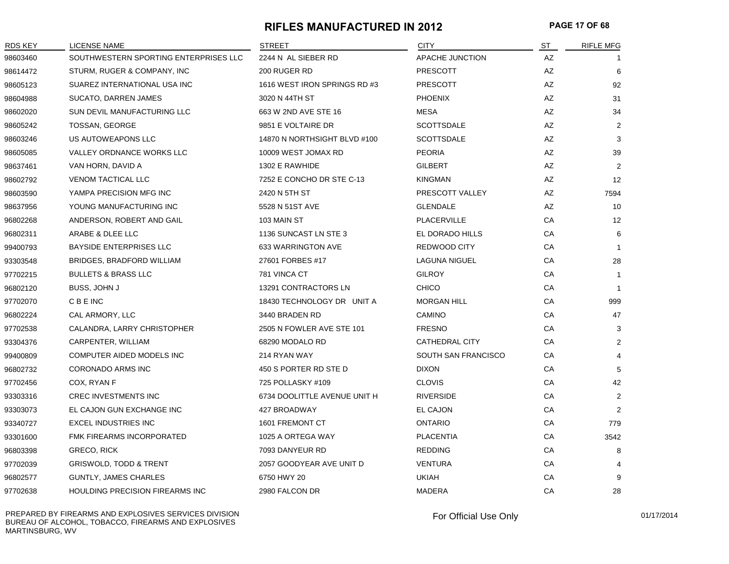#### **RIFLES MANUFACTURED IN 2012 PAGE 17 OF 68**

| RDS KEY  | LICENSE NAME                          | <b>STREET</b>                | <b>CITY</b>            | <u>ST</u> | <b>RIFLE MFG</b> |
|----------|---------------------------------------|------------------------------|------------------------|-----------|------------------|
| 98603460 | SOUTHWESTERN SPORTING ENTERPRISES LLC | 2244 N AL SIEBER RD          | <b>APACHE JUNCTION</b> | AZ        |                  |
| 98614472 | STURM, RUGER & COMPANY, INC           | 200 RUGER RD                 | <b>PRESCOTT</b>        | AZ        | 6                |
| 98605123 | SUAREZ INTERNATIONAL USA INC          | 1616 WEST IRON SPRINGS RD #3 | <b>PRESCOTT</b>        | AZ        | 92               |
| 98604988 | SUCATO, DARREN JAMES                  | 3020 N 44TH ST               | <b>PHOENIX</b>         | AZ        | 31               |
| 98602020 | SUN DEVIL MANUFACTURING LLC           | 663 W 2ND AVE STE 16         | <b>MESA</b>            | AZ        | 34               |
| 98605242 | TOSSAN, GEORGE                        | 9851 E VOLTAIRE DR           | <b>SCOTTSDALE</b>      | AZ        | $\overline{2}$   |
| 98603246 | US AUTOWEAPONS LLC                    | 14870 N NORTHSIGHT BLVD #100 | <b>SCOTTSDALE</b>      | AZ        | 3                |
| 98605085 | VALLEY ORDNANCE WORKS LLC             | 10009 WEST JOMAX RD          | <b>PEORIA</b>          | AZ        | 39               |
| 98637461 | VAN HORN, DAVID A                     | 1302 E RAWHIDE               | <b>GILBERT</b>         | AZ        | $\overline{2}$   |
| 98602792 | <b>VENOM TACTICAL LLC</b>             | 7252 E CONCHO DR STE C-13    | <b>KINGMAN</b>         | AZ        | 12               |
| 98603590 | YAMPA PRECISION MFG INC               | 2420 N 5TH ST                | PRESCOTT VALLEY        | AZ        | 7594             |
| 98637956 | YOUNG MANUFACTURING INC               | 5528 N 51ST AVE              | <b>GLENDALE</b>        | AZ        | 10               |
| 96802268 | ANDERSON, ROBERT AND GAIL             | 103 MAIN ST                  | PLACERVILLE            | CA        | 12               |
| 96802311 | ARABE & DLEE LLC                      | 1136 SUNCAST LN STE 3        | EL DORADO HILLS        | CA        | 6                |
| 99400793 | <b>BAYSIDE ENTERPRISES LLC</b>        | 633 WARRINGTON AVE           | REDWOOD CITY           | CA        | $\mathbf{1}$     |
| 93303548 | BRIDGES, BRADFORD WILLIAM             | 27601 FORBES #17             | <b>LAGUNA NIGUEL</b>   | CA        | 28               |
| 97702215 | <b>BULLETS &amp; BRASS LLC</b>        | 781 VINCA CT                 | <b>GILROY</b>          | CA        | $\mathbf{1}$     |
| 96802120 | BUSS, JOHN J                          | 13291 CONTRACTORS LN         | <b>CHICO</b>           | CA        | $\overline{1}$   |
| 97702070 | <b>CBEINC</b>                         | 18430 TECHNOLOGY DR UNIT A   | <b>MORGAN HILL</b>     | CA        | 999              |
| 96802224 | CAL ARMORY, LLC                       | 3440 BRADEN RD               | CAMINO                 | CA        | 47               |
| 97702538 | CALANDRA, LARRY CHRISTOPHER           | 2505 N FOWLER AVE STE 101    | <b>FRESNO</b>          | CA        | 3                |
| 93304376 | CARPENTER, WILLIAM                    | 68290 MODALO RD              | <b>CATHEDRAL CITY</b>  | CA        | $\overline{2}$   |
| 99400809 | COMPUTER AIDED MODELS INC             | 214 RYAN WAY                 | SOUTH SAN FRANCISCO    | CA        | $\overline{4}$   |
| 96802732 | CORONADO ARMS INC                     | 450 S PORTER RD STE D        | <b>DIXON</b>           | CA        | 5                |
| 97702456 | COX, RYAN F                           | 725 POLLASKY #109            | <b>CLOVIS</b>          | CA        | 42               |
| 93303316 | <b>CREC INVESTMENTS INC</b>           | 6734 DOOLITTLE AVENUE UNIT H | <b>RIVERSIDE</b>       | CA        | $\overline{2}$   |
| 93303073 | EL CAJON GUN EXCHANGE INC             | 427 BROADWAY                 | EL CAJON               | CA        | $\overline{2}$   |
| 93340727 | <b>EXCEL INDUSTRIES INC</b>           | 1601 FREMONT CT              | <b>ONTARIO</b>         | CA        | 779              |
| 93301600 | FMK FIREARMS INCORPORATED             | 1025 A ORTEGA WAY            | <b>PLACENTIA</b>       | CA        | 3542             |
| 96803398 | GRECO, RICK                           | 7093 DANYEUR RD              | <b>REDDING</b>         | CA        | 8                |
| 97702039 | <b>GRISWOLD, TODD &amp; TRENT</b>     | 2057 GOODYEAR AVE UNIT D     | <b>VENTURA</b>         | CA        | 4                |
| 96802577 | <b>GUNTLY, JAMES CHARLES</b>          | 6750 HWY 20                  | <b>UKIAH</b>           | CA        | 9                |
| 97702638 | HOULDING PRECISION FIREARMS INC       | 2980 FALCON DR               | MADERA                 | CA        | 28               |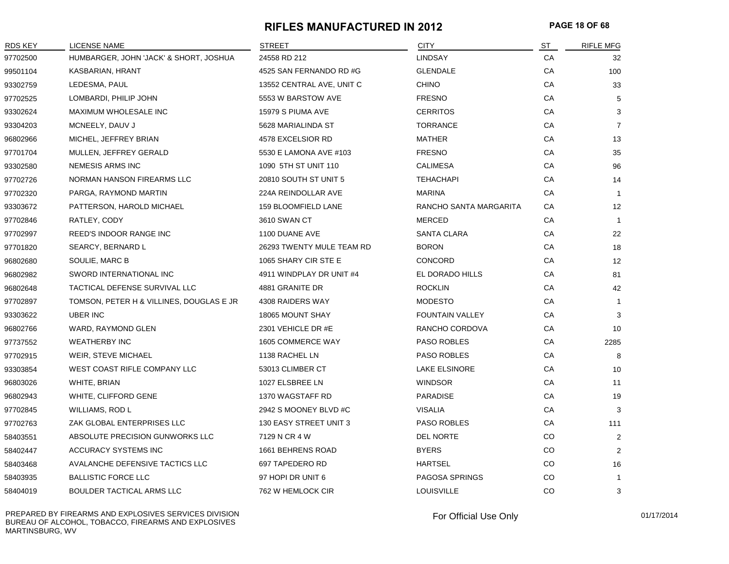#### **RIFLES MANUFACTURED IN 2012 PAGE 18 OF 68**

| <b>RDS KEY</b> | LICENSE NAME                             | <b>STREET</b>              | <b>CITY</b>            | ST        | <b>RIFLE MFG</b> |
|----------------|------------------------------------------|----------------------------|------------------------|-----------|------------------|
| 97702500       | HUMBARGER, JOHN 'JACK' & SHORT, JOSHUA   | 24558 RD 212               | <b>LINDSAY</b>         | CA        | 32               |
| 99501104       | KASBARIAN, HRANT                         | 4525 SAN FERNANDO RD #G    | <b>GLENDALE</b>        | CA        | 100              |
| 93302759       | LEDESMA, PAUL                            | 13552 CENTRAL AVE, UNIT C  | <b>CHINO</b>           | CA        | 33               |
| 97702525       | LOMBARDI, PHILIP JOHN                    | 5553 W BARSTOW AVE         | <b>FRESNO</b>          | CA        | 5                |
| 93302624       | MAXIMUM WHOLESALE INC                    | 15979 S PIUMA AVE          | <b>CERRITOS</b>        | CA        | 3                |
| 93304203       | MCNEELY, DAUV J                          | 5628 MARIALINDA ST         | <b>TORRANCE</b>        | CA        | $\overline{7}$   |
| 96802966       | MICHEL, JEFFREY BRIAN                    | 4578 EXCELSIOR RD          | <b>MATHER</b>          | CA        | 13               |
| 97701704       | MULLEN, JEFFREY GERALD                   | 5530 E LAMONA AVE #103     | <b>FRESNO</b>          | CA        | 35               |
| 93302580       | NEMESIS ARMS INC                         | 1090 5TH ST UNIT 110       | <b>CALIMESA</b>        | CA        | 96               |
| 97702726       | NORMAN HANSON FIREARMS LLC               | 20810 SOUTH ST UNIT 5      | <b>TEHACHAPI</b>       | CA        | 14               |
| 97702320       | PARGA, RAYMOND MARTIN                    | 224A REINDOLLAR AVE        | <b>MARINA</b>          | CA        | $\overline{1}$   |
| 93303672       | PATTERSON, HAROLD MICHAEL                | <b>159 BLOOMFIELD LANE</b> | RANCHO SANTA MARGARITA | CA        | 12               |
| 97702846       | RATLEY, CODY                             | 3610 SWAN CT               | MERCED                 | CA        | $\overline{1}$   |
| 97702997       | REED'S INDOOR RANGE INC                  | 1100 DUANE AVE             | SANTA CLARA            | CA        | 22               |
| 97701820       | SEARCY, BERNARD L                        | 26293 TWENTY MULE TEAM RD  | <b>BORON</b>           | CA        | 18               |
| 96802680       | SOULIE, MARC B                           | 1065 SHARY CIR STE E       | CONCORD                | CA        | 12               |
| 96802982       | SWORD INTERNATIONAL INC                  | 4911 WINDPLAY DR UNIT #4   | EL DORADO HILLS        | CA        | 81               |
| 96802648       | TACTICAL DEFENSE SURVIVAL LLC            | 4881 GRANITE DR            | <b>ROCKLIN</b>         | CA        | 42               |
| 97702897       | TOMSON, PETER H & VILLINES, DOUGLAS E JR | 4308 RAIDERS WAY           | <b>MODESTO</b>         | CA        | $\overline{1}$   |
| 93303622       | UBER INC                                 | 18065 MOUNT SHAY           | <b>FOUNTAIN VALLEY</b> | CA        | 3                |
| 96802766       | WARD, RAYMOND GLEN                       | 2301 VEHICLE DR #E         | RANCHO CORDOVA         | CA        | 10               |
| 97737552       | <b>WEATHERBY INC</b>                     | 1605 COMMERCE WAY          | PASO ROBLES            | CA        | 2285             |
| 97702915       | WEIR, STEVE MICHAEL                      | 1138 RACHEL LN             | PASO ROBLES            | CA        | 8                |
| 93303854       | WEST COAST RIFLE COMPANY LLC             | 53013 CLIMBER CT           | LAKE ELSINORE          | CA        | 10               |
| 96803026       | WHITE, BRIAN                             | 1027 ELSBREE LN            | <b>WINDSOR</b>         | CA        | 11               |
| 96802943       | WHITE, CLIFFORD GENE                     | 1370 WAGSTAFF RD           | PARADISE               | CA        | 19               |
| 97702845       | WILLIAMS, ROD L                          | 2942 S MOONEY BLVD #C      | <b>VISALIA</b>         | CA        | 3                |
| 97702763       | ZAK GLOBAL ENTERPRISES LLC               | 130 EASY STREET UNIT 3     | PASO ROBLES            | CA        | 111              |
| 58403551       | ABSOLUTE PRECISION GUNWORKS LLC          | 7129 N CR 4 W              | <b>DEL NORTE</b>       | CO        | 2                |
| 58402447       | <b>ACCURACY SYSTEMS INC</b>              | 1661 BEHRENS ROAD          | <b>BYERS</b>           | CO        | 2                |
| 58403468       | AVALANCHE DEFENSIVE TACTICS LLC          | 697 TAPEDERO RD            | <b>HARTSEL</b>         | CO        | 16               |
| 58403935       | <b>BALLISTIC FORCE LLC</b>               | 97 HOPI DR UNIT 6          | PAGOSA SPRINGS         | CO        | -1               |
| 58404019       | BOULDER TACTICAL ARMS LLC                | 762 W HEMLOCK CIR          | <b>LOUISVILLE</b>      | <b>CO</b> | 3                |

PREPARED BY FIREARMS AND EXPLOSIVES SERVICES DIVISION BUREAU OF ALCOHOL, TOBACCO, FIREARMS AND EXPLOSIVES MARTINSBURG, WV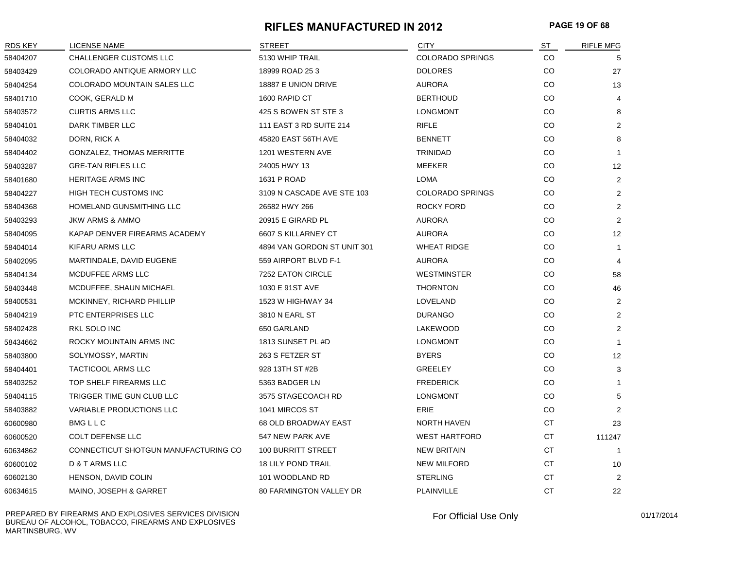#### **RIFLES MANUFACTURED IN 2012 PAGE 19 OF 68**

| RDS KEY  | <b>LICENSE NAME</b>                  | <b>STREET</b>                  | <b>CITY</b>             | <b>ST</b> | <b>RIFLE MFG</b> |
|----------|--------------------------------------|--------------------------------|-------------------------|-----------|------------------|
| 58404207 | CHALLENGER CUSTOMS LLC               | 5130 WHIP TRAIL                | <b>COLORADO SPRINGS</b> | CO        | 5                |
| 58403429 | COLORADO ANTIQUE ARMORY LLC          | 18999 ROAD 253                 | <b>DOLORES</b>          | CO        | 27               |
| 58404254 | COLORADO MOUNTAIN SALES LLC          | 18887 E UNION DRIVE            | <b>AURORA</b>           | CO        | 13               |
| 58401710 | COOK, GERALD M                       | 1600 RAPID CT                  | <b>BERTHOUD</b>         | CO        | 4                |
| 58403572 | <b>CURTIS ARMS LLC</b>               | 425 S BOWEN ST STE 3           | <b>LONGMONT</b>         | CO        | 8                |
| 58404101 | DARK TIMBER LLC                      | 111 EAST 3 RD SUITE 214        | <b>RIFLE</b>            | CO        | 2                |
| 58404032 | DORN, RICK A                         | 45820 EAST 56TH AVE            | <b>BENNETT</b>          | CO        | 8                |
| 58404402 | GONZALEZ, THOMAS MERRITTE            | 1201 WESTERN AVE               | TRINIDAD                | CO        | $\mathbf{1}$     |
| 58403287 | <b>GRE-TAN RIFLES LLC</b>            | 24005 HWY 13                   | MEEKER                  | CO        | 12               |
| 58401680 | <b>HERITAGE ARMS INC</b>             | 1631 P ROAD                    | <b>LOMA</b>             | CO        | $\overline{2}$   |
| 58404227 | HIGH TECH CUSTOMS INC                | 3109 N CASCADE AVE STE 103     | <b>COLORADO SPRINGS</b> | CO        | $\overline{2}$   |
| 58404368 | HOMELAND GUNSMITHING LLC             | 26582 HWY 266                  | <b>ROCKY FORD</b>       | CO        | $\overline{2}$   |
| 58403293 | <b>JKW ARMS &amp; AMMO</b>           | 20915 E GIRARD PL              | <b>AURORA</b>           | CO        | $\overline{2}$   |
| 58404095 | KAPAP DENVER FIREARMS ACADEMY        | 6607 S KILLARNEY CT            | AURORA                  | CO        | 12               |
| 58404014 | KIFARU ARMS LLC                      | 4894 VAN GORDON ST UNIT 301    | <b>WHEAT RIDGE</b>      | CO        | $\mathbf{1}$     |
| 58402095 | MARTINDALE, DAVID EUGENE             | 559 AIRPORT BLVD F-1           | <b>AURORA</b>           | CO        | $\overline{4}$   |
| 58404134 | MCDUFFEE ARMS LLC                    | <b>7252 EATON CIRCLE</b>       | <b>WESTMINSTER</b>      | CO        | 58               |
| 58403448 | MCDUFFEE, SHAUN MICHAEL              | 1030 E 91ST AVE                | <b>THORNTON</b>         | CO        | 46               |
| 58400531 | MCKINNEY, RICHARD PHILLIP            | 1523 W HIGHWAY 34              | LOVELAND                | CO        | $\overline{2}$   |
| 58404219 | PTC ENTERPRISES LLC                  | 3810 N EARL ST                 | <b>DURANGO</b>          | CO        | $\overline{2}$   |
| 58402428 | RKL SOLO INC                         | 650 GARLAND                    | LAKEWOOD                | CO.       | 2                |
| 58434662 | ROCKY MOUNTAIN ARMS INC              | 1813 SUNSET PL #D              | <b>LONGMONT</b>         | CO        | $\mathbf{1}$     |
| 58403800 | SOLYMOSSY, MARTIN                    | 263 S FETZER ST                | <b>BYERS</b>            | CO        | 12               |
| 58404401 | TACTICOOL ARMS LLC                   | 928 13TH ST #2B                | <b>GREELEY</b>          | CO        | 3                |
| 58403252 | TOP SHELF FIREARMS LLC               | 5363 BADGER LN                 | <b>FREDERICK</b>        | CO        | $\mathbf 1$      |
| 58404115 | TRIGGER TIME GUN CLUB LLC            | 3575 STAGECOACH RD             | <b>LONGMONT</b>         | CO        | 5                |
| 58403882 | VARIABLE PRODUCTIONS LLC             | 1041 MIRCOS ST                 | <b>ERIE</b>             | CO        | 2                |
| 60600980 | <b>BMGLLC</b>                        | 68 OLD BROADWAY EAST           | NORTH HAVEN             | CT        | 23               |
| 60600520 | COLT DEFENSE LLC                     | 547 NEW PARK AVE               | <b>WEST HARTFORD</b>    | CT        | 111247           |
| 60634862 | CONNECTICUT SHOTGUN MANUFACTURING CO | <b>100 BURRITT STREET</b>      | <b>NEW BRITAIN</b>      | <b>CT</b> | $\overline{1}$   |
| 60600102 | D & T ARMS LLC                       | <b>18 LILY POND TRAIL</b>      | <b>NEW MILFORD</b>      | <b>CT</b> | 10               |
| 60602130 | HENSON, DAVID COLIN                  | 101 WOODLAND RD                | <b>STERLING</b>         | CT        | $\overline{2}$   |
| 60634615 | MAINO, JOSEPH & GARRET               | <b>80 FARMINGTON VALLEY DR</b> | PLAINVILLE              | <b>CT</b> | 22               |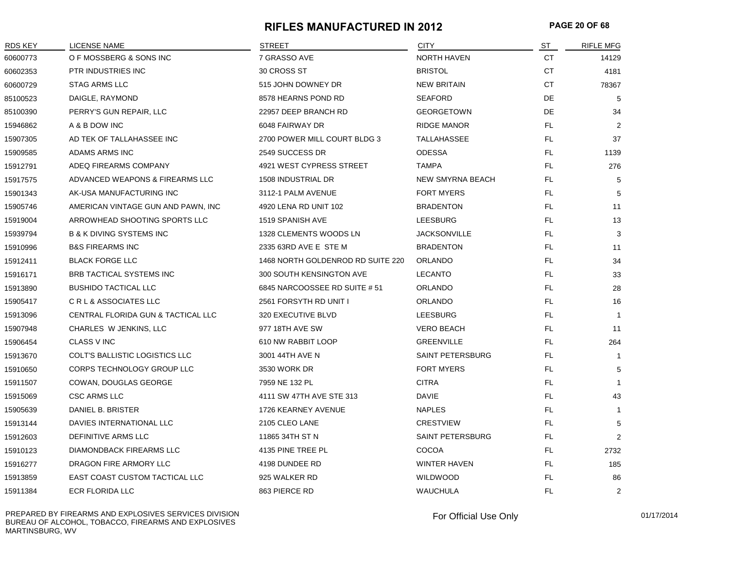#### **RIFLES MANUFACTURED IN 2012 PAGE 20 OF 68**

| <b>RDS KEY</b> | <b>LICENSE NAME</b>                 | <b>STREET</b>                     | <b>CITY</b>             | ST        | <b>RIFLE MFG</b> |
|----------------|-------------------------------------|-----------------------------------|-------------------------|-----------|------------------|
| 60600773       | O F MOSSBERG & SONS INC             | 7 GRASSO AVE                      | <b>NORTH HAVEN</b>      | CT        | 14129            |
| 60602353       | PTR INDUSTRIES INC                  | 30 CROSS ST                       | <b>BRISTOL</b>          | СT        | 4181             |
| 60600729       | <b>STAG ARMS LLC</b>                | 515 JOHN DOWNEY DR                | <b>NEW BRITAIN</b>      | <b>CT</b> | 78367            |
| 85100523       | DAIGLE, RAYMOND                     | 8578 HEARNS POND RD               | <b>SEAFORD</b>          | DE        | 5                |
| 85100390       | PERRY'S GUN REPAIR, LLC             | 22957 DEEP BRANCH RD              | <b>GEORGETOWN</b>       | DE        | 34               |
| 15946862       | A & B DOW INC                       | 6048 FAIRWAY DR                   | <b>RIDGE MANOR</b>      | FL.       | 2                |
| 15907305       | AD TEK OF TALLAHASSEE INC           | 2700 POWER MILL COURT BLDG 3      | TALLAHASSEE             | FL.       | 37               |
| 15909585       | ADAMS ARMS INC                      | 2549 SUCCESS DR                   | <b>ODESSA</b>           | FL.       | 1139             |
| 15912791       | ADEQ FIREARMS COMPANY               | 4921 WEST CYPRESS STREET          | <b>TAMPA</b>            | FL        | 276              |
| 15917575       | ADVANCED WEAPONS & FIREARMS LLC     | 1508 INDUSTRIAL DR                | <b>NEW SMYRNA BEACH</b> | FL        | 5                |
| 15901343       | AK-USA MANUFACTURING INC            | 3112-1 PALM AVENUE                | <b>FORT MYERS</b>       | FL.       | 5                |
| 15905746       | AMERICAN VINTAGE GUN AND PAWN, INC  | 4920 LENA RD UNIT 102             | <b>BRADENTON</b>        | <b>FL</b> | 11               |
| 15919004       | ARROWHEAD SHOOTING SPORTS LLC       | 1519 SPANISH AVE                  | <b>LEESBURG</b>         | FL.       | 13               |
| 15939794       | <b>B &amp; K DIVING SYSTEMS INC</b> | 1328 CLEMENTS WOODS LN            | <b>JACKSONVILLE</b>     | FL.       | 3                |
| 15910996       | <b>B&amp;S FIREARMS INC</b>         | 2335 63RD AVE E STE M             | <b>BRADENTON</b>        | FL.       | 11               |
| 15912411       | <b>BLACK FORGE LLC</b>              | 1468 NORTH GOLDENROD RD SUITE 220 | <b>ORLANDO</b>          | FL.       | 34               |
| 15916171       | BRB TACTICAL SYSTEMS INC            | 300 SOUTH KENSINGTON AVE          | <b>LECANTO</b>          | FL.       | 33               |
| 15913890       | <b>BUSHIDO TACTICAL LLC</b>         | 6845 NARCOOSSEE RD SUITE #51      | ORLANDO                 | FL        | 28               |
| 15905417       | CRL & ASSOCIATES LLC                | 2561 FORSYTH RD UNIT I            | ORLANDO                 | FL.       | 16               |
| 15913096       | CENTRAL FLORIDA GUN & TACTICAL LLC  | 320 EXECUTIVE BLVD                | <b>LEESBURG</b>         | FL.       | $\mathbf{1}$     |
| 15907948       | CHARLES W JENKINS, LLC              | 977 18TH AVE SW                   | <b>VERO BEACH</b>       | FL.       | 11               |
| 15906454       | <b>CLASS V INC</b>                  | 610 NW RABBIT LOOP                | <b>GREENVILLE</b>       | FL.       | 264              |
| 15913670       | COLT'S BALLISTIC LOGISTICS LLC      | 3001 44TH AVE N                   | SAINT PETERSBURG        | FL        | $\overline{1}$   |
| 15910650       | CORPS TECHNOLOGY GROUP LLC          | 3530 WORK DR                      | <b>FORT MYERS</b>       | FL.       | 5                |
| 15911507       | COWAN, DOUGLAS GEORGE               | 7959 NE 132 PL                    | <b>CITRA</b>            | FL        | $\mathbf{1}$     |
| 15915069       | <b>CSC ARMS LLC</b>                 | 4111 SW 47TH AVE STE 313          | <b>DAVIE</b>            | FL        | 43               |
| 15905639       | DANIEL B. BRISTER                   | 1726 KEARNEY AVENUE               | <b>NAPLES</b>           | FL.       | -1               |
| 15913144       | DAVIES INTERNATIONAL LLC            | 2105 CLEO LANE                    | <b>CRESTVIEW</b>        | FL        | 5                |
| 15912603       | <b>DEFINITIVE ARMS LLC</b>          | 11865 34TH ST N                   | <b>SAINT PETERSBURG</b> | FL.       | 2                |
| 15910123       | <b>DIAMONDBACK FIREARMS LLC</b>     | 4135 PINE TREE PL                 | COCOA                   | FL.       | 2732             |
| 15916277       | DRAGON FIRE ARMORY LLC              | 4198 DUNDEE RD                    | WINTER HAVEN            | FL.       | 185              |
| 15913859       | EAST COAST CUSTOM TACTICAL LLC      | 925 WALKER RD                     | <b>WILDWOOD</b>         | <b>FL</b> | 86               |
| 15911384       | ECR FLORIDA LLC                     | 863 PIERCE RD                     | <b>WAUCHULA</b>         | <b>FL</b> | 2                |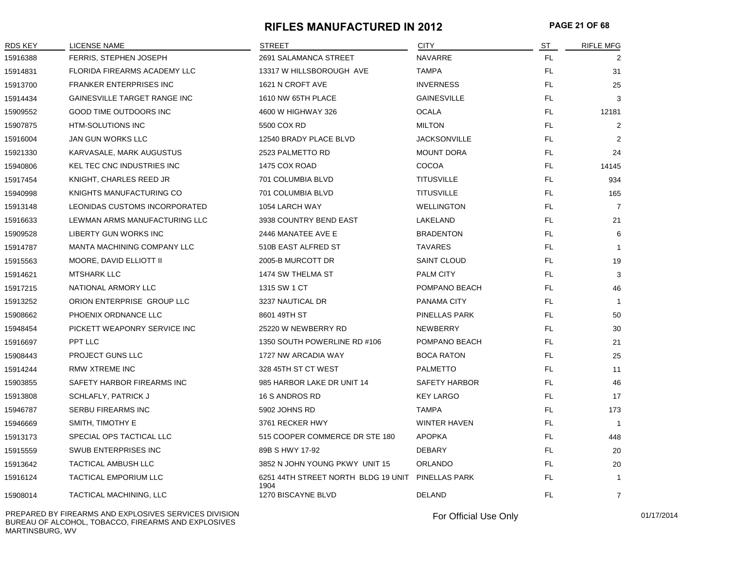#### **RIFLES MANUFACTURED IN 2012 PAGE 21 OF 68**

| RDS KEY  | LICENSE NAME                   | <b>STREET</b>                                             | <b>CITY</b>          | ST        | <b>RIFLE MFG</b> |
|----------|--------------------------------|-----------------------------------------------------------|----------------------|-----------|------------------|
| 15916388 | FERRIS, STEPHEN JOSEPH         | 2691 SALAMANCA STREET                                     | <b>NAVARRE</b>       | FL.       | 2                |
| 15914831 | FLORIDA FIREARMS ACADEMY LLC   | 13317 W HILLSBOROUGH AVE                                  | <b>TAMPA</b>         | FL.       | 31               |
| 15913700 | <b>FRANKER ENTERPRISES INC</b> | 1621 N CROFT AVE                                          | <b>INVERNESS</b>     | FL.       | 25               |
| 15914434 | GAINESVILLE TARGET RANGE INC   | 1610 NW 65TH PLACE                                        | <b>GAINESVILLE</b>   | FL.       | 3                |
| 15909552 | GOOD TIME OUTDOORS INC         | 4600 W HIGHWAY 326                                        | <b>OCALA</b>         | FL.       | 12181            |
| 15907875 | HTM-SOLUTIONS INC              | 5500 COX RD                                               | <b>MILTON</b>        | FL.       | 2                |
| 15916004 | JAN GUN WORKS LLC              | 12540 BRADY PLACE BLVD                                    | <b>JACKSONVILLE</b>  | FL.       | 2                |
| 15921330 | KARVASALE, MARK AUGUSTUS       | 2523 PALMETTO RD                                          | <b>MOUNT DORA</b>    | <b>FL</b> | 24               |
| 15940806 | KEL TEC CNC INDUSTRIES INC     | 1475 COX ROAD                                             | COCOA                | <b>FL</b> | 14145            |
| 15917454 | KNIGHT, CHARLES REED JR        | 701 COLUMBIA BLVD                                         | <b>TITUSVILLE</b>    | FL        | 934              |
| 15940998 | KNIGHTS MANUFACTURING CO       | 701 COLUMBIA BLVD                                         | <b>TITUSVILLE</b>    | FL        | 165              |
| 15913148 | LEONIDAS CUSTOMS INCORPORATED  | 1054 LARCH WAY                                            | <b>WELLINGTON</b>    | FL        | $\overline{7}$   |
| 15916633 | LEWMAN ARMS MANUFACTURING LLC  | 3938 COUNTRY BEND EAST                                    | LAKELAND             | <b>FL</b> | 21               |
| 15909528 | <b>LIBERTY GUN WORKS INC</b>   | 2446 MANATEE AVE E                                        | <b>BRADENTON</b>     | <b>FL</b> | 6                |
| 15914787 | MANTA MACHINING COMPANY LLC    | 510B EAST ALFRED ST                                       | <b>TAVARES</b>       | FL.       |                  |
| 15915563 | MOORE, DAVID ELLIOTT II        | 2005-B MURCOTT DR                                         | <b>SAINT CLOUD</b>   | FL.       | 19               |
| 15914621 | <b>MTSHARK LLC</b>             | 1474 SW THELMA ST                                         | <b>PALM CITY</b>     | FL.       | 3                |
| 15917215 | NATIONAL ARMORY LLC            | 1315 SW 1 CT                                              | POMPANO BEACH        | FL.       | 46               |
| 15913252 | ORION ENTERPRISE GROUP LLC     | 3237 NAUTICAL DR                                          | PANAMA CITY          | FL.       | $\overline{1}$   |
| 15908662 | PHOENIX ORDNANCE LLC           | 8601 49TH ST                                              | PINELLAS PARK        | FL.       | 50               |
| 15948454 | PICKETT WEAPONRY SERVICE INC   | 25220 W NEWBERRY RD                                       | NEWBERRY             | FL.       | 30               |
| 15916697 | PPT LLC                        | 1350 SOUTH POWERLINE RD #106                              | POMPANO BEACH        | FL        | 21               |
| 15908443 | PROJECT GUNS LLC               | 1727 NW ARCADIA WAY                                       | <b>BOCA RATON</b>    | FL        | 25               |
| 15914244 | RMW XTREME INC                 | 328 45TH ST CT WEST                                       | <b>PALMETTO</b>      | FL        | 11               |
| 15903855 | SAFETY HARBOR FIREARMS INC     | 985 HARBOR LAKE DR UNIT 14                                | <b>SAFETY HARBOR</b> | <b>FL</b> | 46               |
| 15913808 | <b>SCHLAFLY, PATRICK J</b>     | 16 S ANDROS RD                                            | <b>KEY LARGO</b>     | FL        | 17               |
| 15946787 | <b>SERBU FIREARMS INC</b>      | 5902 JOHNS RD                                             | <b>TAMPA</b>         | FL        | 173              |
| 15946669 | SMITH, TIMOTHY E               | 3761 RECKER HWY                                           | <b>WINTER HAVEN</b>  | FL.       | $\overline{1}$   |
| 15913173 | SPECIAL OPS TACTICAL LLC       | 515 COOPER COMMERCE DR STE 180                            | <b>APOPKA</b>        | FL        | 448              |
| 15915559 | SWUB ENTERPRISES INC           | 89B S HWY 17-92                                           | DEBARY               | <b>FL</b> | 20               |
| 15913642 | <b>TACTICAL AMBUSH LLC</b>     | 3852 N JOHN YOUNG PKWY UNIT 15                            | <b>ORLANDO</b>       | <b>FL</b> | 20               |
| 15916124 | <b>TACTICAL EMPORIUM LLC</b>   | 6251 44TH STREET NORTH BLDG 19 UNIT PINELLAS PARK<br>1904 |                      | <b>FL</b> |                  |
| 15908014 | TACTICAL MACHINING, LLC        | 1270 BISCAYNE BLVD                                        | <b>DELAND</b>        | <b>FL</b> | $\overline{7}$   |

PREPARED BY FIREARMS AND EXPLOSIVES SERVICES DIVISION BUREAU OF ALCOHOL, TOBACCO, FIREARMS AND EXPLOSIVES MARTINSBURG, WV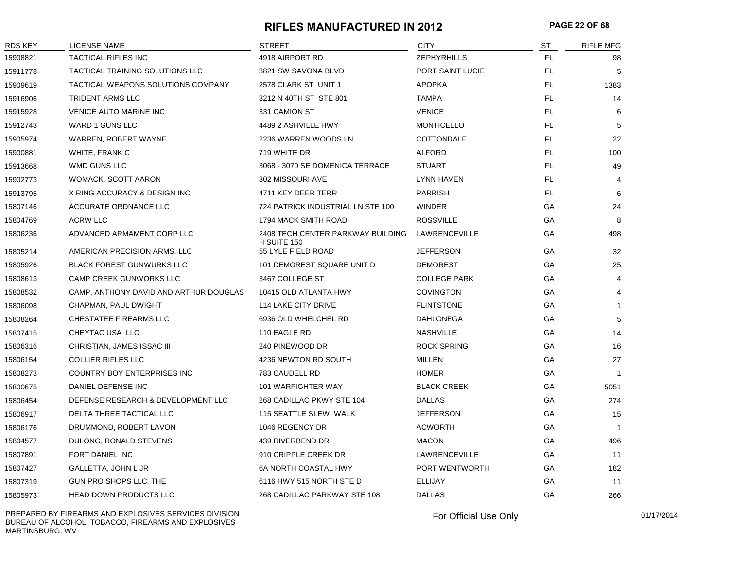#### **RIFLES MANUFACTURED IN 2012 PAGE 22 OF 68**

| <b>RDS KEY</b> | <b>LICENSE NAME</b>                    | <b>STREET</b>                                    | <b>CITY</b>         | <b>ST</b> | <b>RIFLE MFG</b> |
|----------------|----------------------------------------|--------------------------------------------------|---------------------|-----------|------------------|
| 15908821       | <b>TACTICAL RIFLES INC</b>             | 4918 AIRPORT RD                                  | <b>ZEPHYRHILLS</b>  | FL.       | 98               |
| 15911778       | TACTICAL TRAINING SOLUTIONS LLC        | 3821 SW SAVONA BLVD                              | PORT SAINT LUCIE    | FL        | 5                |
| 15909619       | TACTICAL WEAPONS SOLUTIONS COMPANY     | 2578 CLARK ST UNIT 1                             | <b>APOPKA</b>       | <b>FL</b> | 1383             |
| 15916906       | <b>TRIDENT ARMS LLC</b>                | 3212 N 40TH ST STE 801                           | <b>TAMPA</b>        | FL.       | 14               |
| 15915928       | <b>VENICE AUTO MARINE INC</b>          | 331 CAMION ST                                    | <b>VENICE</b>       | FL.       | 6                |
| 15912743       | WARD 1 GUNS LLC                        | 4489 2 ASHVILLE HWY                              | <b>MONTICELLO</b>   | FL.       | 5                |
| 15905974       | WARREN, ROBERT WAYNE                   | 2236 WARREN WOODS LN                             | <b>COTTONDALE</b>   | FL.       | 22               |
| 15900881       | WHITE, FRANK C                         | 719 WHITE DR                                     | <b>ALFORD</b>       | FL.       | 100              |
| 15913668       | WMD GUNS LLC                           | 3068 - 3070 SE DOMENICA TERRACE                  | <b>STUART</b>       | FL.       | 49               |
| 15902773       | WOMACK, SCOTT AARON                    | 302 MISSOURI AVE                                 | <b>LYNN HAVEN</b>   | FL.       | 4                |
| 15913795       | X RING ACCURACY & DESIGN INC           | 4711 KEY DEER TERR                               | <b>PARRISH</b>      | FL.       | 6                |
| 15807146       | ACCURATE ORDNANCE LLC                  | 724 PATRICK INDUSTRIAL LN STE 100                | <b>WINDER</b>       | GA        | 24               |
| 15804769       | <b>ACRW LLC</b>                        | 1794 MACK SMITH ROAD                             | <b>ROSSVILLE</b>    | GA        | 8                |
| 15806236       | ADVANCED ARMAMENT CORP LLC             | 2408 TECH CENTER PARKWAY BUILDING<br>H SUITE 150 | LAWRENCEVILLE       | GA        | 498              |
| 15805214       | AMERICAN PRECISION ARMS, LLC           | 55 LYLE FIELD ROAD                               | <b>JEFFERSON</b>    | GA        | 32               |
| 15805926       | BLACK FOREST GUNWURKS LLC              | 101 DEMOREST SQUARE UNIT D                       | <b>DEMOREST</b>     | GA        | 25               |
| 15808613       | <b>CAMP CREEK GUNWORKS LLC</b>         | 3467 COLLEGE ST                                  | <b>COLLEGE PARK</b> | GA        | 4                |
| 15808532       | CAMP, ANTHONY DAVID AND ARTHUR DOUGLAS | 10415 OLD ATLANTA HWY                            | <b>COVINGTON</b>    | GА        | 4                |
| 15806098       | CHAPMAN, PAUL DWIGHT                   | <b>114 LAKE CITY DRIVE</b>                       | <b>FLINTSTONE</b>   | GA        | $\mathbf{1}$     |
| 15808264       | CHESTATEE FIREARMS LLC                 | 6936 OLD WHELCHEL RD                             | <b>DAHLONEGA</b>    | GA        | 5                |
| 15807415       | CHEYTAC USA LLC                        | 110 EAGLE RD                                     | <b>NASHVILLE</b>    | GA        | 14               |
| 15806316       | CHRISTIAN, JAMES ISSAC III             | 240 PINEWOOD DR                                  | <b>ROCK SPRING</b>  | GА        | 16               |
| 15806154       | <b>COLLIER RIFLES LLC</b>              | 4236 NEWTON RD SOUTH                             | <b>MILLEN</b>       | GA        | 27               |
| 15808273       | COUNTRY BOY ENTERPRISES INC            | 783 CAUDELL RD                                   | <b>HOMER</b>        | GA        | $\mathbf{1}$     |
| 15800675       | DANIEL DEFENSE INC                     | 101 WARFIGHTER WAY                               | <b>BLACK CREEK</b>  | GA        | 5051             |
| 15806454       | DEFENSE RESEARCH & DEVELOPMENT LLC     | 268 CADILLAC PKWY STE 104                        | <b>DALLAS</b>       | GА        | 274              |
| 15806917       | DELTA THREE TACTICAL LLC               | 115 SEATTLE SLEW WALK                            | <b>JEFFERSON</b>    | GA        | 15               |
| 15806176       | DRUMMOND, ROBERT LAVON                 | 1046 REGENCY DR                                  | <b>ACWORTH</b>      | GA        | $\mathbf{1}$     |
| 15804577       | DULONG, RONALD STEVENS                 | 439 RIVERBEND DR                                 | <b>MACON</b>        | GA        | 496              |
| 15807891       | FORT DANIEL INC                        | 910 CRIPPLE CREEK DR                             | LAWRENCEVILLE       | GА        | 11               |
| 15807427       | GALLETTA, JOHN L JR                    | 6A NORTH COASTAL HWY                             | PORT WENTWORTH      | GA        | 182              |
| 15807319       | GUN PRO SHOPS LLC, THE                 | 6116 HWY 515 NORTH STE D                         | <b>ELLIJAY</b>      | GA        | 11               |
| 15805973       | <b>HEAD DOWN PRODUCTS LLC</b>          | 268 CADILLAC PARKWAY STE 108                     | <b>DALLAS</b>       | GA        | 266              |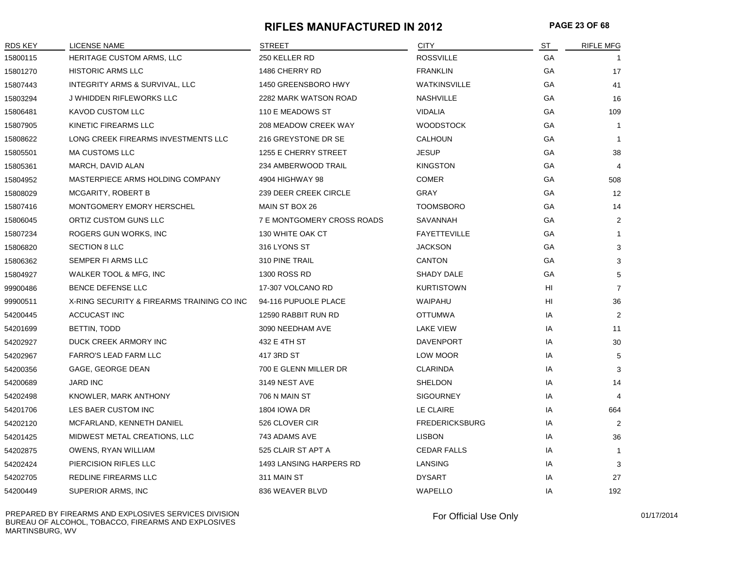#### **RIFLES MANUFACTURED IN 2012 PAGE 23 OF 68**

| RDS KEY  | <b>LICENSE NAME</b>                        | <b>STREET</b>                     | <b>CITY</b>           | $S$ T | <b>RIFLE MFG</b> |
|----------|--------------------------------------------|-----------------------------------|-----------------------|-------|------------------|
| 15800115 | HERITAGE CUSTOM ARMS, LLC                  | 250 KELLER RD                     | <b>ROSSVILLE</b>      | GA    |                  |
| 15801270 | <b>HISTORIC ARMS LLC</b>                   | 1486 CHERRY RD                    | <b>FRANKLIN</b>       | GА    | 17               |
| 15807443 | INTEGRITY ARMS & SURVIVAL, LLC             | 1450 GREENSBORO HWY               | <b>WATKINSVILLE</b>   | GA    | 41               |
| 15803294 | J WHIDDEN RIFLEWORKS LLC                   | 2282 MARK WATSON ROAD             | <b>NASHVILLE</b>      | GA    | 16               |
| 15806481 | KAVOD CUSTOM LLC                           | 110 E MEADOWS ST                  | <b>VIDALIA</b>        | GA    | 109              |
| 15807905 | KINETIC FIREARMS LLC                       | 208 MEADOW CREEK WAY              | <b>WOODSTOCK</b>      | GA    | $\mathbf 1$      |
| 15808622 | LONG CREEK FIREARMS INVESTMENTS LLC        | 216 GREYSTONE DR SE               | CALHOUN               | GА    | $\overline{1}$   |
| 15805501 | <b>MA CUSTOMS LLC</b>                      | 1255 E CHERRY STREET              | <b>JESUP</b>          | GA    | 38               |
| 15805361 | MARCH, DAVID ALAN                          | 234 AMBERWOOD TRAIL               | <b>KINGSTON</b>       | GА    | $\overline{4}$   |
| 15804952 | MASTERPIECE ARMS HOLDING COMPANY           | 4904 HIGHWAY 98                   | <b>COMER</b>          | GA    | 508              |
| 15808029 | <b>MCGARITY, ROBERT B</b>                  | 239 DEER CREEK CIRCLE             | GRAY                  | GА    | 12               |
| 15807416 | MONTGOMERY EMORY HERSCHEL                  | MAIN ST BOX 26                    | <b>TOOMSBORO</b>      | GA    | 14               |
| 15806045 | ORTIZ CUSTOM GUNS LLC                      | <b>7 E MONTGOMERY CROSS ROADS</b> | SAVANNAH              | GA    | $\overline{2}$   |
| 15807234 | ROGERS GUN WORKS, INC                      | 130 WHITE OAK CT                  | <b>FAYETTEVILLE</b>   | GА    | $\mathbf{1}$     |
| 15806820 | <b>SECTION 8 LLC</b>                       | 316 LYONS ST                      | <b>JACKSON</b>        | GA    | 3                |
| 15806362 | SEMPER FI ARMS LLC                         | 310 PINE TRAIL                    | <b>CANTON</b>         | GА    | 3                |
| 15804927 | WALKER TOOL & MFG, INC                     | 1300 ROSS RD                      | SHADY DALE            | GA    | 5                |
| 99900486 | <b>BENCE DEFENSE LLC</b>                   | 17-307 VOLCANO RD                 | <b>KURTISTOWN</b>     | HI    | $\overline{7}$   |
| 99900511 | X-RING SECURITY & FIREARMS TRAINING CO INC | 94-116 PUPUOLE PLACE              | WAIPAHU               | HI    | 36               |
| 54200445 | ACCUCAST INC                               | 12590 RABBIT RUN RD               | <b>OTTUMWA</b>        | IA    | $\overline{2}$   |
| 54201699 | BETTIN, TODD                               | 3090 NEEDHAM AVE                  | LAKE VIEW             | IA    | 11               |
| 54202927 | DUCK CREEK ARMORY INC                      | 432 E 4TH ST                      | <b>DAVENPORT</b>      | IA    | 30               |
| 54202967 | FARRO'S LEAD FARM LLC                      | 417 3RD ST                        | LOW MOOR              | IA    | 5                |
| 54200356 | GAGE, GEORGE DEAN                          | 700 E GLENN MILLER DR             | <b>CLARINDA</b>       | IA    | 3                |
| 54200689 | <b>JARD INC</b>                            | 3149 NEST AVE                     | <b>SHELDON</b>        | IA    | 14               |
| 54202498 | KNOWLER, MARK ANTHONY                      | 706 N MAIN ST                     | <b>SIGOURNEY</b>      | IA    | $\overline{4}$   |
| 54201706 | LES BAER CUSTOM INC                        | <b>1804 IOWA DR</b>               | LE CLAIRE             | IA    | 664              |
| 54202120 | MCFARLAND, KENNETH DANIEL                  | 526 CLOVER CIR                    | <b>FREDERICKSBURG</b> | IA    | $\overline{2}$   |
| 54201425 | MIDWEST METAL CREATIONS, LLC               | 743 ADAMS AVE                     | <b>LISBON</b>         | IA    | 36               |
| 54202875 | OWENS, RYAN WILLIAM                        | 525 CLAIR ST APT A                | <b>CEDAR FALLS</b>    | IA    | -1               |
| 54202424 | PIERCISION RIFLES LLC                      | 1493 LANSING HARPERS RD           | LANSING               | IA    | 3                |
| 54202705 | REDLINE FIREARMS LLC                       | 311 MAIN ST                       | <b>DYSART</b>         | IA    | 27               |
| 54200449 | SUPERIOR ARMS, INC                         | 836 WEAVER BLVD                   | WAPELLO               | IA    | 192              |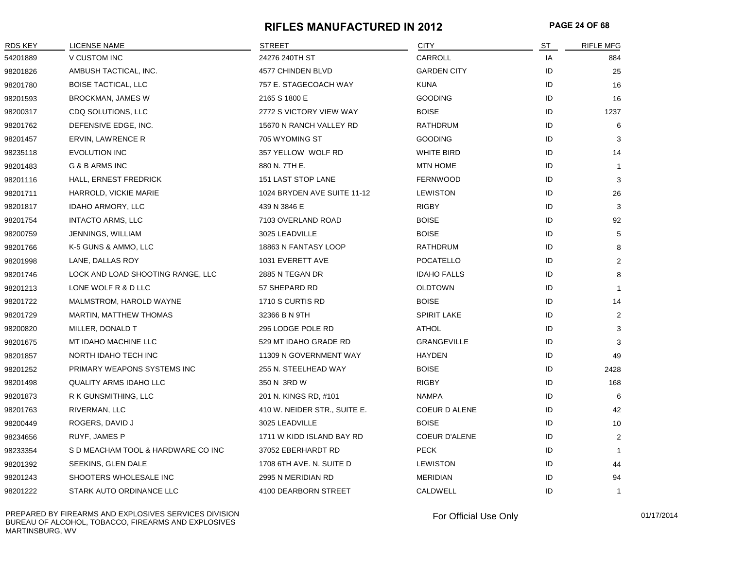#### **RIFLES MANUFACTURED IN 2012 PAGE 24 OF 68**

| RDS KEY  | <b>LICENSE NAME</b>                | <b>STREET</b>                | <b>CITY</b>          | ST | <b>RIFLE MFG</b> |
|----------|------------------------------------|------------------------------|----------------------|----|------------------|
| 54201889 | V CUSTOM INC                       | 24276 240TH ST               | CARROLL              | IA | 884              |
| 98201826 | AMBUSH TACTICAL, INC.              | 4577 CHINDEN BLVD            | <b>GARDEN CITY</b>   | ID | 25               |
| 98201780 | <b>BOISE TACTICAL, LLC</b>         | 757 E. STAGECOACH WAY        | <b>KUNA</b>          | ID | 16               |
| 98201593 | BROCKMAN, JAMES W                  | 2165 S 1800 E                | <b>GOODING</b>       | ID | 16               |
| 98200317 | CDQ SOLUTIONS, LLC                 | 2772 S VICTORY VIEW WAY      | <b>BOISE</b>         | ID | 1237             |
| 98201762 | DEFENSIVE EDGE, INC.               | 15670 N RANCH VALLEY RD      | RATHDRUM             | ID | 6                |
| 98201457 | ERVIN, LAWRENCE R                  | 705 WYOMING ST               | <b>GOODING</b>       | ID | 3                |
| 98235118 | <b>EVOLUTION INC</b>               | 357 YELLOW WOLF RD           | WHITE BIRD           | ID | 14               |
| 98201483 | G & B ARMS INC                     | 880 N. 7TH E.                | <b>MTN HOME</b>      | ID | $\overline{1}$   |
| 98201116 | HALL, ERNEST FREDRICK              | 151 LAST STOP LANE           | <b>FERNWOOD</b>      | ID | 3                |
| 98201711 | HARROLD, VICKIE MARIE              | 1024 BRYDEN AVE SUITE 11-12  | <b>LEWISTON</b>      | ID | 26               |
| 98201817 | IDAHO ARMORY, LLC                  | 439 N 3846 E                 | <b>RIGBY</b>         | ID | 3                |
| 98201754 | <b>INTACTO ARMS, LLC</b>           | 7103 OVERLAND ROAD           | <b>BOISE</b>         | ID | 92               |
| 98200759 | JENNINGS, WILLIAM                  | 3025 LEADVILLE               | <b>BOISE</b>         | ID | 5                |
| 98201766 | K-5 GUNS & AMMO, LLC               | 18863 N FANTASY LOOP         | <b>RATHDRUM</b>      | ID | 8                |
| 98201998 | LANE, DALLAS ROY                   | 1031 EVERETT AVE             | POCATELLO            | ID | $\overline{2}$   |
| 98201746 | LOCK AND LOAD SHOOTING RANGE, LLC  | 2885 N TEGAN DR              | <b>IDAHO FALLS</b>   | ID | 8                |
| 98201213 | LONE WOLF R & D LLC                | 57 SHEPARD RD                | <b>OLDTOWN</b>       | ID | -1               |
| 98201722 | MALMSTROM, HAROLD WAYNE            | 1710 S CURTIS RD             | <b>BOISE</b>         | ID | 14               |
| 98201729 | MARTIN, MATTHEW THOMAS             | 32366 B N 9TH                | <b>SPIRIT LAKE</b>   | ID | $\overline{2}$   |
| 98200820 | MILLER, DONALD T                   | 295 LODGE POLE RD            | <b>ATHOL</b>         | ID | 3                |
| 98201675 | MT IDAHO MACHINE LLC               | 529 MT IDAHO GRADE RD        | <b>GRANGEVILLE</b>   | ID | 3                |
| 98201857 | NORTH IDAHO TECH INC               | 11309 N GOVERNMENT WAY       | <b>HAYDEN</b>        | ID | 49               |
| 98201252 | PRIMARY WEAPONS SYSTEMS INC        | 255 N. STEELHEAD WAY         | <b>BOISE</b>         | ID | 2428             |
| 98201498 | <b>QUALITY ARMS IDAHO LLC</b>      | 350 N 3RD W                  | <b>RIGBY</b>         | ID | 168              |
| 98201873 | R K GUNSMITHING, LLC               | 201 N. KINGS RD, #101        | <b>NAMPA</b>         | ID | 6                |
| 98201763 | RIVERMAN, LLC                      | 410 W. NEIDER STR., SUITE E. | <b>COEUR D ALENE</b> | ID | 42               |
| 98200449 | ROGERS, DAVID J                    | 3025 LEADVILLE               | <b>BOISE</b>         | ID | 10               |
| 98234656 | RUYF, JAMES P                      | 1711 W KIDD ISLAND BAY RD    | <b>COEUR D'ALENE</b> | ID | $\overline{2}$   |
| 98233354 | S D MEACHAM TOOL & HARDWARE CO INC | 37052 EBERHARDT RD           | <b>PECK</b>          | ID | $\mathbf 1$      |
| 98201392 | SEEKINS, GLEN DALE                 | 1708 6TH AVE. N. SUITE D     | <b>LEWISTON</b>      | ID | 44               |
| 98201243 | SHOOTERS WHOLESALE INC             | 2995 N MERIDIAN RD           | <b>MERIDIAN</b>      | ID | 94               |
| 98201222 | STARK AUTO ORDINANCE LLC           | 4100 DEARBORN STREET         | CALDWELL             | ID | $\mathbf{1}$     |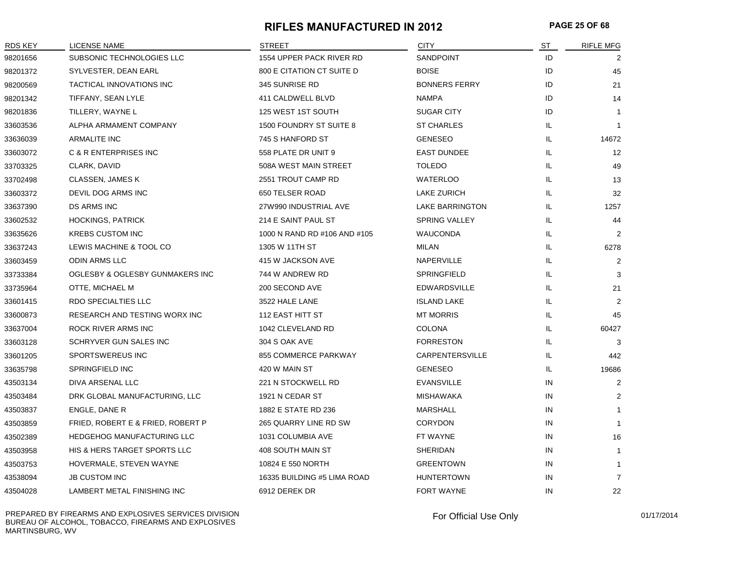#### **RIFLES MANUFACTURED IN 2012 PAGE 25 OF 68**

| <b>RDS KEY</b> | <b>LICENSE NAME</b>                     | <b>STREET</b>                    | <b>CITY</b>            | ST | <b>RIFLE MFG</b> |
|----------------|-----------------------------------------|----------------------------------|------------------------|----|------------------|
| 98201656       | SUBSONIC TECHNOLOGIES LLC               | 1554 UPPER PACK RIVER RD         | SANDPOINT              | ID | 2                |
| 98201372       | SYLVESTER, DEAN EARL                    | <b>800 E CITATION CT SUITE D</b> | <b>BOISE</b>           | ID | 45               |
| 98200569       | TACTICAL INNOVATIONS INC                | 345 SUNRISE RD                   | <b>BONNERS FERRY</b>   | ID | 21               |
| 98201342       | TIFFANY, SEAN LYLE                      | 411 CALDWELL BLVD                | <b>NAMPA</b>           | ID | 14               |
| 98201836       | TILLERY, WAYNE L                        | 125 WEST 1ST SOUTH               | <b>SUGAR CITY</b>      | ID | $\overline{1}$   |
| 33603536       | ALPHA ARMAMENT COMPANY                  | 1500 FOUNDRY ST SUITE 8          | <b>ST CHARLES</b>      | IL | 1                |
| 33636039       | <b>ARMALITE INC</b>                     | 745 S HANFORD ST                 | <b>GENESEO</b>         | IL | 14672            |
| 33603072       | C & R ENTERPRISES INC                   | 558 PLATE DR UNIT 9              | <b>EAST DUNDEE</b>     | IL | 12               |
| 33703325       | CLARK, DAVID                            | 508A WEST MAIN STREET            | <b>TOLEDO</b>          | IL | 49               |
| 33702498       | CLASSEN, JAMES K                        | 2551 TROUT CAMP RD               | <b>WATERLOO</b>        | IL | 13               |
| 33603372       | DEVIL DOG ARMS INC                      | 650 TELSER ROAD                  | LAKE ZURICH            | IL | 32               |
| 33637390       | <b>DS ARMS INC</b>                      | 27W990 INDUSTRIAL AVE            | <b>LAKE BARRINGTON</b> | IL | 1257             |
| 33602532       | <b>HOCKINGS, PATRICK</b>                | 214 E SAINT PAUL ST              | <b>SPRING VALLEY</b>   | IL | 44               |
| 33635626       | <b>KREBS CUSTOM INC</b>                 | 1000 N RAND RD #106 AND #105     | <b>WAUCONDA</b>        | IL | 2                |
| 33637243       | LEWIS MACHINE & TOOL CO                 | 1305 W 11TH ST                   | MILAN                  | IL | 6278             |
| 33603459       | <b>ODIN ARMS LLC</b>                    | 415 W JACKSON AVE                | NAPERVILLE             | IL | $\overline{2}$   |
| 33733384       | OGLESBY & OGLESBY GUNMAKERS INC         | 744 W ANDREW RD                  | <b>SPRINGFIELD</b>     | IL | 3                |
| 33735964       | OTTE, MICHAEL M                         | 200 SECOND AVE                   | <b>EDWARDSVILLE</b>    | IL | 21               |
| 33601415       | RDO SPECIALTIES LLC                     | 3522 HALE LANE                   | <b>ISLAND LAKE</b>     | IL | $\overline{2}$   |
| 33600873       | RESEARCH AND TESTING WORX INC           | 112 EAST HITT ST                 | <b>MT MORRIS</b>       | IL | 45               |
| 33637004       | ROCK RIVER ARMS INC                     | 1042 CLEVELAND RD                | <b>COLONA</b>          | IL | 60427            |
| 33603128       | SCHRYVER GUN SALES INC                  | 304 S OAK AVE                    | <b>FORRESTON</b>       | IL | 3                |
| 33601205       | <b>SPORTSWEREUS INC</b>                 | 855 COMMERCE PARKWAY             | <b>CARPENTERSVILLE</b> | IL | 442              |
| 33635798       | SPRINGFIELD INC                         | 420 W MAIN ST                    | <b>GENESEO</b>         | IL | 19686            |
| 43503134       | DIVA ARSENAL LLC                        | 221 N STOCKWELL RD               | <b>EVANSVILLE</b>      | IN | $\overline{2}$   |
| 43503484       | DRK GLOBAL MANUFACTURING, LLC           | 1921 N CEDAR ST                  | <b>MISHAWAKA</b>       | IN | 2                |
| 43503837       | ENGLE, DANE R                           | 1882 E STATE RD 236              | <b>MARSHALL</b>        | IN | $\mathbf{1}$     |
| 43503859       | FRIED, ROBERT E & FRIED, ROBERT P       | 265 QUARRY LINE RD SW            | <b>CORYDON</b>         | IN | $\mathbf 1$      |
| 43502389       | <b>HEDGEHOG MANUFACTURING LLC</b>       | 1031 COLUMBIA AVE                | FT WAYNE               | IN | 16               |
| 43503958       | <b>HIS &amp; HERS TARGET SPORTS LLC</b> | 408 SOUTH MAIN ST                | <b>SHERIDAN</b>        | IN | 1                |
| 43503753       | HOVERMALE, STEVEN WAYNE                 | 10824 E 550 NORTH                | <b>GREENTOWN</b>       | IN | $\overline{1}$   |
| 43538094       | <b>JB CUSTOM INC</b>                    | 16335 BUILDING #5 LIMA ROAD      | <b>HUNTERTOWN</b>      | IN | $\overline{7}$   |
| 43504028       | LAMBERT METAL FINISHING INC             | 6912 DEREK DR                    | <b>FORT WAYNE</b>      | IN | 22               |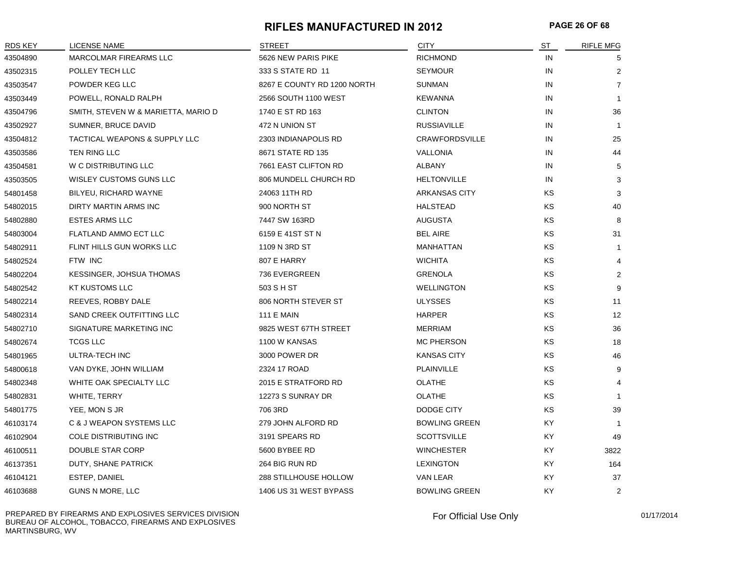#### **RIFLES MANUFACTURED IN 2012 PAGE 26 OF 68**

| <b>RDS KEY</b> | LICENSE NAME                        | <b>STREET</b>               | <b>CITY</b>           | ST        | <b>RIFLE MFG</b> |
|----------------|-------------------------------------|-----------------------------|-----------------------|-----------|------------------|
| 43504890       | MARCOLMAR FIREARMS LLC              | 5626 NEW PARIS PIKE         | <b>RICHMOND</b>       | IN        | 5                |
| 43502315       | POLLEY TECH LLC                     | 333 S STATE RD 11           | <b>SEYMOUR</b>        | IN        | $\overline{2}$   |
| 43503547       | POWDER KEG LLC                      | 8267 E COUNTY RD 1200 NORTH | SUNMAN                | IN        | $\overline{7}$   |
| 43503449       | POWELL, RONALD RALPH                | 2566 SOUTH 1100 WEST        | <b>KEWANNA</b>        | IN        | $\mathbf{1}$     |
| 43504796       | SMITH, STEVEN W & MARIETTA, MARIO D | 1740 E ST RD 163            | <b>CLINTON</b>        | IN        | 36               |
| 43502927       | SUMNER, BRUCE DAVID                 | 472 N UNION ST              | <b>RUSSIAVILLE</b>    | IN        | $\overline{1}$   |
| 43504812       | TACTICAL WEAPONS & SUPPLY LLC       | 2303 INDIANAPOLIS RD        | <b>CRAWFORDSVILLE</b> | IN        | 25               |
| 43503586       | TEN RING LLC                        | 8671 STATE RD 135           | VALLONIA              | IN        | 44               |
| 43504581       | W C DISTRIBUTING LLC                | 7661 EAST CLIFTON RD        | <b>ALBANY</b>         | IN        | 5                |
| 43503505       | WISLEY CUSTOMS GUNS LLC             | 806 MUNDELL CHURCH RD       | <b>HELTONVILLE</b>    | IN        | 3                |
| 54801458       | BILYEU, RICHARD WAYNE               | 24063 11TH RD               | <b>ARKANSAS CITY</b>  | KS        | 3                |
| 54802015       | DIRTY MARTIN ARMS INC               | 900 NORTH ST                | <b>HALSTEAD</b>       | KS        | 40               |
| 54802880       | <b>ESTES ARMS LLC</b>               | 7447 SW 163RD               | <b>AUGUSTA</b>        | KS        | 8                |
| 54803004       | FLATLAND AMMO ECT LLC               | 6159 E 41ST ST N            | <b>BEL AIRE</b>       | KS        | 31               |
| 54802911       | FLINT HILLS GUN WORKS LLC           | 1109 N 3RD ST               | MANHATTAN             | <b>KS</b> | $\mathbf{1}$     |
| 54802524       | FTW INC                             | 807 E HARRY                 | <b>WICHITA</b>        | KS        | 4                |
| 54802204       | KESSINGER, JOHSUA THOMAS            | 736 EVERGREEN               | <b>GRENOLA</b>        | KS        | 2                |
| 54802542       | <b>KT KUSTOMS LLC</b>               | 503 S H ST                  | <b>WELLINGTON</b>     | KS        | 9                |
| 54802214       | REEVES, ROBBY DALE                  | 806 NORTH STEVER ST         | <b>ULYSSES</b>        | KS        | 11               |
| 54802314       | SAND CREEK OUTFITTING LLC           | <b>111 E MAIN</b>           | <b>HARPER</b>         | <b>KS</b> | 12               |
| 54802710       | SIGNATURE MARKETING INC             | 9825 WEST 67TH STREET       | <b>MERRIAM</b>        | KS        | 36               |
| 54802674       | <b>TCGS LLC</b>                     | 1100 W KANSAS               | MC PHERSON            | KS        | 18               |
| 54801965       | ULTRA-TECH INC                      | 3000 POWER DR               | <b>KANSAS CITY</b>    | KS        | 46               |
| 54800618       | VAN DYKE, JOHN WILLIAM              | 2324 17 ROAD                | PLAINVILLE            | KS        | 9                |
| 54802348       | WHITE OAK SPECIALTY LLC             | 2015 E STRATFORD RD         | <b>OLATHE</b>         | <b>KS</b> | 4                |
| 54802831       | WHITE, TERRY                        | 12273 S SUNRAY DR           | <b>OLATHE</b>         | KS        | $\mathbf{1}$     |
| 54801775       | YEE, MON S JR                       | 706 3RD                     | DODGE CITY            | <b>KS</b> | 39               |
| 46103174       | <b>C &amp; J WEAPON SYSTEMS LLC</b> | 279 JOHN ALFORD RD          | <b>BOWLING GREEN</b>  | KY        | -1               |
| 46102904       | COLE DISTRIBUTING INC               | 3191 SPEARS RD              | <b>SCOTTSVILLE</b>    | KY.       | 49               |
| 46100511       | <b>DOUBLE STAR CORP</b>             | 5600 BYBEE RD               | <b>WINCHESTER</b>     | KY.       | 3822             |
| 46137351       | DUTY, SHANE PATRICK                 | 264 BIG RUN RD              | <b>LEXINGTON</b>      | KY.       | 164              |
| 46104121       | ESTEP, DANIEL                       | 288 STILLHOUSE HOLLOW       | VAN LEAR              | KY.       | 37               |
| 46103688       | GUNS N MORE, LLC                    | 1406 US 31 WEST BYPASS      | <b>BOWLING GREEN</b>  | KY        | $\overline{2}$   |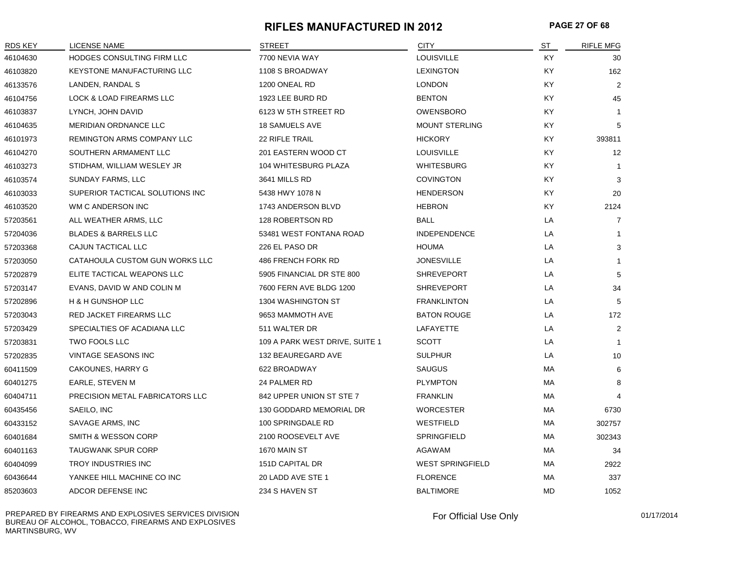#### **RIFLES MANUFACTURED IN 2012 PAGE 27 OF 68**

| <b>RDS KEY</b> | <b>LICENSE NAME</b>               | <b>STREET</b>                  | <b>CITY</b>             | ST        | <b>RIFLE MFG</b> |
|----------------|-----------------------------------|--------------------------------|-------------------------|-----------|------------------|
| 46104630       | HODGES CONSULTING FIRM LLC        | 7700 NEVIA WAY                 | LOUISVILLE              | KY.       | 30               |
| 46103820       | <b>KEYSTONE MANUFACTURING LLC</b> | 1108 S BROADWAY                | <b>LEXINGTON</b>        | KY.       | 162              |
| 46133576       | LANDEN, RANDAL S                  | 1200 ONEAL RD                  | <b>LONDON</b>           | KY.       | $\overline{2}$   |
| 46104756       | LOCK & LOAD FIREARMS LLC          | 1923 LEE BURD RD               | <b>BENTON</b>           | KY.       | 45               |
| 46103837       | LYNCH, JOHN DAVID                 | 6123 W 5TH STREET RD           | <b>OWENSBORO</b>        | ΚY        | $\mathbf{1}$     |
| 46104635       | <b>MERIDIAN ORDNANCE LLC</b>      | <b>18 SAMUELS AVE</b>          | <b>MOUNT STERLING</b>   | KY.       | 5                |
| 46101973       | REMINGTON ARMS COMPANY LLC        | 22 RIFLE TRAIL                 | <b>HICKORY</b>          | KY.       | 393811           |
| 46104270       | SOUTHERN ARMAMENT LLC             | 201 EASTERN WOOD CT            | <b>LOUISVILLE</b>       | KY.       | 12               |
| 46103273       | STIDHAM, WILLIAM WESLEY JR        | 104 WHITESBURG PLAZA           | WHITESBURG              | KY.       | -1               |
| 46103574       | SUNDAY FARMS, LLC                 | 3641 MILLS RD                  | <b>COVINGTON</b>        | KY.       | 3                |
| 46103033       | SUPERIOR TACTICAL SOLUTIONS INC   | 5438 HWY 1078 N                | <b>HENDERSON</b>        | KY.       | 20               |
| 46103520       | WM C ANDERSON INC                 | 1743 ANDERSON BLVD             | <b>HEBRON</b>           | KY        | 2124             |
| 57203561       | ALL WEATHER ARMS, LLC             | 128 ROBERTSON RD               | <b>BALL</b>             | LA        | $\overline{7}$   |
| 57204036       | <b>BLADES &amp; BARRELS LLC</b>   | 53481 WEST FONTANA ROAD        | <b>INDEPENDENCE</b>     | LA        | $\mathbf{1}$     |
| 57203368       | CAJUN TACTICAL LLC                | 226 EL PASO DR                 | <b>HOUMA</b>            | LA        | 3                |
| 57203050       | CATAHOULA CUSTOM GUN WORKS LLC    | 486 FRENCH FORK RD             | <b>JONESVILLE</b>       | LA        | $\mathbf 1$      |
| 57202879       | ELITE TACTICAL WEAPONS LLC        | 5905 FINANCIAL DR STE 800      | <b>SHREVEPORT</b>       | LA        | 5                |
| 57203147       | EVANS, DAVID W AND COLIN M        | 7600 FERN AVE BLDG 1200        | <b>SHREVEPORT</b>       | LA        | 34               |
| 57202896       | H & H GUNSHOP LLC                 | 1304 WASHINGTON ST             | <b>FRANKLINTON</b>      | LA        | 5                |
| 57203043       | <b>RED JACKET FIREARMS LLC</b>    | 9653 MAMMOTH AVE               | <b>BATON ROUGE</b>      | LA        | 172              |
| 57203429       | SPECIALTIES OF ACADIANA LLC       | 511 WALTER DR                  | LAFAYETTE               | LA        | $\overline{2}$   |
| 57203831       | <b>TWO FOOLS LLC</b>              | 109 A PARK WEST DRIVE, SUITE 1 | <b>SCOTT</b>            | LA        | $\mathbf{1}$     |
| 57202835       | VINTAGE SEASONS INC               | 132 BEAUREGARD AVE             | <b>SULPHUR</b>          | LA        | 10               |
| 60411509       | CAKOUNES, HARRY G                 | 622 BROADWAY                   | <b>SAUGUS</b>           | МA        | 6                |
| 60401275       | EARLE, STEVEN M                   | 24 PALMER RD                   | <b>PLYMPTON</b>         | МA        | 8                |
| 60404711       | PRECISION METAL FABRICATORS LLC   | 842 UPPER UNION ST STE 7       | <b>FRANKLIN</b>         | МA        | $\overline{4}$   |
| 60435456       | SAEILO, INC                       | 130 GODDARD MEMORIAL DR        | <b>WORCESTER</b>        | МA        | 6730             |
| 60433152       | SAVAGE ARMS, INC                  | 100 SPRINGDALE RD              | WESTFIELD               | МA        | 302757           |
| 60401684       | SMITH & WESSON CORP               | 2100 ROOSEVELT AVE             | <b>SPRINGFIELD</b>      | MA        | 302343           |
| 60401163       | <b>TAUGWANK SPUR CORP</b>         | 1670 MAIN ST                   | <b>AGAWAM</b>           | МA        | 34               |
| 60404099       | TROY INDUSTRIES INC               | 151D CAPITAL DR                | <b>WEST SPRINGFIELD</b> | МA        | 2922             |
| 60436644       | YANKEE HILL MACHINE CO INC        | 20 LADD AVE STE 1              | <b>FLORENCE</b>         | МA        | 337              |
| 85203603       | ADCOR DEFENSE INC                 | 234 S HAVEN ST                 | <b>BALTIMORE</b>        | <b>MD</b> | 1052             |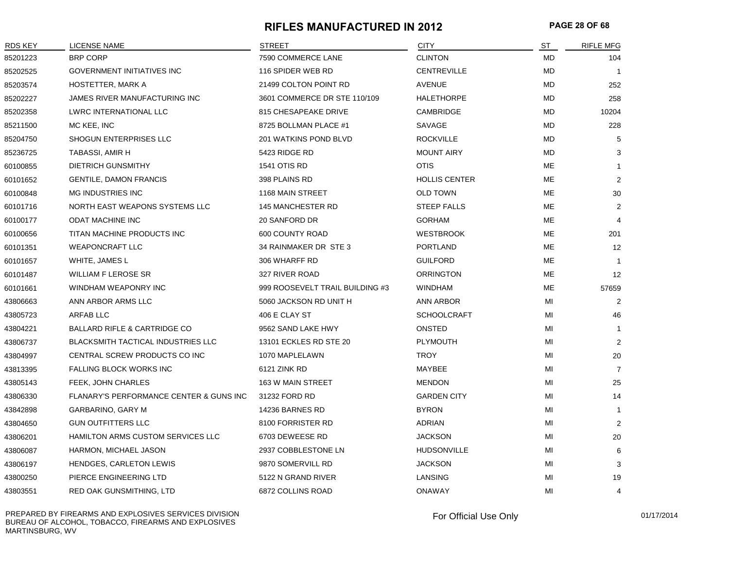#### **RIFLES MANUFACTURED IN 2012 PAGE 28 OF 68**

| <b>RDS KEY</b> | <b>LICENSE NAME</b>                                | <b>STREET</b>                   | <b>CITY</b>          | ST        | <b>RIFLE MFG</b> |
|----------------|----------------------------------------------------|---------------------------------|----------------------|-----------|------------------|
| 85201223       | <b>BRP CORP</b>                                    | 7590 COMMERCE LANE              | <b>CLINTON</b>       | <b>MD</b> | 104              |
| 85202525       | <b>GOVERNMENT INITIATIVES INC</b>                  | 116 SPIDER WEB RD               | <b>CENTREVILLE</b>   | MD        | $\overline{1}$   |
| 85203574       | <b>HOSTETTER, MARK A</b>                           | 21499 COLTON POINT RD           | <b>AVENUE</b>        | <b>MD</b> | 252              |
| 85202227       | JAMES RIVER MANUFACTURING INC                      | 3601 COMMERCE DR STE 110/109    | <b>HALETHORPE</b>    | MD        | 258              |
| 85202358       | LWRC INTERNATIONAL LLC                             | 815 CHESAPEAKE DRIVE            | <b>CAMBRIDGE</b>     | <b>MD</b> | 10204            |
| 85211500       | MC KEE, INC                                        | 8725 BOLLMAN PLACE #1           | <b>SAVAGE</b>        | <b>MD</b> | 228              |
| 85204750       | SHOGUN ENTERPRISES LLC                             | 201 WATKINS POND BLVD           | <b>ROCKVILLE</b>     | <b>MD</b> | 5                |
| 85236725       | TABASSI, AMIR H                                    | 5423 RIDGE RD                   | <b>MOUNT AIRY</b>    | <b>MD</b> | 3                |
| 60100855       | <b>DIETRICH GUNSMITHY</b>                          | <b>1541 OTIS RD</b>             | <b>OTIS</b>          | ME        | $\mathbf{1}$     |
| 60101652       | <b>GENTILE, DAMON FRANCIS</b>                      | 398 PLAINS RD                   | <b>HOLLIS CENTER</b> | ME        | $\overline{2}$   |
| 60100848       | MG INDUSTRIES INC                                  | 1168 MAIN STREET                | <b>OLD TOWN</b>      | ME        | 30               |
| 60101716       | NORTH EAST WEAPONS SYSTEMS LLC                     | <b>145 MANCHESTER RD</b>        | <b>STEEP FALLS</b>   | <b>ME</b> | 2                |
| 60100177       | ODAT MACHINE INC                                   | 20 SANFORD DR                   | <b>GORHAM</b>        | ME        | 4                |
| 60100656       | TITAN MACHINE PRODUCTS INC                         | 600 COUNTY ROAD                 | <b>WESTBROOK</b>     | ME        | 201              |
| 60101351       | <b>WEAPONCRAFT LLC</b>                             | 34 RAINMAKER DR STE 3           | <b>PORTLAND</b>      | ME        | 12               |
| 60101657       | WHITE, JAMES L                                     | 306 WHARFF RD                   | <b>GUILFORD</b>      | ME        | $\overline{1}$   |
| 60101487       | <b>WILLIAM F LEROSE SR</b>                         | 327 RIVER ROAD                  | <b>ORRINGTON</b>     | ME        | 12               |
| 60101661       | WINDHAM WEAPONRY INC                               | 999 ROOSEVELT TRAIL BUILDING #3 | <b>WINDHAM</b>       | ME        | 57659            |
| 43806663       | ANN ARBOR ARMS LLC                                 | 5060 JACKSON RD UNIT H          | ANN ARBOR            | MI        | 2                |
| 43805723       | <b>ARFAB LLC</b>                                   | 406 E CLAY ST                   | <b>SCHOOLCRAFT</b>   | MI        | 46               |
| 43804221       | <b>BALLARD RIFLE &amp; CARTRIDGE CO</b>            | 9562 SAND LAKE HWY              | ONSTED               | MI        | $\mathbf{1}$     |
| 43806737       | <b>BLACKSMITH TACTICAL INDUSTRIES LLC</b>          | 13101 ECKLES RD STE 20          | <b>PLYMOUTH</b>      | ΜI        | $\overline{2}$   |
| 43804997       | CENTRAL SCREW PRODUCTS CO INC                      | 1070 MAPLELAWN                  | <b>TROY</b>          | ΜI        | 20               |
| 43813395       | FALLING BLOCK WORKS INC                            | 6121 ZINK RD                    | MAYBEE               | MI        | $\overline{7}$   |
| 43805143       | FEEK, JOHN CHARLES                                 | 163 W MAIN STREET               | <b>MENDON</b>        | MI        | 25               |
| 43806330       | <b>FLANARY'S PERFORMANCE CENTER &amp; GUNS INC</b> | 31232 FORD RD                   | <b>GARDEN CITY</b>   | MI        | 14               |
| 43842898       | GARBARINO, GARY M                                  | 14236 BARNES RD                 | <b>BYRON</b>         | MI        | $\mathbf{1}$     |
| 43804650       | <b>GUN OUTFITTERS LLC</b>                          | 8100 FORRISTER RD               | ADRIAN               | MI        | $\overline{2}$   |
| 43806201       | HAMILTON ARMS CUSTOM SERVICES LLC                  | 6703 DEWEESE RD                 | <b>JACKSON</b>       | ΜI        | 20               |
| 43806087       | HARMON, MICHAEL JASON                              | 2937 COBBLESTONE LN             | <b>HUDSONVILLE</b>   | MI        | 6                |
| 43806197       | HENDGES, CARLETON LEWIS                            | 9870 SOMERVILL RD               | <b>JACKSON</b>       | MI        | 3                |
| 43800250       | PIERCE ENGINEERING LTD                             | 5122 N GRAND RIVER              | LANSING              | MI        | 19               |
| 43803551       | RED OAK GUNSMITHING, LTD                           | 6872 COLLINS ROAD               | <b>ONAWAY</b>        | MI        | $\overline{4}$   |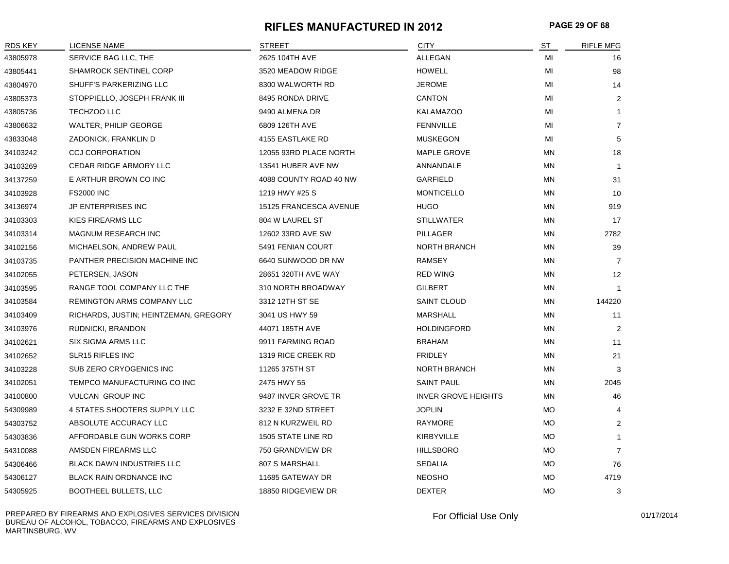#### **RIFLES MANUFACTURED IN 2012 PAGE 29 OF 68**

| <b>RDS KEY</b> | LICENSE NAME                          | <b>STREET</b>          | <b>CITY</b>                | ST        | <b>RIFLE MFG</b>  |
|----------------|---------------------------------------|------------------------|----------------------------|-----------|-------------------|
| 43805978       | SERVICE BAG LLC, THE                  | 2625 104TH AVE         | <b>ALLEGAN</b>             | MI        | 16                |
| 43805441       | <b>SHAMROCK SENTINEL CORP</b>         | 3520 MEADOW RIDGE      | <b>HOWELL</b>              | MI        | 98                |
| 43804970       | SHUFF'S PARKERIZING LLC               | 8300 WALWORTH RD       | <b>JEROME</b>              | MI        | 14                |
| 43805373       | STOPPIELLO, JOSEPH FRANK III          | 8495 RONDA DRIVE       | <b>CANTON</b>              | MI        | 2                 |
| 43805736       | TECHZOO LLC                           | 9490 ALMENA DR         | <b>KALAMAZOO</b>           | MI        | $\mathbf{1}$      |
| 43806632       | WALTER, PHILIP GEORGE                 | 6809 126TH AVE         | <b>FENNVILLE</b>           | MI        | $\overline{7}$    |
| 43833048       | ZADONICK, FRANKLIN D                  | 4155 EASTLAKE RD       | <b>MUSKEGON</b>            | MI        | 5                 |
| 34103242       | <b>CCJ CORPORATION</b>                | 12055 93RD PLACE NORTH | MAPLE GROVE                | <b>MN</b> | 18                |
| 34103269       | CEDAR RIDGE ARMORY LLC                | 13541 HUBER AVE NW     | ANNANDALE                  | MN        | $\overline{1}$    |
| 34137259       | E ARTHUR BROWN CO INC                 | 4088 COUNTY ROAD 40 NW | <b>GARFIELD</b>            | MN        | 31                |
| 34103928       | <b>FS2000 INC</b>                     | 1219 HWY #25 S         | <b>MONTICELLO</b>          | MN        | 10                |
| 34136974       | JP ENTERPRISES INC                    | 15125 FRANCESCA AVENUE | <b>HUGO</b>                | MN        | 919               |
| 34103303       | KIES FIREARMS LLC                     | 804 W LAUREL ST        | <b>STILLWATER</b>          | MN        | 17                |
| 34103314       | <b>MAGNUM RESEARCH INC</b>            | 12602 33RD AVE SW      | PILLAGER                   | MN        | 2782              |
| 34102156       | MICHAELSON, ANDREW PAUL               | 5491 FENIAN COURT      | <b>NORTH BRANCH</b>        | MN        | 39                |
| 34103735       | PANTHER PRECISION MACHINE INC         | 6640 SUNWOOD DR NW     | RAMSEY                     | MN        | $\overline{7}$    |
| 34102055       | PETERSEN, JASON                       | 28651 320TH AVE WAY    | <b>RED WING</b>            | MN        | $12 \overline{ }$ |
| 34103595       | RANGE TOOL COMPANY LLC THE            | 310 NORTH BROADWAY     | <b>GILBERT</b>             | MN        | $\overline{1}$    |
| 34103584       | REMINGTON ARMS COMPANY LLC            | 3312 12TH ST SE        | SAINT CLOUD                | MN        | 144220            |
| 34103409       | RICHARDS, JUSTIN; HEINTZEMAN, GREGORY | 3041 US HWY 59         | MARSHALL                   | MN        | 11                |
| 34103976       | RUDNICKI, BRANDON                     | 44071 185TH AVE        | <b>HOLDINGFORD</b>         | MN        | 2                 |
| 34102621       | SIX SIGMA ARMS LLC                    | 9911 FARMING ROAD      | <b>BRAHAM</b>              | MN        | 11                |
| 34102652       | SLR15 RIFLES INC                      | 1319 RICE CREEK RD     | <b>FRIDLEY</b>             | MN        | 21                |
| 34103228       | SUB ZERO CRYOGENICS INC               | 11265 375TH ST         | <b>NORTH BRANCH</b>        | MN        | 3                 |
| 34102051       | TEMPCO MANUFACTURING CO INC           | 2475 HWY 55            | <b>SAINT PAUL</b>          | MN        | 2045              |
| 34100800       | <b>VULCAN GROUP INC</b>               | 9487 INVER GROVE TR    | <b>INVER GROVE HEIGHTS</b> | MN        | 46                |
| 54309989       | 4 STATES SHOOTERS SUPPLY LLC          | 3232 E 32ND STREET     | <b>JOPLIN</b>              | МO        | 4                 |
| 54303752       | ABSOLUTE ACCURACY LLC                 | 812 N KURZWEIL RD      | RAYMORE                    | MO        | $\overline{2}$    |
| 54303836       | AFFORDABLE GUN WORKS CORP             | 1505 STATE LINE RD     | <b>KIRBYVILLE</b>          | MO        | $\mathbf{1}$      |
| 54310088       | AMSDEN FIREARMS LLC                   | 750 GRANDVIEW DR       | <b>HILLSBORO</b>           | MO        | $\overline{7}$    |
| 54306466       | <b>BLACK DAWN INDUSTRIES LLC</b>      | 807 S MARSHALL         | SEDALIA                    | <b>MO</b> | 76                |
| 54306127       | BLACK RAIN ORDNANCE INC               | 11685 GATEWAY DR       | <b>NEOSHO</b>              | MO        | 4719              |
| 54305925       | <b>BOOTHEEL BULLETS, LLC</b>          | 18850 RIDGEVIEW DR     | <b>DEXTER</b>              | <b>MO</b> | 3                 |

PREPARED BY FIREARMS AND EXPLOSIVES SERVICES DIVISION BUREAU OF ALCOHOL, TOBACCO, FIREARMS AND EXPLOSIVES MARTINSBURG, WV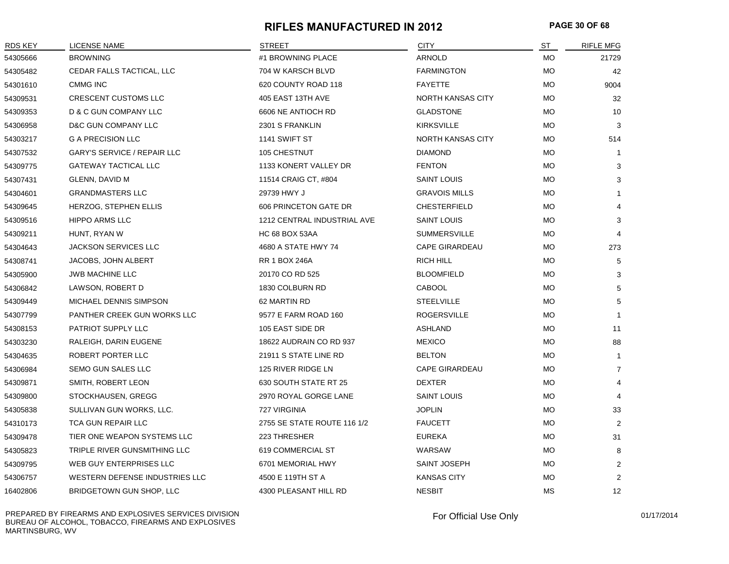#### **RIFLES MANUFACTURED IN 2012 PAGE 30 OF 68**

| <b>RDS KEY</b> | LICENSE NAME                       | <b>STREET</b>               | <b>CITY</b>           | ST        | <b>RIFLE MFG</b> |
|----------------|------------------------------------|-----------------------------|-----------------------|-----------|------------------|
| 54305666       | <b>BROWNING</b>                    | #1 BROWNING PLACE           | ARNOLD                | <b>MO</b> | 21729            |
| 54305482       | CEDAR FALLS TACTICAL, LLC          | 704 W KARSCH BLVD           | <b>FARMINGTON</b>     | <b>MO</b> | 42               |
| 54301610       | <b>CMMG INC</b>                    | 620 COUNTY ROAD 118         | <b>FAYETTE</b>        | <b>MO</b> | 9004             |
| 54309531       | <b>CRESCENT CUSTOMS LLC</b>        | 405 EAST 13TH AVE           | NORTH KANSAS CITY     | <b>MO</b> | 32               |
| 54309353       | D & C GUN COMPANY LLC              | 6606 NE ANTIOCH RD          | <b>GLADSTONE</b>      | МO        | 10               |
| 54306958       | D&C GUN COMPANY LLC                | 2301 S FRANKLIN             | <b>KIRKSVILLE</b>     | <b>MO</b> | 3                |
| 54303217       | <b>G A PRECISION LLC</b>           | 1141 SWIFT ST               | NORTH KANSAS CITY     | <b>MO</b> | 514              |
| 54307532       | <b>GARY'S SERVICE / REPAIR LLC</b> | 105 CHESTNUT                | <b>DIAMOND</b>        | МO        | -1               |
| 54309775       | <b>GATEWAY TACTICAL LLC</b>        | 1133 KONERT VALLEY DR       | <b>FENTON</b>         | <b>MO</b> | 3                |
| 54307431       | GLENN, DAVID M                     | 11514 CRAIG CT, #804        | <b>SAINT LOUIS</b>    | <b>MO</b> | 3                |
| 54304601       | <b>GRANDMASTERS LLC</b>            | 29739 HWY J                 | <b>GRAVOIS MILLS</b>  | <b>MO</b> | $\mathbf{1}$     |
| 54309645       | HERZOG, STEPHEN ELLIS              | 606 PRINCETON GATE DR       | <b>CHESTERFIELD</b>   | <b>MO</b> | 4                |
| 54309516       | <b>HIPPO ARMS LLC</b>              | 1212 CENTRAL INDUSTRIAL AVE | <b>SAINT LOUIS</b>    | MO        | 3                |
| 54309211       | HUNT, RYAN W                       | <b>HC 68 BOX 53AA</b>       | <b>SUMMERSVILLE</b>   | МO        | $\overline{4}$   |
| 54304643       | <b>JACKSON SERVICES LLC</b>        | 4680 A STATE HWY 74         | <b>CAPE GIRARDEAU</b> | MO        | 273              |
| 54308741       | JACOBS, JOHN ALBERT                | <b>RR 1 BOX 246A</b>        | <b>RICH HILL</b>      | <b>MO</b> | 5                |
| 54305900       | <b>JWB MACHINE LLC</b>             | 20170 CO RD 525             | <b>BLOOMFIELD</b>     | <b>MO</b> | 3                |
| 54306842       | LAWSON, ROBERT D                   | 1830 COLBURN RD             | CABOOL                | <b>MO</b> | 5                |
| 54309449       | MICHAEL DENNIS SIMPSON             | 62 MARTIN RD                | <b>STEELVILLE</b>     | МO        | 5                |
| 54307799       | PANTHER CREEK GUN WORKS LLC        | 9577 E FARM ROAD 160        | <b>ROGERSVILLE</b>    | <b>MO</b> | $\mathbf{1}$     |
| 54308153       | PATRIOT SUPPLY LLC                 | 105 EAST SIDE DR            | ASHLAND               | MO        | 11               |
| 54303230       | RALEIGH, DARIN EUGENE              | 18622 AUDRAIN CO RD 937     | <b>MEXICO</b>         | MO        | 88               |
| 54304635       | ROBERT PORTER LLC                  | 21911 S STATE LINE RD       | <b>BELTON</b>         | <b>MO</b> | -1               |
| 54306984       | SEMO GUN SALES LLC                 | 125 RIVER RIDGE LN          | <b>CAPE GIRARDEAU</b> | <b>MO</b> | $\overline{7}$   |
| 54309871       | SMITH, ROBERT LEON                 | 630 SOUTH STATE RT 25       | <b>DEXTER</b>         | <b>MO</b> | 4                |
| 54309800       | STOCKHAUSEN, GREGG                 | 2970 ROYAL GORGE LANE       | <b>SAINT LOUIS</b>    | <b>MO</b> | $\overline{4}$   |
| 54305838       | SULLIVAN GUN WORKS, LLC.           | 727 VIRGINIA                | <b>JOPLIN</b>         | МO        | 33               |
| 54310173       | <b>TCA GUN REPAIR LLC</b>          | 2755 SE STATE ROUTE 116 1/2 | <b>FAUCETT</b>        | МO        | $\overline{2}$   |
| 54309478       | TIER ONE WEAPON SYSTEMS LLC        | 223 THRESHER                | <b>EUREKA</b>         | MO        | 31               |
| 54305823       | TRIPLE RIVER GUNSMITHING LLC       | 619 COMMERCIAL ST           | WARSAW                | MO        | 8                |
| 54309795       | WEB GUY ENTERPRISES LLC            | 6701 MEMORIAL HWY           | SAINT JOSEPH          | <b>MO</b> | $\overline{2}$   |
| 54306757       | WESTERN DEFENSE INDUSTRIES LLC     | 4500 E 119TH ST A           | <b>KANSAS CITY</b>    | <b>MO</b> | $\overline{2}$   |
| 16402806       | BRIDGETOWN GUN SHOP, LLC           | 4300 PLEASANT HILL RD       | <b>NESBIT</b>         | <b>MS</b> | 12               |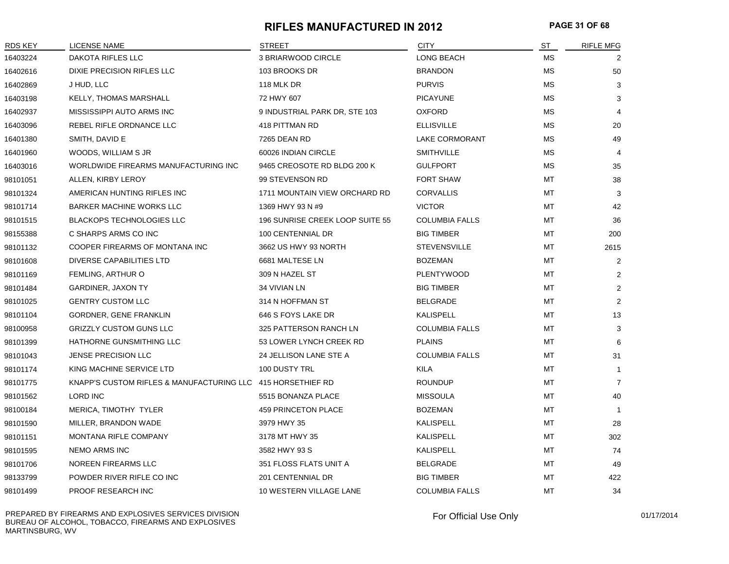#### **RIFLES MANUFACTURED IN 2012 PAGE 31 OF 68**

| RDS KEY  | <b>LICENSE NAME</b>                                         | <b>STREET</b>                   | <b>CITY</b>           | <b>ST</b> | <b>RIFLE MFG</b> |
|----------|-------------------------------------------------------------|---------------------------------|-----------------------|-----------|------------------|
| 16403224 | DAKOTA RIFLES LLC                                           | 3 BRIARWOOD CIRCLE              | LONG BEACH            | <b>MS</b> | 2                |
| 16402616 | DIXIE PRECISION RIFLES LLC                                  | 103 BROOKS DR                   | <b>BRANDON</b>        | <b>MS</b> | 50               |
| 16402869 | J HUD, LLC                                                  | 118 MLK DR                      | <b>PURVIS</b>         | MS        | 3                |
| 16403198 | KELLY, THOMAS MARSHALL                                      | 72 HWY 607                      | <b>PICAYUNE</b>       | <b>MS</b> | 3                |
| 16402937 | MISSISSIPPI AUTO ARMS INC                                   | 9 INDUSTRIAL PARK DR, STE 103   | <b>OXFORD</b>         | MS        |                  |
| 16403096 | REBEL RIFLE ORDNANCE LLC                                    | 418 PITTMAN RD                  | <b>ELLISVILLE</b>     | MS        | 20               |
| 16401380 | SMITH, DAVID E                                              | 7265 DEAN RD                    | LAKE CORMORANT        | <b>MS</b> | 49               |
| 16401960 | WOODS, WILLIAM S JR                                         | 60026 INDIAN CIRCLE             | <b>SMITHVILLE</b>     | <b>MS</b> | 4                |
| 16403016 | WORLDWIDE FIREARMS MANUFACTURING INC                        | 9465 CREOSOTE RD BLDG 200 K     | <b>GULFPORT</b>       | МS        | 35               |
| 98101051 | ALLEN, KIRBY LEROY                                          | 99 STEVENSON RD                 | <b>FORT SHAW</b>      | MT        | 38               |
| 98101324 | AMERICAN HUNTING RIFLES INC                                 | 1711 MOUNTAIN VIEW ORCHARD RD   | <b>CORVALLIS</b>      | MT        | 3                |
| 98101714 | <b>BARKER MACHINE WORKS LLC</b>                             | 1369 HWY 93 N #9                | <b>VICTOR</b>         | МT        | 42               |
| 98101515 | <b>BLACKOPS TECHNOLOGIES LLC</b>                            | 196 SUNRISE CREEK LOOP SUITE 55 | <b>COLUMBIA FALLS</b> | MT        | 36               |
| 98155388 | C SHARPS ARMS CO INC                                        | 100 CENTENNIAL DR               | <b>BIG TIMBER</b>     | MT        | 200              |
| 98101132 | COOPER FIREARMS OF MONTANA INC                              | 3662 US HWY 93 NORTH            | <b>STEVENSVILLE</b>   | МT        | 2615             |
| 98101608 | <b>DIVERSE CAPABILITIES LTD</b>                             | 6681 MALTESE LN                 | <b>BOZEMAN</b>        | MT        | 2                |
| 98101169 | <b>FEMLING, ARTHUR O</b>                                    | 309 N HAZEL ST                  | <b>PLENTYWOOD</b>     | MT        | 2                |
| 98101484 | <b>GARDINER, JAXON TY</b>                                   | 34 VIVIAN LN                    | <b>BIG TIMBER</b>     | MT        | 2                |
| 98101025 | <b>GENTRY CUSTOM LLC</b>                                    | 314 N HOFFMAN ST                | <b>BELGRADE</b>       | <b>MT</b> | 2                |
| 98101104 | <b>GORDNER, GENE FRANKLIN</b>                               | 646 S FOYS LAKE DR              | KALISPELL             | MT        | 13               |
| 98100958 | <b>GRIZZLY CUSTOM GUNS LLC</b>                              | 325 PATTERSON RANCH LN          | <b>COLUMBIA FALLS</b> | MT        | 3                |
| 98101399 | HATHORNE GUNSMITHING LLC                                    | 53 LOWER LYNCH CREEK RD         | <b>PLAINS</b>         | МT        | 6                |
| 98101043 | JENSE PRECISION LLC                                         | 24 JELLISON LANE STE A          | <b>COLUMBIA FALLS</b> | MT        | 31               |
| 98101174 | KING MACHINE SERVICE LTD                                    | 100 DUSTY TRL                   | KILA                  | MT        | $\mathbf 1$      |
| 98101775 | KNAPP'S CUSTOM RIFLES & MANUFACTURING LLC 415 HORSETHIEF RD |                                 | <b>ROUNDUP</b>        | MT        | $\overline{7}$   |
| 98101562 | LORD INC                                                    | 5515 BONANZA PLACE              | <b>MISSOULA</b>       | MT        | 40               |
| 98100184 | MERICA, TIMOTHY TYLER                                       | 459 PRINCETON PLACE             | <b>BOZEMAN</b>        | <b>MT</b> |                  |
| 98101590 | MILLER, BRANDON WADE                                        | 3979 HWY 35                     | KALISPELL             | MT        | 28               |
| 98101151 | MONTANA RIFLE COMPANY                                       | 3178 MT HWY 35                  | KALISPELL             | MT        | 302              |
| 98101595 | <b>NEMO ARMS INC</b>                                        | 3582 HWY 93 S                   | KALISPELL             | <b>MT</b> | 74               |
| 98101706 | NOREEN FIREARMS LLC                                         | 351 FLOSS FLATS UNIT A          | <b>BELGRADE</b>       | MT        | 49               |
| 98133799 | POWDER RIVER RIFLE CO INC                                   | 201 CENTENNIAL DR               | <b>BIG TIMBER</b>     | MT        | 422              |
| 98101499 | PROOF RESEARCH INC                                          | 10 WESTERN VILLAGE LANE         | <b>COLUMBIA FALLS</b> | <b>MT</b> | 34               |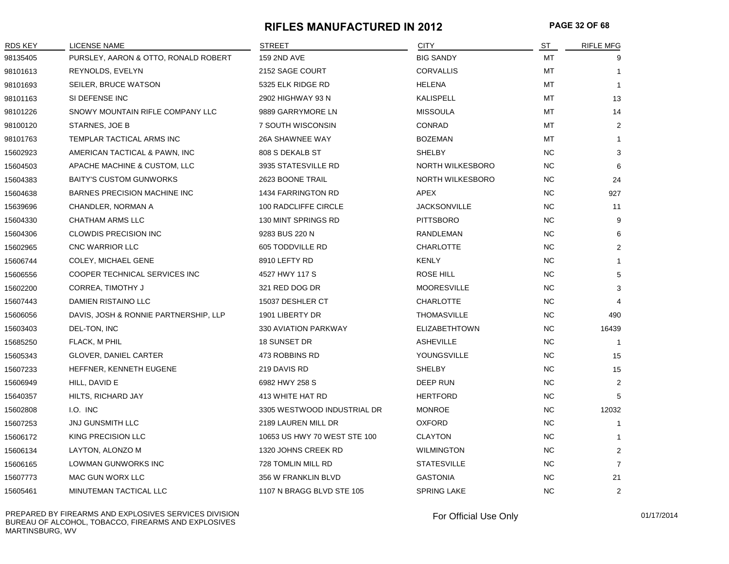#### **RIFLES MANUFACTURED IN 2012 PAGE 32 OF 68**

| <b>RDS KEY</b> | LICENSE NAME                          | <b>STREET</b>                | <b>CITY</b>             | ST        | <b>RIFLE MFG</b> |
|----------------|---------------------------------------|------------------------------|-------------------------|-----------|------------------|
| 98135405       | PURSLEY, AARON & OTTO, RONALD ROBERT  | 159 2ND AVE                  | <b>BIG SANDY</b>        | MT        | 9                |
| 98101613       | REYNOLDS, EVELYN                      | 2152 SAGE COURT              | <b>CORVALLIS</b>        | MT        | $\mathbf{1}$     |
| 98101693       | SEILER, BRUCE WATSON                  | 5325 ELK RIDGE RD            | HELENA                  | МT        | $\mathbf{1}$     |
| 98101163       | SI DEFENSE INC                        | 2902 HIGHWAY 93 N            | KALISPELL               | MT        | 13               |
| 98101226       | SNOWY MOUNTAIN RIFLE COMPANY LLC      | 9889 GARRYMORE LN            | <b>MISSOULA</b>         | MT        | 14               |
| 98100120       | STARNES, JOE B                        | 7 SOUTH WISCONSIN            | CONRAD                  | MT        | $\overline{2}$   |
| 98101763       | TEMPLAR TACTICAL ARMS INC             | 26A SHAWNEE WAY              | <b>BOZEMAN</b>          | MT        | $\mathbf{1}$     |
| 15602923       | AMERICAN TACTICAL & PAWN, INC         | 808 S DEKALB ST              | SHELBY                  | <b>NC</b> | 3                |
| 15604503       | APACHE MACHINE & CUSTOM, LLC          | 3935 STATESVILLE RD          | <b>NORTH WILKESBORO</b> | <b>NC</b> | 6                |
| 15604383       | <b>BAITY'S CUSTOM GUNWORKS</b>        | 2623 BOONE TRAIL             | NORTH WILKESBORO        | <b>NC</b> | 24               |
| 15604638       | <b>BARNES PRECISION MACHINE INC</b>   | <b>1434 FARRINGTON RD</b>    | APEX                    | <b>NC</b> | 927              |
| 15639696       | CHANDLER, NORMAN A                    | 100 RADCLIFFE CIRCLE         | <b>JACKSONVILLE</b>     | <b>NC</b> | 11               |
| 15604330       | CHATHAM ARMS LLC                      | 130 MINT SPRINGS RD          | <b>PITTSBORO</b>        | NC        | 9                |
| 15604306       | <b>CLOWDIS PRECISION INC</b>          | 9283 BUS 220 N               | RANDLEMAN               | <b>NC</b> | 6                |
| 15602965       | CNC WARRIOR LLC                       | 605 TODDVILLE RD             | <b>CHARLOTTE</b>        | <b>NC</b> | $\overline{2}$   |
| 15606744       | COLEY, MICHAEL GENE                   | 8910 LEFTY RD                | <b>KENLY</b>            | <b>NC</b> | 1                |
| 15606556       | COOPER TECHNICAL SERVICES INC         | 4527 HWY 117 S               | <b>ROSE HILL</b>        | <b>NC</b> | 5                |
| 15602200       | CORREA, TIMOTHY J                     | 321 RED DOG DR               | <b>MOORESVILLE</b>      | <b>NC</b> | 3                |
| 15607443       | DAMIEN RISTAINO LLC                   | 15037 DESHLER CT             | <b>CHARLOTTE</b>        | <b>NC</b> |                  |
| 15606056       | DAVIS, JOSH & RONNIE PARTNERSHIP, LLP | 1901 LIBERTY DR              | <b>THOMASVILLE</b>      | <b>NC</b> | 490              |
| 15603403       | DEL-TON, INC                          | 330 AVIATION PARKWAY         | <b>ELIZABETHTOWN</b>    | <b>NC</b> | 16439            |
| 15685250       | FLACK, M PHIL                         | 18 SUNSET DR                 | <b>ASHEVILLE</b>        | <b>NC</b> | $\overline{1}$   |
| 15605343       | <b>GLOVER, DANIEL CARTER</b>          | 473 ROBBINS RD               | YOUNGSVILLE             | <b>NC</b> | 15               |
| 15607233       | HEFFNER, KENNETH EUGENE               | 219 DAVIS RD                 | SHELBY                  | <b>NC</b> | 15               |
| 15606949       | HILL, DAVID E                         | 6982 HWY 258 S               | DEEP RUN                | <b>NC</b> | $\overline{2}$   |
| 15640357       | HILTS, RICHARD JAY                    | 413 WHITE HAT RD             | <b>HERTFORD</b>         | <b>NC</b> | 5                |
| 15602808       | I.O. INC                              | 3305 WESTWOOD INDUSTRIAL DR  | <b>MONROE</b>           | NC.       | 12032            |
| 15607253       | JNJ GUNSMITH LLC                      | 2189 LAUREN MILL DR          | <b>OXFORD</b>           | <b>NC</b> | $\mathbf{1}$     |
| 15606172       | KING PRECISION LLC                    | 10653 US HWY 70 WEST STE 100 | <b>CLAYTON</b>          | <b>NC</b> | $\mathbf{1}$     |
| 15606134       | LAYTON, ALONZO M                      | 1320 JOHNS CREEK RD          | <b>WILMINGTON</b>       | <b>NC</b> | $\overline{2}$   |
| 15606165       | LOWMAN GUNWORKS INC                   | 728 TOMLIN MILL RD           | <b>STATESVILLE</b>      | <b>NC</b> | $\overline{7}$   |
| 15607773       | MAC GUN WORX LLC                      | 356 W FRANKLIN BLVD          | <b>GASTONIA</b>         | <b>NC</b> | 21               |
| 15605461       | MINUTEMAN TACTICAL LLC                | 1107 N BRAGG BLVD STE 105    | <b>SPRING LAKE</b>      | <b>NC</b> | 2                |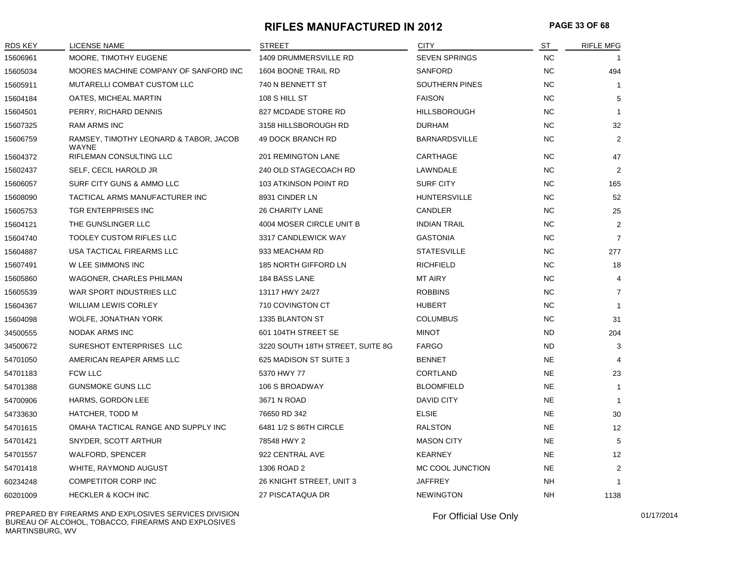#### **RIFLES MANUFACTURED IN 2012 PAGE 33 OF 68**

| <b>RDS KEY</b> | <b>LICENSE NAME</b>                                    | <b>STREET</b>                    | <b>CITY</b>           | ST        | <b>RIFLE MFG</b> |
|----------------|--------------------------------------------------------|----------------------------------|-----------------------|-----------|------------------|
| 15606961       | MOORE, TIMOTHY EUGENE                                  | 1409 DRUMMERSVILLE RD            | <b>SEVEN SPRINGS</b>  | <b>NC</b> |                  |
| 15605034       | MOORES MACHINE COMPANY OF SANFORD INC                  | 1604 BOONE TRAIL RD              | <b>SANFORD</b>        | <b>NC</b> | 494              |
| 15605911       | MUTARELLI COMBAT CUSTOM LLC                            | 740 N BENNETT ST                 | <b>SOUTHERN PINES</b> | <b>NC</b> | -1               |
| 15604184       | OATES, MICHEAL MARTIN                                  | 108 S HILL ST                    | <b>FAISON</b>         | <b>NC</b> | 5                |
| 15604501       | PERRY, RICHARD DENNIS                                  | 827 MCDADE STORE RD              | <b>HILLSBOROUGH</b>   | <b>NC</b> | $\overline{1}$   |
| 15607325       | RAM ARMS INC                                           | 3158 HILLSBOROUGH RD             | <b>DURHAM</b>         | <b>NC</b> | 32               |
| 15606759       | RAMSEY, TIMOTHY LEONARD & TABOR, JACOB<br><b>WAYNE</b> | 49 DOCK BRANCH RD                | <b>BARNARDSVILLE</b>  | <b>NC</b> | 2                |
| 15604372       | RIFLEMAN CONSULTING LLC                                | 201 REMINGTON LANE               | CARTHAGE              | <b>NC</b> | 47               |
| 15602437       | SELF, CECIL HAROLD JR                                  | 240 OLD STAGECOACH RD            | LAWNDALE              | <b>NC</b> | 2                |
| 15606057       | SURF CITY GUNS & AMMO LLC                              | 103 ATKINSON POINT RD            | <b>SURF CITY</b>      | <b>NC</b> | 165              |
| 15608090       | TACTICAL ARMS MANUFACTURER INC                         | 8931 CINDER LN                   | <b>HUNTERSVILLE</b>   | <b>NC</b> | 52               |
| 15605753       | TGR ENTERPRISES INC                                    | <b>26 CHARITY LANE</b>           | CANDLER               | <b>NC</b> | 25               |
| 15604121       | THE GUNSLINGER LLC                                     | 4004 MOSER CIRCLE UNIT B         | <b>INDIAN TRAIL</b>   | <b>NC</b> | $\overline{2}$   |
| 15604740       | <b>TOOLEY CUSTOM RIFLES LLC</b>                        | 3317 CANDLEWICK WAY              | <b>GASTONIA</b>       | <b>NC</b> | $\overline{7}$   |
| 15604887       | USA TACTICAL FIREARMS LLC                              | 933 MEACHAM RD                   | <b>STATESVILLE</b>    | <b>NC</b> | 277              |
| 15607491       | W LEE SIMMONS INC                                      | 185 NORTH GIFFORD LN             | <b>RICHFIELD</b>      | <b>NC</b> | 18               |
| 15605860       | <b>WAGONER, CHARLES PHILMAN</b>                        | 184 BASS LANE                    | <b>MT AIRY</b>        | <b>NC</b> | 4                |
| 15605539       | WAR SPORT INDUSTRIES LLC                               | 13117 HWY 24/27                  | <b>ROBBINS</b>        | <b>NC</b> | $\overline{7}$   |
| 15604367       | <b>WILLIAM LEWIS CORLEY</b>                            | 710 COVINGTON CT                 | <b>HUBERT</b>         | <b>NC</b> | $\overline{1}$   |
| 15604098       | WOLFE, JONATHAN YORK                                   | 1335 BLANTON ST                  | <b>COLUMBUS</b>       | <b>NC</b> | 31               |
| 34500555       | <b>NODAK ARMS INC</b>                                  | 601 104TH STREET SE              | <b>MINOT</b>          | <b>ND</b> | 204              |
| 34500672       | SURESHOT ENTERPRISES LLC                               | 3220 SOUTH 18TH STREET, SUITE 8G | <b>FARGO</b>          | <b>ND</b> | 3                |
| 54701050       | AMERICAN REAPER ARMS LLC                               | 625 MADISON ST SUITE 3           | <b>BENNET</b>         | <b>NE</b> | $\overline{4}$   |
| 54701183       | <b>FCW LLC</b>                                         | 5370 HWY 77                      | <b>CORTLAND</b>       | <b>NE</b> | 23               |
| 54701388       | <b>GUNSMOKE GUNS LLC</b>                               | 106 S BROADWAY                   | <b>BLOOMFIELD</b>     | <b>NE</b> | -1               |
| 54700906       | HARMS, GORDON LEE                                      | 3671 N ROAD                      | <b>DAVID CITY</b>     | <b>NE</b> |                  |
| 54733630       | HATCHER, TODD M                                        | 76650 RD 342                     | <b>ELSIE</b>          | <b>NE</b> | 30               |
| 54701615       | OMAHA TACTICAL RANGE AND SUPPLY INC                    | 6481 1/2 S 86TH CIRCLE           | <b>RALSTON</b>        | <b>NE</b> | 12               |
| 54701421       | SNYDER, SCOTT ARTHUR                                   | 78548 HWY 2                      | <b>MASON CITY</b>     | <b>NE</b> | 5                |
| 54701557       | WALFORD, SPENCER                                       | 922 CENTRAL AVE                  | <b>KEARNEY</b>        | <b>NE</b> | 12               |
| 54701418       | WHITE, RAYMOND AUGUST                                  | 1306 ROAD 2                      | MC COOL JUNCTION      | <b>NE</b> | 2                |
| 60234248       | <b>COMPETITOR CORP INC</b>                             | 26 KNIGHT STREET, UNIT 3         | <b>JAFFREY</b>        | <b>NH</b> | $\overline{1}$   |
| 60201009       | <b>HECKLER &amp; KOCH INC</b>                          | 27 PISCATAQUA DR                 | <b>NEWINGTON</b>      | <b>NH</b> | 1138             |

PREPARED BY FIREARMS AND EXPLOSIVES SERVICES DIVISION BUREAU OF ALCOHOL, TOBACCO, FIREARMS AND EXPLOSIVES MARTINSBURG, WV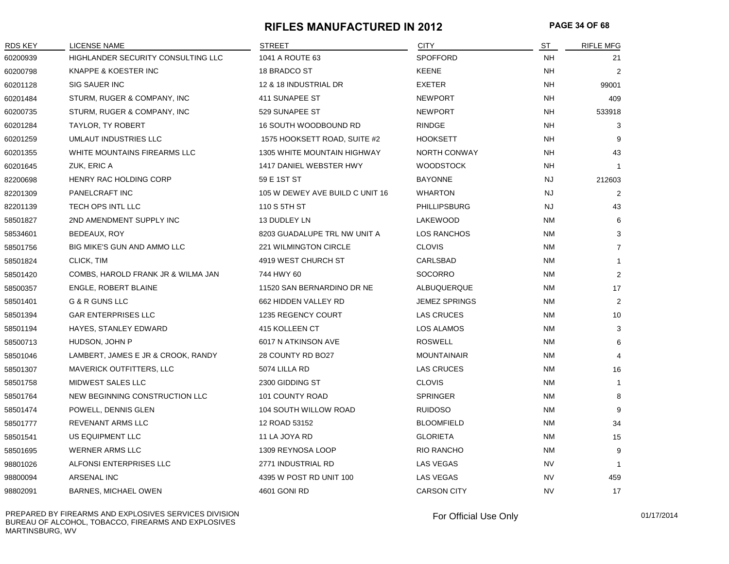#### **RIFLES MANUFACTURED IN 2012 PAGE 34 OF 68**

| <b>RDS KEY</b> | LICENSE NAME                       | <b>STREET</b>                      | <b>CITY</b>        | <b>ST</b> | <b>RIFLE MFG</b> |
|----------------|------------------------------------|------------------------------------|--------------------|-----------|------------------|
| 60200939       | HIGHLANDER SECURITY CONSULTING LLC | 1041 A ROUTE 63                    | <b>SPOFFORD</b>    | <b>NH</b> | 21               |
| 60200798       | KNAPPE & KOESTER INC               | 18 BRADCO ST                       | <b>KEENE</b>       | NH        | $\overline{2}$   |
| 60201128       | <b>SIG SAUER INC</b>               | 12 & 18 INDUSTRIAL DR              | <b>EXETER</b>      | <b>NH</b> | 99001            |
| 60201484       | STURM, RUGER & COMPANY, INC        | 411 SUNAPEE ST                     | <b>NEWPORT</b>     | <b>NH</b> | 409              |
| 60200735       | STURM, RUGER & COMPANY, INC        | 529 SUNAPEE ST                     | <b>NEWPORT</b>     | <b>NH</b> | 533918           |
| 60201284       | TAYLOR, TY ROBERT                  | 16 SOUTH WOODBOUND RD              | RINDGE             | <b>NH</b> | 3                |
| 60201259       | UMLAUT INDUSTRIES LLC              | 1575 HOOKSETT ROAD, SUITE #2       | <b>HOOKSETT</b>    | <b>NH</b> | 9                |
| 60201355       | WHITE MOUNTAINS FIREARMS LLC       | <b>1305 WHITE MOUNTAIN HIGHWAY</b> | NORTH CONWAY       | <b>NH</b> | 43               |
| 60201645       | ZUK, ERIC A                        | 1417 DANIEL WEBSTER HWY            | <b>WOODSTOCK</b>   | <b>NH</b> | $\mathbf{1}$     |
| 82200698       | HENRY RAC HOLDING CORP             | 59 E 1ST ST                        | <b>BAYONNE</b>     | <b>NJ</b> | 212603           |
| 82201309       | <b>PANELCRAFT INC</b>              | 105 W DEWEY AVE BUILD C UNIT 16    | <b>WHARTON</b>     | <b>NJ</b> | $\overline{2}$   |
| 82201139       | TECH OPS INTL LLC                  | 110 S 5TH ST                       | PHILLIPSBURG       | <b>NJ</b> | 43               |
| 58501827       | 2ND AMENDMENT SUPPLY INC           | 13 DUDLEY LN                       | LAKEWOOD           | <b>NM</b> | 6                |
| 58534601       | BEDEAUX, ROY                       | 8203 GUADALUPE TRL NW UNIT A       | LOS RANCHOS        | NM        | 3                |
| 58501756       | BIG MIKE'S GUN AND AMMO LLC        | 221 WILMINGTON CIRCLE              | <b>CLOVIS</b>      | NM        | $\overline{7}$   |
| 58501824       | CLICK, TIM                         | 4919 WEST CHURCH ST                | CARLSBAD           | <b>NM</b> | $\mathbf{1}$     |
| 58501420       | COMBS, HAROLD FRANK JR & WILMA JAN | 744 HWY 60                         | SOCORRO            | NM        | 2                |
| 58500357       | ENGLE, ROBERT BLAINE               | 11520 SAN BERNARDINO DR NE         | ALBUQUERQUE        | <b>NM</b> | 17               |
| 58501401       | G & R GUNS LLC                     | 662 HIDDEN VALLEY RD               | JEMEZ SPRINGS      | <b>NM</b> | 2                |
| 58501394       | <b>GAR ENTERPRISES LLC</b>         | 1235 REGENCY COURT                 | <b>LAS CRUCES</b>  | <b>NM</b> | 10               |
| 58501194       | HAYES, STANLEY EDWARD              | 415 KOLLEEN CT                     | LOS ALAMOS         | <b>NM</b> | 3                |
| 58500713       | HUDSON, JOHN P                     | 6017 N ATKINSON AVE                | <b>ROSWELL</b>     | <b>NM</b> | 6                |
| 58501046       | LAMBERT, JAMES E JR & CROOK, RANDY | 28 COUNTY RD BO27                  | <b>MOUNTAINAIR</b> | ΝM        | 4                |
| 58501307       | <b>MAVERICK OUTFITTERS, LLC</b>    | 5074 LILLA RD                      | <b>LAS CRUCES</b>  | <b>NM</b> | 16               |
| 58501758       | MIDWEST SALES LLC                  | 2300 GIDDING ST                    | <b>CLOVIS</b>      | <b>NM</b> | $\mathbf{1}$     |
| 58501764       | NEW BEGINNING CONSTRUCTION LLC     | 101 COUNTY ROAD                    | SPRINGER           | <b>NM</b> | 8                |
| 58501474       | POWELL, DENNIS GLEN                | 104 SOUTH WILLOW ROAD              | <b>RUIDOSO</b>     | NM        | 9                |
| 58501777       | REVENANT ARMS LLC                  | 12 ROAD 53152                      | <b>BLOOMFIELD</b>  | <b>NM</b> | 34               |
| 58501541       | US EQUIPMENT LLC                   | 11 LA JOYA RD                      | <b>GLORIETA</b>    | NM        | 15               |
| 58501695       | <b>WERNER ARMS LLC</b>             | 1309 REYNOSA LOOP                  | RIO RANCHO         | <b>NM</b> | 9                |
| 98801026       | ALFONSI ENTERPRISES LLC            | 2771 INDUSTRIAL RD                 | LAS VEGAS          | <b>NV</b> | $\mathbf{1}$     |
| 98800094       | ARSENAL INC                        | 4395 W POST RD UNIT 100            | LAS VEGAS          | <b>NV</b> | 459              |
| 98802091       | BARNES, MICHAEL OWEN               | 4601 GONI RD                       | <b>CARSON CITY</b> | <b>NV</b> | 17               |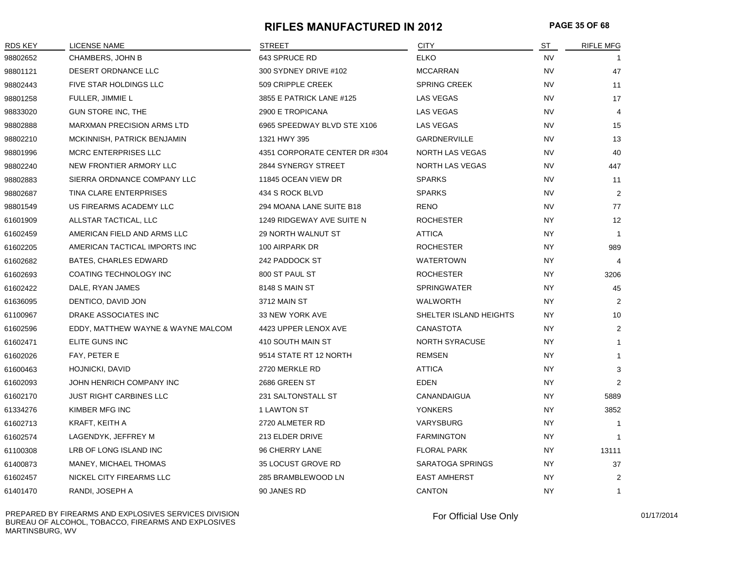#### **RIFLES MANUFACTURED IN 2012 PAGE 35 OF 68**

| <b>RDS KEY</b> | LICENSE NAME                       | <b>STREET</b>                 | <b>CITY</b>            | ST        | <b>RIFLE MFG</b> |
|----------------|------------------------------------|-------------------------------|------------------------|-----------|------------------|
| 98802652       | CHAMBERS, JOHN B                   | 643 SPRUCE RD                 | <b>ELKO</b>            | <b>NV</b> |                  |
| 98801121       | DESERT ORDNANCE LLC                | 300 SYDNEY DRIVE #102         | <b>MCCARRAN</b>        | <b>NV</b> | 47               |
| 98802443       | FIVE STAR HOLDINGS LLC             | 509 CRIPPLE CREEK             | <b>SPRING CREEK</b>    | <b>NV</b> | 11               |
| 98801258       | FULLER, JIMMIE L                   | 3855 E PATRICK LANE #125      | LAS VEGAS              | NV        | 17               |
| 98833020       | GUN STORE INC, THE                 | 2900 E TROPICANA              | LAS VEGAS              | <b>NV</b> | 4                |
| 98802888       | <b>MARXMAN PRECISION ARMS LTD</b>  | 6965 SPEEDWAY BLVD STE X106   | LAS VEGAS              | <b>NV</b> | 15               |
| 98802210       | MCKINNISH, PATRICK BENJAMIN        | 1321 HWY 395                  | GARDNERVILLE           | <b>NV</b> | 13               |
| 98801996       | <b>MCRC ENTERPRISES LLC</b>        | 4351 CORPORATE CENTER DR #304 | NORTH LAS VEGAS        | <b>NV</b> | 40               |
| 98802240       | NEW FRONTIER ARMORY LLC            | 2844 SYNERGY STREET           | NORTH LAS VEGAS        | NV        | 447              |
| 98802883       | SIERRA ORDNANCE COMPANY LLC        | 11845 OCEAN VIEW DR           | <b>SPARKS</b>          | <b>NV</b> | 11               |
| 98802687       | TINA CLARE ENTERPRISES             | 434 S ROCK BLVD               | <b>SPARKS</b>          | <b>NV</b> | $\overline{2}$   |
| 98801549       | US FIREARMS ACADEMY LLC            | 294 MOANA LANE SUITE B18      | <b>RENO</b>            | <b>NV</b> | 77               |
| 61601909       | ALLSTAR TACTICAL, LLC              | 1249 RIDGEWAY AVE SUITE N     | <b>ROCHESTER</b>       | <b>NY</b> | 12               |
| 61602459       | AMERICAN FIELD AND ARMS LLC        | <b>29 NORTH WALNUT ST</b>     | <b>ATTICA</b>          | <b>NY</b> | $\mathbf{1}$     |
| 61602205       | AMERICAN TACTICAL IMPORTS INC      | 100 AIRPARK DR                | <b>ROCHESTER</b>       | <b>NY</b> | 989              |
| 61602682       | BATES, CHARLES EDWARD              | 242 PADDOCK ST                | <b>WATERTOWN</b>       | <b>NY</b> | 4                |
| 61602693       | COATING TECHNOLOGY INC             | 800 ST PAUL ST                | <b>ROCHESTER</b>       | <b>NY</b> | 3206             |
| 61602422       | DALE, RYAN JAMES                   | 8148 S MAIN ST                | <b>SPRINGWATER</b>     | NY        | 45               |
| 61636095       | DENTICO, DAVID JON                 | 3712 MAIN ST                  | WALWORTH               | NY.       | $\overline{2}$   |
| 61100967       | DRAKE ASSOCIATES INC               | 33 NEW YORK AVE               | SHELTER ISLAND HEIGHTS | <b>NY</b> | 10               |
| 61602596       | EDDY, MATTHEW WAYNE & WAYNE MALCOM | 4423 UPPER LENOX AVE          | <b>CANASTOTA</b>       | <b>NY</b> | 2                |
| 61602471       | ELITE GUNS INC                     | 410 SOUTH MAIN ST             | <b>NORTH SYRACUSE</b>  | <b>NY</b> | $\mathbf 1$      |
| 61602026       | FAY, PETER E                       | 9514 STATE RT 12 NORTH        | <b>REMSEN</b>          | NY        | $\mathbf 1$      |
| 61600463       | HOJNICKI, DAVID                    | 2720 MERKLE RD                | <b>ATTICA</b>          | <b>NY</b> | 3                |
| 61602093       | JOHN HENRICH COMPANY INC           | 2686 GREEN ST                 | <b>EDEN</b>            | <b>NY</b> | 2                |
| 61602170       | <b>JUST RIGHT CARBINES LLC</b>     | 231 SALTONSTALL ST            | CANANDAIGUA            | <b>NY</b> | 5889             |
| 61334276       | KIMBER MFG INC                     | 1 LAWTON ST                   | <b>YONKERS</b>         | NY        | 3852             |
| 61602713       | KRAFT, KEITH A                     | 2720 ALMETER RD               | VARYSBURG              | NY.       | $\overline{1}$   |
| 61602574       | LAGENDYK, JEFFREY M                | 213 ELDER DRIVE               | <b>FARMINGTON</b>      | <b>NY</b> |                  |
| 61100308       | LRB OF LONG ISLAND INC             | 96 CHERRY LANE                | <b>FLORAL PARK</b>     | <b>NY</b> | 13111            |
| 61400873       | MANEY, MICHAEL THOMAS              | 35 LOCUST GROVE RD            | SARATOGA SPRINGS       | NY        | 37               |
| 61602457       | NICKEL CITY FIREARMS LLC           | 285 BRAMBLEWOOD LN            | <b>EAST AMHERST</b>    | NY        | $\overline{2}$   |
| 61401470       | RANDI, JOSEPH A                    | 90 JANES RD                   | CANTON                 | <b>NY</b> | $\overline{1}$   |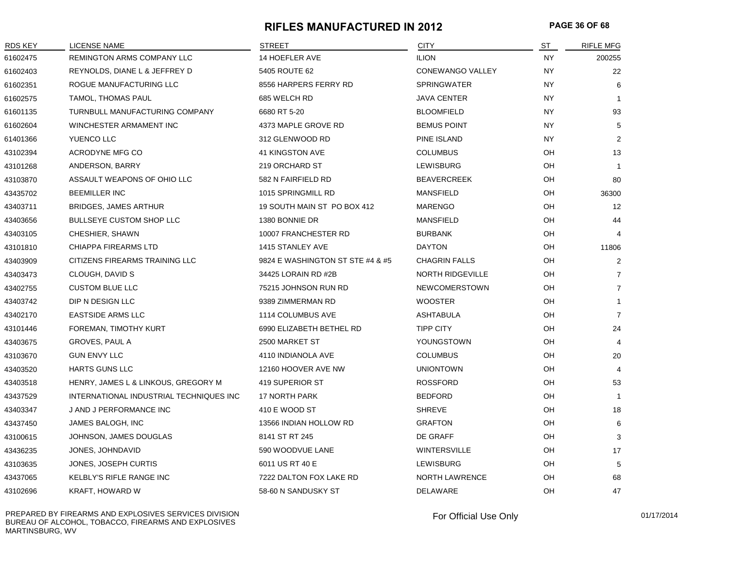#### **RIFLES MANUFACTURED IN 2012 PAGE 36 OF 68**

| <b>RDS KEY</b> | <b>LICENSE NAME</b>                     | <b>STREET</b>                    | <b>CITY</b>             | $ST$      | <b>RIFLE MFG</b> |
|----------------|-----------------------------------------|----------------------------------|-------------------------|-----------|------------------|
| 61602475       | REMINGTON ARMS COMPANY LLC              | 14 HOEFLER AVE                   | <b>ILION</b>            | <b>NY</b> | 200255           |
| 61602403       | REYNOLDS, DIANE L & JEFFREY D           | 5405 ROUTE 62                    | CONEWANGO VALLEY        | <b>NY</b> | 22               |
| 61602351       | ROGUE MANUFACTURING LLC                 | 8556 HARPERS FERRY RD            | <b>SPRINGWATER</b>      | <b>NY</b> | 6                |
| 61602575       | TAMOL, THOMAS PAUL                      | 685 WELCH RD                     | <b>JAVA CENTER</b>      | <b>NY</b> | -1               |
| 61601135       | TURNBULL MANUFACTURING COMPANY          | 6680 RT 5-20                     | <b>BLOOMFIELD</b>       | <b>NY</b> | 93               |
| 61602604       | WINCHESTER ARMAMENT INC                 | 4373 MAPLE GROVE RD              | <b>BEMUS POINT</b>      | <b>NY</b> | 5                |
| 61401366       | YUENCO LLC                              | 312 GLENWOOD RD                  | PINE ISLAND             | <b>NY</b> | $\overline{2}$   |
| 43102394       | ACRODYNE MFG CO                         | 41 KINGSTON AVE                  | <b>COLUMBUS</b>         | OH        | 13               |
| 43101268       | ANDERSON, BARRY                         | 219 ORCHARD ST                   | LEWISBURG               | OH        | $\mathbf{1}$     |
| 43103870       | ASSAULT WEAPONS OF OHIO LLC             | 582 N FAIRFIELD RD               | <b>BEAVERCREEK</b>      | OH        | 80               |
| 43435702       | <b>BEEMILLER INC</b>                    | 1015 SPRINGMILL RD               | <b>MANSFIELD</b>        | OH        | 36300            |
| 43403711       | <b>BRIDGES, JAMES ARTHUR</b>            | 19 SOUTH MAIN ST PO BOX 412      | <b>MARENGO</b>          | OH        | 12               |
| 43403656       | <b>BULLSEYE CUSTOM SHOP LLC</b>         | 1380 BONNIE DR                   | <b>MANSFIELD</b>        | OH        | 44               |
| 43403105       | CHESHIER, SHAWN                         | 10007 FRANCHESTER RD             | <b>BURBANK</b>          | OH        | 4                |
| 43101810       | CHIAPPA FIREARMS LTD                    | 1415 STANLEY AVE                 | <b>DAYTON</b>           | OH        | 11806            |
| 43403909       | CITIZENS FIREARMS TRAINING LLC          | 9824 E WASHINGTON ST STE #4 & #5 | <b>CHAGRIN FALLS</b>    | OH        | $\overline{2}$   |
| 43403473       | CLOUGH, DAVID S                         | 34425 LORAIN RD #2B              | <b>NORTH RIDGEVILLE</b> | OH        | $\overline{7}$   |
| 43402755       | <b>CUSTOM BLUE LLC</b>                  | 75215 JOHNSON RUN RD             | NEWCOMERSTOWN           | OH        | $\overline{7}$   |
| 43403742       | DIP N DESIGN LLC                        | 9389 ZIMMERMAN RD                | <b>WOOSTER</b>          | OH        | $\mathbf 1$      |
| 43402170       | <b>EASTSIDE ARMS LLC</b>                | 1114 COLUMBUS AVE                | <b>ASHTABULA</b>        | OH        | $\overline{7}$   |
| 43101446       | FOREMAN, TIMOTHY KURT                   | 6990 ELIZABETH BETHEL RD         | <b>TIPP CITY</b>        | OH        | 24               |
| 43403675       | GROVES, PAUL A                          | 2500 MARKET ST                   | YOUNGSTOWN              | OH        | 4                |
| 43103670       | <b>GUN ENVY LLC</b>                     | 4110 INDIANOLA AVE               | <b>COLUMBUS</b>         | OH        | 20               |
| 43403520       | <b>HARTS GUNS LLC</b>                   | 12160 HOOVER AVE NW              | <b>UNIONTOWN</b>        | OH        | 4                |
| 43403518       | HENRY, JAMES L & LINKOUS, GREGORY M     | 419 SUPERIOR ST                  | <b>ROSSFORD</b>         | OH        | 53               |
| 43437529       | INTERNATIONAL INDUSTRIAL TECHNIQUES INC | <b>17 NORTH PARK</b>             | <b>BEDFORD</b>          | OH        | $\mathbf{1}$     |
| 43403347       | J AND J PERFORMANCE INC                 | 410 E WOOD ST                    | <b>SHREVE</b>           | OH        | 18               |
| 43437450       | JAMES BALOGH, INC                       | 13566 INDIAN HOLLOW RD           | <b>GRAFTON</b>          | OH        | 6                |
| 43100615       | JOHNSON, JAMES DOUGLAS                  | 8141 ST RT 245                   | DE GRAFF                | OH        | 3                |
| 43436235       | JONES, JOHNDAVID                        | 590 WOODVUE LANE                 | <b>WINTERSVILLE</b>     | OH        | 17               |
| 43103635       | JONES, JOSEPH CURTIS                    | 6011 US RT 40 E                  | LEWISBURG               | OH        | 5                |
| 43437065       | KELBLY'S RIFLE RANGE INC                | 7222 DALTON FOX LAKE RD          | <b>NORTH LAWRENCE</b>   | OH        | 68               |
| 43102696       | KRAFT, HOWARD W                         | 58-60 N SANDUSKY ST              | DELAWARE                | OH        | 47               |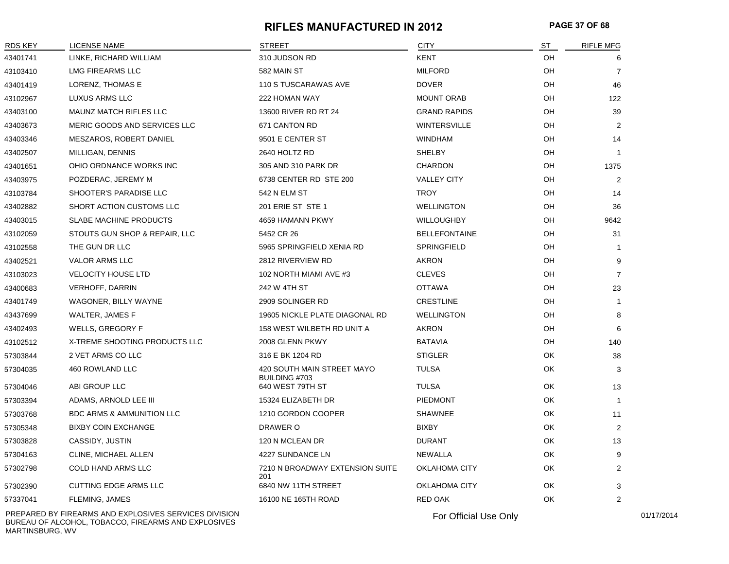#### **RIFLES MANUFACTURED IN 2012 PAGE 37 OF 68**

| <b>RDS KEY</b> | <b>LICENSE NAME</b>                  | STREET                                      | <b>CITY</b>          | ST        | <b>RIFLE MFG</b> |
|----------------|--------------------------------------|---------------------------------------------|----------------------|-----------|------------------|
| 43401741       | LINKE, RICHARD WILLIAM               | 310 JUDSON RD                               | <b>KENT</b>          | OH        | 6                |
| 43103410       | <b>LMG FIREARMS LLC</b>              | 582 MAIN ST                                 | <b>MILFORD</b>       | OH        | 7                |
| 43401419       | LORENZ, THOMAS E                     | 110 S TUSCARAWAS AVE                        | <b>DOVER</b>         | OH        | 46               |
| 43102967       | LUXUS ARMS LLC                       | 222 HOMAN WAY                               | <b>MOUNT ORAB</b>    | OH        | 122              |
| 43403100       | MAUNZ MATCH RIFLES LLC               | 13600 RIVER RD RT 24                        | <b>GRAND RAPIDS</b>  | OH        | 39               |
| 43403673       | MERIC GOODS AND SERVICES LLC         | 671 CANTON RD                               | <b>WINTERSVILLE</b>  | OH        | 2                |
| 43403346       | MESZAROS, ROBERT DANIEL              | 9501 E CENTER ST                            | <b>WINDHAM</b>       | OH        | 14               |
| 43402507       | MILLIGAN, DENNIS                     | 2640 HOLTZ RD                               | <b>SHELBY</b>        | OH        | $\mathbf{1}$     |
| 43401651       | OHIO ORDNANCE WORKS INC              | 305 AND 310 PARK DR                         | <b>CHARDON</b>       | OH        | 1375             |
| 43403975       | POZDERAC, JEREMY M                   | 6738 CENTER RD STE 200                      | <b>VALLEY CITY</b>   | OH        | 2                |
| 43103784       | SHOOTER'S PARADISE LLC               | 542 N ELM ST                                | <b>TROY</b>          | OH        | 14               |
| 43402882       | SHORT ACTION CUSTOMS LLC             | 201 ERIE ST STE 1                           | <b>WELLINGTON</b>    | OH        | 36               |
| 43403015       | <b>SLABE MACHINE PRODUCTS</b>        | 4659 HAMANN PKWY                            | <b>WILLOUGHBY</b>    | OH        | 9642             |
| 43102059       | STOUTS GUN SHOP & REPAIR, LLC        | 5452 CR 26                                  | <b>BELLEFONTAINE</b> | OH        | 31               |
| 43102558       | THE GUN DR LLC                       | 5965 SPRINGFIELD XENIA RD                   | SPRINGFIELD          | OH        | $\mathbf{1}$     |
| 43402521       | <b>VALOR ARMS LLC</b>                | 2812 RIVERVIEW RD                           | <b>AKRON</b>         | OH        | 9                |
| 43103023       | <b>VELOCITY HOUSE LTD</b>            | 102 NORTH MIAMI AVE #3                      | <b>CLEVES</b>        | OH        | $\overline{7}$   |
| 43400683       | <b>VERHOFF, DARRIN</b>               | 242 W 4TH ST                                | <b>OTTAWA</b>        | <b>OH</b> | 23               |
| 43401749       | WAGONER, BILLY WAYNE                 | 2909 SOLINGER RD                            | <b>CRESTLINE</b>     | OH        | $\mathbf{1}$     |
| 43437699       | WALTER, JAMES F                      | 19605 NICKLE PLATE DIAGONAL RD              | <b>WELLINGTON</b>    | OH        | 8                |
| 43402493       | <b>WELLS, GREGORY F</b>              | 158 WEST WILBETH RD UNIT A                  | <b>AKRON</b>         | OH        | 6                |
| 43102512       | X-TREME SHOOTING PRODUCTS LLC        | 2008 GLENN PKWY                             | <b>BATAVIA</b>       | OH        | 140              |
| 57303844       | 2 VET ARMS CO LLC                    | 316 E BK 1204 RD                            | <b>STIGLER</b>       | OK        | 38               |
| 57304035       | 460 ROWLAND LLC                      | 420 SOUTH MAIN STREET MAYO<br>BUILDING #703 | <b>TULSA</b>         | OK        | 3                |
| 57304046       | ABI GROUP LLC                        | 640 WEST 79TH ST                            | <b>TULSA</b>         | OK        | 13               |
| 57303394       | ADAMS, ARNOLD LEE III                | 15324 ELIZABETH DR                          | <b>PIEDMONT</b>      | OK        | $\mathbf{1}$     |
| 57303768       | <b>BDC ARMS &amp; AMMUNITION LLC</b> | 1210 GORDON COOPER                          | <b>SHAWNEE</b>       | OK        | 11               |
| 57305348       | <b>BIXBY COIN EXCHANGE</b>           | DRAWER O                                    | <b>BIXBY</b>         | OK        | 2                |
| 57303828       | CASSIDY, JUSTIN                      | 120 N MCLEAN DR                             | <b>DURANT</b>        | OK        | 13               |
| 57304163       | <b>CLINE, MICHAEL ALLEN</b>          | 4227 SUNDANCE LN                            | NEWALLA              | OK        | 9                |
| 57302798       | COLD HAND ARMS LLC                   | 7210 N BROADWAY EXTENSION SUITE<br>201      | OKLAHOMA CITY        | OK        | 2                |
| 57302390       | <b>CUTTING EDGE ARMS LLC</b>         | 6840 NW 11TH STREET                         | OKLAHOMA CITY        | OK        | 3                |
| 57337041       | FLEMING, JAMES                       | 16100 NE 165TH ROAD                         | <b>RED OAK</b>       | OK        | $\overline{2}$   |

PREPARED BY FIREARMS AND EXPLOSIVES SERVICES DIVISION BUREAU OF ALCOHOL, TOBACCO, FIREARMS AND EXPLOSIVES MARTINSBURG, WV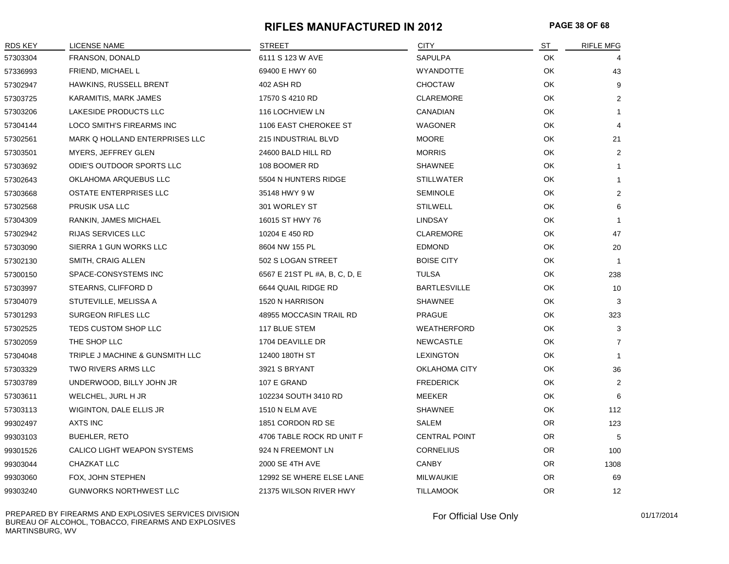#### **RIFLES MANUFACTURED IN 2012 PAGE 38 OF 68**

| <b>RDS KEY</b> | LICENSE NAME                    | <b>STREET</b>                 | <b>CITY</b>          | ST        | RIFLE MFG      |
|----------------|---------------------------------|-------------------------------|----------------------|-----------|----------------|
| 57303304       | FRANSON, DONALD                 | 6111 S 123 W AVE              | SAPULPA              | OK        | 4              |
| 57336993       | FRIEND, MICHAEL L               | 69400 E HWY 60                | <b>WYANDOTTE</b>     | OK        | 43             |
| 57302947       | HAWKINS, RUSSELL BRENT          | 402 ASH RD                    | <b>CHOCTAW</b>       | OK        | 9              |
| 57303725       | KARAMITIS, MARK JAMES           | 17570 S 4210 RD               | <b>CLAREMORE</b>     | OK        | 2              |
| 57303206       | LAKESIDE PRODUCTS LLC           | 116 LOCHVIEW LN               | CANADIAN             | OK        | 1              |
| 57304144       | LOCO SMITH'S FIREARMS INC       | 1106 EAST CHEROKEE ST         | <b>WAGONER</b>       | OK        | 4              |
| 57302561       | MARK Q HOLLAND ENTERPRISES LLC  | 215 INDUSTRIAL BLVD           | <b>MOORE</b>         | OK        | 21             |
| 57303501       | <b>MYERS, JEFFREY GLEN</b>      | 24600 BALD HILL RD            | <b>MORRIS</b>        | OK        | $\overline{2}$ |
| 57303692       | ODIE'S OUTDOOR SPORTS LLC       | 108 BOOMER RD                 | <b>SHAWNEE</b>       | OK        | $\mathbf{1}$   |
| 57302643       | OKLAHOMA ARQUEBUS LLC           | 5504 N HUNTERS RIDGE          | <b>STILLWATER</b>    | OK        | $\mathbf{1}$   |
| 57303668       | OSTATE ENTERPRISES LLC          | 35148 HWY 9 W                 | <b>SEMINOLE</b>      | OK.       | $\overline{2}$ |
| 57302568       | PRUSIK USA LLC                  | 301 WORLEY ST                 | <b>STILWELL</b>      | OK        | 6              |
| 57304309       | RANKIN, JAMES MICHAEL           | 16015 ST HWY 76               | LINDSAY              | OK        | -1             |
| 57302942       | RIJAS SERVICES LLC              | 10204 E 450 RD                | <b>CLAREMORE</b>     | OK        | 47             |
| 57303090       | SIERRA 1 GUN WORKS LLC          | 8604 NW 155 PL                | <b>EDMOND</b>        | OK        | 20             |
| 57302130       | SMITH, CRAIG ALLEN              | 502 S LOGAN STREET            | <b>BOISE CITY</b>    | OK        | $\overline{1}$ |
| 57300150       | SPACE-CONSYSTEMS INC            | 6567 E 21ST PL #A, B, C, D, E | <b>TULSA</b>         | OK        | 238            |
| 57303997       | STEARNS, CLIFFORD D             | 6644 QUAIL RIDGE RD           | <b>BARTLESVILLE</b>  | OK        | 10             |
| 57304079       | STUTEVILLE, MELISSA A           | 1520 N HARRISON               | <b>SHAWNEE</b>       | OK        | 3              |
| 57301293       | <b>SURGEON RIFLES LLC</b>       | 48955 MOCCASIN TRAIL RD       | <b>PRAGUE</b>        | OK        | 323            |
| 57302525       | TEDS CUSTOM SHOP LLC            | 117 BLUE STEM                 | <b>WEATHERFORD</b>   | OK        | 3              |
| 57302059       | THE SHOP LLC                    | 1704 DEAVILLE DR              | <b>NEWCASTLE</b>     | OK        | $\overline{7}$ |
| 57304048       | TRIPLE J MACHINE & GUNSMITH LLC | 12400 180TH ST                | <b>LEXINGTON</b>     | OK        | $\mathbf{1}$   |
| 57303329       | TWO RIVERS ARMS LLC             | 3921 S BRYANT                 | OKLAHOMA CITY        | OK        | 36             |
| 57303789       | UNDERWOOD, BILLY JOHN JR        | 107 E GRAND                   | <b>FREDERICK</b>     | OK        | $\overline{2}$ |
| 57303611       | WELCHEL, JURL H JR              | 102234 SOUTH 3410 RD          | MEEKER               | OK        | 6              |
| 57303113       | WIGINTON, DALE ELLIS JR         | <b>1510 N ELM AVE</b>         | <b>SHAWNEE</b>       | OK        | 112            |
| 99302497       | AXTS INC                        | 1851 CORDON RD SE             | SALEM                | OR.       | 123            |
| 99303103       | <b>BUEHLER, RETO</b>            | 4706 TABLE ROCK RD UNIT F     | <b>CENTRAL POINT</b> | <b>OR</b> | 5              |
| 99301526       | CALICO LIGHT WEAPON SYSTEMS     | 924 N FREEMONT LN             | <b>CORNELIUS</b>     | OR.       | 100            |
| 99303044       | CHAZKAT LLC                     | 2000 SE 4TH AVE               | <b>CANBY</b>         | <b>OR</b> | 1308           |
| 99303060       | FOX, JOHN STEPHEN               | 12992 SE WHERE ELSE LANE      | <b>MILWAUKIE</b>     | <b>OR</b> | 69             |
| 99303240       | <b>GUNWORKS NORTHWEST LLC</b>   | 21375 WILSON RIVER HWY        | <b>TILLAMOOK</b>     | <b>OR</b> | 12             |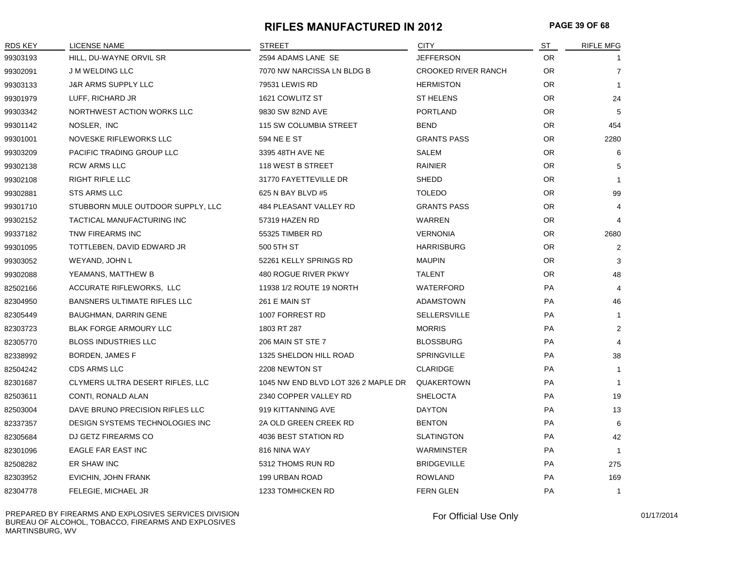#### **RIFLES MANUFACTURED IN 2012 PAGE 39 OF 68**

| <b>RDS KEY</b> | <b>LICENSE NAME</b>                 | <b>STREET</b>                       | <b>CITY</b>         | ST        | <b>RIFLE MFG</b> |
|----------------|-------------------------------------|-------------------------------------|---------------------|-----------|------------------|
| 99303193       | HILL, DU-WAYNE ORVIL SR             | 2594 ADAMS LANE SE                  | <b>JEFFERSON</b>    | <b>OR</b> |                  |
| 99302091       | J M WELDING LLC                     | 7070 NW NARCISSA LN BLDG B          | CROOKED RIVER RANCH | <b>OR</b> | $\overline{7}$   |
| 99303133       | <b>J&amp;R ARMS SUPPLY LLC</b>      | 79531 LEWIS RD                      | <b>HERMISTON</b>    | <b>OR</b> | $\overline{1}$   |
| 99301979       | LUFF, RICHARD JR                    | 1621 COWLITZ ST                     | <b>ST HELENS</b>    | <b>OR</b> | 24               |
| 99303342       | NORTHWEST ACTION WORKS LLC          | 9830 SW 82ND AVE                    | <b>PORTLAND</b>     | <b>OR</b> | 5                |
| 99301142       | NOSLER, INC                         | 115 SW COLUMBIA STREET              | <b>BEND</b>         | <b>OR</b> | 454              |
| 99301001       | NOVESKE RIFLEWORKS LLC              | 594 NE E ST                         | <b>GRANTS PASS</b>  | <b>OR</b> | 2280             |
| 99303209       | PACIFIC TRADING GROUP LLC           | 3395 48TH AVE NE                    | SALEM               | <b>OR</b> | 6                |
| 99302138       | <b>RCW ARMS LLC</b>                 | 118 WEST B STREET                   | <b>RAINIER</b>      | <b>OR</b> | 5                |
| 99302108       | <b>RIGHT RIFLE LLC</b>              | 31770 FAYETTEVILLE DR               | <b>SHEDD</b>        | OR        | $\overline{1}$   |
| 99302881       | <b>STS ARMS LLC</b>                 | 625 N BAY BLVD #5                   | <b>TOLEDO</b>       | <b>OR</b> | 99               |
| 99301710       | STUBBORN MULE OUTDOOR SUPPLY, LLC   | 484 PLEASANT VALLEY RD              | <b>GRANTS PASS</b>  | <b>OR</b> | 4                |
| 99302152       | TACTICAL MANUFACTURING INC          | 57319 HAZEN RD                      | WARREN              | <b>OR</b> | 4                |
| 99337182       | TNW FIREARMS INC                    | 55325 TIMBER RD                     | <b>VERNONIA</b>     | <b>OR</b> | 2680             |
| 99301095       | TOTTLEBEN, DAVID EDWARD JR          | 500 5TH ST                          | <b>HARRISBURG</b>   | <b>OR</b> | $\overline{2}$   |
| 99303052       | WEYAND, JOHN L                      | 52261 KELLY SPRINGS RD              | <b>MAUPIN</b>       | <b>OR</b> | 3                |
| 99302088       | YEAMANS, MATTHEW B                  | 480 ROGUE RIVER PKWY                | <b>TALENT</b>       | <b>OR</b> | 48               |
| 82502166       | ACCURATE RIFLEWORKS, LLC            | 11938 1/2 ROUTE 19 NORTH            | WATERFORD           | PA        | 4                |
| 82304950       | <b>BANSNERS ULTIMATE RIFLES LLC</b> | 261 E MAIN ST                       | ADAMSTOWN           | PA        | 46               |
| 82305449       | <b>BAUGHMAN, DARRIN GENE</b>        | 1007 FORREST RD                     | <b>SELLERSVILLE</b> | <b>PA</b> | $\mathbf{1}$     |
| 82303723       | <b>BLAK FORGE ARMOURY LLC</b>       | 1803 RT 287                         | <b>MORRIS</b>       | <b>PA</b> | $\overline{2}$   |
| 82305770       | <b>BLOSS INDUSTRIES LLC</b>         | 206 MAIN ST STE 7                   | <b>BLOSSBURG</b>    | PA        | $\overline{4}$   |
| 82338992       | BORDEN, JAMES F                     | 1325 SHELDON HILL ROAD              | <b>SPRINGVILLE</b>  | PA        | 38               |
| 82504242       | CDS ARMS LLC                        | 2208 NEWTON ST                      | <b>CLARIDGE</b>     | PA        | $\mathbf{1}$     |
| 82301687       | CLYMERS ULTRA DESERT RIFLES, LLC    | 1045 NW END BLVD LOT 326 2 MAPLE DR | <b>QUAKERTOWN</b>   | PA        | 1                |
| 82503611       | CONTI, RONALD ALAN                  | 2340 COPPER VALLEY RD               | <b>SHELOCTA</b>     | PA        | 19               |
| 82503004       | DAVE BRUNO PRECISION RIFLES LLC     | 919 KITTANNING AVE                  | <b>DAYTON</b>       | PA        | 13               |
| 82337357       | DESIGN SYSTEMS TECHNOLOGIES INC     | 2A OLD GREEN CREEK RD               | <b>BENTON</b>       | PA        | 6                |
| 82305684       | DJ GETZ FIREARMS CO                 | 4036 BEST STATION RD                | <b>SLATINGTON</b>   | PA        | 42               |
| 82301096       | <b>EAGLE FAR EAST INC</b>           | 816 NINA WAY                        | <b>WARMINSTER</b>   | <b>PA</b> | -1               |
| 82508282       | ER SHAW INC                         | 5312 THOMS RUN RD                   | <b>BRIDGEVILLE</b>  | PA        | 275              |
| 82303952       | EVICHIN, JOHN FRANK                 | 199 URBAN ROAD                      | <b>ROWLAND</b>      | PA        | 169              |
| 82304778       | FELEGIE, MICHAEL JR                 | 1233 TOMHICKEN RD                   | <b>FERN GLEN</b>    | PA        | $\mathbf{1}$     |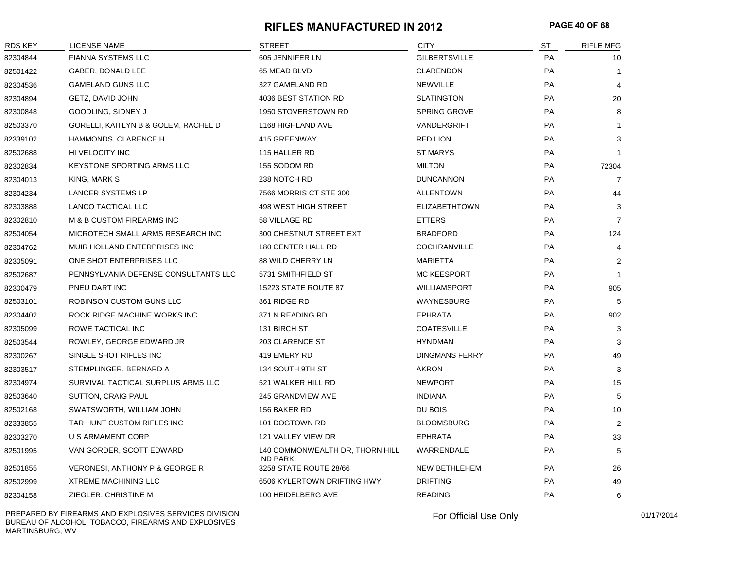#### **RIFLES MANUFACTURED IN 2012 PAGE 40 OF 68**

| RDS KEY  | LICENSE NAME                         | <b>STREET</b>                                      | <b>CITY</b>           | <b>ST</b> | <b>RIFLE MFG</b> |
|----------|--------------------------------------|----------------------------------------------------|-----------------------|-----------|------------------|
| 82304844 | <b>FIANNA SYSTEMS LLC</b>            | 605 JENNIFER LN                                    | <b>GILBERTSVILLE</b>  | PA        | 10               |
| 82501422 | GABER, DONALD LEE                    | 65 MEAD BLVD                                       | <b>CLARENDON</b>      | <b>PA</b> | $\mathbf{1}$     |
| 82304536 | <b>GAMELAND GUNS LLC</b>             | 327 GAMELAND RD                                    | <b>NEWVILLE</b>       | <b>PA</b> | $\overline{4}$   |
| 82304894 | GETZ, DAVID JOHN                     | 4036 BEST STATION RD                               | <b>SLATINGTON</b>     | <b>PA</b> | 20               |
| 82300848 | GOODLING, SIDNEY J                   | 1950 STOVERSTOWN RD                                | <b>SPRING GROVE</b>   | <b>PA</b> | 8                |
| 82503370 | GORELLI, KAITLYN B & GOLEM, RACHEL D | 1168 HIGHLAND AVE                                  | VANDERGRIFT           | <b>PA</b> | $\mathbf{1}$     |
| 82339102 | HAMMONDS, CLARENCE H                 | 415 GREENWAY                                       | <b>RED LION</b>       | PA        | 3                |
| 82502688 | HI VELOCITY INC                      | 115 HALLER RD                                      | <b>ST MARYS</b>       | <b>PA</b> | $\mathbf 1$      |
| 82302834 | <b>KEYSTONE SPORTING ARMS LLC</b>    | 155 SODOM RD                                       | <b>MILTON</b>         | <b>PA</b> | 72304            |
| 82304013 | KING, MARK S                         | 238 NOTCH RD                                       | <b>DUNCANNON</b>      | <b>PA</b> | $\overline{7}$   |
| 82304234 | LANCER SYSTEMS LP                    | 7566 MORRIS CT STE 300                             | ALLENTOWN             | <b>PA</b> | 44               |
| 82303888 | LANCO TACTICAL LLC                   | 498 WEST HIGH STREET                               | <b>ELIZABETHTOWN</b>  | <b>PA</b> | 3                |
| 82302810 | M & B CUSTOM FIREARMS INC            | 58 VILLAGE RD                                      | <b>ETTERS</b>         | <b>PA</b> | $\overline{7}$   |
| 82504054 | MICROTECH SMALL ARMS RESEARCH INC    | 300 CHESTNUT STREET EXT                            | <b>BRADFORD</b>       | <b>PA</b> | 124              |
| 82304762 | MUIR HOLLAND ENTERPRISES INC         | 180 CENTER HALL RD                                 | <b>COCHRANVILLE</b>   | <b>PA</b> | 4                |
| 82305091 | ONE SHOT ENTERPRISES LLC             | 88 WILD CHERRY LN                                  | <b>MARIETTA</b>       | <b>PA</b> | 2                |
| 82502687 | PENNSYLVANIA DEFENSE CONSULTANTS LLC | 5731 SMITHFIELD ST                                 | <b>MC KEESPORT</b>    | PA        | $\mathbf{1}$     |
| 82300479 | PNEU DART INC                        | 15223 STATE ROUTE 87                               | <b>WILLIAMSPORT</b>   | <b>PA</b> | 905              |
| 82503101 | ROBINSON CUSTOM GUNS LLC             | 861 RIDGE RD                                       | WAYNESBURG            | <b>PA</b> | 5                |
| 82304402 | ROCK RIDGE MACHINE WORKS INC         | 871 N READING RD                                   | <b>EPHRATA</b>        | <b>PA</b> | 902              |
| 82305099 | ROWE TACTICAL INC                    | 131 BIRCH ST                                       | <b>COATESVILLE</b>    | <b>PA</b> | 3                |
| 82503544 | ROWLEY, GEORGE EDWARD JR             | 203 CLARENCE ST                                    | <b>HYNDMAN</b>        | <b>PA</b> | 3                |
| 82300267 | SINGLE SHOT RIFLES INC               | 419 EMERY RD                                       | <b>DINGMANS FERRY</b> | <b>PA</b> | 49               |
| 82303517 | STEMPLINGER, BERNARD A               | 134 SOUTH 9TH ST                                   | AKRON                 | <b>PA</b> | 3                |
| 82304974 | SURVIVAL TACTICAL SURPLUS ARMS LLC   | 521 WALKER HILL RD                                 | <b>NEWPORT</b>        | <b>PA</b> | 15               |
| 82503640 | SUTTON, CRAIG PAUL                   | <b>245 GRANDVIEW AVE</b>                           | INDIANA               | <b>PA</b> | 5                |
| 82502168 | SWATSWORTH, WILLIAM JOHN             | 156 BAKER RD                                       | DU BOIS               | <b>PA</b> | 10               |
| 82333855 | TAR HUNT CUSTOM RIFLES INC           | 101 DOGTOWN RD                                     | <b>BLOOMSBURG</b>     | <b>PA</b> | 2                |
| 82303270 | U S ARMAMENT CORP                    | 121 VALLEY VIEW DR                                 | <b>EPHRATA</b>        | <b>PA</b> | 33               |
| 82501995 | VAN GORDER, SCOTT EDWARD             | 140 COMMONWEALTH DR, THORN HILL<br><b>IND PARK</b> | WARRENDALE            | PA        | 5                |
| 82501855 | VERONESI, ANTHONY P & GEORGE R       | 3258 STATE ROUTE 28/66                             | <b>NEW BETHLEHEM</b>  | <b>PA</b> | 26               |
| 82502999 | <b>XTREME MACHINING LLC</b>          | 6506 KYLERTOWN DRIFTING HWY                        | <b>DRIFTING</b>       | PA        | 49               |
| 82304158 | ZIEGLER, CHRISTINE M                 | 100 HEIDELBERG AVE                                 | <b>READING</b>        | PA        | 6                |

PREPARED BY FIREARMS AND EXPLOSIVES SERVICES DIVISION BUREAU OF ALCOHOL, TOBACCO, FIREARMS AND EXPLOSIVES MARTINSBURG, WV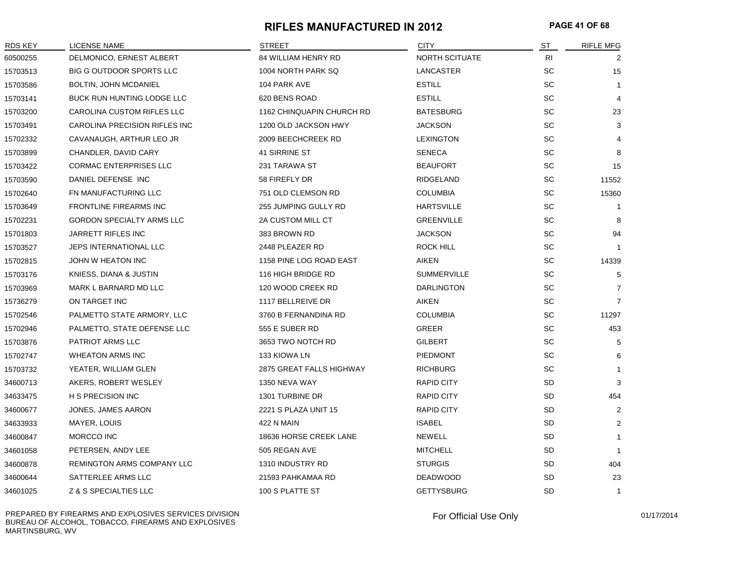#### **RIFLES MANUFACTURED IN 2012 PAGE 41 OF 68**

| <b>RDS KEY</b> | LICENSE NAME                     | <b>STREET</b>             | <b>CITY</b>        | <u>ST</u>                    | RIFLE MFG      |
|----------------|----------------------------------|---------------------------|--------------------|------------------------------|----------------|
| 60500255       | DELMONICO, ERNEST ALBERT         | 84 WILLIAM HENRY RD       | NORTH SCITUATE     | <b>RI</b>                    | 2              |
| 15703513       | <b>BIG G OUTDOOR SPORTS LLC</b>  | 1004 NORTH PARK SQ        | LANCASTER          | SC                           | 15             |
| 15703586       | <b>BOLTIN, JOHN MCDANIEL</b>     | 104 PARK AVE              | <b>ESTILL</b>      | SC                           | $\mathbf{1}$   |
| 15703141       | BUCK RUN HUNTING LODGE LLC       | 620 BENS ROAD             | <b>ESTILL</b>      | SC                           | $\overline{4}$ |
| 15703200       | CAROLINA CUSTOM RIFLES LLC       | 1162 CHINQUAPIN CHURCH RD | <b>BATESBURG</b>   | SC                           | 23             |
| 15703491       | CAROLINA PRECISION RIFLES INC    | 1200 OLD JACKSON HWY      | <b>JACKSON</b>     | $\operatorname{\textsf{SC}}$ | 3              |
| 15702332       | CAVANAUGH, ARTHUR LEO JR         | 2009 BEECHCREEK RD        | <b>LEXINGTON</b>   | SC                           |                |
| 15703899       | CHANDLER, DAVID CARY             | 41 SIRRINE ST             | <b>SENECA</b>      | SC                           | 8              |
| 15703422       | <b>CORMAC ENTERPRISES LLC</b>    | 231 TARAWA ST             | <b>BEAUFORT</b>    | SC                           | 15             |
| 15703590       | DANIEL DEFENSE INC               | 58 FIREFLY DR             | <b>RIDGELAND</b>   | SC                           | 11552          |
| 15702640       | FN MANUFACTURING LLC             | 751 OLD CLEMSON RD        | <b>COLUMBIA</b>    | SC                           | 15360          |
| 15703649       | <b>FRONTLINE FIREARMS INC</b>    | 255 JUMPING GULLY RD      | <b>HARTSVILLE</b>  | SC                           | 1              |
| 15702231       | <b>GORDON SPECIALTY ARMS LLC</b> | 2A CUSTOM MILL CT         | <b>GREENVILLE</b>  | SC                           | 8              |
| 15701803       | JARRETT RIFLES INC               | 383 BROWN RD              | <b>JACKSON</b>     | $\operatorname{\textsf{SC}}$ | 94             |
| 15703527       | JEPS INTERNATIONAL LLC           | 2448 PLEAZER RD           | <b>ROCK HILL</b>   | SC                           | $\mathbf{1}$   |
| 15702815       | JOHN W HEATON INC                | 1158 PINE LOG ROAD EAST   | AIKEN              | SC                           | 14339          |
| 15703176       | KNIESS, DIANA & JUSTIN           | 116 HIGH BRIDGE RD        | <b>SUMMERVILLE</b> | $\operatorname{\textsf{SC}}$ | 5              |
| 15703969       | MARK L BARNARD MD LLC            | 120 WOOD CREEK RD         | <b>DARLINGTON</b>  | SC                           | $\overline{7}$ |
| 15736279       | ON TARGET INC                    | 1117 BELLREIVE DR         | AIKEN              | SC                           | $\overline{7}$ |
| 15702546       | PALMETTO STATE ARMORY, LLC       | 3760 B FERNANDINA RD      | <b>COLUMBIA</b>    | SC                           | 11297          |
| 15702946       | PALMETTO, STATE DEFENSE LLC      | 555 E SUBER RD            | GREER              | SC                           | 453            |
| 15703876       | PATRIOT ARMS LLC                 | 3653 TWO NOTCH RD         | <b>GILBERT</b>     | SC                           | 5              |
| 15702747       | <b>WHEATON ARMS INC</b>          | 133 KIOWA LN              | <b>PIEDMONT</b>    | SC                           | 6              |
| 15703732       | YEATER, WILLIAM GLEN             | 2875 GREAT FALLS HIGHWAY  | <b>RICHBURG</b>    | SC                           | $\mathbf 1$    |
| 34600713       | AKERS, ROBERT WESLEY             | 1350 NEVA WAY             | <b>RAPID CITY</b>  | SD                           | 3              |
| 34633475       | <b>H S PRECISION INC</b>         | 1301 TURBINE DR           | <b>RAPID CITY</b>  | SD                           | 454            |
| 34600677       | JONES, JAMES AARON               | 2221 S PLAZA UNIT 15      | <b>RAPID CITY</b>  | SD                           | $\overline{2}$ |
| 34633933       | MAYER, LOUIS                     | 422 N MAIN                | <b>ISABEL</b>      | SD                           | $\overline{2}$ |
| 34600847       | MORCCO INC                       | 18636 HORSE CREEK LANE    | <b>NEWELL</b>      | SD                           | $\mathbf{1}$   |
| 34601058       | PETERSEN, ANDY LEE               | 505 REGAN AVE             | <b>MITCHELL</b>    | SD                           | $\mathbf 1$    |
| 34600878       | REMINGTON ARMS COMPANY LLC       | 1310 INDUSTRY RD          | <b>STURGIS</b>     | SD                           | 404            |
| 34600644       | SATTERLEE ARMS LLC               | 21593 PAHKAMAA RD         | <b>DEADWOOD</b>    | SD                           | 23             |
| 34601025       | Z & S SPECIALTIES LLC            | 100 S PLATTE ST           | <b>GETTYSBURG</b>  | <b>SD</b>                    | $\mathbf{1}$   |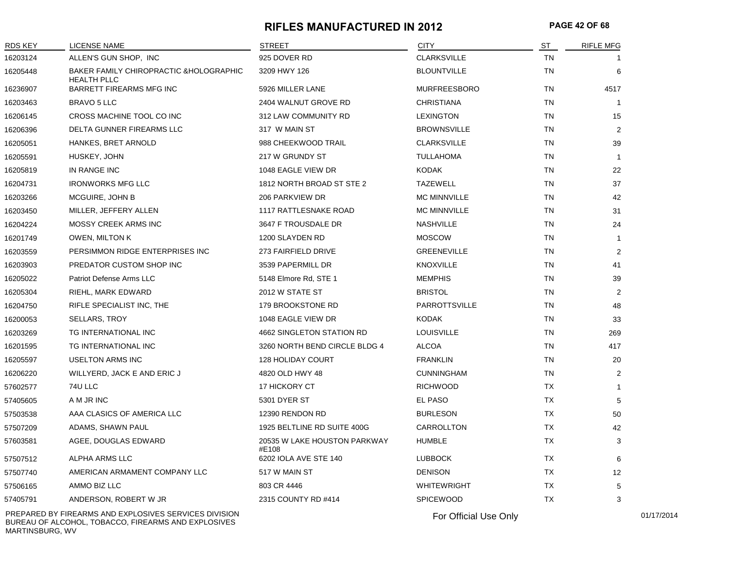#### **RIFLES MANUFACTURED IN 2012 PAGE 42 OF 68**

| <b>RDS KEY</b> | <b>LICENSE NAME</b>                                           | <b>STREET</b>                         | <b>CITY</b>          | ST        | <b>RIFLE MFG</b> |
|----------------|---------------------------------------------------------------|---------------------------------------|----------------------|-----------|------------------|
| 16203124       | ALLEN'S GUN SHOP, INC                                         | 925 DOVER RD                          | <b>CLARKSVILLE</b>   | <b>TN</b> |                  |
| 16205448       | BAKER FAMILY CHIROPRACTIC & HOLOGRAPHIC<br><b>HEALTH PLLC</b> | 3209 HWY 126                          | <b>BLOUNTVILLE</b>   | TN        | 6                |
| 16236907       | <b>BARRETT FIREARMS MFG INC</b>                               | 5926 MILLER LANE                      | <b>MURFREESBORO</b>  | <b>TN</b> | 4517             |
| 16203463       | <b>BRAVO 5 LLC</b>                                            | 2404 WALNUT GROVE RD                  | <b>CHRISTIANA</b>    | TN        | $\mathbf{1}$     |
| 16206145       | CROSS MACHINE TOOL CO INC                                     | 312 LAW COMMUNITY RD                  | <b>LEXINGTON</b>     | TN        | 15               |
| 16206396       | DELTA GUNNER FIREARMS LLC                                     | 317 W MAIN ST                         | <b>BROWNSVILLE</b>   | <b>TN</b> | $\overline{2}$   |
| 16205051       | HANKES, BRET ARNOLD                                           | 988 CHEEKWOOD TRAIL                   | <b>CLARKSVILLE</b>   | TN        | 39               |
| 16205591       | HUSKEY, JOHN                                                  | 217 W GRUNDY ST                       | <b>TULLAHOMA</b>     | TN        | $\mathbf{1}$     |
| 16205819       | IN RANGE INC                                                  | 1048 EAGLE VIEW DR                    | <b>KODAK</b>         | <b>TN</b> | 22               |
| 16204731       | <b>IRONWORKS MFG LLC</b>                                      | 1812 NORTH BROAD ST STE 2             | <b>TAZEWELL</b>      | <b>TN</b> | 37               |
| 16203266       | MCGUIRE, JOHN B                                               | 206 PARKVIEW DR                       | <b>MC MINNVILLE</b>  | <b>TN</b> | 42               |
| 16203450       | MILLER, JEFFERY ALLEN                                         | <b>1117 RATTLESNAKE ROAD</b>          | <b>MC MINNVILLE</b>  | TN        | 31               |
| 16204224       | MOSSY CREEK ARMS INC                                          | 3647 F TROUSDALE DR                   | <b>NASHVILLE</b>     | TN        | 24               |
| 16201749       | <b>OWEN, MILTON K</b>                                         | 1200 SLAYDEN RD                       | <b>MOSCOW</b>        | <b>TN</b> | -1               |
| 16203559       | PERSIMMON RIDGE ENTERPRISES INC                               | 273 FAIRFIELD DRIVE                   | <b>GREENEVILLE</b>   | TN        | 2                |
| 16203903       | PREDATOR CUSTOM SHOP INC                                      | 3539 PAPERMILL DR                     | <b>KNOXVILLE</b>     | TN        | 41               |
| 16205022       | Patriot Defense Arms LLC                                      | 5148 Elmore Rd, STE 1                 | <b>MEMPHIS</b>       | <b>TN</b> | 39               |
| 16205304       | RIEHL, MARK EDWARD                                            | 2012 W STATE ST                       | <b>BRISTOL</b>       | TN        | 2                |
| 16204750       | RIFLE SPECIALIST INC, THE                                     | 179 BROOKSTONE RD                     | <b>PARROTTSVILLE</b> | TN        | 48               |
| 16200053       | <b>SELLARS, TROY</b>                                          | 1048 EAGLE VIEW DR                    | <b>KODAK</b>         | TN        | 33               |
| 16203269       | TG INTERNATIONAL INC                                          | 4662 SINGLETON STATION RD             | <b>LOUISVILLE</b>    | <b>TN</b> | 269              |
| 16201595       | TG INTERNATIONAL INC                                          | 3260 NORTH BEND CIRCLE BLDG 4         | <b>ALCOA</b>         | TN        | 417              |
| 16205597       | <b>USELTON ARMS INC</b>                                       | <b>128 HOLIDAY COURT</b>              | <b>FRANKLIN</b>      | TN        | 20               |
| 16206220       | WILLYERD, JACK E AND ERIC J                                   | 4820 OLD HWY 48                       | <b>CUNNINGHAM</b>    | TN        | $\overline{2}$   |
| 57602577       | 74U LLC                                                       | 17 HICKORY CT                         | <b>RICHWOOD</b>      | <b>TX</b> | -1               |
| 57405605       | A M JR INC                                                    | 5301 DYER ST                          | EL PASO              | <b>TX</b> | 5                |
| 57503538       | AAA CLASICS OF AMERICA LLC                                    | 12390 RENDON RD                       | <b>BURLESON</b>      | TX        | 50               |
| 57507209       | ADAMS, SHAWN PAUL                                             | 1925 BELTLINE RD SUITE 400G           | CARROLLTON           | ТX        | 42               |
| 57603581       | AGEE, DOUGLAS EDWARD                                          | 20535 W LAKE HOUSTON PARKWAY<br>#E108 | <b>HUMBLE</b>        | <b>TX</b> | 3                |
| 57507512       | ALPHA ARMS LLC                                                | 6202 IOLA AVE STE 140                 | <b>LUBBOCK</b>       | ТX        | 6                |
| 57507740       | AMERICAN ARMAMENT COMPANY LLC                                 | 517 W MAIN ST                         | <b>DENISON</b>       | <b>TX</b> | 12               |
| 57506165       | AMMO BIZ LLC                                                  | 803 CR 4446                           | <b>WHITEWRIGHT</b>   | TX        | 5                |
| 57405791       | ANDERSON, ROBERT W JR                                         | 2315 COUNTY RD #414                   | <b>SPICEWOOD</b>     | <b>TX</b> | 3                |
|                |                                                               |                                       |                      |           |                  |

PREPARED BY FIREARMS AND EXPLOSIVES SERVICES DIVISION BUREAU OF ALCOHOL, TOBACCO, FIREARMS AND EXPLOSIVES MARTINSBURG, WV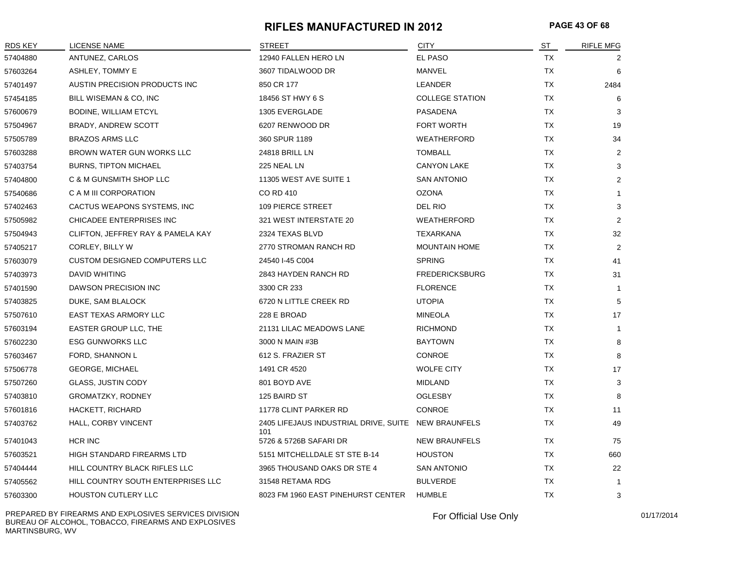#### **RIFLES MANUFACTURED IN 2012 PAGE 43 OF 68**

| <b>RDS KEY</b> | <b>LICENSE NAME</b>                  | <b>STREET</b>                                              | <b>CITY</b>            | <b>ST</b> | RIFLE MFG      |
|----------------|--------------------------------------|------------------------------------------------------------|------------------------|-----------|----------------|
| 57404880       | ANTUNEZ, CARLOS                      | 12940 FALLEN HERO LN                                       | EL PASO                | TX        |                |
| 57603264       | ASHLEY, TOMMY E                      | 3607 TIDALWOOD DR                                          | MANVEL                 | TX        | 6              |
| 57401497       | AUSTIN PRECISION PRODUCTS INC        | 850 CR 177                                                 | LEANDER                | <b>TX</b> | 2484           |
| 57454185       | BILL WISEMAN & CO, INC               | 18456 ST HWY 6 S                                           | <b>COLLEGE STATION</b> | ТX        | 6              |
| 57600679       | BODINE, WILLIAM ETCYL                | 1305 EVERGLADE                                             | PASADENA               | ТX        | 3              |
| 57504967       | <b>BRADY, ANDREW SCOTT</b>           | 6207 RENWOOD DR                                            | <b>FORT WORTH</b>      | TX        | 19             |
| 57505789       | <b>BRAZOS ARMS LLC</b>               | 360 SPUR 1189                                              | <b>WEATHERFORD</b>     | <b>TX</b> | 34             |
| 57603288       | BROWN WATER GUN WORKS LLC            | 24818 BRILL LN                                             | <b>TOMBALL</b>         | <b>TX</b> | 2              |
| 57403754       | <b>BURNS, TIPTON MICHAEL</b>         | 225 NEAL LN                                                | <b>CANYON LAKE</b>     | <b>TX</b> | 3              |
| 57404800       | C & M GUNSMITH SHOP LLC              | 11305 WEST AVE SUITE 1                                     | <b>SAN ANTONIO</b>     | <b>TX</b> | 2              |
| 57540686       | C A M III CORPORATION                | CO RD 410                                                  | <b>OZONA</b>           | TX        | $\overline{1}$ |
| 57402463       | CACTUS WEAPONS SYSTEMS, INC          | 109 PIERCE STREET                                          | DEL RIO                | <b>TX</b> | 3              |
| 57505982       | CHICADEE ENTERPRISES INC             | 321 WEST INTERSTATE 20                                     | <b>WEATHERFORD</b>     | <b>TX</b> | $\overline{2}$ |
| 57504943       | CLIFTON, JEFFREY RAY & PAMELA KAY    | 2324 TEXAS BLVD                                            | <b>TEXARKANA</b>       | <b>TX</b> | 32             |
| 57405217       | CORLEY, BILLY W                      | 2770 STROMAN RANCH RD                                      | <b>MOUNTAIN HOME</b>   | <b>TX</b> | 2              |
| 57603079       | <b>CUSTOM DESIGNED COMPUTERS LLC</b> | 24540 I-45 C004                                            | <b>SPRING</b>          | TX        | 41             |
| 57403973       | <b>DAVID WHITING</b>                 | 2843 HAYDEN RANCH RD                                       | <b>FREDERICKSBURG</b>  | <b>TX</b> | 31             |
| 57401590       | DAWSON PRECISION INC                 | 3300 CR 233                                                | <b>FLORENCE</b>        | <b>TX</b> | $\mathbf{1}$   |
| 57403825       | DUKE, SAM BLALOCK                    | 6720 N LITTLE CREEK RD                                     | <b>UTOPIA</b>          | <b>TX</b> | 5              |
| 57507610       | EAST TEXAS ARMORY LLC                | 228 E BROAD                                                | <b>MINEOLA</b>         | <b>TX</b> | 17             |
| 57603194       | EASTER GROUP LLC, THE                | 21131 LILAC MEADOWS LANE                                   | <b>RICHMOND</b>        | <b>TX</b> | $\overline{1}$ |
| 57602230       | <b>ESG GUNWORKS LLC</b>              | 3000 N MAIN #3B                                            | <b>BAYTOWN</b>         | <b>TX</b> | 8              |
| 57603467       | FORD, SHANNON L                      | 612 S. FRAZIER ST                                          | CONROE                 | TX        | 8              |
| 57506778       | <b>GEORGE, MICHAEL</b>               | 1491 CR 4520                                               | <b>WOLFE CITY</b>      | <b>TX</b> | 17             |
| 57507260       | <b>GLASS, JUSTIN CODY</b>            | 801 BOYD AVE                                               | <b>MIDLAND</b>         | <b>TX</b> | 3              |
| 57403810       | <b>GROMATZKY, RODNEY</b>             | 125 BAIRD ST                                               | <b>OGLESBY</b>         | <b>TX</b> | 8              |
| 57601816       | HACKETT, RICHARD                     | 11778 CLINT PARKER RD                                      | <b>CONROE</b>          | <b>TX</b> | 11             |
| 57403762       | HALL, CORBY VINCENT                  | 2405 LIFEJAUS INDUSTRIAL DRIVE, SUITE NEW BRAUNFELS<br>101 |                        | ТX        | 49             |
| 57401043       | HCR INC                              | 5726 & 5726B SAFARI DR                                     | <b>NEW BRAUNFELS</b>   | TX        | 75             |
| 57603521       | <b>HIGH STANDARD FIREARMS LTD</b>    | 5151 MITCHELLDALE ST STE B-14                              | <b>HOUSTON</b>         | <b>TX</b> | 660            |
| 57404444       | HILL COUNTRY BLACK RIFLES LLC        | 3965 THOUSAND OAKS DR STE 4                                | <b>SAN ANTONIO</b>     | <b>TX</b> | 22             |
| 57405562       | HILL COUNTRY SOUTH ENTERPRISES LLC   | 31548 RETAMA RDG                                           | <b>BULVERDE</b>        | <b>TX</b> | $\mathbf{1}$   |
| 57603300       | HOUSTON CUTLERY LLC                  | 8023 FM 1960 EAST PINEHURST CENTER                         | <b>HUMBLE</b>          | <b>TX</b> | 3              |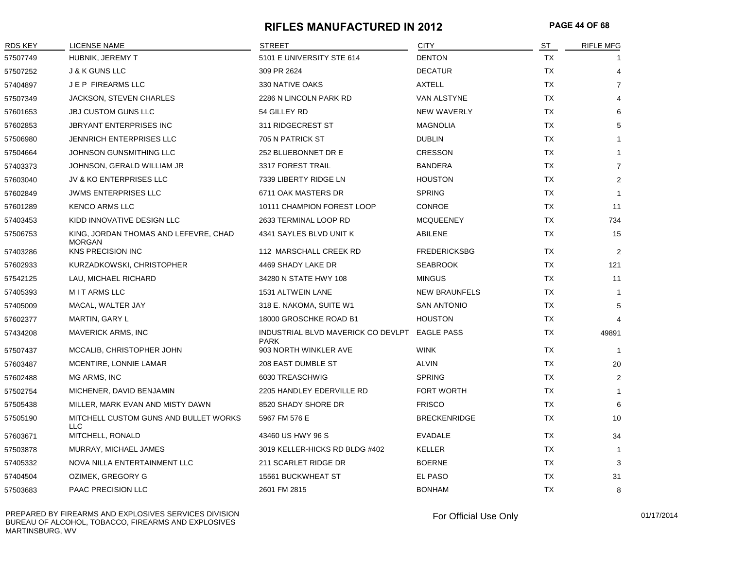#### **RIFLES MANUFACTURED IN 2012 PAGE 44 OF 68**

| RDS KEY  | <b>LICENSE NAME</b>                                    | <b>STREET</b>                                     | <b>CITY</b>          | ST        | <b>RIFLE MFG</b> |
|----------|--------------------------------------------------------|---------------------------------------------------|----------------------|-----------|------------------|
| 57507749 | HUBNIK, JEREMY T                                       | 5101 E UNIVERSITY STE 614                         | <b>DENTON</b>        | <b>TX</b> |                  |
| 57507252 | <b>J &amp; K GUNS LLC</b>                              | 309 PR 2624                                       | <b>DECATUR</b>       | TX        | 4                |
| 57404897 | J E P FIREARMS LLC                                     | 330 NATIVE OAKS                                   | AXTELL               | TX        | $\overline{7}$   |
| 57507349 | <b>JACKSON, STEVEN CHARLES</b>                         | 2286 N LINCOLN PARK RD                            | VAN ALSTYNE          | TX        | 4                |
| 57601653 | <b>JBJ CUSTOM GUNS LLC</b>                             | 54 GILLEY RD                                      | <b>NEW WAVERLY</b>   | <b>TX</b> | 6                |
| 57602853 | JBRYANT ENTERPRISES INC                                | 311 RIDGECREST ST                                 | <b>MAGNOLIA</b>      | TX        | 5                |
| 57506980 | JENNRICH ENTERPRISES LLC                               | 705 N PATRICK ST                                  | <b>DUBLIN</b>        | TX        | $\mathbf{1}$     |
| 57504664 | JOHNSON GUNSMITHING LLC                                | 252 BLUEBONNET DR E                               | <b>CRESSON</b>       | <b>TX</b> | $\mathbf{1}$     |
| 57403373 | JOHNSON, GERALD WILLIAM JR                             | 3317 FOREST TRAIL                                 | <b>BANDERA</b>       | TX        | $\overline{7}$   |
| 57603040 | JV & KO ENTERPRISES LLC                                | 7339 LIBERTY RIDGE LN                             | <b>HOUSTON</b>       | <b>TX</b> | $\overline{2}$   |
| 57602849 | <b>JWMS ENTERPRISES LLC</b>                            | 6711 OAK MASTERS DR                               | <b>SPRING</b>        | TX        | $\mathbf{1}$     |
| 57601289 | <b>KENCO ARMS LLC</b>                                  | 10111 CHAMPION FOREST LOOP                        | <b>CONROE</b>        | TX.       | 11               |
| 57403453 | KIDD INNOVATIVE DESIGN LLC                             | 2633 TERMINAL LOOP RD                             | <b>MCQUEENEY</b>     | TX        | 734              |
| 57506753 | KING, JORDAN THOMAS AND LEFEVRE, CHAD<br><b>MORGAN</b> | 4341 SAYLES BLVD UNIT K                           | ABILENE              | TX        | 15               |
| 57403286 | <b>KNS PRECISION INC</b>                               | 112 MARSCHALL CREEK RD                            | <b>FREDERICKSBG</b>  | TX        | $\overline{2}$   |
| 57602933 | KURZADKOWSKI, CHRISTOPHER                              | 4469 SHADY LAKE DR                                | <b>SEABROOK</b>      | <b>TX</b> | 121              |
| 57542125 | LAU, MICHAEL RICHARD                                   | 34280 N STATE HWY 108                             | <b>MINGUS</b>        | <b>TX</b> | 11               |
| 57405393 | <b>MITARMSLLC</b>                                      | 1531 ALTWEIN LANE                                 | <b>NEW BRAUNFELS</b> | <b>TX</b> | $\mathbf{1}$     |
| 57405009 | MACAL, WALTER JAY                                      | 318 E. NAKOMA, SUITE W1                           | <b>SAN ANTONIO</b>   | <b>TX</b> | 5                |
| 57602377 | MARTIN, GARY L                                         | 18000 GROSCHKE ROAD B1                            | <b>HOUSTON</b>       | TX        | $\overline{4}$   |
| 57434208 | <b>MAVERICK ARMS, INC</b>                              | INDUSTRIAL BLVD MAVERICK CO DEVLPT<br><b>PARK</b> | <b>EAGLE PASS</b>    | <b>TX</b> | 49891            |
| 57507437 | MCCALIB, CHRISTOPHER JOHN                              | 903 NORTH WINKLER AVE                             | <b>WINK</b>          | TX        | $\overline{1}$   |
| 57603487 | MCENTIRE, LONNIE LAMAR                                 | 208 EAST DUMBLE ST                                | ALVIN                | <b>TX</b> | 20               |
| 57602488 | MG ARMS, INC                                           | 6030 TREASCHWIG                                   | <b>SPRING</b>        | TX        | $\overline{2}$   |
| 57502754 | MICHENER, DAVID BENJAMIN                               | 2205 HANDLEY EDERVILLE RD                         | <b>FORT WORTH</b>    | <b>TX</b> | $\mathbf{1}$     |
| 57505438 | MILLER, MARK EVAN AND MISTY DAWN                       | 8520 SHADY SHORE DR                               | <b>FRISCO</b>        | TX        | 6                |
| 57505190 | MITCHELL CUSTOM GUNS AND BULLET WORKS<br><b>LLC</b>    | 5967 FM 576 E                                     | <b>BRECKENRIDGE</b>  | <b>TX</b> | 10               |
| 57603671 | MITCHELL, RONALD                                       | 43460 US HWY 96 S                                 | <b>EVADALE</b>       | TX        | 34               |
| 57503878 | MURRAY, MICHAEL JAMES                                  | 3019 KELLER-HICKS RD BLDG #402                    | <b>KELLER</b>        | TX        | $\overline{1}$   |
| 57405332 | NOVA NILLA ENTERTAINMENT LLC                           | 211 SCARLET RIDGE DR                              | <b>BOERNE</b>        | TX        | 3                |
| 57404504 | OZIMEK, GREGORY G                                      | 15561 BUCKWHEAT ST                                | EL PASO              | TX        | 31               |
| 57503683 | PAAC PRECISION LLC                                     | 2601 FM 2815                                      | <b>BONHAM</b>        | <b>TX</b> | 8                |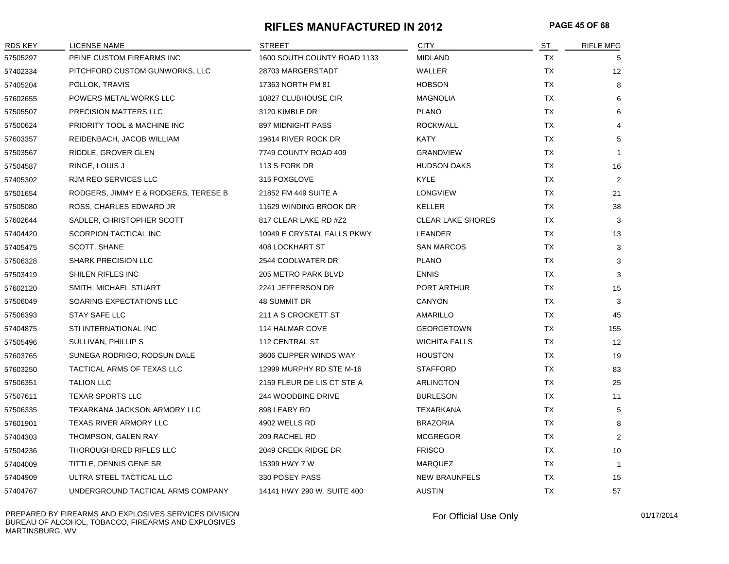#### **RIFLES MANUFACTURED IN 2012 PAGE 45 OF 68**

| <b>RDS KEY</b> | <b>LICENSE NAME</b>                  | <b>STREET</b>               | <b>CITY</b>              | ST        | <b>RIFLE MFG</b> |
|----------------|--------------------------------------|-----------------------------|--------------------------|-----------|------------------|
| 57505297       | PEINE CUSTOM FIREARMS INC            | 1600 SOUTH COUNTY ROAD 1133 | <b>MIDLAND</b>           | TX        | 5                |
| 57402334       | PITCHFORD CUSTOM GUNWORKS, LLC       | 28703 MARGERSTADT           | WALLER                   | TX        | 12               |
| 57405204       | POLLOK, TRAVIS                       | 17363 NORTH FM 81           | <b>HOBSON</b>            | TX        | 8                |
| 57602655       | POWERS METAL WORKS LLC               | 10827 CLUBHOUSE CIR         | MAGNOLIA                 | <b>TX</b> | 6                |
| 57505507       | PRECISION MATTERS LLC                | 3120 KIMBLE DR              | <b>PLANO</b>             | TX        | 6                |
| 57500624       | PRIORITY TOOL & MACHINE INC          | 897 MIDNIGHT PASS           | <b>ROCKWALL</b>          | TX        |                  |
| 57603357       | REIDENBACH, JACOB WILLIAM            | 19614 RIVER ROCK DR         | KATY                     | TX        | 5                |
| 57503567       | RIDDLE, GROVER GLEN                  | 7749 COUNTY ROAD 409        | <b>GRANDVIEW</b>         | TX        | $\mathbf{1}$     |
| 57504587       | RINGE, LOUIS J                       | 113 S FORK DR               | <b>HUDSON OAKS</b>       | TX        | 16               |
| 57405302       | RJM REO SERVICES LLC                 | 315 FOXGLOVE                | KYLE                     | TX        | 2                |
| 57501654       | RODGERS, JIMMY E & RODGERS, TERESE B | 21852 FM 449 SUITE A        | <b>LONGVIEW</b>          | TX        | 21               |
| 57505080       | ROSS, CHARLES EDWARD JR              | 11629 WINDING BROOK DR      | <b>KELLER</b>            | <b>TX</b> | 38               |
| 57602644       | SADLER, CHRISTOPHER SCOTT            | 817 CLEAR LAKE RD #Z2       | <b>CLEAR LAKE SHORES</b> | TX        | 3                |
| 57404420       | SCORPION TACTICAL INC                | 10949 E CRYSTAL FALLS PKWY  | LEANDER                  | TX        | 13               |
| 57405475       | SCOTT, SHANE                         | <b>408 LOCKHART ST</b>      | <b>SAN MARCOS</b>        | <b>TX</b> | 3                |
| 57506328       | <b>SHARK PRECISION LLC</b>           | 2544 COOLWATER DR           | <b>PLANO</b>             | TX        | 3                |
| 57503419       | SHILEN RIFLES INC                    | 205 METRO PARK BLVD         | <b>ENNIS</b>             | TX        | 3                |
| 57602120       | SMITH, MICHAEL STUART                | 2241 JEFFERSON DR           | PORT ARTHUR              | TX        | 15               |
| 57506049       | SOARING EXPECTATIONS LLC             | <b>48 SUMMIT DR</b>         | <b>CANYON</b>            | TX        | 3                |
| 57506393       | STAY SAFE LLC                        | 211 A S CROCKETT ST         | AMARILLO                 | TX        | 45               |
| 57404875       | STI INTERNATIONAL INC                | 114 HALMAR COVE             | <b>GEORGETOWN</b>        | <b>TX</b> | 155              |
| 57505496       | SULLIVAN, PHILLIP S                  | 112 CENTRAL ST              | <b>WICHITA FALLS</b>     | <b>TX</b> | 12               |
| 57603765       | SUNEGA RODRIGO, RODSUN DALE          | 3606 CLIPPER WINDS WAY      | <b>HOUSTON</b>           | TX        | 19               |
| 57603250       | TACTICAL ARMS OF TEXAS LLC           | 12999 MURPHY RD STE M-16    | <b>STAFFORD</b>          | TX        | 83               |
| 57506351       | <b>TALION LLC</b>                    | 2159 FLEUR DE LIS CT STE A  | ARLINGTON                | TX        | 25               |
| 57507611       | <b>TEXAR SPORTS LLC</b>              | 244 WOODBINE DRIVE          | <b>BURLESON</b>          | TX        | 11               |
| 57506335       | TEXARKANA JACKSON ARMORY LLC         | 898 LEARY RD                | TEXARKANA                | TX        | 5                |
| 57601901       | TEXAS RIVER ARMORY LLC               | 4902 WELLS RD               | <b>BRAZORIA</b>          | <b>TX</b> | 8                |
| 57404303       | THOMPSON, GALEN RAY                  | 209 RACHEL RD               | <b>MCGREGOR</b>          | TX        | 2                |
| 57504236       | THOROUGHBRED RIFLES LLC              | 2049 CREEK RIDGE DR         | <b>FRISCO</b>            | TX        | 10               |
| 57404009       | TITTLE, DENNIS GENE SR               | 15399 HWY 7 W               | MARQUEZ                  | TX        | $\mathbf{1}$     |
| 57404909       | ULTRA STEEL TACTICAL LLC             | 330 POSEY PASS              | <b>NEW BRAUNFELS</b>     | TX        | 15               |
| 57404767       | UNDERGROUND TACTICAL ARMS COMPANY    | 14141 HWY 290 W. SUITE 400  | <b>AUSTIN</b>            | <b>TX</b> | 57               |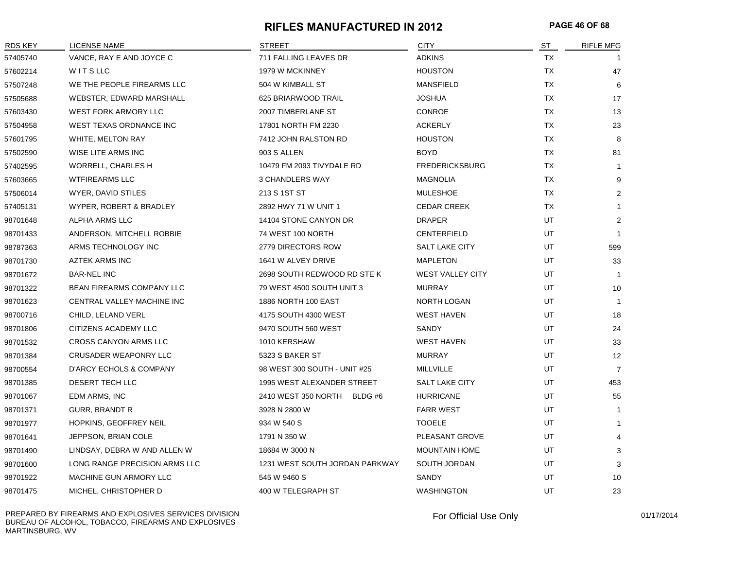#### **RIFLES MANUFACTURED IN 2012 PAGE 46 OF 68**

| <b>RDS KEY</b> | <b>LICENSE NAME</b>           | <b>STREET</b>                  | <b>CITY</b>             | ST        | <b>RIFLE MFG</b> |
|----------------|-------------------------------|--------------------------------|-------------------------|-----------|------------------|
| 57405740       | VANCE, RAY E AND JOYCE C      | 711 FALLING LEAVES DR          | <b>ADKINS</b>           | <b>TX</b> |                  |
| 57602214       | WITSLLC                       | 1979 W MCKINNEY                | <b>HOUSTON</b>          | <b>TX</b> | 47               |
| 57507248       | WE THE PEOPLE FIREARMS LLC    | 504 W KIMBALL ST               | <b>MANSFIELD</b>        | TX        | 6                |
| 57505688       | WEBSTER, EDWARD MARSHALL      | 625 BRIARWOOD TRAIL            | <b>JOSHUA</b>           | <b>TX</b> | 17               |
| 57603430       | WEST FORK ARMORY LLC          | 2007 TIMBERLANE ST             | <b>CONROE</b>           | <b>TX</b> | 13               |
| 57504958       | WEST TEXAS ORDNANCE INC       | 17801 NORTH FM 2230            | <b>ACKERLY</b>          | TX        | 23               |
| 57601795       | WHITE, MELTON RAY             | 7412 JOHN RALSTON RD           | <b>HOUSTON</b>          | <b>TX</b> | 8                |
| 57502590       | WISE LITE ARMS INC            | 903 S ALLEN                    | <b>BOYD</b>             | TX        | 81               |
| 57402595       | <b>WORRELL, CHARLES H</b>     | 10479 FM 2093 TIVYDALE RD      | <b>FREDERICKSBURG</b>   | <b>TX</b> | -1               |
| 57603665       | <b>WTFIREARMS LLC</b>         | <b>3 CHANDLERS WAY</b>         | MAGNOLIA                | TX        | 9                |
| 57506014       | WYER, DAVID STILES            | 213 S 1ST ST                   | <b>MULESHOE</b>         | <b>TX</b> | 2                |
| 57405131       | WYPER, ROBERT & BRADLEY       | 2892 HWY 71 W UNIT 1           | <b>CEDAR CREEK</b>      | ТX        | $\mathbf{1}$     |
| 98701648       | ALPHA ARMS LLC                | 14104 STONE CANYON DR          | <b>DRAPER</b>           | UT        | $\overline{2}$   |
| 98701433       | ANDERSON, MITCHELL ROBBIE     | 74 WEST 100 NORTH              | <b>CENTERFIELD</b>      | UT        | $\overline{1}$   |
| 98787363       | ARMS TECHNOLOGY INC           | 2779 DIRECTORS ROW             | <b>SALT LAKE CITY</b>   | UT        | 599              |
| 98701730       | <b>AZTEK ARMS INC</b>         | 1641 W ALVEY DRIVE             | <b>MAPLETON</b>         | UT        | 33               |
| 98701672       | <b>BAR-NEL INC</b>            | 2698 SOUTH REDWOOD RD STE K    | <b>WEST VALLEY CITY</b> | UT        | -1               |
| 98701322       | BEAN FIREARMS COMPANY LLC     | 79 WEST 4500 SOUTH UNIT 3      | <b>MURRAY</b>           | UT        | 10               |
| 98701623       | CENTRAL VALLEY MACHINE INC    | 1886 NORTH 100 EAST            | NORTH LOGAN             | UT        | $\overline{1}$   |
| 98700716       | CHILD, LELAND VERL            | 4175 SOUTH 4300 WEST           | <b>WEST HAVEN</b>       | UT        | 18               |
| 98701806       | CITIZENS ACADEMY LLC          | 9470 SOUTH 560 WEST            | <b>SANDY</b>            | UT        | 24               |
| 98701532       | <b>CROSS CANYON ARMS LLC</b>  | 1010 KERSHAW                   | <b>WEST HAVEN</b>       | UT        | 33               |
| 98701384       | CRUSADER WEAPONRY LLC         | 5323 S BAKER ST                | <b>MURRAY</b>           | UT        | 12               |
| 98700554       | D'ARCY ECHOLS & COMPANY       | 98 WEST 300 SOUTH - UNIT #25   | MILLVILLE               | UT        | $\overline{7}$   |
| 98701385       | DESERT TECH LLC               | 1995 WEST ALEXANDER STREET     | <b>SALT LAKE CITY</b>   | UT        | 453              |
| 98701067       | EDM ARMS, INC                 | 2410 WEST 350 NORTH BLDG #6    | <b>HURRICANE</b>        | UT        | 55               |
| 98701371       | <b>GURR, BRANDT R</b>         | 3928 N 2800 W                  | <b>FARR WEST</b>        | UT        | -1               |
| 98701977       | HOPKINS, GEOFFREY NEIL        | 934 W 540 S                    | <b>TOOELE</b>           | UT        | $\mathbf{1}$     |
| 98701641       | JEPPSON, BRIAN COLE           | 1791 N 350 W                   | PLEASANT GROVE          | UT        | $\overline{4}$   |
| 98701490       | LINDSAY, DEBRA W AND ALLEN W  | 18684 W 3000 N                 | <b>MOUNTAIN HOME</b>    | UT        | 3                |
| 98701600       | LONG RANGE PRECISION ARMS LLC | 1231 WEST SOUTH JORDAN PARKWAY | SOUTH JORDAN            | UT        | 3                |
| 98701922       | MACHINE GUN ARMORY LLC        | 545 W 9460 S                   | SANDY                   | UT        | 10               |
| 98701475       | MICHEL, CHRISTOPHER D         | 400 W TELEGRAPH ST             | <b>WASHINGTON</b>       | <b>UT</b> | 23               |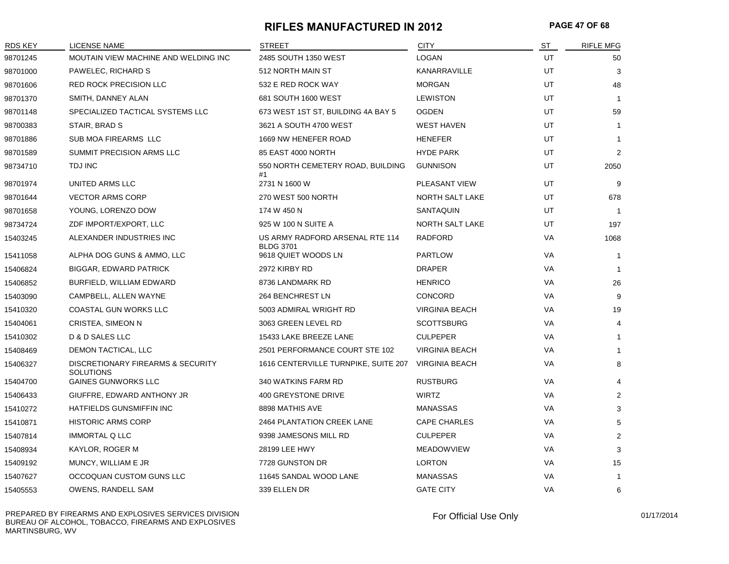#### **RIFLES MANUFACTURED IN 2012 PAGE 47 OF 68**

| RDS KEY  | <b>LICENSE NAME</b>                                   | <b>STREET</b>                                       | <b>CITY</b>            | ST        | <b>RIFLE MFG</b> |
|----------|-------------------------------------------------------|-----------------------------------------------------|------------------------|-----------|------------------|
| 98701245 | MOUTAIN VIEW MACHINE AND WELDING INC                  | 2485 SOUTH 1350 WEST                                | <b>LOGAN</b>           | UT        | 50               |
| 98701000 | PAWELEC, RICHARD S                                    | 512 NORTH MAIN ST                                   | KANARRAVILLE           | UT        | 3                |
| 98701606 | <b>RED ROCK PRECISION LLC</b>                         | 532 E RED ROCK WAY                                  | <b>MORGAN</b>          | <b>UT</b> | 48               |
| 98701370 | SMITH, DANNEY ALAN                                    | 681 SOUTH 1600 WEST                                 | <b>LEWISTON</b>        | UT        | $\overline{1}$   |
| 98701148 | SPECIALIZED TACTICAL SYSTEMS LLC                      | 673 WEST 1ST ST, BUILDING 4A BAY 5                  | <b>OGDEN</b>           | <b>UT</b> | 59               |
| 98700383 | STAIR, BRAD S                                         | 3621 A SOUTH 4700 WEST                              | <b>WEST HAVEN</b>      | UT        | $\mathbf{1}$     |
| 98701886 | SUB MOA FIREARMS LLC                                  | 1669 NW HENEFER ROAD                                | <b>HENEFER</b>         | UT        | $\mathbf{1}$     |
| 98701589 | SUMMIT PRECISION ARMS LLC                             | 85 EAST 4000 NORTH                                  | <b>HYDE PARK</b>       | UT        | 2                |
| 98734710 | TDJ INC                                               | 550 NORTH CEMETERY ROAD, BUILDING<br>#1             | <b>GUNNISON</b>        | UT        | 2050             |
| 98701974 | <b>UNITED ARMS LLC</b>                                | 2731 N 1600 W                                       | <b>PLEASANT VIEW</b>   | UT        | 9                |
| 98701644 | <b>VECTOR ARMS CORP</b>                               | 270 WEST 500 NORTH                                  | NORTH SALT LAKE        | UT        | 678              |
| 98701658 | YOUNG, LORENZO DOW                                    | 174 W 450 N                                         | SANTAQUIN              | UT        | $\overline{1}$   |
| 98734724 | ZDF IMPORT/EXPORT, LLC                                | 925 W 100 N SUITE A                                 | <b>NORTH SALT LAKE</b> | <b>UT</b> | 197              |
| 15403245 | ALEXANDER INDUSTRIES INC                              | US ARMY RADFORD ARSENAL RTE 114<br><b>BLDG 3701</b> | RADFORD                | VA        | 1068             |
| 15411058 | ALPHA DOG GUNS & AMMO, LLC                            | 9618 QUIET WOODS LN                                 | <b>PARTLOW</b>         | VA        | $\overline{1}$   |
| 15406824 | <b>BIGGAR, EDWARD PATRICK</b>                         | 2972 KIRBY RD                                       | <b>DRAPER</b>          | VA        | $\overline{1}$   |
| 15406852 | BURFIELD, WILLIAM EDWARD                              | 8736 LANDMARK RD                                    | <b>HENRICO</b>         | VA        | 26               |
| 15403090 | CAMPBELL, ALLEN WAYNE                                 | 264 BENCHREST LN                                    | <b>CONCORD</b>         | VA        | 9                |
| 15410320 | <b>COASTAL GUN WORKS LLC</b>                          | 5003 ADMIRAL WRIGHT RD                              | <b>VIRGINIA BEACH</b>  | VA        | 19               |
| 15404061 | CRISTEA, SIMEON N                                     | 3063 GREEN LEVEL RD                                 | <b>SCOTTSBURG</b>      | <b>VA</b> | 4                |
| 15410302 | D & D SALES LLC                                       | 15433 LAKE BREEZE LANE                              | <b>CULPEPER</b>        | <b>VA</b> | $\mathbf{1}$     |
| 15408469 | DEMON TACTICAL, LLC                                   | 2501 PERFORMANCE COURT STE 102                      | <b>VIRGINIA BEACH</b>  | VA        | $\mathbf{1}$     |
| 15406327 | DISCRETIONARY FIREARMS & SECURITY<br><b>SOLUTIONS</b> | 1616 CENTERVILLE TURNPIKE, SUITE 207                | <b>VIRGINIA BEACH</b>  | VA        | 8                |
| 15404700 | <b>GAINES GUNWORKS LLC</b>                            | 340 WATKINS FARM RD                                 | <b>RUSTBURG</b>        | VA        | $\overline{4}$   |
| 15406433 | GIUFFRE, EDWARD ANTHONY JR                            | 400 GREYSTONE DRIVE                                 | <b>WIRTZ</b>           | VA        | $\overline{2}$   |
| 15410272 | HATFIELDS GUNSMIFFIN INC                              | 8898 MATHIS AVE                                     | <b>MANASSAS</b>        | VA        | 3                |
| 15410871 | <b>HISTORIC ARMS CORP</b>                             | <b>2464 PLANTATION CREEK LANE</b>                   | <b>CAPE CHARLES</b>    | <b>VA</b> | 5                |
| 15407814 | <b>IMMORTAL Q LLC</b>                                 | 9398 JAMESONS MILL RD                               | <b>CULPEPER</b>        | VA        | 2                |
| 15408934 | KAYLOR, ROGER M                                       | 28199 LEE HWY                                       | <b>MEADOWVIEW</b>      | VA        | 3                |
| 15409192 | MUNCY, WILLIAM E JR                                   | 7728 GUNSTON DR                                     | <b>LORTON</b>          | VA        | 15               |
| 15407627 | OCCOQUAN CUSTOM GUNS LLC                              | 11645 SANDAL WOOD LANE                              | <b>MANASSAS</b>        | VA        | $\mathbf{1}$     |
| 15405553 | OWENS, RANDELL SAM                                    | 339 ELLEN DR                                        | <b>GATE CITY</b>       | VA        | 6                |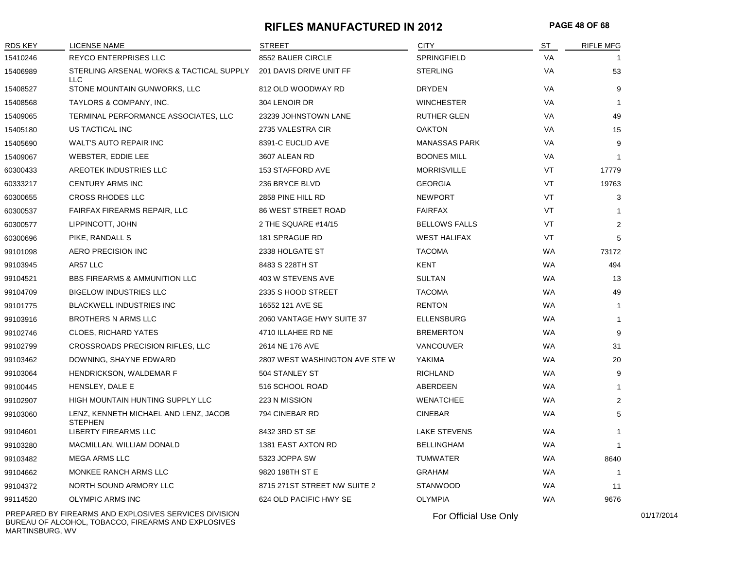#### **RIFLES MANUFACTURED IN 2012 PAGE 48 OF 68**

| RDS KEY  | LICENSE NAME                                            | <b>STREET</b>                  | <b>CITY</b>          | ST        | <b>RIFLE MFG</b> |
|----------|---------------------------------------------------------|--------------------------------|----------------------|-----------|------------------|
| 15410246 | <b>REYCO ENTERPRISES LLC</b>                            | 8552 BAUER CIRCLE              | SPRINGFIELD          | VA        |                  |
| 15406989 | STERLING ARSENAL WORKS & TACTICAL SUPPLY<br><b>LLC</b>  | 201 DAVIS DRIVE UNIT FF        | <b>STERLING</b>      | VA        | 53               |
| 15408527 | STONE MOUNTAIN GUNWORKS, LLC                            | 812 OLD WOODWAY RD             | <b>DRYDEN</b>        | VA        | 9                |
| 15408568 | TAYLORS & COMPANY, INC.                                 | 304 LENOIR DR                  | <b>WINCHESTER</b>    | VA        |                  |
| 15409065 | TERMINAL PERFORMANCE ASSOCIATES, LLC                    | 23239 JOHNSTOWN LANE           | <b>RUTHER GLEN</b>   | VA        | 49               |
| 15405180 | US TACTICAL INC                                         | 2735 VALESTRA CIR              | <b>OAKTON</b>        | VA        | 15               |
| 15405690 | WALT'S AUTO REPAIR INC                                  | 8391-C EUCLID AVE              | <b>MANASSAS PARK</b> | VA        | 9                |
| 15409067 | WEBSTER, EDDIE LEE                                      | 3607 ALEAN RD                  | <b>BOONES MILL</b>   | VA        | $\mathbf 1$      |
| 60300433 | AREOTEK INDUSTRIES LLC                                  | 153 STAFFORD AVE               | <b>MORRISVILLE</b>   | VT        | 17779            |
| 60333217 | <b>CENTURY ARMS INC</b>                                 | 236 BRYCE BLVD                 | <b>GEORGIA</b>       | VT        | 19763            |
| 60300655 | <b>CROSS RHODES LLC</b>                                 | 2858 PINE HILL RD              | <b>NEWPORT</b>       | VT        | 3                |
| 60300537 | FAIRFAX FIREARMS REPAIR, LLC                            | <b>86 WEST STREET ROAD</b>     | <b>FAIRFAX</b>       | VT        | -1               |
| 60300577 | LIPPINCOTT, JOHN                                        | 2 THE SQUARE #14/15            | <b>BELLOWS FALLS</b> | VT        | 2                |
| 60300696 | PIKE, RANDALL S                                         | 181 SPRAGUE RD                 | <b>WEST HALIFAX</b>  | VT        | 5                |
| 99101098 | AERO PRECISION INC                                      | 2338 HOLGATE ST                | <b>TACOMA</b>        | <b>WA</b> | 73172            |
| 99103945 | AR57 LLC                                                | 8483 S 228TH ST                | KENT                 | <b>WA</b> | 494              |
| 99104521 | <b>BBS FIREARMS &amp; AMMUNITION LLC</b>                | 403 W STEVENS AVE              | <b>SULTAN</b>        | <b>WA</b> | 13               |
| 99104709 | <b>BIGELOW INDUSTRIES LLC</b>                           | 2335 S HOOD STREET             | <b>TACOMA</b>        | <b>WA</b> | 49               |
| 99101775 | <b>BLACKWELL INDUSTRIES INC</b>                         | 16552 121 AVE SE               | <b>RENTON</b>        | WA        | -1               |
| 99103916 | <b>BROTHERS N ARMS LLC</b>                              | 2060 VANTAGE HWY SUITE 37      | <b>ELLENSBURG</b>    | <b>WA</b> | $\mathbf{1}$     |
| 99102746 | <b>CLOES, RICHARD YATES</b>                             | 4710 ILLAHEE RD NE             | <b>BREMERTON</b>     | <b>WA</b> | 9                |
| 99102799 | CROSSROADS PRECISION RIFLES, LLC                        | 2614 NE 176 AVE                | <b>VANCOUVER</b>     | <b>WA</b> | 31               |
| 99103462 | DOWNING, SHAYNE EDWARD                                  | 2807 WEST WASHINGTON AVE STE W | YAKIMA               | <b>WA</b> | 20               |
| 99103064 | <b>HENDRICKSON, WALDEMAR F</b>                          | 504 STANLEY ST                 | <b>RICHLAND</b>      | <b>WA</b> | 9                |
| 99100445 | HENSLEY, DALE E                                         | 516 SCHOOL ROAD                | ABERDEEN             | <b>WA</b> | $\mathbf{1}$     |
| 99102907 | HIGH MOUNTAIN HUNTING SUPPLY LLC                        | 223 N MISSION                  | <b>WENATCHEE</b>     | <b>WA</b> | 2                |
| 99103060 | LENZ, KENNETH MICHAEL AND LENZ, JACOB<br><b>STEPHEN</b> | 794 CINEBAR RD                 | <b>CINEBAR</b>       | <b>WA</b> | 5                |
| 99104601 | LIBERTY FIREARMS LLC                                    | 8432 3RD ST SE                 | <b>LAKE STEVENS</b>  | <b>WA</b> | $\mathbf{1}$     |
| 99103280 | MACMILLAN, WILLIAM DONALD                               | 1381 EAST AXTON RD             | <b>BELLINGHAM</b>    | <b>WA</b> |                  |
| 99103482 | <b>MEGA ARMS LLC</b>                                    | 5323 JOPPA SW                  | <b>TUMWATER</b>      | <b>WA</b> | 8640             |
| 99104662 | MONKEE RANCH ARMS LLC                                   | 9820 198TH ST E                | <b>GRAHAM</b>        | <b>WA</b> |                  |
| 99104372 | NORTH SOUND ARMORY LLC                                  | 8715 271ST STREET NW SUITE 2   | <b>STANWOOD</b>      | <b>WA</b> | 11               |
| 99114520 | <b>OLYMPIC ARMS INC</b>                                 | 624 OLD PACIFIC HWY SE         | <b>OLYMPIA</b>       | <b>WA</b> | 9676             |

PREPARED BY FIREARMS AND EXPLOSIVES SERVICES DIVISION BUREAU OF ALCOHOL, TOBACCO, FIREARMS AND EXPLOSIVES MARTINSBURG, WV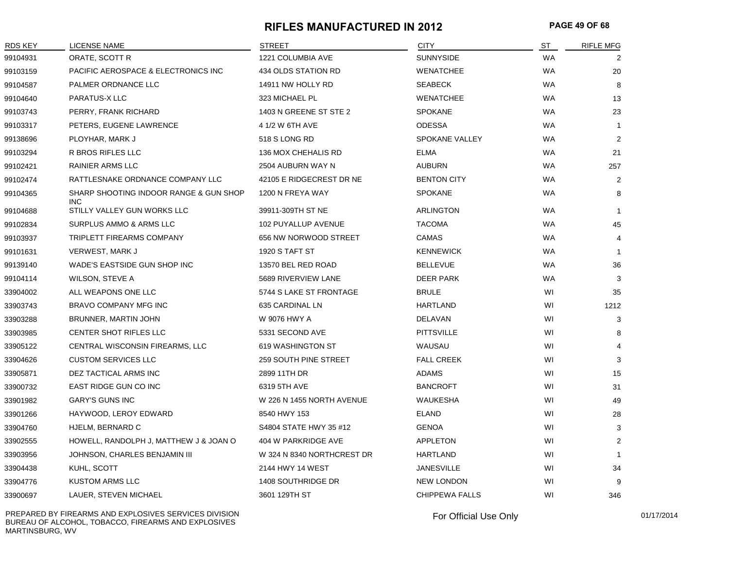#### **RIFLES MANUFACTURED IN 2012 PAGE 49 OF 68**

| RDS KEY  | <b>LICENSE NAME</b>                                  | <b>STREET</b>              | <b>CITY</b>           | <b>ST</b> | <b>RIFLE MFG</b> |
|----------|------------------------------------------------------|----------------------------|-----------------------|-----------|------------------|
| 99104931 | ORATE, SCOTT R                                       | 1221 COLUMBIA AVE          | <b>SUNNYSIDE</b>      | <b>WA</b> | 2                |
| 99103159 | PACIFIC AEROSPACE & ELECTRONICS INC                  | 434 OLDS STATION RD        | <b>WENATCHEE</b>      | <b>WA</b> | 20               |
| 99104587 | PALMER ORDNANCE LLC                                  | 14911 NW HOLLY RD          | <b>SEABECK</b>        | <b>WA</b> | 8                |
| 99104640 | PARATUS-X LLC                                        | 323 MICHAEL PL             | <b>WENATCHEE</b>      | <b>WA</b> | 13               |
| 99103743 | PERRY, FRANK RICHARD                                 | 1403 N GREENE ST STE 2     | <b>SPOKANE</b>        | <b>WA</b> | 23               |
| 99103317 | PETERS, EUGENE LAWRENCE                              | 4 1/2 W 6TH AVE            | <b>ODESSA</b>         | <b>WA</b> | $\overline{1}$   |
| 99138696 | PLOYHAR, MARK J                                      | 518 S LONG RD              | <b>SPOKANE VALLEY</b> | <b>WA</b> | $\overline{2}$   |
| 99103294 | R BROS RIFLES LLC                                    | 136 MOX CHEHALIS RD        | <b>ELMA</b>           | <b>WA</b> | 21               |
| 99102421 | <b>RAINIER ARMS LLC</b>                              | 2504 AUBURN WAY N          | <b>AUBURN</b>         | <b>WA</b> | 257              |
| 99102474 | RATTLESNAKE ORDNANCE COMPANY LLC                     | 42105 E RIDGECREST DR NE   | <b>BENTON CITY</b>    | <b>WA</b> | $\overline{2}$   |
| 99104365 | SHARP SHOOTING INDOOR RANGE & GUN SHOP<br><b>INC</b> | 1200 N FREYA WAY           | <b>SPOKANE</b>        | <b>WA</b> | 8                |
| 99104688 | STILLY VALLEY GUN WORKS LLC                          | 39911-309TH ST NE          | ARLINGTON             | <b>WA</b> | $\overline{1}$   |
| 99102834 | SURPLUS AMMO & ARMS LLC                              | 102 PUYALLUP AVENUE        | <b>TACOMA</b>         | <b>WA</b> | 45               |
| 99103937 | TRIPLETT FIREARMS COMPANY                            | 656 NW NORWOOD STREET      | <b>CAMAS</b>          | <b>WA</b> | $\overline{4}$   |
| 99101631 | <b>VERWEST, MARK J</b>                               | 1920 S TAFT ST             | <b>KENNEWICK</b>      | <b>WA</b> | $\overline{1}$   |
| 99139140 | WADE'S EASTSIDE GUN SHOP INC                         | 13570 BEL RED ROAD         | <b>BELLEVUE</b>       | <b>WA</b> | 36               |
| 99104114 | WILSON, STEVE A                                      | 5689 RIVERVIEW LANE        | <b>DEER PARK</b>      | <b>WA</b> | 3                |
| 33904002 | ALL WEAPONS ONE LLC                                  | 5744 S LAKE ST FRONTAGE    | <b>BRULE</b>          | WI        | 35               |
| 33903743 | <b>BRAVO COMPANY MFG INC</b>                         | 635 CARDINAL LN            | <b>HARTLAND</b>       | WI        | 1212             |
| 33903288 | BRUNNER, MARTIN JOHN                                 | W 9076 HWY A               | DELAVAN               | WI        | 3                |
| 33903985 | <b>CENTER SHOT RIFLES LLC</b>                        | 5331 SECOND AVE            | <b>PITTSVILLE</b>     | WI        | 8                |
| 33905122 | CENTRAL WISCONSIN FIREARMS, LLC                      | 619 WASHINGTON ST          | WAUSAU                | WI        | $\overline{4}$   |
| 33904626 | <b>CUSTOM SERVICES LLC</b>                           | 259 SOUTH PINE STREET      | <b>FALL CREEK</b>     | WI        | 3                |
| 33905871 | DEZ TACTICAL ARMS INC                                | 2899 11TH DR               | ADAMS                 | WI        | 15               |
| 33900732 | EAST RIDGE GUN CO INC                                | 6319 5TH AVE               | <b>BANCROFT</b>       | WI        | 31               |
| 33901982 | <b>GARY'S GUNS INC</b>                               | W 226 N 1455 NORTH AVENUE  | <b>WAUKESHA</b>       | WI        | 49               |
| 33901266 | HAYWOOD, LEROY EDWARD                                | 8540 HWY 153               | ELAND                 | WI        | 28               |
| 33904760 | HJELM, BERNARD C                                     | S4804 STATE HWY 35 #12     | <b>GENOA</b>          | WI        | 3                |
| 33902555 | HOWELL, RANDOLPH J, MATTHEW J & JOAN O               | 404 W PARKRIDGE AVE        | <b>APPLETON</b>       | WI        | $\overline{2}$   |
| 33903956 | JOHNSON, CHARLES BENJAMIN III                        | W 324 N 8340 NORTHCREST DR | HARTLAND              | WI        | $\overline{1}$   |
| 33904438 | KUHL, SCOTT                                          | 2144 HWY 14 WEST           | <b>JANESVILLE</b>     | WI        | 34               |
| 33904776 | <b>KUSTOM ARMS LLC</b>                               | 1408 SOUTHRIDGE DR         | <b>NEW LONDON</b>     | WI        | 9                |
| 33900697 | LAUER, STEVEN MICHAEL                                | 3601 129TH ST              | <b>CHIPPEWA FALLS</b> | WI        | 346              |

PREPARED BY FIREARMS AND EXPLOSIVES SERVICES DIVISION BUREAU OF ALCOHOL, TOBACCO, FIREARMS AND EXPLOSIVES MARTINSBURG, WV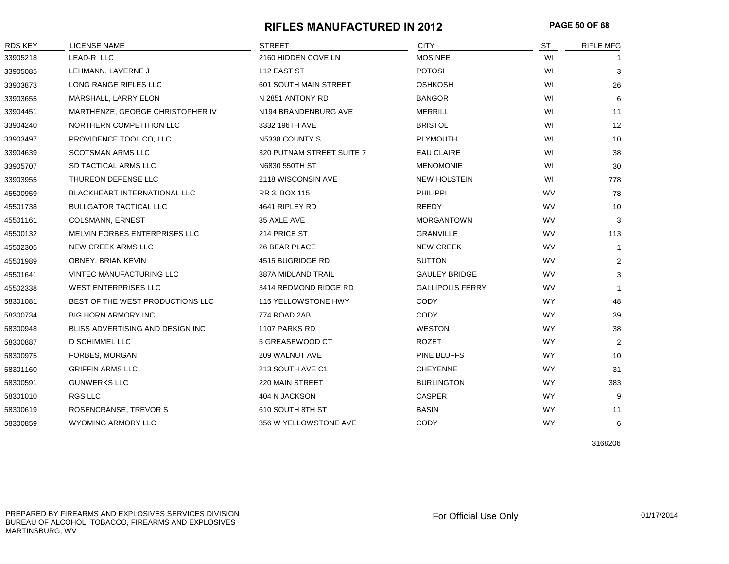#### **RIFLES MANUFACTURED IN 2012 PAGE 50 OF 68**

| <b>RDS KEY</b> | <b>LICENSE NAME</b>              | <b>STREET</b>             | <b>CITY</b>             | <b>ST</b> | RIFLE MFG      |
|----------------|----------------------------------|---------------------------|-------------------------|-----------|----------------|
| 33905218       | LEAD-R LLC                       | 2160 HIDDEN COVE LN       | <b>MOSINEE</b>          | WI        | -1             |
| 33905085       | LEHMANN, LAVERNE J               | 112 EAST ST               | <b>POTOSI</b>           | WI        | 3              |
| 33903873       | LONG RANGE RIFLES LLC            | 601 SOUTH MAIN STREET     | OSHKOSH                 | WI        | 26             |
| 33903655       | MARSHALL, LARRY ELON             | N 2851 ANTONY RD          | <b>BANGOR</b>           | WI        | 6              |
| 33904451       | MARTHENZE, GEORGE CHRISTOPHER IV | N194 BRANDENBURG AVE      | <b>MERRILL</b>          | WI        | 11             |
| 33904240       | NORTHERN COMPETITION LLC         | 8332 196TH AVE            | <b>BRISTOL</b>          | WI        | 12             |
| 33903497       | PROVIDENCE TOOL CO, LLC          | N5338 COUNTY S            | PLYMOUTH                | WI        | 10             |
| 33904639       | <b>SCOTSMAN ARMS LLC</b>         | 320 PUTNAM STREET SUITE 7 | <b>EAU CLAIRE</b>       | WI        | 38             |
| 33905707       | SD TACTICAL ARMS LLC             | N6830 550TH ST            | <b>MENOMONIE</b>        | WI        | 30             |
| 33903955       | THUREON DEFENSE LLC              | 2118 WISCONSIN AVE        | <b>NEW HOLSTEIN</b>     | WI        | 778            |
| 45500959       | BLACKHEART INTERNATIONAL LLC     | RR 3, BOX 115             | <b>PHILIPPI</b>         | WV        | 78             |
| 45501738       | <b>BULLGATOR TACTICAL LLC</b>    | 4641 RIPLEY RD            | REEDY                   | WV        | 10             |
| 45501161       | COLSMANN, ERNEST                 | 35 AXLE AVE               | <b>MORGANTOWN</b>       | <b>WV</b> | 3              |
| 45500132       | MELVIN FORBES ENTERPRISES LLC    | 214 PRICE ST              | <b>GRANVILLE</b>        | <b>WV</b> | 113            |
| 45502305       | NEW CREEK ARMS LLC               | 26 BEAR PLACE             | <b>NEW CREEK</b>        | WV        | $\mathbf{1}$   |
| 45501989       | OBNEY, BRIAN KEVIN               | 4515 BUGRIDGE RD          | <b>SUTTON</b>           | <b>WV</b> | $\overline{2}$ |
| 45501641       | VINTEC MANUFACTURING LLC         | 387A MIDLAND TRAIL        | <b>GAULEY BRIDGE</b>    | WV        | 3              |
| 45502338       | <b>WEST ENTERPRISES LLC</b>      | 3414 REDMOND RIDGE RD     | <b>GALLIPOLIS FERRY</b> | <b>WV</b> |                |
| 58301081       | BEST OF THE WEST PRODUCTIONS LLC | 115 YELLOWSTONE HWY       | <b>CODY</b>             | <b>WY</b> | 48             |
| 58300734       | <b>BIG HORN ARMORY INC</b>       | 774 ROAD 2AB              | CODY                    | <b>WY</b> | 39             |
| 58300948       | BLISS ADVERTISING AND DESIGN INC | 1107 PARKS RD             | <b>WESTON</b>           | <b>WY</b> | 38             |
| 58300887       | <b>D SCHIMMEL LLC</b>            | 5 GREASEWOOD CT           | <b>ROZET</b>            | <b>WY</b> | $\overline{2}$ |
| 58300975       | FORBES, MORGAN                   | 209 WALNUT AVE            | PINE BLUFFS             | <b>WY</b> | 10             |
| 58301160       | <b>GRIFFIN ARMS LLC</b>          | 213 SOUTH AVE C1          | <b>CHEYENNE</b>         | <b>WY</b> | 31             |
| 58300591       | <b>GUNWERKS LLC</b>              | 220 MAIN STREET           | <b>BURLINGTON</b>       | <b>WY</b> | 383            |
| 58301010       | RGS LLC                          | 404 N JACKSON             | <b>CASPER</b>           | <b>WY</b> | 9              |
| 58300619       | ROSENCRANSE, TREVOR S            | 610 SOUTH 8TH ST          | <b>BASIN</b>            | <b>WY</b> | 11             |
| 58300859       | <b>WYOMING ARMORY LLC</b>        | 356 W YELLOWSTONE AVE     | CODY                    | <b>WY</b> | 6              |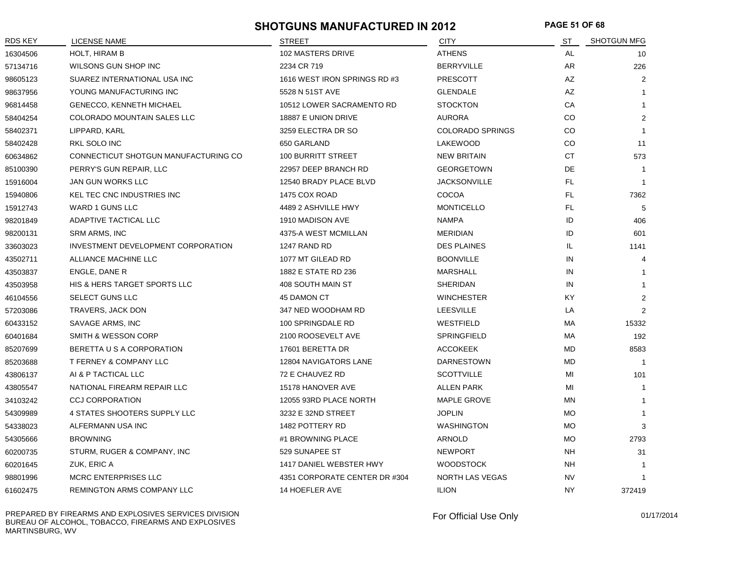#### **SHOTGUNS MANUFACTURED IN 2012 PAGE 51 OF 68**

| RDS KEY  | LICENSE NAME                              | <b>STREET</b>                 | <b>CITY</b>             | ST        | <b>SHOTGUN MFG</b> |
|----------|-------------------------------------------|-------------------------------|-------------------------|-----------|--------------------|
| 16304506 | <b>HOLT, HIRAM B</b>                      | 102 MASTERS DRIVE             | <b>ATHENS</b>           | <b>AL</b> | 10                 |
| 57134716 | WILSONS GUN SHOP INC                      | 2234 CR 719                   | <b>BERRYVILLE</b>       | AR        | 226                |
| 98605123 | SUAREZ INTERNATIONAL USA INC              | 1616 WEST IRON SPRINGS RD #3  | <b>PRESCOTT</b>         | AZ        | 2                  |
| 98637956 | YOUNG MANUFACTURING INC                   | 5528 N 51ST AVE               | <b>GLENDALE</b>         | AZ        | $\overline{1}$     |
| 96814458 | <b>GENECCO, KENNETH MICHAEL</b>           | 10512 LOWER SACRAMENTO RD     | <b>STOCKTON</b>         | CA        | $\mathbf{1}$       |
| 58404254 | COLORADO MOUNTAIN SALES LLC               | 18887 E UNION DRIVE           | <b>AURORA</b>           | CO        | $\overline{2}$     |
| 58402371 | LIPPARD, KARL                             | 3259 ELECTRA DR SO            | <b>COLORADO SPRINGS</b> | CO        | $\overline{1}$     |
| 58402428 | RKL SOLO INC                              | 650 GARLAND                   | LAKEWOOD                | CO        | 11                 |
| 60634862 | CONNECTICUT SHOTGUN MANUFACTURING CO      | <b>100 BURRITT STREET</b>     | <b>NEW BRITAIN</b>      | <b>CT</b> | 573                |
| 85100390 | PERRY'S GUN REPAIR, LLC                   | 22957 DEEP BRANCH RD          | <b>GEORGETOWN</b>       | DE        | $\overline{1}$     |
| 15916004 | JAN GUN WORKS LLC                         | 12540 BRADY PLACE BLVD        | <b>JACKSONVILLE</b>     | FL.       | $\overline{1}$     |
| 15940806 | KEL TEC CNC INDUSTRIES INC                | 1475 COX ROAD                 | COCOA                   | FL.       | 7362               |
| 15912743 | WARD 1 GUNS LLC                           | 4489 2 ASHVILLE HWY           | <b>MONTICELLO</b>       | FL.       | 5                  |
| 98201849 | ADAPTIVE TACTICAL LLC                     | 1910 MADISON AVE              | <b>NAMPA</b>            | ID        | 406                |
| 98200131 | <b>SRM ARMS, INC</b>                      | 4375-A WEST MCMILLAN          | <b>MERIDIAN</b>         | ID        | 601                |
| 33603023 | <b>INVESTMENT DEVELOPMENT CORPORATION</b> | 1247 RAND RD                  | <b>DES PLAINES</b>      | IL.       | 1141               |
| 43502711 | ALLIANCE MACHINE LLC                      | 1077 MT GILEAD RD             | <b>BOONVILLE</b>        | IN        | 4                  |
| 43503837 | ENGLE, DANE R                             | 1882 E STATE RD 236           | <b>MARSHALL</b>         | IN        | $\mathbf{1}$       |
| 43503958 | HIS & HERS TARGET SPORTS LLC              | 408 SOUTH MAIN ST             | <b>SHERIDAN</b>         | IN        | $\mathbf{1}$       |
| 46104556 | SELECT GUNS LLC                           | 45 DAMON CT                   | <b>WINCHESTER</b>       | <b>KY</b> | $\overline{2}$     |
| 57203086 | TRAVERS, JACK DON                         | 347 NED WOODHAM RD            | <b>LEESVILLE</b>        | LA        | 2                  |
| 60433152 | SAVAGE ARMS, INC                          | 100 SPRINGDALE RD             | WESTFIELD               | МA        | 15332              |
| 60401684 | SMITH & WESSON CORP                       | 2100 ROOSEVELT AVE            | SPRINGFIELD             | МA        | 192                |
| 85207699 | BERETTA U S A CORPORATION                 | 17601 BERETTA DR              | <b>ACCOKEEK</b>         | MD        | 8583               |
| 85203688 | T FERNEY & COMPANY LLC                    | 12804 NAVIGATORS LANE         | <b>DARNESTOWN</b>       | MD        | $\overline{1}$     |
| 43806137 | AI & P TACTICAL LLC                       | 72 E CHAUVEZ RD               | <b>SCOTTVILLE</b>       | MI        | 101                |
| 43805547 | NATIONAL FIREARM REPAIR LLC               | 15178 HANOVER AVE             | <b>ALLEN PARK</b>       | MI        | $\overline{1}$     |
| 34103242 | <b>CCJ CORPORATION</b>                    | 12055 93RD PLACE NORTH        | <b>MAPLE GROVE</b>      | <b>MN</b> | $\overline{1}$     |
| 54309989 | 4 STATES SHOOTERS SUPPLY LLC              | 3232 E 32ND STREET            | <b>JOPLIN</b>           | <b>MO</b> | -1                 |
| 54338023 | ALFERMANN USA INC                         | 1482 POTTERY RD               | WASHINGTON              | МO        | 3                  |
| 54305666 | <b>BROWNING</b>                           | #1 BROWNING PLACE             | ARNOLD                  | <b>MO</b> | 2793               |
| 60200735 | STURM, RUGER & COMPANY, INC               | 529 SUNAPEE ST                | <b>NEWPORT</b>          | NΗ        | 31                 |
| 60201645 | ZUK, ERIC A                               | 1417 DANIEL WEBSTER HWY       | <b>WOODSTOCK</b>        | NΗ        | -1                 |
| 98801996 | <b>MCRC ENTERPRISES LLC</b>               | 4351 CORPORATE CENTER DR #304 | <b>NORTH LAS VEGAS</b>  | <b>NV</b> | $\overline{1}$     |
| 61602475 | REMINGTON ARMS COMPANY LLC                | <b>14 HOEFLER AVE</b>         | <b>ILION</b>            | <b>NY</b> | 372419             |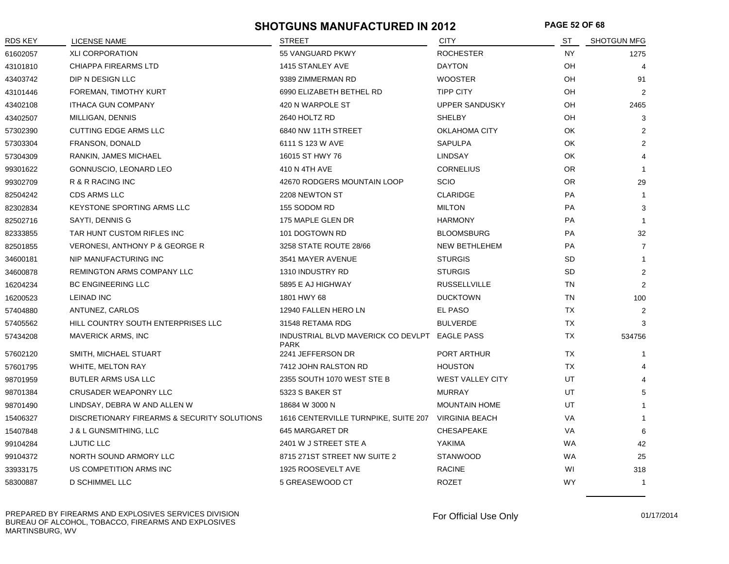#### **SHOTGUNS MANUFACTURED IN 2012 PAGE 52 OF 68**

| RDS KEY  | LICENSE NAME                                | <b>STREET</b>                                                | <b>CITY</b>             | ST        | <b>SHOTGUN MFG</b> |
|----------|---------------------------------------------|--------------------------------------------------------------|-------------------------|-----------|--------------------|
| 61602057 | <b>XLI CORPORATION</b>                      | 55 VANGUARD PKWY                                             | <b>ROCHESTER</b>        | <b>NY</b> | 1275               |
| 43101810 | CHIAPPA FIREARMS LTD                        | 1415 STANLEY AVE                                             | <b>DAYTON</b>           | OН        | 4                  |
| 43403742 | DIP N DESIGN LLC                            | 9389 ZIMMERMAN RD                                            | <b>WOOSTER</b>          | OH        | 91                 |
| 43101446 | FOREMAN, TIMOTHY KURT                       | 6990 ELIZABETH BETHEL RD                                     | <b>TIPP CITY</b>        | OН        | 2                  |
| 43402108 | <b>ITHACA GUN COMPANY</b>                   | 420 N WARPOLE ST                                             | <b>UPPER SANDUSKY</b>   | OН        | 2465               |
| 43402507 | MILLIGAN, DENNIS                            | 2640 HOLTZ RD                                                | <b>SHELBY</b>           | OH        | 3                  |
| 57302390 | <b>CUTTING EDGE ARMS LLC</b>                | 6840 NW 11TH STREET                                          | OKLAHOMA CITY           | OK        | 2                  |
| 57303304 | FRANSON, DONALD                             | 6111 S 123 W AVE                                             | <b>SAPULPA</b>          | OK        | 2                  |
| 57304309 | RANKIN, JAMES MICHAEL                       | 16015 ST HWY 76                                              | <b>LINDSAY</b>          | OK        | 4                  |
| 99301622 | GONNUSCIO, LEONARD LEO                      | 410 N 4TH AVE                                                | <b>CORNELIUS</b>        | <b>OR</b> | $\overline{1}$     |
| 99302709 | R & R RACING INC                            | 42670 RODGERS MOUNTAIN LOOP                                  | <b>SCIO</b>             | <b>OR</b> | 29                 |
| 82504242 | <b>CDS ARMS LLC</b>                         | 2208 NEWTON ST                                               | <b>CLARIDGE</b>         | <b>PA</b> | $\mathbf{1}$       |
| 82302834 | <b>KEYSTONE SPORTING ARMS LLC</b>           | 155 SODOM RD                                                 | <b>MILTON</b>           | PA        | 3                  |
| 82502716 | SAYTI, DENNIS G                             | 175 MAPLE GLEN DR                                            | <b>HARMONY</b>          | PA        | $\overline{1}$     |
| 82333855 | TAR HUNT CUSTOM RIFLES INC                  | 101 DOGTOWN RD                                               | <b>BLOOMSBURG</b>       | <b>PA</b> | 32                 |
| 82501855 | <b>VERONESI, ANTHONY P &amp; GEORGE R</b>   | 3258 STATE ROUTE 28/66                                       | NEW BETHLEHEM           | <b>PA</b> | $\overline{7}$     |
| 34600181 | NIP MANUFACTURING INC                       | 3541 MAYER AVENUE                                            | <b>STURGIS</b>          | <b>SD</b> | $\mathbf{1}$       |
| 34600878 | REMINGTON ARMS COMPANY LLC                  | 1310 INDUSTRY RD                                             | <b>STURGIS</b>          | <b>SD</b> | 2                  |
| 16204234 | <b>BC ENGINEERING LLC</b>                   | 5895 E AJ HIGHWAY                                            | <b>RUSSELLVILLE</b>     | <b>TN</b> | 2                  |
| 16200523 | <b>LEINAD INC</b>                           | 1801 HWY 68                                                  | <b>DUCKTOWN</b>         | TN        | 100                |
| 57404880 | ANTUNEZ, CARLOS                             | 12940 FALLEN HERO LN                                         | <b>EL PASO</b>          | <b>TX</b> | 2                  |
| 57405562 | HILL COUNTRY SOUTH ENTERPRISES LLC          | 31548 RETAMA RDG                                             | <b>BULVERDE</b>         | TX        | 3                  |
| 57434208 | <b>MAVERICK ARMS, INC</b>                   | INDUSTRIAL BLVD MAVERICK CO DEVLPT EAGLE PASS<br><b>PARK</b> |                         | <b>TX</b> | 534756             |
| 57602120 | SMITH, MICHAEL STUART                       | 2241 JEFFERSON DR                                            | PORT ARTHUR             | TΧ.       | $\overline{1}$     |
| 57601795 | WHITE, MELTON RAY                           | 7412 JOHN RALSTON RD                                         | <b>HOUSTON</b>          | <b>TX</b> |                    |
| 98701959 | <b>BUTLER ARMS USA LLC</b>                  | 2355 SOUTH 1070 WEST STE B                                   | <b>WEST VALLEY CITY</b> | UT        |                    |
| 98701384 | <b>CRUSADER WEAPONRY LLC</b>                | 5323 S BAKER ST                                              | <b>MURRAY</b>           | UT        | 5                  |
| 98701490 | LINDSAY, DEBRA W AND ALLEN W                | 18684 W 3000 N                                               | <b>MOUNTAIN HOME</b>    | UT        | $\overline{1}$     |
| 15406327 | DISCRETIONARY FIREARMS & SECURITY SOLUTIONS | 1616 CENTERVILLE TURNPIKE, SUITE 207                         | <b>VIRGINIA BEACH</b>   | VA        | $\overline{1}$     |
| 15407848 | J & L GUNSMITHING, LLC                      | 645 MARGARET DR                                              | CHESAPEAKE              | VA        | 6                  |
| 99104284 | LJUTIC LLC                                  | 2401 W J STREET STE A                                        | YAKIMA                  | <b>WA</b> | 42                 |
| 99104372 | NORTH SOUND ARMORY LLC                      | 8715 271ST STREET NW SUITE 2                                 | <b>STANWOOD</b>         | <b>WA</b> | 25                 |
| 33933175 | US COMPETITION ARMS INC                     | 1925 ROOSEVELT AVE                                           | <b>RACINE</b>           | WI        | 318                |
| 58300887 | D SCHIMMEL LLC                              | 5 GREASEWOOD CT                                              | <b>ROZET</b>            | <b>WY</b> | $\overline{1}$     |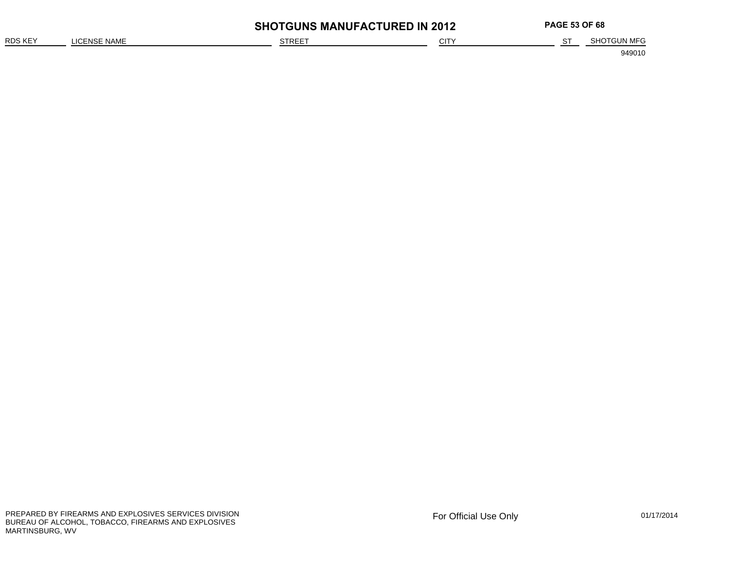|                |              | <b>SHOTGUNS MANUFACTURED IN 2012</b> |      | <b>PAGE 53 OF 68</b> |             |
|----------------|--------------|--------------------------------------|------|----------------------|-------------|
| <b>RDS KEY</b> | LICENSE NAME | STREE <sup>-</sup>                   | CITY |                      | SHOTGUN MFG |
|                |              |                                      |      |                      | 949010      |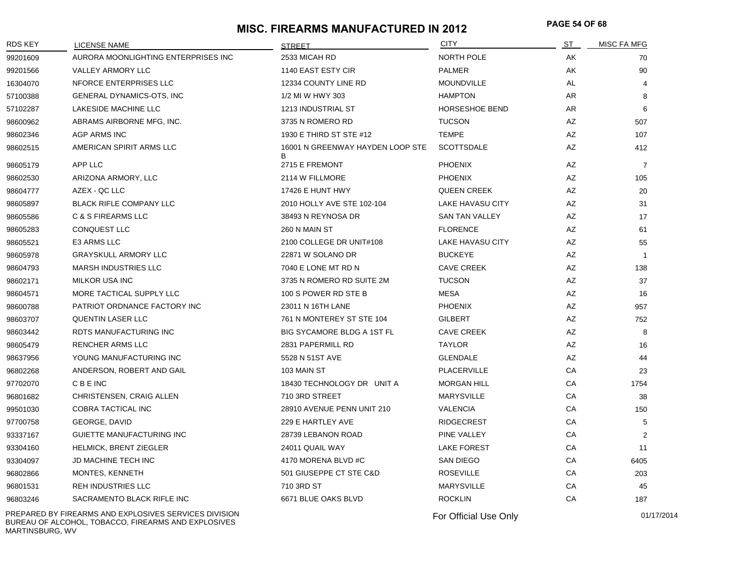# **PAGE 54 OF 68 MISC. FIREARMS MANUFACTURED IN 2012**

| <b>RDS KEY</b> | <b>LICENSE NAME</b>                                   | <b>STREET</b>                         | <b>CITY</b>           | <u>ST</u> | <b>MISC FA MFG</b> |
|----------------|-------------------------------------------------------|---------------------------------------|-----------------------|-----------|--------------------|
| 99201609       | AURORA MOONLIGHTING ENTERPRISES INC                   | 2533 MICAH RD                         | NORTH POLE            | AK        | 70                 |
| 99201566       | VALLEY ARMORY LLC                                     | 1140 EAST ESTY CIR                    | <b>PALMER</b>         | AK        | 90                 |
| 16304070       | NFORCE ENTERPRISES LLC                                | 12334 COUNTY LINE RD                  | <b>MOUNDVILLE</b>     | AL.       | $\overline{4}$     |
| 57100388       | GENERAL DYNAMICS-OTS, INC                             | 1/2 MI W HWY 303                      | <b>HAMPTON</b>        | AR        | 8                  |
| 57102287       | LAKESIDE MACHINE LLC                                  | 1213 INDUSTRIAL ST                    | <b>HORSESHOE BEND</b> | AR        | 6                  |
| 98600962       | ABRAMS AIRBORNE MFG, INC.                             | 3735 N ROMERO RD                      | <b>TUCSON</b>         | AZ        | 507                |
| 98602346       | <b>AGP ARMS INC</b>                                   | 1930 E THIRD ST STE #12               | <b>TEMPE</b>          | AZ        | 107                |
| 98602515       | AMERICAN SPIRIT ARMS LLC                              | 16001 N GREENWAY HAYDEN LOOP STE<br>В | <b>SCOTTSDALE</b>     | AZ        | 412                |
| 98605179       | APP LLC                                               | 2715 E FREMONT                        | <b>PHOENIX</b>        | AZ        | $\overline{7}$     |
| 98602530       | ARIZONA ARMORY, LLC                                   | 2114 W FILLMORE                       | <b>PHOENIX</b>        | AZ        | 105                |
| 98604777       | AZEX - QC LLC                                         | 17426 E HUNT HWY                      | <b>QUEEN CREEK</b>    | AZ        | 20                 |
| 98605897       | BLACK RIFLE COMPANY LLC                               | 2010 HOLLY AVE STE 102-104            | LAKE HAVASU CITY      | AZ        | 31                 |
| 98605586       | <b>C &amp; S FIREARMS LLC</b>                         | 38493 N REYNOSA DR                    | <b>SAN TAN VALLEY</b> | AZ        | 17                 |
| 98605283       | CONQUEST LLC                                          | 260 N MAIN ST                         | <b>FLORENCE</b>       | AZ        | 61                 |
| 98605521       | E3 ARMS LLC                                           | 2100 COLLEGE DR UNIT#108              | LAKE HAVASU CITY      | AZ        | 55                 |
| 98605978       | <b>GRAYSKULL ARMORY LLC</b>                           | 22871 W SOLANO DR                     | <b>BUCKEYE</b>        | AZ        | $\mathbf{1}$       |
| 98604793       | MARSH INDUSTRIES LLC                                  | 7040 E LONE MT RD N                   | <b>CAVE CREEK</b>     | AZ        | 138                |
| 98602171       | <b>MILKOR USA INC</b>                                 | 3735 N ROMERO RD SUITE 2M             | <b>TUCSON</b>         | AZ        | 37                 |
| 98604571       | MORE TACTICAL SUPPLY LLC                              | 100 S POWER RD STE B                  | MESA                  | AZ        | 16                 |
| 98600788       | PATRIOT ORDNANCE FACTORY INC                          | 23011 N 16TH LANE                     | <b>PHOENIX</b>        | AZ        | 957                |
| 98603707       | <b>QUENTIN LASER LLC</b>                              | 761 N MONTEREY ST STE 104             | <b>GILBERT</b>        | AZ        | 752                |
| 98603442       | RDTS MANUFACTURING INC                                | BIG SYCAMORE BLDG A 1ST FL            | <b>CAVE CREEK</b>     | AZ        | 8                  |
| 98605479       | <b>RENCHER ARMS LLC</b>                               | 2831 PAPERMILL RD                     | <b>TAYLOR</b>         | AZ        | 16                 |
| 98637956       | YOUNG MANUFACTURING INC                               | 5528 N 51ST AVE                       | <b>GLENDALE</b>       | AZ        | 44                 |
| 96802268       | ANDERSON, ROBERT AND GAIL                             | 103 MAIN ST                           | PLACERVILLE           | СA        | 23                 |
| 97702070       | <b>CBEINC</b>                                         | 18430 TECHNOLOGY DR UNIT A            | <b>MORGAN HILL</b>    | CA        | 1754               |
| 96801682       | CHRISTENSEN, CRAIG ALLEN                              | 710 3RD STREET                        | <b>MARYSVILLE</b>     | СA        | 38                 |
| 99501030       | COBRA TACTICAL INC                                    | 28910 AVENUE PENN UNIT 210            | <b>VALENCIA</b>       | СA        | 150                |
| 97700758       | GEORGE, DAVID                                         | 229 E HARTLEY AVE                     | <b>RIDGECREST</b>     | СA        | 5                  |
| 93337167       | GUIETTE MANUFACTURING INC                             | 28739 LEBANON ROAD                    | PINE VALLEY           | СA        | 2                  |
| 93304160       | <b>HELMICK, BRENT ZIEGLER</b>                         | 24011 QUAIL WAY                       | <b>LAKE FOREST</b>    | СA        | 11                 |
| 93304097       | <b>JD MACHINE TECH INC</b>                            | 4170 MORENA BLVD #C                   | SAN DIEGO             | СA        | 6405               |
| 96802866       | MONTES, KENNETH                                       | 501 GIUSEPPE CT STE C&D               | <b>ROSEVILLE</b>      | СA        | 203                |
| 96801531       | <b>REH INDUSTRIES LLC</b>                             | 710 3RD ST                            | <b>MARYSVILLE</b>     | СA        | 45                 |
| 96803246       | SACRAMENTO BLACK RIFLE INC                            | 6671 BLUE OAKS BLVD                   | <b>ROCKLIN</b>        | СA        | 187                |
|                | PREPARED BY FIREARMS AND EXPLOSIVES SERVICES DIVISION |                                       | For Official Use Only |           | 01/17/2014         |

BUREAU OF ALCOHOL, TOBACCO, FIREARMS AND EXPLOSIVES MARTINSBURG, WV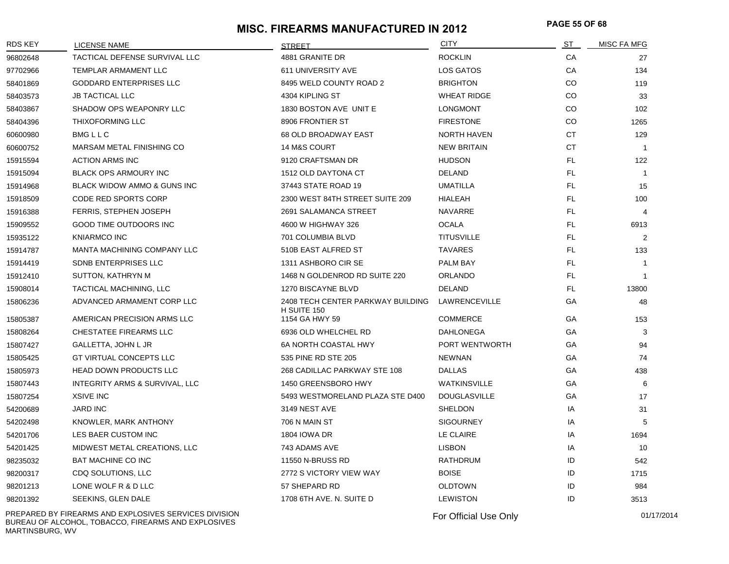# **PAGE 55 OF 68 MISC. FIREARMS MANUFACTURED IN 2012**

| <b>RDS KEY</b> | LICENSE NAME                   | <b>STREET</b>                                    | <b>CITY</b>         | <u>ST</u> | MISC FA MFG    |
|----------------|--------------------------------|--------------------------------------------------|---------------------|-----------|----------------|
| 96802648       | TACTICAL DEFENSE SURVIVAL LLC  | 4881 GRANITE DR                                  | <b>ROCKLIN</b>      | CA        | 27             |
| 97702966       | TEMPLAR ARMAMENT LLC           | 611 UNIVERSITY AVE                               | LOS GATOS           | CA        | 134            |
| 58401869       | GODDARD ENTERPRISES LLC        | 8495 WELD COUNTY ROAD 2                          | <b>BRIGHTON</b>     | CO        | 119            |
| 58403573       | <b>JB TACTICAL LLC</b>         | 4304 KIPLING ST                                  | <b>WHEAT RIDGE</b>  | CO        | 33             |
| 58403867       | SHADOW OPS WEAPONRY LLC        | 1830 BOSTON AVE UNIT E                           | <b>LONGMONT</b>     | CO        | 102            |
| 58404396       | THIXOFORMING LLC               | 8906 FRONTIER ST                                 | <b>FIRESTONE</b>    | CO        | 1265           |
| 60600980       | <b>BMGLLC</b>                  | <b>68 OLD BROADWAY EAST</b>                      | <b>NORTH HAVEN</b>  | <b>CT</b> | 129            |
| 60600752       | MARSAM METAL FINISHING CO      | 14 M&S COURT                                     | <b>NEW BRITAIN</b>  | <b>CT</b> | $\overline{1}$ |
| 15915594       | <b>ACTION ARMS INC</b>         | 9120 CRAFTSMAN DR                                | <b>HUDSON</b>       | FL.       | 122            |
| 15915094       | <b>BLACK OPS ARMOURY INC</b>   | 1512 OLD DAYTONA CT                              | <b>DELAND</b>       | FL.       | $\mathbf{1}$   |
| 15914968       | BLACK WIDOW AMMO & GUNS INC    | 37443 STATE ROAD 19                              | <b>UMATILLA</b>     | FL.       | 15             |
| 15918509       | <b>CODE RED SPORTS CORP</b>    | 2300 WEST 84TH STREET SUITE 209                  | <b>HIALEAH</b>      | FL.       | 100            |
| 15916388       | FERRIS, STEPHEN JOSEPH         | 2691 SALAMANCA STREET                            | <b>NAVARRE</b>      | FL.       | $\overline{4}$ |
| 15909552       | <b>GOOD TIME OUTDOORS INC</b>  | 4600 W HIGHWAY 326                               | <b>OCALA</b>        | FL.       | 6913           |
| 15935122       | <b>KNIARMCO INC</b>            | 701 COLUMBIA BLVD                                | <b>TITUSVILLE</b>   | FL.       | $\overline{2}$ |
| 15914787       | MANTA MACHINING COMPANY LLC    | 510B EAST ALFRED ST                              | <b>TAVARES</b>      | FL.       | 133            |
| 15914419       | SDNB ENTERPRISES LLC           | 1311 ASHBORO CIR SE                              | PALM BAY            | FL.       | $\mathbf{1}$   |
| 15912410       | SUTTON, KATHRYN M              | 1468 N GOLDENROD RD SUITE 220                    | ORLANDO             | FL.       | $\overline{1}$ |
| 15908014       | TACTICAL MACHINING, LLC        | 1270 BISCAYNE BLVD                               | DELAND              | FL.       | 13800          |
| 15806236       | ADVANCED ARMAMENT CORP LLC     | 2408 TECH CENTER PARKWAY BUILDING<br>H SUITE 150 | LAWRENCEVILLE       | GA        | 48             |
| 15805387       | AMERICAN PRECISION ARMS LLC    | 1154 GA HWY 59                                   | <b>COMMERCE</b>     | GA        | 153            |
| 15808264       | CHESTATEE FIREARMS LLC         | 6936 OLD WHELCHEL RD                             | <b>DAHLONEGA</b>    | GA        | 3              |
| 15807427       | GALLETTA, JOHN L JR            | 6A NORTH COASTAL HWY                             | PORT WENTWORTH      | GA        | 94             |
| 15805425       | GT VIRTUAL CONCEPTS LLC        | 535 PINE RD STE 205                              | <b>NEWNAN</b>       | GA        | 74             |
| 15805973       | HEAD DOWN PRODUCTS LLC         | 268 CADILLAC PARKWAY STE 108                     | <b>DALLAS</b>       | GA        | 438            |
| 15807443       | INTEGRITY ARMS & SURVIVAL, LLC | 1450 GREENSBORO HWY                              | <b>WATKINSVILLE</b> | GA        | 6              |
| 15807254       | <b>XSIVE INC</b>               | 5493 WESTMORELAND PLAZA STE D400                 | <b>DOUGLASVILLE</b> | GA        | 17             |
| 54200689       | <b>JARD INC</b>                | 3149 NEST AVE                                    | SHELDON             | IA        | 31             |
| 54202498       | KNOWLER, MARK ANTHONY          | 706 N MAIN ST                                    | <b>SIGOURNEY</b>    | IA        | 5              |
| 54201706       | LES BAER CUSTOM INC            | 1804 IOWA DR                                     | LE CLAIRE           | IA        | 1694           |
| 54201425       | MIDWEST METAL CREATIONS, LLC   | 743 ADAMS AVE                                    | <b>LISBON</b>       | IA        | 10             |
| 98235032       | <b>BAT MACHINE CO INC</b>      | 11550 N-BRUSS RD                                 | <b>RATHDRUM</b>     | ID        | 542            |
| 98200317       | CDQ SOLUTIONS, LLC             | 2772 S VICTORY VIEW WAY                          | <b>BOISE</b>        | ID        | 1715           |
| 98201213       | LONE WOLF R & D LLC            | 57 SHEPARD RD                                    | <b>OLDTOWN</b>      | ID        | 984            |
| 98201392       | SEEKINS, GLEN DALE             | 1708 6TH AVE, N. SUITE D                         | <b>LEWISTON</b>     | ID        | 3513           |
|                |                                |                                                  |                     |           |                |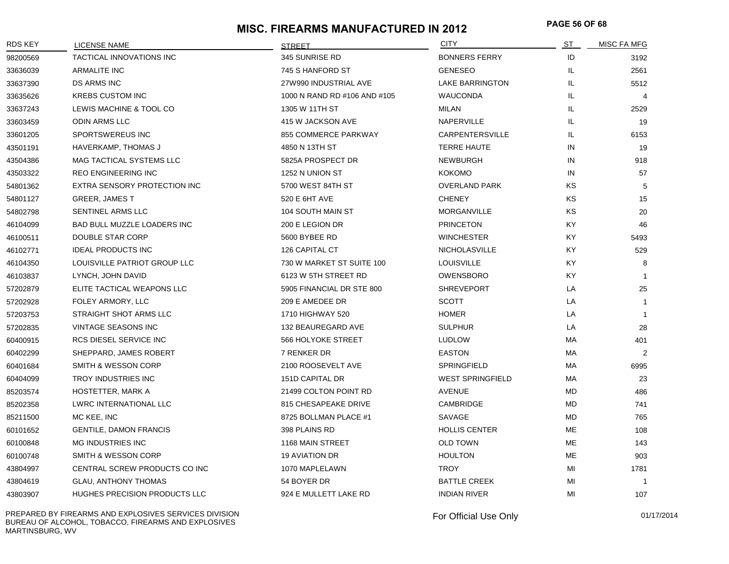# **PAGE 56 OF 68 MISC. FIREARMS MANUFACTURED IN 2012**

| <b>RDS KEY</b> | <b>LICENSE NAME</b>            | <b>STREET</b>                | <b>CITY</b>             | ST        | MISC FA MFG    |
|----------------|--------------------------------|------------------------------|-------------------------|-----------|----------------|
| 98200569       | TACTICAL INNOVATIONS INC       | 345 SUNRISE RD               | <b>BONNERS FERRY</b>    | ID        | 3192           |
| 33636039       | ARMALITE INC                   | 745 S HANFORD ST             | <b>GENESEO</b>          | IL.       | 2561           |
| 33637390       | <b>DS ARMS INC</b>             | 27W990 INDUSTRIAL AVE        | LAKE BARRINGTON         | IL        | 5512           |
| 33635626       | <b>KREBS CUSTOM INC</b>        | 1000 N RAND RD #106 AND #105 | <b>WAUCONDA</b>         | IL.       | $\overline{4}$ |
| 33637243       | LEWIS MACHINE & TOOL CO        | 1305 W 11TH ST               | MILAN                   | IL.       | 2529           |
| 33603459       | <b>ODIN ARMS LLC</b>           | 415 W JACKSON AVE            | NAPERVILLE              | IL.       | 19             |
| 33601205       | SPORTSWEREUS INC               | 855 COMMERCE PARKWAY         | CARPENTERSVILLE         | IL.       | 6153           |
| 43501191       | HAVERKAMP, THOMAS J            | 4850 N 13TH ST               | <b>TERRE HAUTE</b>      | IN        | 19             |
| 43504386       | MAG TACTICAL SYSTEMS LLC       | 5825A PROSPECT DR            | <b>NEWBURGH</b>         | IN        | 918            |
| 43503322       | REO ENGINEERING INC            | 1252 N UNION ST              | <b>KOKOMO</b>           | IN        | 57             |
| 54801362       | EXTRA SENSORY PROTECTION INC   | 5700 WEST 84TH ST            | <b>OVERLAND PARK</b>    | KS        | 5              |
| 54801127       | <b>GREER, JAMES T</b>          | 520 E 6HT AVE                | <b>CHENEY</b>           | KS        | 15             |
| 54802798       | SENTINEL ARMS LLC              | 104 SOUTH MAIN ST            | <b>MORGANVILLE</b>      | <b>KS</b> | 20             |
| 46104099       | BAD BULL MUZZLE LOADERS INC    | 200 E LEGION DR              | <b>PRINCETON</b>        | <b>KY</b> | 46             |
| 46100511       | DOUBLE STAR CORP               | 5600 BYBEE RD                | <b>WINCHESTER</b>       | KY.       | 5493           |
| 46102771       | <b>IDEAL PRODUCTS INC</b>      | 126 CAPITAL CT               | <b>NICHOLASVILLE</b>    | KY.       | 529            |
| 46104350       | LOUISVILLE PATRIOT GROUP LLC   | 730 W MARKET ST SUITE 100    | <b>LOUISVILLE</b>       | KY.       | 8              |
| 46103837       | LYNCH, JOHN DAVID              | 6123 W 5TH STREET RD         | OWENSBORO               | KY.       | -1             |
| 57202879       | ELITE TACTICAL WEAPONS LLC     | 5905 FINANCIAL DR STE 800    | <b>SHREVEPORT</b>       | LA        | 25             |
| 57202928       | FOLEY ARMORY, LLC              | 209 E AMEDEE DR              | <b>SCOTT</b>            | LA        | $\mathbf{1}$   |
| 57203753       | STRAIGHT SHOT ARMS LLC         | 1710 HIGHWAY 520             | <b>HOMER</b>            | LA        | $\mathbf{1}$   |
| 57202835       | <b>VINTAGE SEASONS INC</b>     | 132 BEAUREGARD AVE           | <b>SULPHUR</b>          | LA        | 28             |
| 60400915       | RCS DIESEL SERVICE INC         | 566 HOLYOKE STREET           | <b>LUDLOW</b>           | МA        | 401            |
| 60402299       | SHEPPARD, JAMES ROBERT         | 7 RENKER DR                  | <b>EASTON</b>           | МA        | 2              |
| 60401684       | <b>SMITH &amp; WESSON CORP</b> | 2100 ROOSEVELT AVE           | SPRINGFIELD             | МA        | 6995           |
| 60404099       | TROY INDUSTRIES INC            | 151D CAPITAL DR              | <b>WEST SPRINGFIELD</b> | МA        | 23             |
| 85203574       | HOSTETTER, MARK A              | 21499 COLTON POINT RD        | <b>AVENUE</b>           | <b>MD</b> | 486            |
| 85202358       | LWRC INTERNATIONAL LLC         | 815 CHESAPEAKE DRIVE         | CAMBRIDGE               | <b>MD</b> | 741            |
| 85211500       | MC KEE, INC                    | 8725 BOLLMAN PLACE #1        | SAVAGE                  | <b>MD</b> | 765            |
| 60101652       | <b>GENTILE, DAMON FRANCIS</b>  | 398 PLAINS RD                | <b>HOLLIS CENTER</b>    | <b>ME</b> | 108            |
| 60100848       | <b>MG INDUSTRIES INC</b>       | 1168 MAIN STREET             | <b>OLD TOWN</b>         | <b>ME</b> | 143            |
| 60100748       | SMITH & WESSON CORP            | <b>19 AVIATION DR</b>        | <b>HOULTON</b>          | ME        | 903            |
| 43804997       | CENTRAL SCREW PRODUCTS CO INC  | 1070 MAPLELAWN               | <b>TROY</b>             | MI        | 1781           |
| 43804619       | <b>GLAU, ANTHONY THOMAS</b>    | 54 BOYER DR                  | <b>BATTLE CREEK</b>     | MI        | $\overline{1}$ |
| 43803907       | HUGHES PRECISION PRODUCTS LLC  | 924 E MULLETT LAKE RD        | <b>INDIAN RIVER</b>     | MI        | 107            |

PREPARED BY FIREARMS AND EXPLOSIVES SERVICES DIVISION BUREAU OF ALCOHOL, TOBACCO, FIREARMS AND EXPLOSIVES MARTINSBURG, WV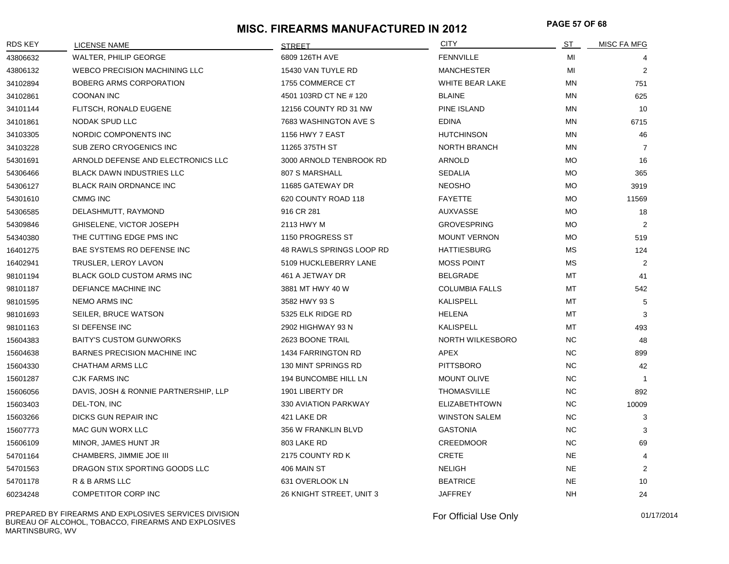# **PAGE 57 OF 68 MISC. FIREARMS MANUFACTURED IN 2012**

| RDS KEY  | LICENSE NAME                          | <b>STREET</b>            | <b>CITY</b>            | ST        | <b>MISC FA MFG</b> |
|----------|---------------------------------------|--------------------------|------------------------|-----------|--------------------|
| 43806632 | WALTER, PHILIP GEORGE                 | 6809 126TH AVE           | <b>FENNVILLE</b>       | MI        |                    |
| 43806132 | <b>WEBCO PRECISION MACHINING LLC</b>  | 15430 VAN TUYLE RD       | <b>MANCHESTER</b>      | MI        | 2                  |
| 34102894 | BOBERG ARMS CORPORATION               | 1755 COMMERCE CT         | <b>WHITE BEAR LAKE</b> | ΜN        | 751                |
| 34102861 | <b>COONAN INC</b>                     | 4501 103RD CT NE #120    | <b>BLAINE</b>          | <b>MN</b> | 625                |
| 34101144 | FLITSCH, RONALD EUGENE                | 12156 COUNTY RD 31 NW    | <b>PINE ISLAND</b>     | ΜN        | 10                 |
| 34101861 | NODAK SPUD LLC                        | 7683 WASHINGTON AVE S    | <b>EDINA</b>           | <b>MN</b> | 6715               |
| 34103305 | NORDIC COMPONENTS INC                 | <b>1156 HWY 7 EAST</b>   | <b>HUTCHINSON</b>      | MN        | 46                 |
| 34103228 | SUB ZERO CRYOGENICS INC               | 11265 375TH ST           | <b>NORTH BRANCH</b>    | ΜN        | $\overline{7}$     |
| 54301691 | ARNOLD DEFENSE AND ELECTRONICS LLC    | 3000 ARNOLD TENBROOK RD  | ARNOLD                 | МO        | 16                 |
| 54306466 | <b>BLACK DAWN INDUSTRIES LLC</b>      | 807 S MARSHALL           | <b>SEDALIA</b>         | МO        | 365                |
| 54306127 | <b>BLACK RAIN ORDNANCE INC</b>        | 11685 GATEWAY DR         | <b>NEOSHO</b>          | МO        | 3919               |
| 54301610 | <b>CMMG INC</b>                       | 620 COUNTY ROAD 118      | <b>FAYETTE</b>         | <b>MO</b> | 11569              |
| 54306585 | DELASHMUTT, RAYMOND                   | 916 CR 281               | <b>AUXVASSE</b>        | <b>MO</b> | 18                 |
| 54309846 | GHISELENE, VICTOR JOSEPH              | 2113 HWY M               | <b>GROVESPRING</b>     | МO        | 2                  |
| 54340380 | THE CUTTING EDGE PMS INC              | 1150 PROGRESS ST         | <b>MOUNT VERNON</b>    | МO        | 519                |
| 16401275 | BAE SYSTEMS RO DEFENSE INC            | 48 RAWLS SPRINGS LOOP RD | <b>HATTIESBURG</b>     | МS        | 124                |
| 16402941 | TRUSLER, LEROY LAVON                  | 5109 HUCKLEBERRY LANE    | <b>MOSS POINT</b>      | МS        | 2                  |
| 98101194 | <b>BLACK GOLD CUSTOM ARMS INC</b>     | 461 A JETWAY DR          | <b>BELGRADE</b>        | MT        | 41                 |
| 98101187 | DEFIANCE MACHINE INC                  | 3881 MT HWY 40 W         | <b>COLUMBIA FALLS</b>  | <b>MT</b> | 542                |
| 98101595 | <b>NEMO ARMS INC</b>                  | 3582 HWY 93 S            | <b>KALISPELL</b>       | <b>MT</b> | 5                  |
| 98101693 | SEILER, BRUCE WATSON                  | 5325 ELK RIDGE RD        | <b>HELENA</b>          | MT        | 3                  |
| 98101163 | SI DEFENSE INC                        | 2902 HIGHWAY 93 N        | <b>KALISPELL</b>       | MT        | 493                |
| 15604383 | <b>BAITY'S CUSTOM GUNWORKS</b>        | 2623 BOONE TRAIL         | NORTH WILKESBORO       | <b>NC</b> | 48                 |
| 15604638 | BARNES PRECISION MACHINE INC          | 1434 FARRINGTON RD       | APEX                   | NC.       | 899                |
| 15604330 | CHATHAM ARMS LLC                      | 130 MINT SPRINGS RD      | <b>PITTSBORO</b>       | <b>NC</b> | 42                 |
| 15601287 | <b>CJK FARMS INC</b>                  | 194 BUNCOMBE HILL LN     | <b>MOUNT OLIVE</b>     | NC.       | -1                 |
| 15606056 | DAVIS, JOSH & RONNIE PARTNERSHIP, LLP | 1901 LIBERTY DR          | <b>THOMASVILLE</b>     | <b>NC</b> | 892                |
| 15603403 | DEL-TON, INC                          | 330 AVIATION PARKWAY     | <b>ELIZABETHTOWN</b>   | <b>NC</b> | 10009              |
| 15603266 | DICKS GUN REPAIR INC                  | 421 LAKE DR              | <b>WINSTON SALEM</b>   | <b>NC</b> | 3                  |
| 15607773 | MAC GUN WORX LLC                      | 356 W FRANKLIN BLVD      | <b>GASTONIA</b>        | <b>NC</b> | 3                  |
| 15606109 | MINOR, JAMES HUNT JR                  | 803 LAKE RD              | <b>CREEDMOOR</b>       | <b>NC</b> | 69                 |
| 54701164 | CHAMBERS, JIMMIE JOE III              | 2175 COUNTY RD K         | <b>CRETE</b>           | <b>NE</b> | $\overline{4}$     |
| 54701563 | DRAGON STIX SPORTING GOODS LLC        | 406 MAIN ST              | <b>NELIGH</b>          | NE.       | 2                  |
| 54701178 | R & B ARMS LLC                        | 631 OVERLOOK LN          | <b>BEATRICE</b>        | <b>NE</b> | 10                 |
| 60234248 | <b>COMPETITOR CORP INC</b>            | 26 KNIGHT STREET, UNIT 3 | <b>JAFFREY</b>         | <b>NH</b> | 24                 |

PREPARED BY FIREARMS AND EXPLOSIVES SERVICES DIVISION BUREAU OF ALCOHOL, TOBACCO, FIREARMS AND EXPLOSIVES MARTINSBURG, WV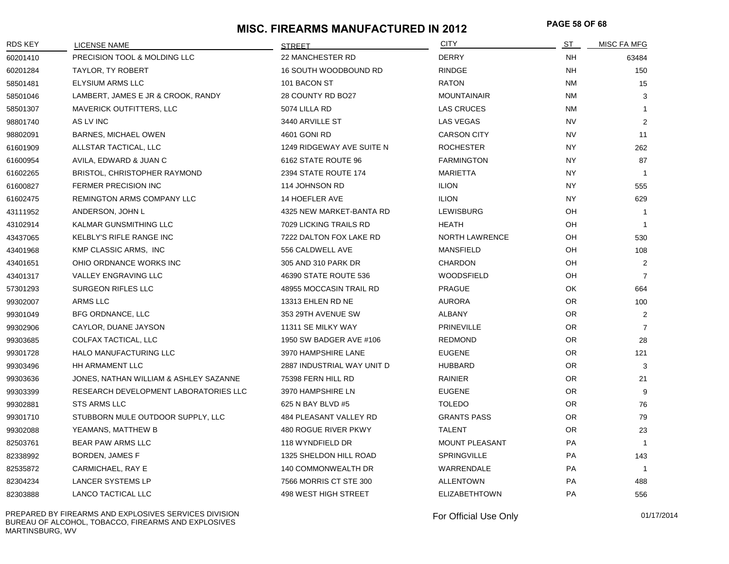# **PAGE 58 OF 68 MISC. FIREARMS MANUFACTURED IN 2012**

| <b>RDS KEY</b> | LICENSE NAME                           | <b>STREET</b>              | <b>CITY</b>           | ST        | MISC FA MFG    |
|----------------|----------------------------------------|----------------------------|-----------------------|-----------|----------------|
| 60201410       | PRECISION TOOL & MOLDING LLC           | 22 MANCHESTER RD           | <b>DERRY</b>          | NH.       | 63484          |
| 60201284       | TAYLOR, TY ROBERT                      | 16 SOUTH WOODBOUND RD      | <b>RINDGE</b>         | <b>NH</b> | 150            |
| 58501481       | ELYSIUM ARMS LLC                       | 101 BACON ST               | <b>RATON</b>          | <b>NM</b> | 15             |
| 58501046       | LAMBERT, JAMES E JR & CROOK, RANDY     | 28 COUNTY RD BO27          | <b>MOUNTAINAIR</b>    | <b>NM</b> | 3              |
| 58501307       | MAVERICK OUTFITTERS, LLC               | 5074 LILLA RD              | <b>LAS CRUCES</b>     | <b>NM</b> | $\mathbf{1}$   |
| 98801740       | AS LV INC                              | 3440 ARVILLE ST            | LAS VEGAS             | <b>NV</b> | 2              |
| 98802091       | <b>BARNES, MICHAEL OWEN</b>            | 4601 GONI RD               | <b>CARSON CITY</b>    | <b>NV</b> | 11             |
| 61601909       | ALLSTAR TACTICAL, LLC                  | 1249 RIDGEWAY AVE SUITE N  | <b>ROCHESTER</b>      | <b>NY</b> | 262            |
| 61600954       | AVILA, EDWARD & JUAN C                 | 6162 STATE ROUTE 96        | <b>FARMINGTON</b>     | NY        | 87             |
| 61602265       | <b>BRISTOL, CHRISTOPHER RAYMOND</b>    | 2394 STATE ROUTE 174       | MARIETTA              | <b>NY</b> | $\overline{1}$ |
| 61600827       | <b>FERMER PRECISION INC</b>            | 114 JOHNSON RD             | <b>ILION</b>          | <b>NY</b> | 555            |
| 61602475       | REMINGTON ARMS COMPANY LLC             | 14 HOEFLER AVE             | <b>ILION</b>          | <b>NY</b> | 629            |
| 43111952       | ANDERSON, JOHN L                       | 4325 NEW MARKET-BANTA RD   | <b>LEWISBURG</b>      | OH        | $\overline{1}$ |
| 43102914       | KALMAR GUNSMITHING LLC                 | 7029 LICKING TRAILS RD     | HEATH                 | OH        | $\overline{1}$ |
| 43437065       | KELBLY'S RIFLE RANGE INC               | 7222 DALTON FOX LAKE RD    | <b>NORTH LAWRENCE</b> | OH        | 530            |
| 43401968       | KMP CLASSIC ARMS, INC                  | 556 CALDWELL AVE           | <b>MANSFIELD</b>      | OH        | 108            |
| 43401651       | OHIO ORDNANCE WORKS INC                | 305 AND 310 PARK DR        | <b>CHARDON</b>        | OH        | 2              |
| 43401317       | <b>VALLEY ENGRAVING LLC</b>            | 46390 STATE ROUTE 536      | <b>WOODSFIELD</b>     | OH        | 7              |
| 57301293       | SURGEON RIFLES LLC                     | 48955 MOCCASIN TRAIL RD    | <b>PRAGUE</b>         | OK        | 664            |
| 99302007       | ARMS LLC                               | 13313 EHLEN RD NE          | AURORA                | OR.       | 100            |
| 99301049       | BFG ORDNANCE, LLC                      | 353 29TH AVENUE SW         | ALBANY                | OR.       | $\overline{2}$ |
| 99302906       | CAYLOR, DUANE JAYSON                   | 11311 SE MILKY WAY         | <b>PRINEVILLE</b>     | OR.       | $\overline{7}$ |
| 99303685       | COLFAX TACTICAL, LLC                   | 1950 SW BADGER AVE #106    | <b>REDMOND</b>        | OR.       | 28             |
| 99301728       | HALO MANUFACTURING LLC                 | 3970 HAMPSHIRE LANE        | <b>EUGENE</b>         | OR.       | 121            |
| 99303496       | HH ARMAMENT LLC                        | 2887 INDUSTRIAL WAY UNIT D | <b>HUBBARD</b>        | OR.       | 3              |
| 99303636       | JONES, NATHAN WILLIAM & ASHLEY SAZANNE | 75398 FERN HILL RD         | RAINIER               | OR.       | 21             |
| 99303399       | RESEARCH DEVELOPMENT LABORATORIES LLC  | 3970 HAMPSHIRE LN          | <b>EUGENE</b>         | OR.       | 9              |
| 99302881       | STS ARMS LLC                           | 625 N BAY BLVD #5          | <b>TOLEDO</b>         | OR.       | 76             |
| 99301710       | STUBBORN MULE OUTDOOR SUPPLY, LLC      | 484 PLEASANT VALLEY RD     | <b>GRANTS PASS</b>    | OR.       | 79             |
| 99302088       | YEAMANS, MATTHEW B                     | 480 ROGUE RIVER PKWY       | <b>TALENT</b>         | OR.       | 23             |
| 82503761       | <b>BEAR PAW ARMS LLC</b>               | 118 WYNDFIELD DR           | <b>MOUNT PLEASANT</b> | <b>PA</b> | $\mathbf{1}$   |
| 82338992       | BORDEN, JAMES F                        | 1325 SHELDON HILL ROAD     | <b>SPRINGVILLE</b>    | <b>PA</b> | 143            |
| 82535872       | CARMICHAEL, RAY E                      | 140 COMMONWEALTH DR        | WARRENDALE            | PA        | $\overline{1}$ |
| 82304234       | LANCER SYSTEMS LP                      | 7566 MORRIS CT STE 300     | ALLENTOWN             | <b>PA</b> | 488            |
| 82303888       | LANCO TACTICAL LLC                     | 498 WEST HIGH STREET       | <b>ELIZABETHTOWN</b>  | PA        | 556            |

PREPARED BY FIREARMS AND EXPLOSIVES SERVICES DIVISION BUREAU OF ALCOHOL, TOBACCO, FIREARMS AND EXPLOSIVES MARTINSBURG, WV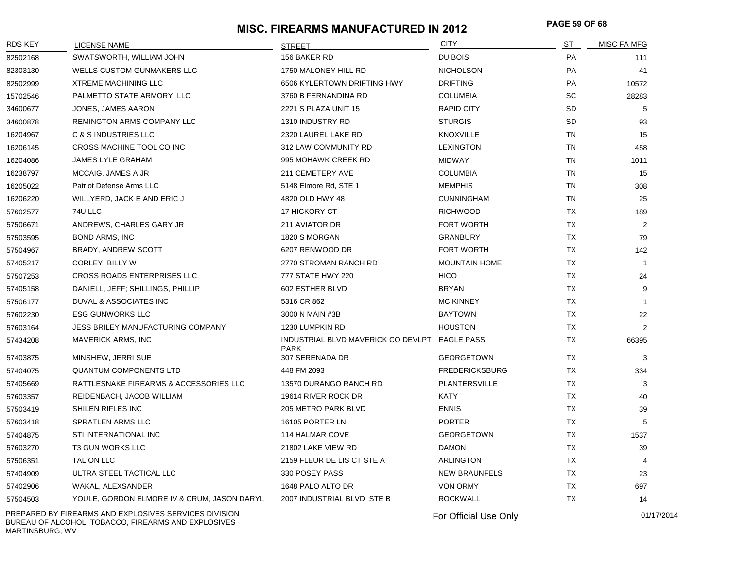# **PAGE 59 OF 68 MISC. FIREARMS MANUFACTURED IN 2012**

| <b>RDS KEY</b> | <b>LICENSE NAME</b>                                                                                          | <b>STREET</b>                                     | <b>CITY</b>           | ST        | <b>MISC FA MFG</b> |
|----------------|--------------------------------------------------------------------------------------------------------------|---------------------------------------------------|-----------------------|-----------|--------------------|
| 82502168       | SWATSWORTH, WILLIAM JOHN                                                                                     | 156 BAKER RD                                      | DU BOIS               | PA        | 111                |
| 82303130       | WELLS CUSTOM GUNMAKERS LLC                                                                                   | 1750 MALONEY HILL RD                              | <b>NICHOLSON</b>      | PA        | 41                 |
| 82502999       | <b>XTREME MACHINING LLC</b>                                                                                  | 6506 KYLERTOWN DRIFTING HWY                       | <b>DRIFTING</b>       | PA        | 10572              |
| 15702546       | PALMETTO STATE ARMORY, LLC                                                                                   | 3760 B FERNANDINA RD                              | <b>COLUMBIA</b>       | <b>SC</b> | 28283              |
| 34600677       | JONES, JAMES AARON                                                                                           | 2221 S PLAZA UNIT 15                              | <b>RAPID CITY</b>     | <b>SD</b> | 5                  |
| 34600878       | REMINGTON ARMS COMPANY LLC                                                                                   | 1310 INDUSTRY RD                                  | <b>STURGIS</b>        | <b>SD</b> | 93                 |
| 16204967       | C & S INDUSTRIES LLC                                                                                         | 2320 LAUREL LAKE RD                               | <b>KNOXVILLE</b>      | TN        | 15                 |
| 16206145       | CROSS MACHINE TOOL CO INC                                                                                    | 312 LAW COMMUNITY RD                              | <b>LEXINGTON</b>      | TN        | 458                |
| 16204086       | JAMES LYLE GRAHAM                                                                                            | 995 MOHAWK CREEK RD                               | MIDWAY                | TN        | 1011               |
| 16238797       | MCCAIG, JAMES A JR                                                                                           | 211 CEMETERY AVE                                  | <b>COLUMBIA</b>       | TN        | 15                 |
| 16205022       | Patriot Defense Arms LLC                                                                                     | 5148 Elmore Rd, STE 1                             | <b>MEMPHIS</b>        | TN        | 308                |
| 16206220       | WILLYERD, JACK E AND ERIC J                                                                                  | 4820 OLD HWY 48                                   | <b>CUNNINGHAM</b>     | TN        | 25                 |
| 57602577       | 74U LLC                                                                                                      | 17 HICKORY CT                                     | <b>RICHWOOD</b>       | TX        | 189                |
| 57506671       | ANDREWS, CHARLES GARY JR                                                                                     | 211 AVIATOR DR                                    | <b>FORT WORTH</b>     | TX        | 2                  |
| 57503595       | BOND ARMS, INC                                                                                               | 1820 S MORGAN                                     | <b>GRANBURY</b>       | <b>TX</b> | 79                 |
| 57504967       | BRADY, ANDREW SCOTT                                                                                          | 6207 RENWOOD DR                                   | FORT WORTH            | TX        | 142                |
| 57405217       | CORLEY, BILLY W                                                                                              | 2770 STROMAN RANCH RD                             | <b>MOUNTAIN HOME</b>  | TX        | $\mathbf{1}$       |
| 57507253       | <b>CROSS ROADS ENTERPRISES LLC</b>                                                                           | 777 STATE HWY 220                                 | <b>HICO</b>           | <b>TX</b> | 24                 |
| 57405158       | DANIELL, JEFF; SHILLINGS, PHILLIP                                                                            | 602 ESTHER BLVD                                   | <b>BRYAN</b>          | TX        | 9                  |
| 57506177       | DUVAL & ASSOCIATES INC                                                                                       | 5316 CR 862                                       | <b>MC KINNEY</b>      | TX        | $\mathbf{1}$       |
| 57602230       | <b>ESG GUNWORKS LLC</b>                                                                                      | 3000 N MAIN #3B                                   | <b>BAYTOWN</b>        | TX        | 22                 |
| 57603164       | JESS BRILEY MANUFACTURING COMPANY                                                                            | 1230 LUMPKIN RD                                   | <b>HOUSTON</b>        | TX        | 2                  |
| 57434208       | <b>MAVERICK ARMS, INC</b>                                                                                    | INDUSTRIAL BLVD MAVERICK CO DEVLPT<br><b>PARK</b> | EAGLE PASS            | TX        | 66395              |
| 57403875       | MINSHEW, JERRI SUE                                                                                           | 307 SERENADA DR                                   | <b>GEORGETOWN</b>     | TX        | 3                  |
| 57404075       | <b>QUANTUM COMPONENTS LTD</b>                                                                                | 448 FM 2093                                       | <b>FREDERICKSBURG</b> | TX        | 334                |
| 57405669       | RATTLESNAKE FIREARMS & ACCESSORIES LLC                                                                       | 13570 DURANGO RANCH RD                            | PLANTERSVILLE         | TX        | 3                  |
| 57603357       | REIDENBACH, JACOB WILLIAM                                                                                    | 19614 RIVER ROCK DR                               | <b>KATY</b>           | <b>TX</b> | 40                 |
| 57503419       | SHILEN RIFLES INC                                                                                            | 205 METRO PARK BLVD                               | <b>ENNIS</b>          | TX        | 39                 |
| 57603418       | SPRATLEN ARMS LLC                                                                                            | 16105 PORTER LN                                   | <b>PORTER</b>         | TX        | 5                  |
| 57404875       | STI INTERNATIONAL INC                                                                                        | 114 HALMAR COVE                                   | <b>GEORGETOWN</b>     | TX        | 1537               |
| 57603270       | T3 GUN WORKS LLC                                                                                             | 21802 LAKE VIEW RD                                | <b>DAMON</b>          | <b>TX</b> | 39                 |
| 57506351       | <b>TALION LLC</b>                                                                                            | 2159 FLEUR DE LIS CT STE A                        | <b>ARLINGTON</b>      | TX        | 4                  |
| 57404909       | ULTRA STEEL TACTICAL LLC                                                                                     | 330 POSEY PASS                                    | NEW BRAUNFELS         | ТX        | 23                 |
| 57402906       | WAKAL, ALEXSANDER                                                                                            | 1648 PALO ALTO DR                                 | <b>VON ORMY</b>       | ТX        | 697                |
| 57504503       | YOULE, GORDON ELMORE IV & CRUM, JASON DARYL                                                                  | 2007 INDUSTRIAL BLVD STE B                        | <b>ROCKWALL</b>       | TX        | 14                 |
|                | PREPARED BY FIREARMS AND EXPLOSIVES SERVICES DIVISION<br>BUREAU OF ALCOHOL, TOBACCO, FIREARMS AND EXPLOSIVES |                                                   | For Official Use Only |           | 01/17/2014         |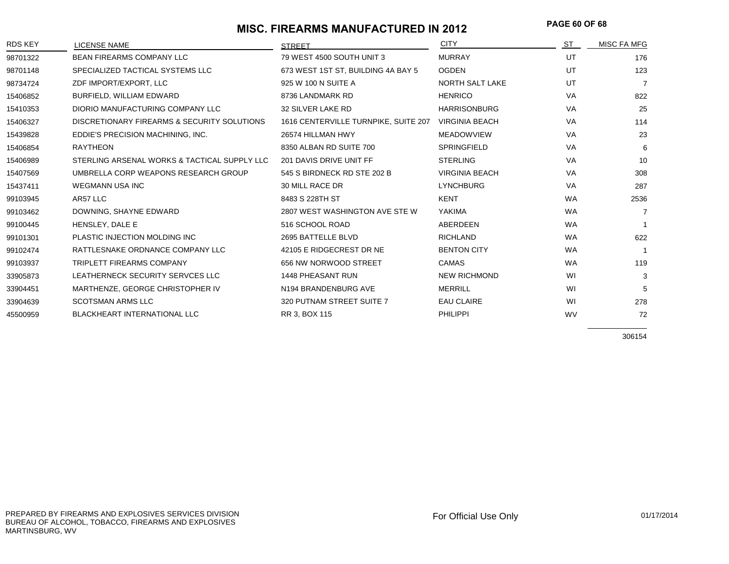# **PAGE 60 OF 68 MISC. FIREARMS MANUFACTURED IN 2012**

| <b>RDS KEY</b> | <b>LICENSE NAME</b>                          | <b>STREET</b>                        | <b>CITY</b>            | ST        | MISC FA MFG    |
|----------------|----------------------------------------------|--------------------------------------|------------------------|-----------|----------------|
| 98701322       | <b>BEAN FIREARMS COMPANY LLC</b>             | 79 WEST 4500 SOUTH UNIT 3            | <b>MURRAY</b>          | UT        | 176            |
| 98701148       | SPECIALIZED TACTICAL SYSTEMS LLC             | 673 WEST 1ST ST, BUILDING 4A BAY 5   | <b>OGDEN</b>           | UT        | 123            |
| 98734724       | ZDF IMPORT/EXPORT, LLC                       | 925 W 100 N SUITE A                  | <b>NORTH SALT LAKE</b> | UT        | $\overline{7}$ |
| 15406852       | BURFIELD, WILLIAM EDWARD                     | 8736 LANDMARK RD                     | <b>HENRICO</b>         | <b>VA</b> | 822            |
| 15410353       | DIORIO MANUFACTURING COMPANY LLC             | 32 SILVER LAKE RD                    | <b>HARRISONBURG</b>    | VA        | 25             |
| 15406327       | DISCRETIONARY FIREARMS & SECURITY SOLUTIONS  | 1616 CENTERVILLE TURNPIKE, SUITE 207 | <b>VIRGINIA BEACH</b>  | VA        | 114            |
| 15439828       | EDDIE'S PRECISION MACHINING, INC.            | 26574 HILLMAN HWY                    | <b>MEADOWVIEW</b>      | VA        | 23             |
| 15406854       | <b>RAYTHEON</b>                              | 8350 ALBAN RD SUITE 700              | <b>SPRINGFIELD</b>     | VA        | 6              |
| 15406989       | STERLING ARSENAL WORKS & TACTICAL SUPPLY LLC | 201 DAVIS DRIVE UNIT FF              | <b>STERLING</b>        | <b>VA</b> | 10             |
| 15407569       | UMBRELLA CORP WEAPONS RESEARCH GROUP         | 545 S BIRDNECK RD STE 202 B          | <b>VIRGINIA BEACH</b>  | VA        | 308            |
| 15437411       | <b>WEGMANN USA INC</b>                       | <b>30 MILL RACE DR</b>               | <b>LYNCHBURG</b>       | VA        | 287            |
| 99103945       | AR57 LLC                                     | 8483 S 228TH ST                      | <b>KENT</b>            | <b>WA</b> | 2536           |
| 99103462       | DOWNING, SHAYNE EDWARD                       | 2807 WEST WASHINGTON AVE STE W       | <b>YAKIMA</b>          | <b>WA</b> | 7              |
| 99100445       | HENSLEY, DALE E                              | 516 SCHOOL ROAD                      | <b>ABERDEEN</b>        | <b>WA</b> |                |
| 99101301       | PLASTIC INJECTION MOLDING INC                | 2695 BATTELLE BLVD                   | <b>RICHLAND</b>        | <b>WA</b> | 622            |
| 99102474       | RATTLESNAKE ORDNANCE COMPANY LLC             | 42105 E RIDGECREST DR NE             | <b>BENTON CITY</b>     | <b>WA</b> |                |
| 99103937       | <b>TRIPLETT FIREARMS COMPANY</b>             | 656 NW NORWOOD STREET                | CAMAS                  | <b>WA</b> | 119            |
| 33905873       | LEATHERNECK SECURITY SERVCES LLC             | 1448 PHEASANT RUN                    | <b>NEW RICHMOND</b>    | WI        | 3              |
| 33904451       | MARTHENZE, GEORGE CHRISTOPHER IV             | N194 BRANDENBURG AVE                 | <b>MERRILL</b>         | WI        | 5              |
| 33904639       | <b>SCOTSMAN ARMS LLC</b>                     | 320 PUTNAM STREET SUITE 7            | <b>EAU CLAIRE</b>      | WI        | 278            |
| 45500959       | <b>BLACKHEART INTERNATIONAL LLC</b>          | RR 3, BOX 115                        | <b>PHILIPPI</b>        | <b>WV</b> | 72             |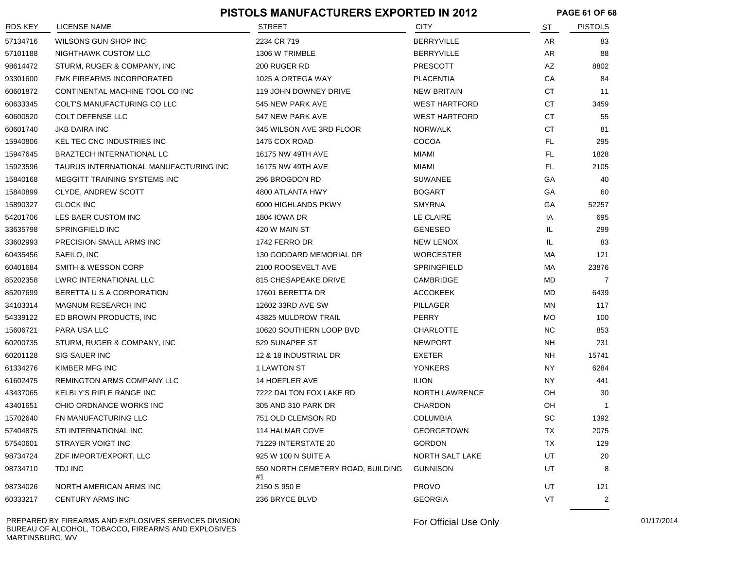|                | <b>PISTOLS MANUFACTURERS EXPORTED IN 2012</b> |                                         |                        |           | <b>PAGE 61 OF 68</b> |  |
|----------------|-----------------------------------------------|-----------------------------------------|------------------------|-----------|----------------------|--|
| <b>RDS KEY</b> | LICENSE NAME                                  | STREET                                  | CITY                   | ST        | <b>PISTOLS</b>       |  |
| 57134716       | WILSONS GUN SHOP INC                          | 2234 CR 719                             | <b>BERRYVILLE</b>      | AR        | 83                   |  |
| 57101188       | NIGHTHAWK CUSTOM LLC                          | 1306 W TRIMBLE                          | <b>BERRYVILLE</b>      | AR        | 88                   |  |
| 98614472       | STURM, RUGER & COMPANY, INC                   | 200 RUGER RD                            | <b>PRESCOTT</b>        | AZ        | 8802                 |  |
| 93301600       | FMK FIREARMS INCORPORATED                     | 1025 A ORTEGA WAY                       | <b>PLACENTIA</b>       | CA        | 84                   |  |
| 60601872       | CONTINENTAL MACHINE TOOL CO INC               | 119 JOHN DOWNEY DRIVE                   | <b>NEW BRITAIN</b>     | СT        | 11                   |  |
| 60633345       | COLT'S MANUFACTURING CO LLC                   | 545 NEW PARK AVE                        | <b>WEST HARTFORD</b>   | CT        | 3459                 |  |
| 60600520       | <b>COLT DEFENSE LLC</b>                       | 547 NEW PARK AVE                        | <b>WEST HARTFORD</b>   | СT        | 55                   |  |
| 60601740       | <b>JKB DAIRA INC</b>                          | 345 WILSON AVE 3RD FLOOR                | <b>NORWALK</b>         | СT        | 81                   |  |
| 15940806       | <b>KEL TEC CNC INDUSTRIES INC</b>             | 1475 COX ROAD                           | COCOA                  | FL        | 295                  |  |
| 15947645       | BRAZTECH INTERNATIONAL LC                     | 16175 NW 49TH AVE                       | MIAMI                  | FL        | 1828                 |  |
| 15923596       | TAURUS INTERNATIONAL MANUFACTURING INC        | 16175 NW 49TH AVE                       | MIAMI                  | FL        | 2105                 |  |
| 15840168       | MEGGITT TRAINING SYSTEMS INC                  | 296 BROGDON RD                          | <b>SUWANEE</b>         | GA        | 40                   |  |
| 15840899       | CLYDE, ANDREW SCOTT                           | 4800 ATLANTA HWY                        | <b>BOGART</b>          | GA        | 60                   |  |
| 15890327       | <b>GLOCK INC</b>                              | 6000 HIGHLANDS PKWY                     | <b>SMYRNA</b>          | GA        | 52257                |  |
| 54201706       | LES BAER CUSTOM INC                           | 1804 IOWA DR                            | LE CLAIRE              | IA        | 695                  |  |
| 33635798       | SPRINGFIELD INC                               | 420 W MAIN ST                           | <b>GENESEO</b>         | IL.       | 299                  |  |
| 33602993       | PRECISION SMALL ARMS INC                      | 1742 FERRO DR                           | <b>NEW LENOX</b>       | IL        | 83                   |  |
| 60435456       | SAEILO, INC                                   | 130 GODDARD MEMORIAL DR                 | <b>WORCESTER</b>       | МA        | 121                  |  |
| 60401684       | <b>SMITH &amp; WESSON CORP</b>                | 2100 ROOSEVELT AVE                      | <b>SPRINGFIELD</b>     | MA        | 23876                |  |
| 85202358       | LWRC INTERNATIONAL LLC                        | 815 CHESAPEAKE DRIVE                    | CAMBRIDGE              | MD        | 7                    |  |
| 85207699       | BERETTA U S A CORPORATION                     | 17601 BERETTA DR                        | <b>ACCOKEEK</b>        | MD        | 6439                 |  |
| 34103314       | MAGNUM RESEARCH INC                           | 12602 33RD AVE SW                       | PILLAGER               | ΜN        | 117                  |  |
| 54339122       | ED BROWN PRODUCTS, INC                        | 43825 MULDROW TRAIL                     | <b>PERRY</b>           | <b>MO</b> | 100                  |  |
| 15606721       | PARA USA LLC                                  | 10620 SOUTHERN LOOP BVD                 | CHARLOTTE              | <b>NC</b> | 853                  |  |
| 60200735       | STURM, RUGER & COMPANY, INC                   | 529 SUNAPEE ST                          | <b>NEWPORT</b>         | <b>NH</b> | 231                  |  |
| 60201128       | SIG SAUER INC                                 | 12 & 18 INDUSTRIAL DR                   | EXETER                 | NH        | 15741                |  |
| 61334276       | KIMBER MFG INC                                | 1 LAWTON ST                             | <b>YONKERS</b>         | NY.       | 6284                 |  |
| 61602475       | <b>REMINGTON ARMS COMPANY LLC</b>             | 14 HOEFLER AVE                          | <b>ILION</b>           | NY.       | 441                  |  |
| 43437065       | <b>KELBLY'S RIFLE RANGE INC</b>               | 7222 DALTON FOX LAKE RD                 | <b>NORTH LAWRENCE</b>  | OН        | 30                   |  |
| 43401651       | OHIO ORDNANCE WORKS INC                       | 305 AND 310 PARK DR                     | <b>CHARDON</b>         | OH        | -1                   |  |
| 15702640       | FN MANUFACTURING LLC                          | 751 OLD CLEMSON RD                      | COLUMBIA               | SC        | 1392                 |  |
| 57404875       | STI INTERNATIONAL INC                         | 114 HALMAR COVE                         | <b>GEORGETOWN</b>      | TX        | 2075                 |  |
| 57540601       | STRAYER VOIGT INC                             | 71229 INTERSTATE 20                     | <b>GORDON</b>          | TX        | 129                  |  |
| 98734724       | ZDF IMPORT/EXPORT, LLC                        | 925 W 100 N SUITE A                     | <b>NORTH SALT LAKE</b> | UT        | 20                   |  |
| 98734710       | TDJ INC                                       | 550 NORTH CEMETERY ROAD, BUILDING<br>#1 | <b>GUNNISON</b>        | UT        | 8                    |  |
| 98734026       | NORTH AMERICAN ARMS INC                       | 2150 S 950 E                            | <b>PROVO</b>           | UT        | 121                  |  |
| 60333217       | <b>CENTURY ARMS INC</b>                       | 236 BRYCE BLVD                          | <b>GEORGIA</b>         | VT        | $\overline{2}$       |  |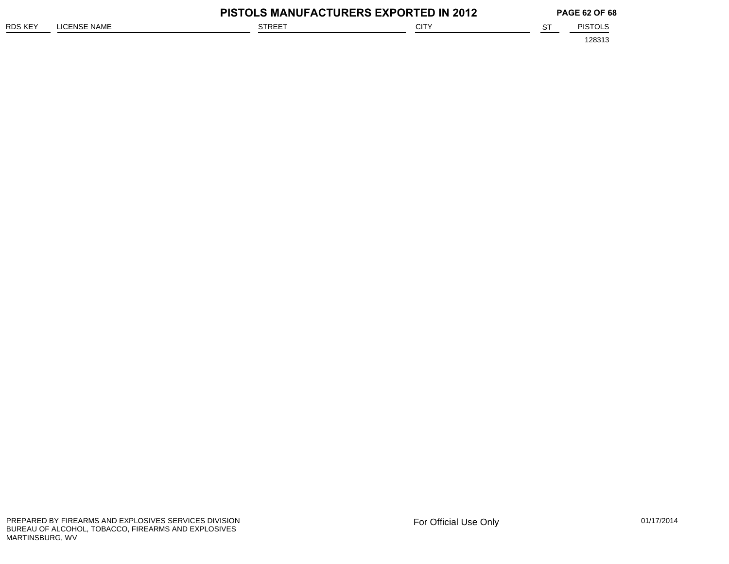|         |              | <b>PISTOLS MANUFACTURERS EXPORTED IN 2012</b> |             |  | <b>PAGE 62 OF 68</b> |  |
|---------|--------------|-----------------------------------------------|-------------|--|----------------------|--|
| RDS KEY | LICENSE NAME | <b>STREET</b>                                 | <b>CITY</b> |  | <b>PISTOLS</b>       |  |
|         |              |                                               |             |  | 128313               |  |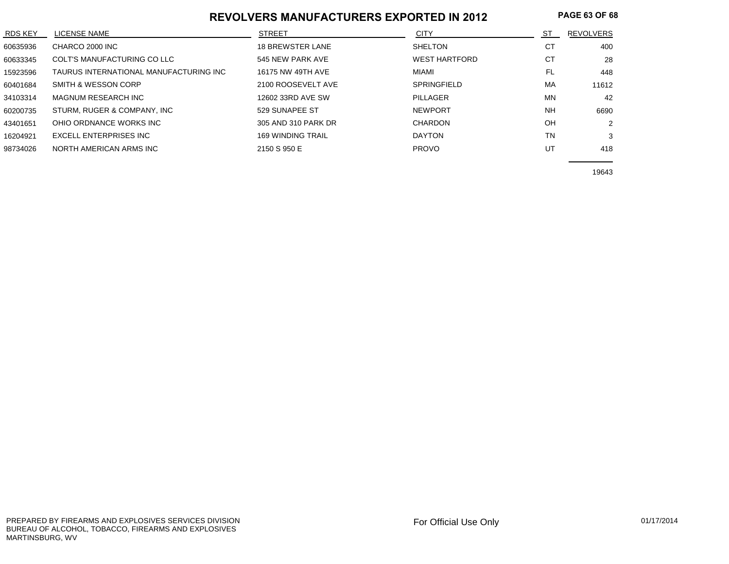#### **REVOLVERS MANUFACTURERS EXPORTED IN 2012 PAGE 63 OF 68**

| <b>RDS KEY</b> | LICENSE NAME                           | <b>STREET</b>            | <b>CITY</b>          | ST        | <b>REVOLVERS</b> |
|----------------|----------------------------------------|--------------------------|----------------------|-----------|------------------|
| 60635936       | CHARCO 2000 INC                        | <b>18 BREWSTER LANE</b>  | <b>SHELTON</b>       | СT        | 400              |
| 60633345       | COLT'S MANUFACTURING CO LLC            | 545 NEW PARK AVE         | <b>WEST HARTFORD</b> | СT        | 28               |
| 15923596       | TAURUS INTERNATIONAL MANUFACTURING INC | 16175 NW 49TH AVE        | MIAMI                | FL.       | 448              |
| 60401684       | SMITH & WESSON CORP                    | 2100 ROOSEVELT AVE       | <b>SPRINGFIELD</b>   | MA        | 11612            |
| 34103314       | <b>MAGNUM RESEARCH INC</b>             | 12602 33RD AVE SW        | PILLAGER             | MN        | 42               |
| 60200735       | STURM, RUGER & COMPANY, INC            | 529 SUNAPEE ST           | <b>NEWPORT</b>       | <b>NH</b> | 6690             |
| 43401651       | OHIO ORDNANCE WORKS INC                | 305 AND 310 PARK DR      | CHARDON              | OH        | 2                |
| 16204921       | EXCELL ENTERPRISES INC                 | <b>169 WINDING TRAIL</b> | <b>DAYTON</b>        | <b>TN</b> | 3                |
| 98734026       | NORTH AMERICAN ARMS INC                | 2150 S 950 E             | <b>PROVO</b>         | UT        | 418              |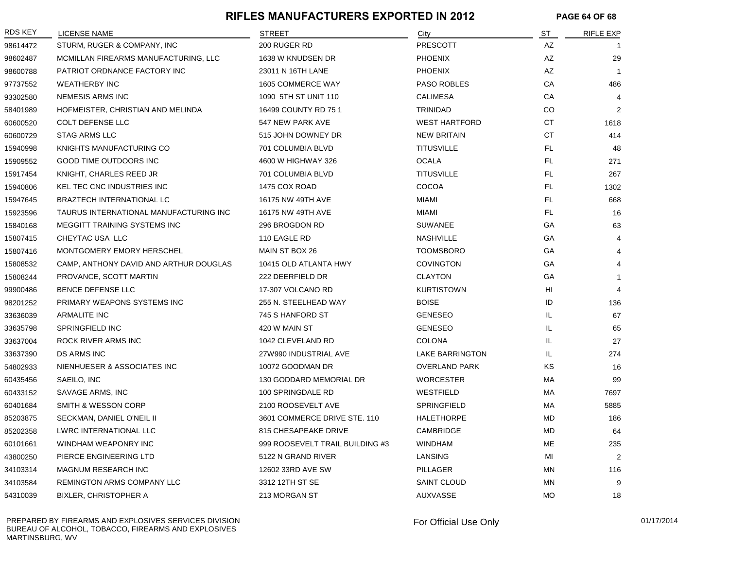#### **RIFLES MANUFACTURERS EXPORTED IN 2012 PAGE 64 OF 68**

| RDS KEY  | LICENSE NAME                           | <b>STREET</b>                   | City                   | ST        | <b>RIFLE EXP</b> |
|----------|----------------------------------------|---------------------------------|------------------------|-----------|------------------|
| 98614472 | STURM, RUGER & COMPANY, INC            | 200 RUGER RD                    | PRESCOTT               | AZ        |                  |
| 98602487 | MCMILLAN FIREARMS MANUFACTURING, LLC   | 1638 W KNUDSEN DR               | <b>PHOENIX</b>         | AZ        | 29               |
| 98600788 | PATRIOT ORDNANCE FACTORY INC           | 23011 N 16TH LANE               | <b>PHOENIX</b>         | AZ        | $\overline{1}$   |
| 97737552 | <b>WEATHERBY INC</b>                   | 1605 COMMERCE WAY               | <b>PASO ROBLES</b>     | CA        | 486              |
| 93302580 | NEMESIS ARMS INC                       | 1090 5TH ST UNIT 110            | <b>CALIMESA</b>        | CA        | 4                |
| 58401989 | HOFMEISTER, CHRISTIAN AND MELINDA      | 16499 COUNTY RD 75 1            | <b>TRINIDAD</b>        | CO        | 2                |
| 60600520 | <b>COLT DEFENSE LLC</b>                | 547 NEW PARK AVE                | <b>WEST HARTFORD</b>   | <b>CT</b> | 1618             |
| 60600729 | <b>STAG ARMS LLC</b>                   | 515 JOHN DOWNEY DR              | <b>NEW BRITAIN</b>     | CT        | 414              |
| 15940998 | KNIGHTS MANUFACTURING CO               | 701 COLUMBIA BLVD               | <b>TITUSVILLE</b>      | FL.       | 48               |
| 15909552 | GOOD TIME OUTDOORS INC                 | 4600 W HIGHWAY 326              | <b>OCALA</b>           | FL.       | 271              |
| 15917454 | KNIGHT, CHARLES REED JR                | 701 COLUMBIA BLVD               | <b>TITUSVILLE</b>      | FL.       | 267              |
| 15940806 | KEL TEC CNC INDUSTRIES INC             | 1475 COX ROAD                   | <b>COCOA</b>           | FL.       | 1302             |
| 15947645 | BRAZTECH INTERNATIONAL LC              | 16175 NW 49TH AVE               | <b>MIAMI</b>           | FL.       | 668              |
| 15923596 | TAURUS INTERNATIONAL MANUFACTURING INC | 16175 NW 49TH AVE               | MIAMI                  | FL.       | 16               |
| 15840168 | MEGGITT TRAINING SYSTEMS INC           | 296 BROGDON RD                  | <b>SUWANEE</b>         | GA        | 63               |
| 15807415 | CHEYTAC USA LLC                        | 110 EAGLE RD                    | <b>NASHVILLE</b>       | GA        | 4                |
| 15807416 | MONTGOMERY EMORY HERSCHEL              | MAIN ST BOX 26                  | <b>TOOMSBORO</b>       | GA        | 4                |
| 15808532 | CAMP, ANTHONY DAVID AND ARTHUR DOUGLAS | 10415 OLD ATLANTA HWY           | <b>COVINGTON</b>       | GA        | 4                |
| 15808244 | PROVANCE, SCOTT MARTIN                 | 222 DEERFIELD DR                | <b>CLAYTON</b>         | GA        | -1               |
| 99900486 | <b>BENCE DEFENSE LLC</b>               | 17-307 VOLCANO RD               | <b>KURTISTOWN</b>      | HI        | 4                |
| 98201252 | PRIMARY WEAPONS SYSTEMS INC            | 255 N. STEELHEAD WAY            | <b>BOISE</b>           | ID        | 136              |
| 33636039 | ARMALITE INC                           | 745 S HANFORD ST                | <b>GENESEO</b>         | IL        | 67               |
| 33635798 | SPRINGFIELD INC                        | 420 W MAIN ST                   | <b>GENESEO</b>         | IL        | 65               |
| 33637004 | ROCK RIVER ARMS INC                    | 1042 CLEVELAND RD               | <b>COLONA</b>          | IL        | 27               |
| 33637390 | DS ARMS INC                            | 27W990 INDUSTRIAL AVE           | <b>LAKE BARRINGTON</b> | IL        | 274              |
| 54802933 | NIENHUESER & ASSOCIATES INC            | 10072 GOODMAN DR                | <b>OVERLAND PARK</b>   | <b>KS</b> | 16               |
| 60435456 | SAEILO, INC                            | 130 GODDARD MEMORIAL DR         | <b>WORCESTER</b>       | МA        | 99               |
| 60433152 | SAVAGE ARMS, INC                       | 100 SPRINGDALE RD               | WESTFIELD              | МA        | 7697             |
| 60401684 | SMITH & WESSON CORP                    | 2100 ROOSEVELT AVE              | <b>SPRINGFIELD</b>     | МA        | 5885             |
| 85203875 | SECKMAN, DANIEL O'NEIL II              | 3601 COMMERCE DRIVE STE. 110    | <b>HALETHORPE</b>      | MD        | 186              |
| 85202358 | LWRC INTERNATIONAL LLC                 | 815 CHESAPEAKE DRIVE            | CAMBRIDGE              | MD        | 64               |
| 60101661 | WINDHAM WEAPONRY INC                   | 999 ROOSEVELT TRAIL BUILDING #3 | <b>WINDHAM</b>         | <b>ME</b> | 235              |
| 43800250 | PIERCE ENGINEERING LTD                 | 5122 N GRAND RIVER              | LANSING                | MI        | 2                |
| 34103314 | MAGNUM RESEARCH INC                    | 12602 33RD AVE SW               | PILLAGER               | <b>MN</b> | 116              |
| 34103584 | REMINGTON ARMS COMPANY LLC             | 3312 12TH ST SE                 | <b>SAINT CLOUD</b>     | <b>MN</b> | 9                |
| 54310039 | <b>BIXLER, CHRISTOPHER A</b>           | 213 MORGAN ST                   | <b>AUXVASSE</b>        | <b>MO</b> | 18               |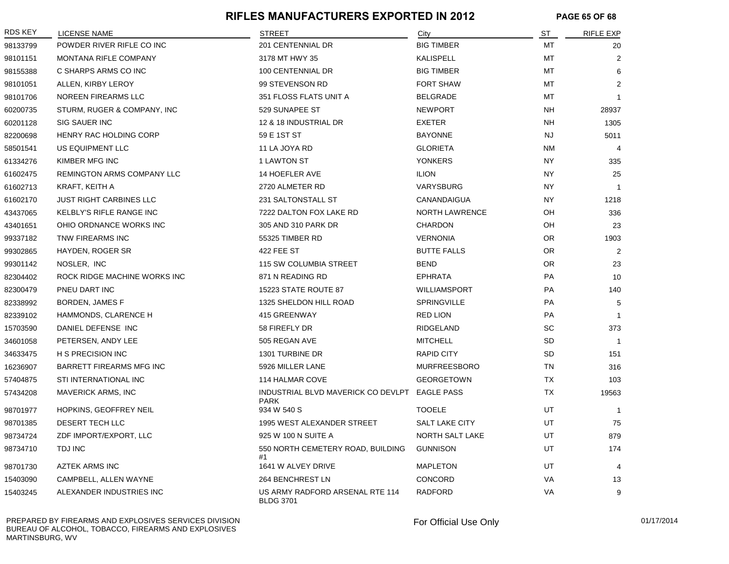#### **RIFLES MANUFACTURERS EXPORTED IN 2012 PAGE 65 OF 68**

| RDS KEY  | LICENSE NAME                    | <b>STREET</b>                                                | City                  | ST        | <b>RIFLE EXP</b> |
|----------|---------------------------------|--------------------------------------------------------------|-----------------------|-----------|------------------|
| 98133799 | POWDER RIVER RIFLE CO INC       | 201 CENTENNIAL DR                                            | <b>BIG TIMBER</b>     | MT        | 20               |
| 98101151 | MONTANA RIFLE COMPANY           | 3178 MT HWY 35                                               | KALISPELL             | MT        | $\overline{2}$   |
| 98155388 | C SHARPS ARMS CO INC            | 100 CENTENNIAL DR                                            | <b>BIG TIMBER</b>     | MT        | 6                |
| 98101051 | ALLEN, KIRBY LEROY              | 99 STEVENSON RD                                              | <b>FORT SHAW</b>      | MT        | 2                |
| 98101706 | NOREEN FIREARMS LLC             | 351 FLOSS FLATS UNIT A                                       | <b>BELGRADE</b>       | MT        | $\overline{1}$   |
| 60200735 | STURM, RUGER & COMPANY, INC     | 529 SUNAPEE ST                                               | <b>NEWPORT</b>        | <b>NH</b> | 28937            |
| 60201128 | SIG SAUER INC                   | 12 & 18 INDUSTRIAL DR                                        | <b>EXETER</b>         | <b>NH</b> | 1305             |
| 82200698 | HENRY RAC HOLDING CORP          | 59 E 1ST ST                                                  | <b>BAYONNE</b>        | <b>NJ</b> | 5011             |
| 58501541 | US EQUIPMENT LLC                | 11 LA JOYA RD                                                | <b>GLORIETA</b>       | <b>NM</b> | $\overline{4}$   |
| 61334276 | KIMBER MFG INC                  | 1 LAWTON ST                                                  | <b>YONKERS</b>        | <b>NY</b> | 335              |
| 61602475 | REMINGTON ARMS COMPANY LLC      | 14 HOEFLER AVE                                               | <b>ILION</b>          | <b>NY</b> | 25               |
| 61602713 | KRAFT, KEITH A                  | 2720 ALMETER RD                                              | VARYSBURG             | <b>NY</b> | $\overline{1}$   |
| 61602170 | <b>JUST RIGHT CARBINES LLC</b>  | 231 SALTONSTALL ST                                           | CANANDAIGUA           | <b>NY</b> | 1218             |
| 43437065 | KELBLY'S RIFLE RANGE INC        | 7222 DALTON FOX LAKE RD                                      | <b>NORTH LAWRENCE</b> | OН        | 336              |
| 43401651 | OHIO ORDNANCE WORKS INC         | 305 AND 310 PARK DR                                          | <b>CHARDON</b>        | OH        | 23               |
| 99337182 | TNW FIREARMS INC                | 55325 TIMBER RD                                              | <b>VERNONIA</b>       | <b>OR</b> | 1903             |
| 99302865 | HAYDEN, ROGER SR                | 422 FEE ST                                                   | <b>BUTTE FALLS</b>    | OR.       | 2                |
| 99301142 | NOSLER, INC                     | 115 SW COLUMBIA STREET                                       | <b>BEND</b>           | OR.       | 23               |
| 82304402 | ROCK RIDGE MACHINE WORKS INC    | 871 N READING RD                                             | <b>EPHRATA</b>        | <b>PA</b> | 10               |
| 82300479 | PNEU DART INC                   | 15223 STATE ROUTE 87                                         | <b>WILLIAMSPORT</b>   | <b>PA</b> | 140              |
| 82338992 | BORDEN, JAMES F                 | 1325 SHELDON HILL ROAD                                       | <b>SPRINGVILLE</b>    | <b>PA</b> | 5                |
| 82339102 | HAMMONDS, CLARENCE H            | 415 GREENWAY                                                 | <b>RED LION</b>       | <b>PA</b> | $\overline{1}$   |
| 15703590 | DANIEL DEFENSE INC              | 58 FIREFLY DR                                                | RIDGELAND             | <b>SC</b> | 373              |
| 34601058 | PETERSEN, ANDY LEE              | 505 REGAN AVE                                                | <b>MITCHELL</b>       | <b>SD</b> | $\overline{1}$   |
| 34633475 | H S PRECISION INC               | 1301 TURBINE DR                                              | <b>RAPID CITY</b>     | <b>SD</b> | 151              |
| 16236907 | <b>BARRETT FIREARMS MFG INC</b> | 5926 MILLER LANE                                             | <b>MURFREESBORO</b>   | <b>TN</b> | 316              |
| 57404875 | STI INTERNATIONAL INC           | 114 HALMAR COVE                                              | <b>GEORGETOWN</b>     | TX        | 103              |
| 57434208 | <b>MAVERICK ARMS, INC</b>       | INDUSTRIAL BLVD MAVERICK CO DEVLPT EAGLE PASS<br><b>PARK</b> |                       | TX        | 19563            |
| 98701977 | HOPKINS, GEOFFREY NEIL          | 934 W 540 S                                                  | <b>TOOELE</b>         | UT        | $\overline{1}$   |
| 98701385 | DESERT TECH LLC                 | 1995 WEST ALEXANDER STREET                                   | SALT LAKE CITY        | UT        | 75               |
| 98734724 | ZDF IMPORT/EXPORT, LLC          | 925 W 100 N SUITE A                                          | NORTH SALT LAKE       | UT        | 879              |
| 98734710 | TDJ INC                         | 550 NORTH CEMETERY ROAD, BUILDING<br>#1                      | <b>GUNNISON</b>       | UT        | 174              |
| 98701730 | <b>AZTEK ARMS INC</b>           | 1641 W ALVEY DRIVE                                           | <b>MAPLETON</b>       | UT        | $\overline{4}$   |
| 15403090 | CAMPBELL, ALLEN WAYNE           | 264 BENCHREST LN                                             | CONCORD               | VA        | 13               |
| 15403245 | ALEXANDER INDUSTRIES INC        | US ARMY RADFORD ARSENAL RTE 114<br><b>BLDG 3701</b>          | <b>RADFORD</b>        | VA        | 9                |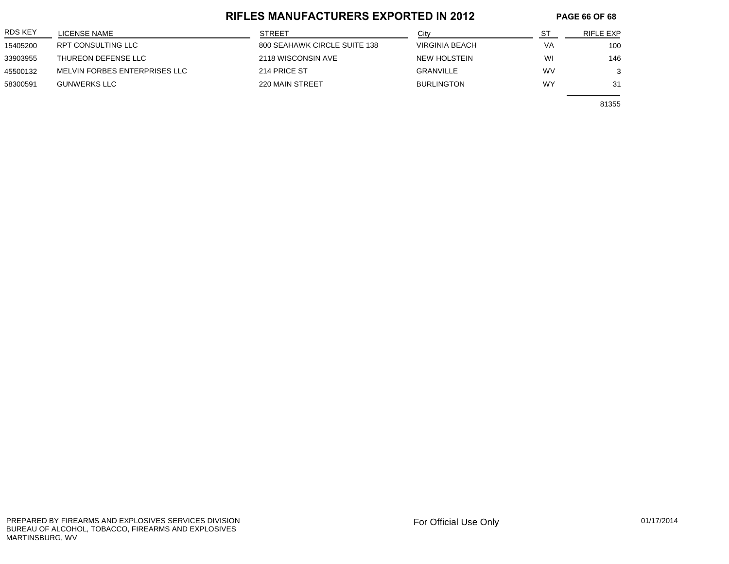#### **RIFLES MANUFACTURERS EXPORTED IN 2012 PAGE 66 OF 68**

| <b>RDS KEY</b> | LICENSE NAME                  | <b>STREET</b>                | City              |           | RIFLE EXP |
|----------------|-------------------------------|------------------------------|-------------------|-----------|-----------|
| 15405200       | RPT CONSULTING LLC            | 800 SEAHAWK CIRCLE SUITE 138 | VIRGINIA BEACH    | VA        | 100       |
| 33903955       | THUREON DEFENSE LLC           | 2118 WISCONSIN AVE           | NEW HOLSTEIN      | WI        | 146       |
| 45500132       | MELVIN FORBES ENTERPRISES LLC | 214 PRICE ST                 | <b>GRANVILLE</b>  | <b>WV</b> |           |
| 58300591       | <b>GUNWERKS LLC</b>           | 220 MAIN STREET              | <b>BURLINGTON</b> | WY        | 31        |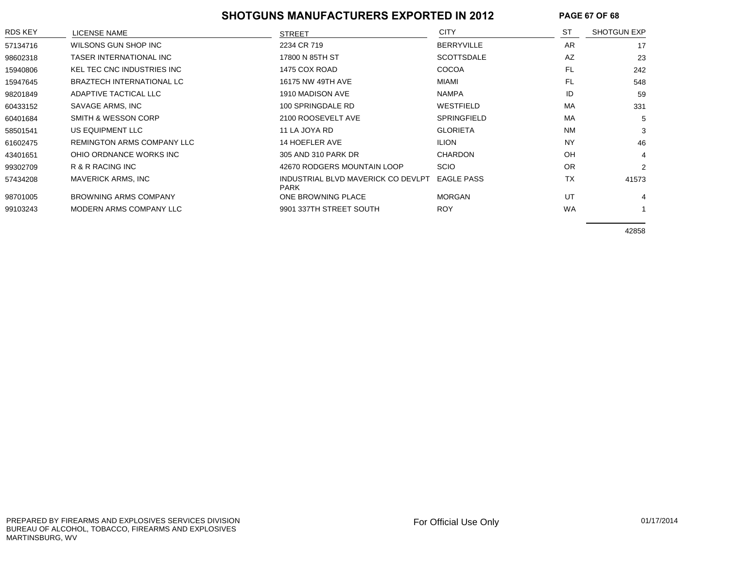#### **SHOTGUNS MANUFACTURERS EXPORTED IN 2012 PAGE 67 OF 68**

| RDS KEY  | LICENSE NAME                     | <b>STREET</b>                                     | <b>CITY</b>        | <b>ST</b> | <b>SHOTGUN EXP</b> |
|----------|----------------------------------|---------------------------------------------------|--------------------|-----------|--------------------|
| 57134716 | WILSONS GUN SHOP INC             | 2234 CR 719                                       | <b>BERRYVILLE</b>  | AR        | 17                 |
| 98602318 | TASER INTERNATIONAL INC          | 17800 N 85TH ST                                   | <b>SCOTTSDALE</b>  | AZ        | 23                 |
| 15940806 | KEL TEC CNC INDUSTRIES INC       | 1475 COX ROAD                                     | <b>COCOA</b>       | FL        | 242                |
| 15947645 | <b>BRAZTECH INTERNATIONAL LC</b> | 16175 NW 49TH AVE                                 | MIAMI              | <b>FL</b> | 548                |
| 98201849 | ADAPTIVE TACTICAL LLC            | 1910 MADISON AVE                                  | <b>NAMPA</b>       | ID        | 59                 |
| 60433152 | SAVAGE ARMS, INC                 | 100 SPRINGDALE RD                                 | WESTFIELD          | MA        | 331                |
| 60401684 | SMITH & WESSON CORP              | 2100 ROOSEVELT AVE                                | <b>SPRINGFIELD</b> | MA        | 5                  |
| 58501541 | US EQUIPMENT LLC                 | 11 LA JOYA RD                                     | <b>GLORIETA</b>    | <b>NM</b> | 3                  |
| 61602475 | REMINGTON ARMS COMPANY LLC       | 14 HOEFLER AVE                                    | <b>ILION</b>       | <b>NY</b> | 46                 |
| 43401651 | OHIO ORDNANCE WORKS INC          | 305 AND 310 PARK DR                               | <b>CHARDON</b>     | OH        | 4                  |
| 99302709 | R & R RACING INC                 | 42670 RODGERS MOUNTAIN LOOP                       | <b>SCIO</b>        | <b>OR</b> | $\overline{2}$     |
| 57434208 | MAVERICK ARMS, INC               | INDUSTRIAL BLVD MAVERICK CO DEVLPT<br><b>PARK</b> | <b>EAGLE PASS</b>  | <b>TX</b> | 41573              |
| 98701005 | <b>BROWNING ARMS COMPANY</b>     | ONE BROWNING PLACE                                | <b>MORGAN</b>      | UT        |                    |
| 99103243 | MODERN ARMS COMPANY LLC          | 9901 337TH STREET SOUTH                           | <b>ROY</b>         | <b>WA</b> |                    |